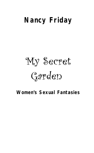## **Nancy Friday**

# My Secret Garden

### **Women's Sexual Fantasies**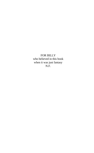FOR BILLY who believed in this book when it was just fantasy N.F.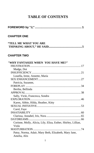#### **TABLE OF CONTENTS**

**FOREWORD by "J," ......................................................... 1**

| <b>CHAPTER ONE</b>                                             |  |
|----------------------------------------------------------------|--|
| <b>"TELL ME WHAT YOU ARE</b>                                   |  |
| <b>CHAPTER TWO</b>                                             |  |
| "WHY FANTASIZE WHEN YOU HAVE ME?"                              |  |
|                                                                |  |
| Madge, Dot                                                     |  |
|                                                                |  |
| Louella, Irene, Annette, Maria                                 |  |
|                                                                |  |
| Patricia, Suzanne,                                             |  |
|                                                                |  |
| Bertha, Bellinda                                               |  |
|                                                                |  |
| Sally, Vicki, Francesca, Sondra                                |  |
|                                                                |  |
| Karen, Abbie, Hilda, Heather, Kitty                            |  |
|                                                                |  |
| Carol, Faye                                                    |  |
|                                                                |  |
|                                                                |  |
| Corinne, Molly, Alicia, Lily, Eliza, Esther, Shirley, Lillian, |  |
| Viola                                                          |  |
|                                                                |  |
| Patsy, Norma, Adair, Mary Beth, Elizabeth, Mary Jane,          |  |
| Amelia, Alix                                                   |  |
|                                                                |  |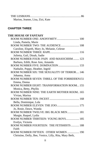| Marion, Jeanne, Lisa, Zizi, Kate |  |
|----------------------------------|--|

#### **CHAPTER THREE**

| THE HOUSE OF FANTASY                                   |
|--------------------------------------------------------|
|                                                        |
| Linda, Pamela, Marie                                   |
|                                                        |
| Caroline, Elspeth, Mary Jo, Melanie, Celeste           |
|                                                        |
| Julietta, Gail, Dinah, Sadie                           |
| ROOM NUMBER FOUR: PAIN AND MASOCHISM  123              |
| Barbara, Edith, Rose Ann, Amanda                       |
| ROOM NUMBER FIVE: DOMINATION 133                       |
| Nathalie, Poppy, Heather, Ingrid                       |
| ROOM NUMBER SIX: THE SEXUALITY OF TERROR 146           |
| Johanna, Anna                                          |
| ROOM NUMBER SEVEN: THRILL OF THE FORBIDDEN151          |
| Emma, Donna                                            |
| ROOM NUMBER EIGHT: TRANSFORMATION ROOM 155             |
| Monica, Betty, Phyllis                                 |
| ROOM NUMBER NINE: THE EARTH MOTHER ROOM., 165          |
| Vivian, Marina                                         |
|                                                        |
| Bella, Dominique, Lola                                 |
|                                                        |
| Jo, Rosie, Dawn, Wanda                                 |
| ROOM NUMBER TWELVE: BIG BLACK MEN 181                  |
| Margie, Raquel, Lydia                                  |
| ROOM NUMBER THIRTEEN: YOUNG BOYS 185                   |
| Evelyn, Victoria                                       |
| ROOM NUMBER FOURTEEN: THE FETISHISTS  188              |
| Faith                                                  |
| ROOM NUMBER FIFTEEN: OTHER WOMEN 190                   |
| Christine, Dolly, Bee, Venice, Lilly, Rita, Mary Beth, |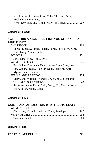| Viv, Lee, Willa, Dana, Cara, Celia, Theresa, Tania, |                                        |  |
|-----------------------------------------------------|----------------------------------------|--|
| Michelle, Sandra, Patty                             |                                        |  |
|                                                     | ROOM NUMBER SIXTEEN: PROSTITUTION  207 |  |

#### **CHAPTER FOUR**

| "WHERE DID A NICE GIRL LIKE YOU GET AN IDEA               |       |
|-----------------------------------------------------------|-------|
| LIKE THAT?"                                               |       |
|                                                           |       |
| Theda, Lindsay, Fiona, Felicia, Sonia, Phyllis, Marlene,  |       |
| Kay, Trudy, Mona, Stella                                  |       |
|                                                           |       |
| June, Nina, Meg, Holly, Evie                              |       |
|                                                           |       |
| Fay, Sukie, Constance, Deana, Anna, Vera, Una, Lois,      |       |
| Liz, Winona, Rudy, Gale, Imogene, Francine, April,        |       |
| Myrna, Laurie, Jeanie                                     |       |
|                                                           | . 234 |
| Mary Jane, Miranda, Margaret, Alexandra, Stephanie        |       |
|                                                           |       |
| Susie, Adrienne, Doris, Lulu, Daisy, Kit, Flossie, Josie, |       |
| Brett, Sarah, Maud, Gelda                                 |       |

#### **CHAPTER FIVE**

| GUILT AND FANTASY, OR, WHY THE FIG LEAF?            |  |
|-----------------------------------------------------|--|
|                                                     |  |
| Christiana, Hope, Lil, Alison, Clare, Penelope  267 |  |
|                                                     |  |
|                                                     |  |

#### **CHAPTER SIX**

|--|--|--|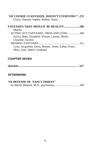#### **"OF COURSE I FANTASIZE, DOESN'T EVERYONE?". 272** Gloria, Hannah, Sophie, Bobbie, Paula

| <b>FANTASIES THAT SHOULD BE REALITY  298</b>            |  |
|---------------------------------------------------------|--|
| Martha                                                  |  |
| ACTING OUT FANTASIES, PROS AND CONS 300                 |  |
| Sylvia, Babs, Elizabeth, Winnie, Loretta, Sheila,       |  |
| Claudine, Jocelyn                                       |  |
|                                                         |  |
| Lynn, Jacqueline, Doris, Bonnie, Jessie, Esther, Posie, |  |
| Marx, Joan, Adele's husband                             |  |

#### **CHAPTER SEVEN**

|--|--|

#### **AFTERWORD**

#### **"IN DEFENSE OF NANCY FRIDAY"**

|--|--|--|--|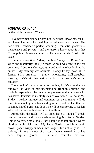#### **FOREWORD by "J,"**

author of the Sensuous Woman

 I've never met Nancy Friday, but I feel that I know her, for I still have pictures of her wedding tucked away in a drawer. She had what I consider a perfect wedding – romantic, glamorous, inexpensive and private – and the reason I know about it is that Cosmopolitan Magazine covered the event in its April 1966 issue.

The article was titled "Marry the Man Today…in Rome," and when the manuscript of *My Secret Garden* was sent to me for comment, I dug out *Cosmopolitan* and took another look at the author. My memory was accurate. Nancy Friday looks like a former Miss America – pretty, wholesome, well-scrubbed, glowing. *This* girl has written a book on women's sexual fantasies?

There couldn't be a more perfect author, for it's time that we removed the veils of misunderstanding from this subject and made it respectable. Too many people assume that anyone who has sexual fantasies is mentally sick or oversexed – or both! Ms. Friday's healthy attitude and common-sense comments will do much to alleviate guilts, fears and ignorance, and the fact that she is somewhat of a girl-next-door type will be comforting to readers who feel that sexual fantasies aren't well-bred.

Admittedly, the reader will at times have to fight off shock, prurient interest and distaste while reading My Secret Garden. This is no coffee-table book. Nor should it be left around where children might pick it up. My Secret Garden could bring plain brown paper wrappers back into vogue, for not only is it a serious, informative study of a facet of human sexuality that has been largely ignored, it is also painfully personal,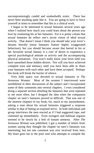uncompromisingly candid and unabashedly erotic. There has never been anything quite like it. You are going to have to force yourself at times to remember that this is a clinical work.

I began to be interested in sexual fantasies several years ago when I realized how much you could learn about the person you love by examining his or her fantasies. For it is pretty certain that sexual fantasies do reflect one's secret vision of ideal sexual activity. That doesn't mean I think you should take your lover's dreams literally (most fantasies feature highly exaggerated behaviour), but you should become aware that buried in his or her favourite sexual fantasy is a core of desire to experience a special psychological attitude or activity and the accompanying physical sensations. You won't really know your lover until you have unearthed those hidden desires. Nor will you have achieved complete trust and intimacy until you have been able to share your fantasies with each other and have them accepted. Perhaps this book will break the barrier of silence.

Very little space was devoted to sexual fantasies in *The Sensuous Woman*. Most of the women I interviewed were uninhibited in their discussions of the subject and I incorporated some of their comments into several chapters. I even considered doing a separate section detailing the fantasies that were repeated to me most often, but I dropped the idea when the companion chapter on men's fantasies proved so difficult. That was one of the shortest chapters in my book, for, much to my astonishment, asking a man about his sexual fantasies triggered a response similar to that of hitting an exposed nerve. In both individual and group interviews the men reacted as if I had suggested rape, and clammed up immediately. Even swingers and habitual orgiasts seemed to be struck by a bolt of instant amnesia. After *The Sensuous Woman* was published, I got a number of letters from women saying they thought the chapter on men's fantasies was interesting, but not one comment was ever received from men. My heart goes out to the poor soul who attempts to compile the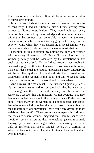first book on men's fantasies. It would be easier, to train turtles to outrun greyhounds.

In all fairness, I should mention that my own sex has its area of sensitivity. I had an extremely difficult time getting many women to discuss masturbation. They would volunteer every detail of their lovemaking, acknowledge extramarital affairs, etc., without embarrassment, but be unable to even say the word masturbation, much less admit to engaging in this very normal activity. Only when they were describing a sexual fantasy were these women able to relax enough to speak of masturbation.

I mention all this to explain my opinion that men and women will react very differently to *My Secret Garden*. I suspect that women generally will be fascinated by the revelations in this book, but not surprised. Nor will these readers have trouble in acknowledging that they too fantasize. Those women, however, who consider sexual intercourse unpleasant and/or unsatisfying will be revolted by the explicit and enthusiastically carnal sexual daydreams of the women in this book and will reject and deny their own fantasies both to the world and to themselves.

And how will the male react? The first man I gave *My Secret Garden* to was so turned on by the book that he went on a lovemaking marathon. But, unfortunately for the women in America, I suspect that this reaction was not average. The next few male readers were much like the men Nancy Friday tells us about. Since many of the women in this book regard their sexual fantasies as more intimate than the sex act itself, the men felt that their masculinity was threatened (how could any dream be more satisfying than, me?). These readers were especially furious at the fantasies where women imagined that their husbands were movie or sports stars during their lovemaking. (A common male fantasy, by the way, is to imagine while he is making love to his wife or girlfriend that she is Raquel Welch, Ava Gardner or whoever else excites him. The double standard seems to extend even to dreams.)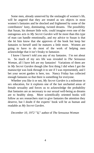Some men, already unnerved by the onslaught of women's lib, will be angered that they are treated as sex objects in most women's fantasies and be shocked and frightened by some of the contributors' lusty, dominating, twisted dreams. The possibility that Susan, his demure little wife, could imagine even one of the outrageous acts in *My Secret Garden* will be more than this type of man can handle emotionally, and my advice to Susan is that she let him know that she approves of the book but keep her fantasies to herself until he matures a little more. Women are going to have to do most of the work of helping men acknowledge that it isn't freaky to fantasize.

I know I haven't told you any of my fantasies. I'm not about to. So much of my sex life was revealed in *The Sensuous Woman*, all I have left are my fantasies! Variations of them are in *My Secret Garden* though (the first thing I did when I got the manuscript was look through it to see if I was represented), and I bet your secret garden is here, too. Nancy Friday has collected enough fantasies so that there is something for everyone.

Whether you like it or not, *My Secret Garden* is a milestone in sex education, for it explores one of the last uncharted areas of female sexuality and forces us to acknowledge the probability that fantasies are as necessary to our sexual well-being as dreams are to healthy sleep. More scientifically oriented books will follow as sex researchers start to give fantasies the attention they deserve, but I doubt if the experts' book will be as human and readable as *My Secret Garden*.

*December 10, 1972* **"J,"** author of *The Sensuous Woman*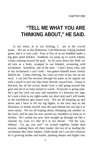## **"TELL ME WHAT YOU ARE THINKING ABOUT," HE SAID.**

 In my mind, as in our fucking, I am at the crucial point:…We are at this Baltimore Colt-Minnesota Viking football game, and it is very cold. Four or five of us are huddled under a big glen plaid blanket. Suddenly we jump up to watch Johnny Unitas running toward the goal. As he races down the field, we all turn as a body, wrapped in our blanket, screaming with excitement. Somehow, one of the men – I don't know who, and in my excitement I can't look – has gotten himself more closely behind me. I keep cheering, my voice an echo of his, hot on my neck. I can feel his erection through his pants as he signals me with a touch to turn my hips more directly toward him. Unitas is blocked, but all the action, thank God, is still going toward that goal and all of us keep turned to watch. Everyone is going mad. He's got his cock out now and somehow it's between my legs: he's torn a hole in my tights under my short skirt and I yell louder as the touchdown gets nearer now. We are all jumping up and down and I have to lift my leg higher, to the next step on the bleachers, to steady myself; now the man behind me can slip it in more easily. We are all leaping about, thumping one another on the back, and he puts his arm around my shoulders to keep us in rhythm. He's inside me now, shot straight up through me like a ramrod; my God, it's like he's in my throat! "All the way, Johnny! Go, go, run, run!" we scream together, louder than anyone, making them all cheer louder, the two of us leading the excitement like cheer leaders, while inside me I can feel whoever he is growing harder and harder, pushing deeper and higher into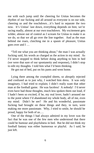me with each jump until the cheering for Unitas becomes the rhythm of our fucking and all around us everyone is on our side, cheering us and the touchdown…it's hard to separate the two now. It's Unitas' last down, everything depends on him; we're racing madly, almost at our own touchdown. My excitement gets wilder, almost out of control as I scream for Unitas to make it as we do, so that we all go over the line together. And as the man behind me roars, clutching me in a spasm of pleasure, Unitas goes over and I …

"Tell me what you are thinking about," the man I was actually fucking said, his words as charged as the action in my mind. As I'd never stopped to think before doing anything to him in bed (we were that sure of our spontaneity and response), I didn't stop to edit my thoughts. I told him what I'd been thinking.

He got out of bed, put on his pants and went home.

Lying there among the crumpled sheets, so abruptly rejected and confused as to just why, I watched him dress. It was only imaginary, I had tried to explain; I didn't really want that other man at the football game. He was faceless! A nobody! I'd never even have had those thoughts, much less spoken them out loud, if I hadn't been so excited, if he, my real lover, hadn't aroused me to the point where I'd abandoned my whole body, all of me, even my mind. Didn't he see? He and his wonderful, passionate fucking had brought on these things and they, in turn, were making me more passionate. Why, I tried to smile, he should be proud, happy for both of us….

One of the things I had always admired in my lover was the fact that he was one of the few men who understood that there could be humour and playfulness in bed. But he did not think my football fantasy was either humorous or playful. As I said, he just left.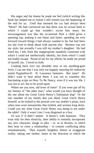His anger and the shame he made me feel (which writing this book has helped me to realize I still resent) was the beginning of the end for us. Until that moment his cry had always been "More!" He had convinced me that there was no sexual limit to which I could go that wouldn't excite him more; his encouragement was like the occasional flick a child gives a spinning top, making it run faster and faster, speeding me ever forward toward things I had always wanted to do, but had been too shy even to think about with anyone else. Shyness was not my style, but sexually I was still my mother's daughter. He had freed me, I felt, from this inappropriate maidenly constraint with which I could not intellectually identify, but from which I could not bodily escape. Proud of me for my efforts, he made me proud of myself, too. I loved us both.

Looking back over my shoulder now at my anything-goes lover, I can see that I was only too happily enacting *his* indirectly stated Pygmalion-D. H. Lawrence fantasies. But mine? He didn't want to hear about them. I was not to coauthor this fascinating script on How To Be Nancy, even if it was my life. I was not to act, but to be acted upon.

Where are you now, old lover of mine? If you were put off by my fantasy of "the other man," what would you have thought of the one about my Great Uncle Henry's Dalmatian dog? Or the one member of my family that you liked, Great Uncle Henry himself, as he looked in the portrait over my mother's piano, back when men wore moustaches that tickled, and women long skirts. Could you see what Great Uncle Henry was doing to me under the table? Only it wasn't me; I was disguised as a boy.

Or was I? It didn't matter. It doesn't, with fantasies. They exist only for their elasticity, their ability to instantly incorporate any new character, image or idea – or, as in dreams, to which they bear so close a relationship – to contain conflicting ideas simultaneously. They expand, heighten, distort or exaggerate reality, taking one further, faster in the direction in which the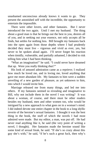unashamed unconscious already knows it wants to go. They present the astonished self with the incredible, the opportunity to entertain the impossible.

There were other lovers, and other fantasies. But I never introduced the two again. Until I met my husband. The thing about a good man is that he brings out the best in you, desires all of you, and in seeking out your essence, not only accepts all he finds, but settles for nothing less. Bill brought my fantasies back into the open again from those depths where I had prudently decided they must live – vigorous and vivid as ever, yes, but never to be spoken aloud again. I'll never forget his reaction when timidly, vulnerable, and partially ashamed, I decided to risk telling him what I *had* been thinking.

"What an imagination!" he said. "I could never have dreamed that up. Were you really thinking *that?"*

His look of amused admiration came as a reprieve; I realized how much he loved me, and in loving me, loved anything that gave me more abundant life. My fantasies to him were a sudden unveiling of a new garden of pleasure, as yet unknown to him, into which I would invite him.

Marriage released me from many things, and led me into others. If my fantasies seemed so revealing and imaginative to Bill, why not include them in the novel I was writing? It was about a woman, of course, and there must be other readers besides my husband, men and other women too, who would be intrigued by a new approach to what goes on in a woman's mind. I did indeed devote one entire chapter in the book to a long idyllic reverie of the heroine's sexual fantasies. I thought it was the best thing in the book, the stuff of which the novels I had most admired were made. But my editor, a man, was put off. He had never read anything like it, he said (the very point of writing a novel, I thought). Her fantasies made the heroine sound like some kind of sexual freak, he said. "If she's so crazy about this guy she's with," he said, "if he's such a great fuck, then why's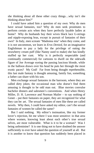she thinking about all these other crazy things…why isn't she thinking about him?"

I could have asked him a question of my own: Why do men have sexual fantasies, too? Why do men seek prostitutes to perform certain acts when they have perfectly layable ladies at home? Why do husbands buy their wives black lace G-strings and nipple-exposing bras, except in pursuit of fantasies of their own? In Italy, men scream "Madonna mia" when they come, and it is not uncommon, we learn in *Eros Denied,* for an imaginative Englishman to pay a lady for the privilege of eating the strawberry cream puff (like Nanny used to make) she has kindly stuffed up her cunt. Why is it perfectly respectable (and continually commercial) for cartoons to dwell on the sidewalk figure of Joe Average eyeing the passing luscious blonde, while in the balloon drawn over his head he puts her through the most exotic paces? My God! Far from being thought reprehensible, this last male fantasy is thought amusing, family fun, something a father can share with his son.

Men exchange sexual fantasies in the barroom, where they are called dirty jokes; the occasional man who doesn't find them amusing is thought to be odd man out. Blue movies convulse bachelor dinners and salesmen's conventions. And when Henry Miller, D. H. Lawrence and Norman Mailer – to say nothing of Genet – put their fantasies on paper, they are recognized for what they can be: art. The sexual fantasies of men like these are called novels. Why then, I could have asked my editor, can't the sexual fantasies of women be called the same?

But I said nothing. My editor's insinuation, like my former lover's rejection, hit me where I was most sensitive: in that area where women, knowing least about each other's true sexual selves, are most vulnerable. What is it to be a woman? Was I being unfeminine? It is one thing not to have doubted the answer sufficiently to ever have asked the question of yourself at all. But it is another to know that question has suddenly been placed in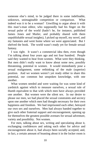someone else's mind, to be judged there in some indefinable, unknown, unimaginable competition or comparison. What indeed was it to be a woman? Unwilling to argue about it with this man's-man editor, who supposedly had his finger on the sexual pulse of the world (hadn't he, for instance, published James Jones and Mailer, and probably shared with them unpublishable sexual insights), I picked up myself, my novel, and my fantasies and went home where we were appreciated. But I shelved the book. The world wasn't ready yet for female sexual fantasy.

I was right. It wasn't a commercial idea then, even though I'm talking about four years ago and not four hundred. People said they wanted to hear from women. What were they thinking. But men didn't really want to know about some new, possibly threatening, potential in women. It would immediately pose a sexual realignment, some rethinking of the male (superior) position. And we women weren't yet ready either to share this potential, our common but unspoken knowledge, with one another.

What women needed and were waiting for was some kind of yardstick against which to measure ourselves, a sexual rule of thumb equivalent to that with which men have always provided one another. But women were the silent sex. In our desire to please our men, we had placed the sexual constraints and secrecy upon one another which men had thought necessary for their own happiness and freedom. We had imprisoned each other, betrayed our own sex and ourselves. Men had always banded together to give each other fraternal support and encouragement, opening up for themselves the greatest possible avenues for sexual adventure, variety and possibility. Not women.

For men, talking about sex, writing and speculating about it, exchanging confidences and asking each other for advice and encouragement about it, had always been socially accepted, and, in fact, a certain amount of boasting about it in the locker room is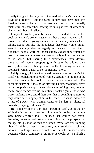usually thought to be very much the mark of a man's man, a fine devil of a fellow. But the same culture that gave men this freedom sternly barred it to women, leaving us sexually mistrustful of each other, forcing us into patterns of deception, shame, and above all, silence.

I, myself, would probably never have decided to write this book on women's erotic fantasies if other women's voices hadn't broken that silence, giving me not just that sexual yardstick I was talking about, but also the knowledge that other women might want to hear my ideas as eagerly as I wanted to hear theirs. Suddenly, people were no longer simply *saying* they wanted to hear from women, now women were actually talking, not waiting to be asked, but sharing their experiences, their desires, thousands of women supporting each other by adding their voices, their names, their presence to the liberating forces that promised women a new shake, something "more."

Oddly enough, I think the naked power cry of Women's Lib itself was not helpful to a lot of women, certainly not to me in the work that became this book. It put too many women off. The sheer stridency of it, instead of drawing us closer together, drove us into opposing camps; those who were defying men, denying them, drew themselves up in militant ranks against those who were suddenly more afraid than ever that in sounding aggressive they would be risking rejection by their men. If sex is reduced to a test of power, what woman wants to be, left all alone, all powerful, playing with herself?

But if not Women's Lib, then liberation itself was in the air. With the increasing liberation of women's bodies, our minds were being set free, too. The idea that women had sexual fantasies, the enigma of just what they might be, the prospect that the age-old question of men to women, "What are you thinking about?" might at last be answered, now suddenly fascinated editors. No longer was it a matter of the sales-minded editor deciding what a commercial gimmick it would be to publish a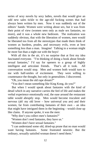series of sexy novels by sexy ladies, novels that would give an odd new sales tickle to the age-old fucking scenes that had always been written by men. Now it was suddenly out of the editors' hands: Women were writing about sex, but it was from their point of view (women seen only as male sex fantasies, no more), and it was a whole new bedroom. The realization was suddenly obvious, that with the liberation of women, men would be liberated too from all the stereotypes that made them think of women as burdens, prudes, and necessary evils, even at best something less than a man. Imagine! Talking to a woman might be more fun than a night out with the boys!

With all this in the air, it's no surprise that at first my idea fascinated everyone. "I'm thinking of doing a book about female sexual fantasies," I'd say for openers to a group of highly intelligent and articulate friends. That's all it took. All conversation would stop. Men and women both would turn to me with half-smiles of excitement. They were willing to countenance the thought, but only in generalities. I discovered.

"Oh, you mean the old rape dream?"

"You don't mean something like King Kong, do you?"

 But when I would speak about fantasies with the kind of detail which in any narrative carries the feel of life and makes the verbal experience emotionally real, the ease around the restaurant table would abruptly stop. Men would become truculent and nervous (ah! my old lover – how universal you are) and their women, far from contributing fantasies of their own – an idea that might have intrigued them in the beginning – would close up like clams. If anyone spoke, it was the men:

"Why don't you collect men's fantasies?"

"Women don't reed fantasies, they have us."

"Women don't have sexual fantasies."

"I can understand some old, dried-up prune that no man would want having fantasies. Some frustrated neurotic. But the ordinary, sexually satisifed woman doesn't need them."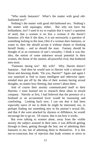"Who needs fantasies? What's the matter with good oldfashioned sex?"

Nothing's the matter with good old-fashioned sex. Nothing's the matter with asparagus, either. But why not have the hollandaise, too? I used to try to explain that it wasn't a question of need, that a woman is no less a woman if she doesn't fantasize. (Or that if she does, it is not necessarily a question of something lacking in the man.) But if a woman does fantasize, or wants to, then she should accept it without shame or thinking herself freaky – and so should the man. Fantasy should be thought of as an extension of one's sexuality. I think it was this idea, the notion of some unknown sexual potential in their women, the threat of the unseen, all-powerful rival, that bothered men most.

"Fantasies during sex? My wife? Why, Harriet doesn't fantasize . And then he would turn to Harriet with a mixture of threat and dawning doubt, "Do you, Harriet?" Again and again I was surprised to find so many intelligent and otherwise openminded men put off by the idea of their women having sexual thoughts, no matter how fleeting, that weren't about them.

And of course their anxiety communicated itself to their Harriets. I soon learned not to research these ideas in mixed company. Naively at first, I had believed that the presence of a husband or an accustomed lover would be reassuring and comforting. Looking back now, I can see that it had been especially naive of me to think he might be interested, too, in perhaps finding out something new in his partner's sexual life, and that if she were attacked by shyness or diffidence, he would encourage her to go on. Of course, that is not how it works.

But even talking to women alone, away from the visible anxiety the subject aroused in their men, it was difficult getting through to them, getting through the fear, not of admitting their fantasies to me, but of admitting them to themselves. It is this not-so-conscious fear of rejection that leads women to strive to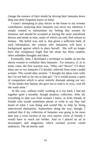change the essence of their minds by driving their fantasies down deep into their forgotten layers of mind.

I wasn't attempting to play doctor in the house to my women contributors; analysing their fantasies was never my intention. I simply wanted to substantiate my feeling that women do fantasize and should be accepted as having the same unrealized desires and needs as men, many of which can only find release in fantasy. My belief was, and is, that given a sufficient body of such information, the woman who fantasizes will have a background against which to place herself. She will no longer have that vertiginous fright that she alone has these random, often unbidden thoughts and ideas.

Eventually, then, I developed a technique to enable an but the shyest women to verbalize their fantasies. For instance, if, as in many cases, the first reaction was, "Who, me? Never!" I'd show them one or two fantasies I'd already collected from more candid women. This would allay anxiety: "I thought my ideas were wild, but I'm not half as far out as that girl." Or it would arouse a spirit of competition which is never entirely dormant among our sex: "If she thinks that fantasy she gave me to read is so sexy, wait till she reads mine."

 In this way, without really working at it too hard, I had put together quite a sizeable, though amateur, collection. After all, everything to date was from women I knew, or from friends of friends who would sometimes phone or write to say they had heard of what I was doing and would like to help by being interviewed themselves. Somewhere along the way, though, I realized that if my collection of fantasies was going to be more than just a cross section of my own narrow circle of friends, I would have to reach out further. And so I placed an ad in newspapers and magazines which reached several varied audiences. The ad merely said: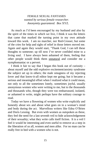#### FEMALE SEXUAL FANTASIES *wanted by serious female researcher. Anonymity guaranteed. Box* XYZ*.*

As much as I'd been encouraged by my husband and also by the spirit of the times in which we live, I think it was the letters that came that marked the turning point in my own attitude toward this work. I am no marcher, nor Red-Crosser, but some of the cries for help and sighs of relief in those letters moved me. Again and again they would start, "Thank God, I can tell these thoughts to someone; up till now I've never confided mine to a living soul. I have always been ashamed of them, feeling that other people would think them unnatural and consider me a nymphomaniac or a pervert.

I think it fair to say that I began this book out of curiosity – about myself and the odd explosive excitement/anxiety syndrome the subject set up in others; the male smugness of my rejecting lover and that know-it-all editor kept me going; but it became a serious and meaningful effort when I realized what it could mean, not only to all the sometimes lonely, sometimes joyful, usually anonymous women who were writing to me, but to the thousands and thousands who, though they were too embarrassed, isolated, or ashamed to write, might perhaps have the solitary courage to read.

Today we have a flowering of women who write explicitly and honestly about sex and about what goes on in a woman's mind and body during the act. Marvellous writers like Edna O'Brien and Doris Lessing. But even with women as outspoken as these, they feel the need for a last seventh veil to hide acknowledgement of their sexuality; what they write calls itself fiction. It is a veil I feel it would he interesting and even useful to remove as a step in the liberation of us all, women and men alike. For no man can be really free in bed with a women who is not.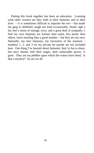Putting this book together has been an education. Learning what other women are like, both in their fantasies and in their lives – it is sometimes difficult to separate the two – has made me gasp in disbelief; laugh out loud occasionally; blush; sigh a lot; feel a sense of outrage, envy, and a great deal of sympathy. I find my own fantasies are funnier than some, less poetic than others, more startling than a good number – but they are my own. Naturally, my best fantasies, my favourites of the moment – numbers 1, 2, and 3 on my private hit parade are not included here. One thing I've learned about fantasies: they're fun to share, but once shared, half their magic, their ineluctable power, is gone. They are sea pebbles upon which the waters have dried. Is that a mystery? So are we all.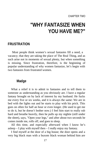## **"WHY FANTASIZE WHEN YOU HAVE ME?"**

#### **FRUSTRATION**

 Most people think women's sexual fantasies fill a need, a vacancy; that they are taking the place of The Real Thing, and as such arise not in moments of sexual plenty, but when something is missing. Since frustration, therefore, is the beginning of popular understanding of why women fantasize, let's begin with two fantasies from frustrated women.

#### **Madge**

What a relief it is to admit to fantasies and to tell them to someone as understanding as you obviously are. I have a regular fantasy brought on by lack of interest by my husband. He fucks me every five or six weeks, and it is always the same: We are in bed with the lights out and he starts to play with his prick. This goes on often for half an hour or even longer. (He used to get me to do it, but he doesn't bother now.) I feel him start to really rub hard and breathe heavily, then he pulls up my nightie (still under the sheet), says, "Open your legs," and after about two seconds he comes inside me, rolls off, and goes to sleep.

All this time, and especially afterward when I know he's asleep – I play with myself then – I really enjoy my fantasy.

I find myself at the door of a big house; the door opens and a very big black man with a buxom black woman behind him are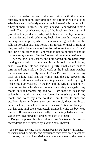inside. He grabs me and pulls me inside, with the woman pushing, helping him. They drag me into a room in which a large Alsatian – very obviously male in the full sense! – is tied up with a boy of about fourteen. The boy is naked. I am ordered to strip naked. "Let's see what you've got," the black man leers at me. I protest and he produces a whip while his wife forcibly undresses me and ties my hands behind my back. She takes his trousers off and exposes his prick, which is abnormally big and stiff as she rolls his foreskin back and forth. I am forced to kneel in front of him, and when he tells me to, I am forced to use the words "cock" and "prick" to describe it. I am made to beg to be fucked and he makes me say the word "fucked" several times to emphasize it.

Then the dog is unleashed, and I am forced on my back while the dog is coaxed so that my head is by his cock and he licks my cant. I have to feel its cock and rub it gently. Finally I am made to turn around and suck the dog's cock as the black man watches me to make sure I really yuck it. Then I'm made to lie on my back on a long stool and the woman gets the dog between my legs, held wide open, and guides his prick and I feel it go right inside me. I am watched by the boy and the wife is naked now. I have to beg for a fucking as the man rubs his prick against my mouth until it becomes big and wet. I am made to lick it and suddenly he holds my head and forces his massive prick in my mouth and holds my nose so that I am forced to suck and swallow his come. It seems to squirt endlessly dawn my throat. As a final act, I am forced to suck his wife's tits and finally to lick her cunt until she is completely satisfied, while the boy jerks himself off over my cunt and belly. The fantasy fades and I am wet as my finger urgently strokes my cunt to orgasm.

Do you suppose this is all due to lesbian tendencies and  $_{\text{mv}}$ secret desire to be watched by a young boy? [Letter]

 As is so often the case when human beings are faced with a mass of unexplained or bewildering experience they have been taught not to discuss, riot only does Madge not have the answers, she doesn't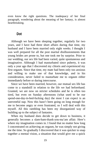even know the right questions. The inadequacy of her final paragraph, wondering about the meaning of her fantasy, is almost heartbreaking.

#### **Dot**

Although we have been sleeping together, regularly for two years, and I have had three short affairs during that time, my husband and I have been married only eight weeks. I thought I was well prepared for all the post marital disillusionments that young brides are prone to, but one took me by surprise. Prior to our wedding, our sex life had been varied, quite spontaneous and imaginative. Although I had masturbated since puberty, it was only a year ago that I discovered my clitoris and experienced my first orgasm. Since that time, my mate had been only too anxious and willing to make use of that knowledge, and in his consideration, never failed to masturbate me to orgasm either immediately before or during intercourse.

Since we have been married, however, our mutual sex life has come to a standstill in relation to the life we had beforehand. Granted, we are now on stricter schedules and he is often too tired, but even on Sunday afternoons (what used to be our spend-one-day-in-bed-fucking day) the most I can expect is an uneventful nap. Now this hasn't been going on long enough for me to become angry or even frustrated, so I will deal with this myself. All this rambling has been my disorganized way of building up to the subject of fantasies.

When my husband does decide to get down to business, it generally becomes a slam-bam-thank-you-ma'am affair. Here's where my imagination comes in. I found that no matter how long I concentrated on achieving an orgasm, he was simply not giving me the time. So gradually I discovered that it was quicker to snap together a mental vision, a situation that would give me a quick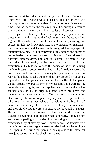dose of eroticism that would carry me through. Second, I discovered after trying several fantasies, that the process was much quicker and more effective if I relied on one fantasy each time. And the more use the fantasy gets, either during intercourse or masturbation, the more vivid and realistic it becomes.

This particular fantasy is brief, and I generally repeat it several times in my mind, omitting the finale until I feel the wave of my orgasm. It consists of a room of men, well-dressed, wealthy, and at least middle-aged. One man acts as my husband or guardian – the is anonymous and I never really assigned him any specific relationship to me. He is in command of my actions and seems to be the leader of the men. I appear in this room of men dressed in a lovely summery dress, light and full-skirted. The man tells the men that I am easily embarrassed but am basically an exhibitionist. He tells me to undo the bodice of the dress, leaving my bare breasts exposed. He then has me lie face down across the coffee table with my breasts hanging freely at one end and my rear at the other. He tells the men that I am aroused by anything icy and wet and suggests that they cup their half-full champagne glasses around my breasts. (When my husband and I were having better days and nights, we often applied ice to one another.) The fantasy goes on as he slips his hand under my dress and underwear and massages my rear. He does not pay any attention at all to my clitoris or vagina, only my rear. He speaks to the other men and tells then what a marvelous white broad ass I have, and would they like to see it? He feels my rear some more and then slowly lifts my dress to expose my butt, still in panties. He rubs it some more, praises it to the men. By this point, my orgasm is beginning to build and when I am ready, I imagine him very slowly peeling my panties down my thighs. If I have not experienced my climax by now, I either repeat the fantasy from the point of the champagne glasses, or else I add to the ending a light spanking. During the spanking, he explains to the men that he enjoys seeing my white cheeks turn pink.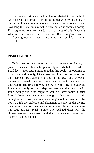This fantasy originated while I masturbated in the bathtub. Now it gets used almost daily, if not in bed with my husband, in the tub with a well-aimed stream of water. I'm curious to know how long this one fantasy will suffice before it becomes boring. I'm beginning to think that just the concept of this fantasy is what turns me on-sort of a reflex action. But as long as it works, it's keeping our marriage – including our sex life – joyful. [Letter]

#### **INSUFFICIENCY**

 Before we go on to more provocative reasons for fantasy, positive reasons with which I personally identify but about which I still feel – even after putting together this book – an odd mix of excitement and anxiety, let me give you four more variations on this theme of frustration; it is one of the great and universal themes of sexual loneliness, one whose reality we can all understand. The first interview below is with forty-five-year-old Louella, a totally sexually deprived woman; the second with Irene, twenty-five, who might as well be. Next comes a letter from Anisette, who was young enough – nineteen – and frantic enough to have probably done something about her frustration by now. I think the violence and alienation of some of the themes these women explore is a measure of how much the human being will rage against sexual famine. The well-fed diner will idly choose between this dessert and that; the starving person will dream of "eating a horse."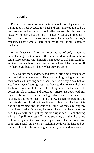#### **Louella**

Perhaps the basis for my fantasy about my stepson is the humiliation I feel because my husband only married me to be a housekeeper and in order to look after his son. My husband is sexually impotent, but the boy is blatantly sexual. Sometimes I feel I cannot tear my eyes away from the bulge in the boy's trousers. I know what's there, it seems to run the full length of his belly.

In my fantasy I call for him to get up out of bed, I know he isn't sleeping. I listen outside the bedroom door and know be is lying there playing with himself. I am about to call him again but another boy, a school friend, comes to call and I let them go off by themselves because I know what they are up to.

They go into the woodshed, and after a little time I creep down and peek through the planks. They are standing facing each other, their cocks out, stroking each other. I feel so bloody cross, but yet I still feel myself getting wet. I go back to the house and shriek for him to come in. I still feel like hitting him over the head. He comes in half ashamed and sneering; I myself sit down with my legs trembling. I see he has a big bulge there, he seems to be sticking it out more, then, I don't know, I open his buttons and pull his shirt up. I didn't think it was so big. I stroke him, it is hot and throbbing and he comes as quick as that, covering my hand. Later I take him to my bedroom, he sits on the edge of the bed, I play with him, pulling his skin right back. I am shaking with sex, I pull my dress off and he sucks my tits, then I back up to him and guide it in, with my thighs closed. But he comes too soon, and I send him away. I watch him go down the lane and get out my dildo, it is thicker and goes all in. [Letter and interview]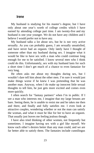#### **Irene**

My husband is studying for his master's degree, but I have only about one year's worth of college credits which I have earned by attending college part time. I am twenty-five and my husband is one year younger. We do not have any children and I believe I would prefer not to have any.

My husband talks a lot about sex, but he is not very active sexually. As you can probably guess, I am sexually unsatisfied, and have never had an orgasm. Only lately have I thought of someone other than my husband during sex. I imagine what it would be like to have sex with a man who could continue long enough for me to be satisfied. I know several men who I think could do this. Unfortunately, sex with my husband lasts for such a short time I don't get much of a chance to even fantasize for very long.

He often asks me about my thoughts during sex, but I wouldn't dare tell him about the other men. I'm sure it would just make things worse if he knew I was pretending that he was another man. Anyway, when I do make up innocent little sexual thoughts to tell him, he just gets more excited and comes even more quickly.

I often search for "fantasy partners" when I'm in public. If I see a man who interests me, I imagine that my large breasts are bare. Seeing them, he is unable to resist me and he takes me then and there, and finally and fully satisfies me. I even look at attractive couples, wondering whether or not the man can satisfy the woman, and what it must be like for her to have an orgasm. That usually just leaves me feeling jealous though.

I have also tried thinking of other women, not frequently but sometimes. I imagine having sex with a girl like myself. We know each other's desires better than any man could, and we are far better able to satisfy them. The fantasies include cunnilingus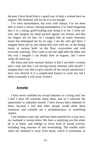because I have heard that is a good way to help a woman have an orgasm. My husband will not do it to me though.

I've tried masturbation, but even with fantasy I've not been able to reach a climax. During masturbation, I've tried imagining that it is a young, good-looking man doing it to me. I close my eyes and imagine his head pressed against my breasts and that my fingers are his lips. Or I imagine that an entire fraternity house has kidnapped me for an orgy. I am the only girl there. I imagine them one by one taking their turn with me, in the dining room, in various beds, on the floor, everywhere and with everyone watching. They come at me one right after the other and this way I imagine I can finally have an orgasm…but I never really do reach one.

My latest and most unusual fantasy is that I am both a woman and a man and that I am having sexual relations with myself. I imagine that I am able to give myself all the sexual satisfaction I have ever desired. It is a complicated fantasy to work out, but I think eventually it will work. [Letter]

#### **Annette**

I have never confided my sexual fantasies to a living soul, but I feel I must tell someone about them, and so I welcome the opportunity to unburden myself. I have always been ashamed of them, because I feel that other people would think them unnatural, and consider me a nymphomaniac, or something similar.

I am nineteen years old, and have been married for a year now; my husband is twenty-three. We have a satisfying sex life when he is at home, and indulge in every kind of sexual activity, including long sessions of oral lovemaking. The trouble starts when my husband is away from home, which is sometimes as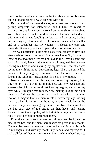much as two weeks at a time, as he travels abroad on business quite a lot and cannot always take me with him.

By the end of the second week, or sometimes sooner, I am getting desperate for intercourse, and I have to resort to masturbation, as for various reasons I do not wish to get involved with other men. At first, I used to fantasize that my husband was with me, and he was fondling my breasts and my vulva, licking and sucking my clitoris, and – as I thrust a banana or the smaller end of a cucumber into my vagina – I closed my eyes and pretended it was my husband's penis that was penetrating me.

This was sufficient to give me a satisfying orgasm at first, but after a while I found it more difficult to reach one. So, I started to imagine that two men were making love to me – my husband and a man I strongly fancy at the tennis club. I imagined that one was kissing my breasts and sucking my nipples while the other was loving me with his mouth between my legs. Then, as I pushed the banana into my vagina, I imagined that the other man was fucking me while my husband put his penis in my mouth.

Now it has gone a step further, and to get my orgasm, I lie down on my back across our double bed, with my legs apart and a two-inch-thick cucumber thrust into my vagina, and close my eyes while I imagine that four men are making love to me all at once. As I thrust the cucumber in and out with a screwing motion, I imagine that one man kneels between my legs, kissing my slit, which is hairless, by the way; another kneels beside the bed above my head kissing my mouth; and two others kneel on the bed each side of me, sitting on their heels, and leaning forward to suck my nipples, while I stretch out my hand and take hold of their penises to masturbate them.

From there the fantasy progresses. I tip my head back over the side of the bed, and the man there inserts his penis in my mouth. The man between my legs gets onto the bed and inserts his penis in my vagina, and with my mouth, my hands, and my vagina, I make all four of them come at once. After a while, when I start to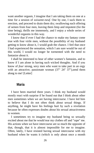want another orgasm, I imagine that I am taking them on one at a time for a session of *soixante-neuf.* One by one, I suck them to erection, and proceed to drain them dry; swallowing each offering of semen from four men, leaving them limp and impotent (for the time being), thrills me immensely, and I enjoy a whole series of wonderful orgasms in this way.

I know that if ever I had the chance to make my fantasy come true with four virile men, without the possibility of my husband getting to know about it, I would grab the chance. I feel that once I had experienced the sensation, which I am sure would be out of this world, I would no longer be tormented with the need to fantasize about it.

I shall be interested to hear of other women's fantasies, and to know if I am alone in having such wicked thoughts. And if you know of *four* strong, sexy men who want to take part in an orgy with an attractive, passionate woman (37" 24" 37"), send them along to me! [Letter]

#### **Maria**

I have been married three years. I think my husband would mostly react with surprise if he found out that I think about other men sometimes when we are having intercourse. I have led him to believe that I do not often think about sexual things. If anything, he might have his feelings hurt by such a revelation because he often expresses doubts about his sexual attractiveness to women.

I sometimes try to imagine my husband being so sexually excited about me that he would tear my clothes off and "rape" me. His actions when we have intercourse are so much the opposite of that, though, that it is almost impossible for me to imagine. Often, lately, I have resisted having sexual intercourse with my husband when he wants it (which is only about once a month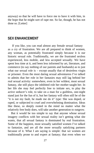anyway) so that he will have to force me to have it with him, in the hope that he might sort of rape me. So far, though, he has not done so. [Letter]

#### **SEX ENHANCEMENT**

 If you like, you can read almost any female sexual fantasy as a cry of frustration. We are all prepared to think of women, any woman, as potentially frustrated simply because it is our historic sexual role. Traditionally, we are the frustrated sexless experienced, less mobile, and less accepted sexually. We have spent less time at it, and been less informed by art, literature, and commerce (to say nothing of our parents and husbands) as to just what our sexual role is – except usually that of desireless virgin or prisoner. Even the most daring sexual adventuress I've talked to admits that her role in her fantasies may still lag behind her real sexual activity: somewhere, even in her wildest, most sexual fantasy, she still plays the inhibited role her mother taught her. In her life she may feel perfectly free to initiate sex, to play the active seducer's role, to take on a man for a guiltless, one-night stand just for the fun of it, but her fantasy will often still be of the "it is not my fault, he made me do it" type: She was doped, or raped, or subjected to cruel and overwhelming domination. Ideas like these, so deeply rooted in the mind no matter what the relatively free body does, will take another generation to outgrow.

But it would be too simple to say that anyone whose sexual imagery conflicts with her sexual reality isn't getting what she wants, that all sexual fantasy is dominated by real frustration. Some of the happiest, most sexually satisfied women I've talked to fantasize, and are all the more sexually satisfying partners because of it. What I am saying is simple: that we women are traditionally prone to and expert at fantasy; that even when we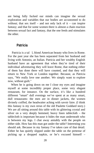are being fully fucked our minds can imagine the sexual exploration and variables that our bodies are accustomed to do without; that sex itself – and not only lack of it – can inspire fantasy; and that for some women there is almost a chain reaction between sexual fact and fantasy, that the one feeds and stimulates the other.

#### **Patricia**

 Patricia is a tal l, blond American beauty who lives in Rome. For the past year she has been separated from her husband and living with Antonio, an Italian. Patricia and her wealthy English husband have an agreement that when they're tired of their individual adventuring they will leave Rome, that nothing either of them has done there will have counted, and that they will return to New York or London together. Because, as Patricia says, "We really love one another. We simply want to explore now, without guilt."

When he is going down on me I close my eyes and imagine myself at some incredibly proper place, some very elegant restaurant, for instance. On the surface, it's like a hundred different "smart" dull evenings we've spent at as many smart, dull restaurants: the men are in dinner jackets, the women divinely coiffed, the headwaiter aching with savoir faire. (I think this fantasy is my own rerun of the old Paulette Goddard story.) We are all sitting around this table with its glittering crystal and silver on a very deeply hemmed, heavy linen tablecloth – the tablecloth is important because it hides the man underneath who is between my legs. I chat away amiably with the people on either side. How has this man got under the table? Interesting you should ask. Because in my fantasy I've taken care of that detail. Either he has quietly slipped under the table on the pretense of picking up a dropped napkin, or he's excused himself –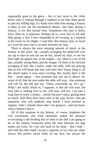supposedly gone to the gents – but in fact raced to the cellar below only to emerge through a trapdoor at my feet, there gently to part my willing legs. It's funny how little time during a fantasy it takes to sort out the mechanical details…but time, during a fantasy, is not like normal time. Sometimes this man is black, more often he is unknown. Perhaps he is a new face in our dull little group, a face I have responded to all evening, as I respond to his touch on my thighs. I want him, this fantasy man, as much as I want the man who is actually between my legs.

There is always the most amazing amount of detail. in the fantasy at this point: me, casually arranging the tablecloth over my lap so that no one can see he has, raised my skirt, or see his head tight up against me, or his tongue…yes, there is a lot of the lips, actually seeing them, and the tongue. Or there is the intricate arranging of feet, like a ballet, under the table, with me praying that no one will bump into him with their feet! Funny thing is, all this detail makes it even more exciting. But mostly there is the fear – sweet agony – that someone may ask me to dance! Or, worst of all, that the man under the table will *stop*…that someone will call for the bill and say, "Okay, everybody up, let's go." What I am really afraid of, I suppose, is that the real man, the man who is making love to me, will stop, will tire. I do take a long time to reach a climax...mostly because I enjoy getting there so much. And there have been men in the past, lovers, who get impatient, who will suddenly stop before I have reached an orgasm, when I already know that I am going to…and you know what a letdown that is.

All of this suspense in my fantasy, of course, heightens the *real* excitement, and what ultimately makes the pleasure excruciating is the thrilling fear of what in the hell I am going to do in the fantasy restaurant when the man between my legs makes me come. So I put one hand on his head – don't stop! – and with the other hand I accept a cigarette or toy with my salad, always this perfect social smile on my face, but always the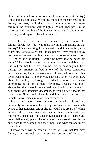clutch: What am I going to do when I come? (I'm pretty noisy.) The closer I get to actually coming, the realer the suspense in the fantasy becomes, until, thank God, there is a sudden power failure in the restaurant. All the lights ' go out. Then pow! In the darkness and shouting of the fantasy restaurant, I have my very real, very loud orgasm. [Taped interview]

 I realize how much anxiety is aroused by the mention of fantasy during sex…but was there anything threatening in that fantasy? It's an exciting little scenario, and it's also fun; as a follow-up, Patricia states that it made her real lover feel and enjoy her own excitement…without ever having to know what caused it. (And as he was Italian it would be better that he never did know.) Most people – men and women – understandably don't like to hear that their lover's minds are on anything but them during sex. Anxiety in bed is one of the most contagious emotions going; the smart woman will know just how much her lover wants to hear. The only way Patricia's lover will ever know about her fantasy is through the added emotion that fantasy communicates to him through her body. Because you don't always feel that it would be an unalloyed joy for your partner to hear about your fantasies doesn't mean you yourself should not have them. How much she tells and how much she keeps to herself is a true measure of a woman's subtlety.

Patricia and the other women who contributed to this book are admittedly in a minority; the average woman is not consciously aware of her fantasies, and if she is, would not dream of telling anyone. Most women never get beyond this; their fantasies are not merely unspoken but unacknowledged even to themselves, never deliberately put at the service of their sexual lives. In the end, both these women, and their men, lose what fantasy might have added.

I know there will be some men who will say that Patricia's fantasy is no example of how sex can be enriched by sexual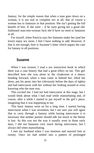fantasy, for the simple reason that when a man goes down on a woman, it is not real or complete sex at all; that of course a woman has to fantasize in that position: She isn't getting the full benefit of him. If she were – if he were giving her a good oldfashioned man-into-woman fuck she'd have no need to fantasize at all.

For myself, when Patricia says her fantasies make her (and her lover) enjoy sex more, I feel I have nothing to add. However, if that is not enough, here is Suzanne's letter which argues the case for fantasy in all positions.

#### **Suzanne**

When I was sixteen. I read a sex instruction book in which there was a case history that had a great effect on me. This girl described how she was alone in the cloakroom at a dance, bending forward, when a man came in behind her, lifted her dress, put his penis into her (obviously before the days of tights) and had intercourse with her without her looking around or even knowing who the man was.

This excited me. I had not had intercourse at this stage, but I would think about what I had read while masturbating and, of course, after a while I started to put myself in the girl's place, imagining that it was happening to me.

This basic fantasy went on for a long time. I started having intercourse when I was seventeen, but I am sure you will agree that to carry through a fantasy while having intercourse it is necessary that neither partner should talk too much or the theme is lost. As this was not the way it usually went in those early days, I did not fantasize very much during intercourse, but I always did when masturbating.

I met my husband when I was nineteen and married him at twenty. Once we had settled into a pattern of prolonged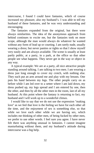intercourse, I found I could have fantasies, which of course increased my pleasure, also my husband's. I was able to tell my husband of these fantasies, and he was very understanding and encouraging.

The fantasies expanded from the original, but there were always similarities. The idea of the anonymous approach from behind continues to excite me, but the fantasies took on more scope, although the man would always do whatever he wanted without any form of lead up or courting. I am rarely nude, usually wearing a dress; but never panties or tights so that I show myself very easily and am always available. The scene is usually at least partly public, at a party, in a park, at the office so that other people see what happens. They never get in the way or object in any way.

A typical example: We are at a party, all nice attractive people standing around talking. I am talking to two men. I am wearing a dress just long enough to cover my crotch, with nothing else. They each put an arm around me and play with my breasts. One puts his hand between my legs. The other people carry on as before while I am led over to a settee where I am laid down, my dress pushed up, my legs spread and I am entered by one, then the other, and then by all the other men in the room, last of all my husband. At this point where the fantasy is returning to fact, my husband and I will work up to a wonderful climax.

I would like to say that we do not use the expression "making love" as we feel that love is the feeling we have for each other all the time, and the enjoyment of sex is something else, so that while we love each other while we are having sex, which includes me thinking of other men, of being fucked by other men, we prefer to use other words. I feel sure you agree. I have never felt there was anything unusual in fantasies. I cannot imagine masturbating without them, and my husband's attitude during intercourse was a big help.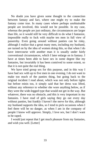No doubt you have given some thought to the connection between fantasy and fact, where one might try to make the fantasy come true. In many cases where perhaps unobtainable people are involved, this would not be possible. In my case, whereas the people are just ordinary, the circumstances are larger than life, so it would still be very difficult to do what I fantasize, impossible really to fuck with maybe ten men in full view of passersby. Even going around without panties can be risky, although I realize that a great many men, including my husband, are turned on by the idea of women doing this, so that when I do have intercourse with another man it is usually under fairly conventional circumstances, which I later enlarge on in fantasy. I have at times been able to have sex in some degree like my fantasies, but invariably it has been contrived to some extent, so that it is not quite the real thing.

We have tried group sex for this purpose, and in this way I have had sex with up to five men in one evening. I do not want to make too much of the panties thing, but going back to the original incident I read about, which was not only before tights but before minis too, it simply said that her dress was lifted, without any reference to whether she wore anything below, as if they were the wide-legged type that would not get in the way. But whatever, there was no obstacle, and this is very important in my fantasies. I have read of girls saying they go out every day without panties, but frankly I haven't the nerve for this, although my husband supports the idea, so I tend to pick occasions when I feel there will be no danger, as when I am in the company of people I know will approve. Simply, I love sex, but I don't want to be raped.

I would just repeat that I get much pleasure from my fantasies, and wish you well. [Letter]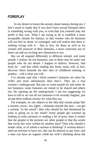# **FOREPLAY**

 In my desire to lessen the anxiety about fantasy during sex, I don't mean to imply that if you don't have sexual fantasies there is something wrong with you, or even that you yourself may not prefer it that way. What I am trying to do is establish a more acceptable climate for fantasy, so that women who do fantasize will not feel so alone, so estranged, and will realize that there is nothing wrong with it – that in fact, for them as well as for women still unaware of their fantasies, a more conscious use of them can add an exciting new dimension to sex.

But we all respond differently to different stimuli, and some people, I realize, do not fantasize, just as there may be some rare people who do not dream. I happen to believe, however, that most do – and that while reading this book, many will, in fact, discover theirs beneath the thin skin of childhood training or prudery – call it what you will.

I've already said why I think women's fantasies are often far richer and more adventurous than men's. They are a true women's underground. But just as some people do and some do not fantasize, some fantasies are meant to be shared and others not. By opening up the underground, I am not suggesting we have to tell or act out all our fantasies to be sexually happier; just accept them without anxiety for what they are.

For example, no one objects to the idea that certain props like a martini, music, low lights – elements outside the man – can get a woman "in the mood"; then why should he feel threatened by what is going on in her mind? Some people get warmed up looking at erotic pictures or reading a bit of porn; does it matter that the people in the pictures are other people or that the words that excite her were written by another man? Then why should it matter what, or of whom a woman is thinking? A woman doesn't need an erection to have sex; she can be entered at any time, and a man can have an orgasm while his wife's thinking about the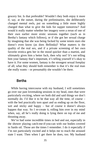grocery list. Is that preferable? Wouldn't they both enjoy it more if, say, at the outset, during the preliminaries, she deliberately changed mental reels, put on something a little more highly charged than what to give the kids for supper tomorrow? And would it really matter whether her imagery were a rerun of one of their own earlier more erotic sessions together (such as in Bertha's fantasy which follows), or if she got her sexual charge by imagining that she was being fucked by some tennis stars she doesn't even know (as does Bellinda)? What matters is the quality of the real sex, and if a private screening of her own favorite erotica gets her in the mood quicker than a martini, and ultimately gives him a better fuck, then why not? It's not telling him your fantasy that's important, it's telling yourself it's okay to have it. For some women, fantasy is the strongest sexual foreplay of all; what they should both remember is that it's the real man she really wants – or presumably she wouldn't be there.

### **Bertha**

While having intercourse with my husband, I will sometimes go over our past lovemaking sessions in my head, ones that were particularly exciting, where we both did and said things we don't normally do. I'd like it to be that way all the time, of course – with the bed practically torn apart and us ending up on the floor, wet and sticky and happy – but of course it doesn't always happen that way. So I re-create it, rolling him over in my mind when, say, all he's really doing is lying there on top of me and thrusting away.

We've had some incredible times in bed and out, especially in the shower playing catch-me-if-you-can with our bodies covered in Sardo oil. Those are the times I remember. I do it especially if I'm not particularly excited and it helps me to reach the aroused state I want. Then when I get there he does, too. My husband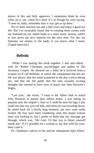knows of this and fully approves; I sometimes think he even relies on it, say, when he's tired. It's as though he were saying, "Come on, baby, remember how it was, get us up there."

We've been married two and a half years and enjoy a good sex life. But I've invariably found that re-creating these scenes with my husband (in my mind) leads to a more erotic session, which in turn gives me new material for the next time. For me, my fantasies are money in the bank, if you know what I mean. [Taped interview]

### **BeIlinda**

 While I was putting this book together, I met and talked with Dr. Robert Chartham, psychologist and author of *The Sensuous Couple.* He showed me a letter he'd received from a woman we'll call Bellinda, in which she complained that her sex life was dreary, that her mind wandered to the day's trivia during sex, and that she felt guilty that the only sexually exciting thoughts she seemed to have were of tennis star John Harrison's thighs:

"Last year," she wrote, "I went to the Albert Hall to watch John Harrison in person play indoor tennis. I was sitting on purpose near the umpire's chair so I could be near his legs. I just could not take my eyes off him, and when he was toweling down, he stared back for a lovely long moment, our eyes were really locked. He may have been wondering what this stupid woman (me) was looking at, but I prefer to think that my message got through, which was, `My God, I'd like you to thrust yourself inside me.' If it's possible for a woman to say that with her eyes, then I said it."

Dr. Chartham's advice to her and her subsequent reply follow.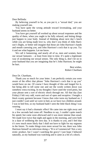Dear Bellinda:

By believing yourself to be, as you put it, a "sexual dud," you are making yourself one.

You have quite the wrong attitude toward lovemaking, and your husband seems no better.

You have got yourself all worked up about sexual responses and the quality of them, when you ought to be fully relaxed, and letting things just happen to your body. Instead of thinking about next day's lunch while you are being made love to, why don't you think of John Harrison's thighs, or better still imagine that those are John Harrison's hands and mouth caressing you, and John Harrison's cock that is up you. Try it and see what happens. Let me know.

We call it fantasizing, and nearly all of us, men and women, have our sexual fantasies – at least from time to time. It's quite a legitimate way of awakening our sexual senses. The only thing is, don't let on to your husband that you are imagining that he's John Harrison; he might be hurt.

> Best wishes, Robert Chartham

Dear Dr. Chartham,

Thank you so much for your letter. I am perfectly certain you were aware of the effect that phrase "John Harrison's cock that is up you" would have on me. Of course I have thought of this and longed for it, but being able to tell some one and see the words written down was somehow extra exciting. In my thoughts I have used the word penis, but your phrase sent a sort of electric shock through me. All that day (last Friday) I felt very odd, warm and sort of open and receptive. I bought a black scanty garment because I know that color turns my husband on. I just couldn't wait until we were in bed, as we have two children around. I was in bed first, so my husband hadn't seen the little black thing I was wearing.

I must say it had a dramatic effect! He came into me right away and in a few seconds had come off. Needless to say, I couldn't quite match his speed, but came soon afterward and it was more intense than usual. We made love twice that night and again in the morning, and were both in a daze of wellbeing the next day. It is thanks to you, and I feel that it's now much more likely that I shall not have to fight for my orgasms in the future. To make things even more sexual for me, there was John Harrison himself on television doing a "B is to"commercial! Not a very erotic product, but I wasn't watching the gravy! I just hope I behaved naturally, as my husband was watching and it came as a bit of a shock.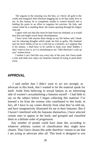The orgasm in the morning was the best, as I threw all guilt to the winds and imagined John Harrison begging me to let him make love to me. In this fantasy he is completely unable to control himself and is holding his penis in an effort to suppress his erection. He fails, and comes white he is standing there, the semen spurting through his fingers onto me.

I agree with you that this must be kept from my husband, as it would hurt him and might wreck future developments.

I have never told anyone these things in my life before and I thank you for releasing thoughts which made me feel so guilty. My husband says he never thinks of me as a wife but as a mistress, so I suppose that is his fantasy. I shall have to be careful to keep your letter hidden; I don't want to lose it, as it is stimulating to see "John Harrison's cock up you" written down.

I realize I can't feel this way every day of the year, but I have made a start and shall now enjoy my fantasies instead of trying to push them away.

# **APPROVAL**

 I said earlier that I didn't want to act too strongly as advocate in this book, that I wanted to let the material speak for itself. Aside from believing in sexual fantasy as an interesting side of women's sexualitybeing a fantasist myself – I had little to say on the subject before I began collecting this material. I've learned a lot from the women who contributed to this book; in fact, all I have to say comes directly from what they've told me, and have imaginatively illustrated for me in their fantasies. But if I haven't interfered with the fantasies themselves, I have selected certain ones to appear in the book, and grouped and classified them in a definite order of progression.

Any number of people could have done this according to whatever arbitrary system of classification they might have chosen. That I have chosen this order therefore i means to me that I am acting as advocate after all. This book is designed to win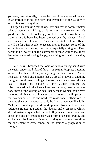you over, unequivocally, first to the idea of female sexual fantasy as an introduction to love play, and eventually to the validity of sexual fantasy at any time.

I began by thinking that it was obvious that it doesn't matter what a woman is thinking of during sex; if it excites her, it's good, and thus adds to the joy of both. But I know how the material in this book has been received even by friends I'd call sophisticated and "liberated." Their reactions tell me how difficult it will be for other people to accept, even to believe, some of the sexual images women say they have, especially during sex. Even harder to believe will be the statements of these women that these fantasies occurred during happy, satisfying sex with men they loved.

That is why I broached the topic of fantasy during sex 3 with the easily understood idea of fantasy as sexual foreplay; I assume we are all in favor of that, of anything that leads to sex. As the next step, I would also assume that we are all in favor of anything that gives us stronger feelings of reassurance or approval during sex. (I need not explain to my women readers the misapprehension in the idea widespread among men, who have done most of the writing on sex, that because women don't have the outward giveaway of inner sexual anxieties – the limp cock – that women suffer less and need less reassurance.) Therefore, in the fantasies you are about to read, the fact that women like Sally, Vicki, and Sondra get the desired approval from such universal judgment figures as Mother, the doctor, and even Jesus Christ, should strike a sympathetic chord. If you can understand and accept the idea of female fantasy as a form of sexual foreplay and excitement, the idea that fantasy, by allaying anxiety, can allow the excitement to grow cannot be too strange a progression of thought.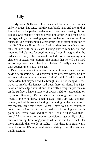## **Sally**

 My friend Sally owns her own small boutique. She's in her early twenties, has long, multilayered black hair, and the kind of figure that looks perfect under one of her own flowing chiffon designs. She recently finished a yearlong affair with a man twice her age, who, as a parting gesture, set her up in the boutique business. She considers this latest affair "the greatest education of my life." She is still terrifically fond of Alan, her benefactor, and talks of him with enthusiasm. Having known him briefly, and knowing Sally's zest for anything new, I would imagine that the "education" Sally refers to would include some fascinating new chapters in sexual exploration. She admits that he will be a hard act for any new man in her life to follow; "I really am so bored with younger men now," she says.

I've thought about this fantasy quite a bit, ever since I started having it, dreaming it. I've analyzed it ten different ways, but I'm still not quite sure what it means. I don't think I had it before I knew Alan, but maybe I did. He brought me out in many different ways, so maybe the fantasy had been there all along, but I just never acknowledged it until him. It's really a very simple fantasy on the surface; I have a variety of twists I add to it depending on my mood. Basically, it's that while I am making love I have this image of me lying there, naked, just as I really am, with the man, or men, and while we are fucking I'm talking on the telephone to my mother. Isn't that weird? What I have to do, of course, is control my voice, talk to her normally as if nothing unusual is going on. Every now and then she'll ask, "What was that I heard?" Every time she becomes suspicious, I get wildly excited, but even during those long periods while she and I just chat – far more amiably than we do in reality  $-1$  lie there in a great warm bath of arousal. It's very comfortable talking to her like this, also wildly exciting.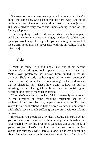She used to come on very heavily with Alan – after all, they're about the same age. She's an incredible flirt. Also, she never really approved of me and Alan; either that or she was jealous. But she's always very sweet and understanding to me on the fantasy telephone.

The funny thing is, when I do come, when I reach an orgasm and I can't control my voice any longer, she doesn't scold or hang up as you would expect, she just keeps on chatting in this kind of nice warm voice that she never uses with me in reality. [Taped interview]

### **Vicki**

 Vicki is thirty -two and single, just out of her second divorce. Her exotic good looks appeal to a variety of men, but Vicki's own preference has always been limited to the rat bastards. She's already set her sights on her next conquest (I mean victimizer) and is the first one to laugh at the hard knocks that lie ahead for her. "That's how I am," is how she puts it, adjusting the fall of a tight little T-shirt over her boyish figure, before sailing forth to meet her Waterloo.

When she's not being knocked, Vicki's generally to be found in the archives of some far-flung museum; she is a well-established art historian, appears regularly on TV, and writes for art publications in half a dozen countries. You would think she'd seen enough suffering on the cross without adding her own.

Interesting you should ask, my dear, because I'm sure I've got you to thank – or blame – for these strange new thoughts that have entered my sex life ever since we talked about this book of yours last year. That's how long they've been going on. No, wrong, I'm sure they were there all along, but it was our talking about fantasies that brought them to the surface. Nowadays I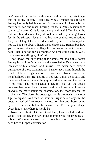can't seem to go to bed with a man without having this image that he is my doctor. I can't really say whether this focused fantasy has really heightened sex for me or not. All I know is that there he is, cap and mask, bearing just the slightest resemblance to my real doctor. Or is it just the cap and mask? You know the old line about doctors: They all look alike when you've got your feet in the stirrups. Not that I've had one of those examinations for years. Okay, I know it's dumb when you're over twenty-five not to, but I've always hated those check-ups. Remember how you screamed at me in college for not seeing a doctor when I hadn't had a period for six months? And me still a virgin. Well, that turned out all right, didn't it?

You know, the only thing that bothers me about this doctor fantasy is that I don't understand the association. I've never had a romance with a doctor. God knows, I've never been excited during one of those examinations. I never even went through the ritual childhood games of Doctor and Nurse with the neighborhood boys. But get me in bed with a man these days and there we all are – me and the guy in bed, and me and the doctor in my head. The more excited I get, my legs up, the doctor between them – my lover I mean…well, you know what I mean – anyway, the more intent the examination, the more intense the excitement. The closer the doctor gets to his prognosis, the closer I get to orgasm. And then, without fail, right before orgasm, the doctor's masked face zooms in close to mine and those loving eyes tell me even before he speaks that I'm in great shape, everything's just where it should be.

Now that I think of it, tell it out loud, I realize I should edit what I said earlier, the part about blaming you for bringing all this up. Whatever it means, all I know is my sex life has never been better. [Taped conversation]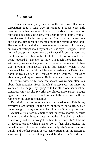# **Francesca**

 Francesca is a pretty Jewish mother of three. Her sweet disposition goes a long way in running a house constantly teeming with her teen-age children's friends and her non-stop husband's business associates, who seem to fly in hourly from all over the world. Under her quiet but firm hand, all generations and nationalities meet and merge around the family dining table. Her mother lives with them three months of the year. "I have very ambivalent feelings about my mother," she says. "I suppose I love her and accept her more now than I ever did, but it's very rare that I can even kiss her on the cheek. I used to sort of shrink from being touched by anyone, but now I'm much more liberated... with everyone except my mother. I've often wondered if there was anything homosexual about this fantasy; when I was nineteen I had an unfulfilled lesbian experience in Paris. But I don't know, as often as I fantasize about women, I fantasize about men, and my real sexual life is very much only with men."

(This interview with Francesca shows how women often talk about their fantasies. Even though Francesca was an interested volunteer, she begins by trying to tell it all in one semiabstract sentence. Only as she reworks the almost unconscious images again and again in her mind as she tells it to me, will she remember the elaborate details.)

I'm afraid my fantasies are just the usual ones. This is my favorite: I am brought at the age of thirteen or fourteen, as a pubescent girl, by my mother to be sold to an Oriental potentate.

Actually, it's a faceless mother, not really my mother, because I rather have this thing against my mother. But she's somebody of authority and she's brought me here to sell me. She's told me in advance exactly what I am to do. In fact, she's trained me herself since childhood to perform sexually, she's raised me as a purely and perfect sexual object, demonstrating on me herself to show me just how everything should be done. She's performed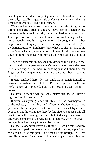cunnilingus on me, done everything to me, and showed me with her own body. Actually, it gets a little confusing here as to whether it's a mother or who it is…but it is a woman.

We enter the palace. And there is the potentate sitting on his throne like a great Buddha, a rajah. I have been instructed by my mother exactly what I must do; there is no hesitation on my part, I *must* perform well, it is the culmination of my training, or I will not be bought. And it is a great honor to be bought. My mother begins by describing my abilities to the Rajah. In fact, she begins by demonstrating on him herself just what it is she has taught me to do. She fucks him, sitting on top of him on his throne, she goes down on him, she plays with him all the while talking to him of me.

Then she performs on me, she goes down on me, she fucks me, but not with any apparatus – there's never any of that – she does it with her finger. I lie there, responding just as I should as her finger or her tongue enter me, my beautiful body reacting perfectly.

It gets confused here…let me think…The Rajah himself is passive throughout all of this. But he's pleased with my performance, very pleased, that's the most important thing, of course.

He says, "Yes, she will do, she's marvelous, she will have a high position in the court …"

It never has anything to do with, "She'll be the most bejeweled or the richest"; it's not that kind of harem. The idea is that I've performed beautifully and that I'm the most sexual figure he's ever seen and he wants me there by his side. (I suppose this all has to do with pleasing the man, but it does get me worried afterward sometimes just why he is so passive, why I'm always doing to him. Let me try to remember more.)

He, the Rajah, never leaves his throne. He sits up there and my mother and I perform below him on a kind of stage, a platform. We are naked at this point, but when I was brought in I was beautifully robed. I was taken to him and he parted my robes and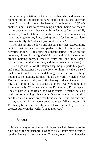murmured appreciation. But it's my mother who undresses me, pointing out all the beautiful parts of my body as she uncovers them, "Look at this body, the beauty of the breasts …" (That's another thing; I used to be very hung-up about being flat-chested – I'm over that now – but certainly in fantasies I'm beautifully endowed.) "Look at how I've nurtured her," she continues, her hands moving over my hips, parting my ass for him to see, "look how beautifully she's shaped, just to please you."

Then she has me lie down and she parts my legs, exposing my cunt so that he can see how perfect it is. This is when she performs on me. All this time he's masturbating. And so are the courtiers, oh yes, it's a big M-G-M court, with Nubians standing around holding torches (they're very tall and they aren't masturbating, but the others are, and the women courtiers too).

Then I go and sit on the Rajah's lap, he just parts his gown, and I fuck him…after I've gone down on him. I sit there naked on his cock on his throne and through it all he does nothing, nothing to me, nothing for me. I do all the work…which is what I've been trained to do, so in the fantasy it doesn't matter, but now that I think of it, it's strange that there's really nothing in it for me sexually. What matters is that I'm the best, I'm accepted. The sex part with the Rajah isn't what counts – whether he's big or skillful or anything; I have other fantasies where size and skill and three men at once are what turns me on – but this one, and it's my favorite, it's all about being accepted. What I mean is, if I'm being fucked in real life, and I have this fantasy…it's the greatest pusher in the world. [Taped interview]

### **Sondra**

Music is playing on the record player. As I sit listening to the plucking of the harpsichord, I wonder if Dali must have dreamed up this fantasy to torment me. You see, one of my fantasies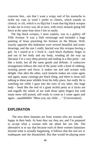concerns him…not that I want a wispy end of his mustache to tickle my cunt (a word I prefer to clitoris, which sounds so clinical, or clit, which is so flip) but I want that big black octopus to take me in every way all at once, with every tentacle going full force at the same time since I tire so easily.

The big black octopus, I must explain, was in a gallery off Fifth Avenue. It was a Dali vernissage and included a huge painting of Jesus preaching his Sermon on the Mount. Well, exactly opposite this hedonism were several beautiful and erotic drawings, and the one I really fancied was this octopus having a girl. As I stared at it, I lived it…each black rhythmic finger in and out of her body and my body, winding all the way up (because I'm a very deep person) and ending in a thin point – not like a knife, but all the same gentle and definite. A corkscrew arrangement follows the end of the point with a kind of rubbing, twisting power and force; it makes me reel and scream with delight. One after the other, each tentacle makes me come again and again, many comings per black thing, and there is Jesus still talking to these poor infidels from his lofty place, but really He is watching me while I gaze into the eyes of my taker, this huge body – head like the end of a giant orchid penis as it fucks me and engulfs the whole of me with those spent fingers but with many more still poised, still ready to come as I come again and again…aaaahhhhhh! "Bless you, my child … " [Conversation]

# **EXPLORATION**

 The next three fantasies are from women who are sexually happy in their beds. At least they say they are, and I'm prepared to accept what a woman tells me about her sex life. The alternative is to say that because each of these women fantasizes beyond what is actually happening, it follows that the real sex is inadequate and she dissatisfied. But that would be playing more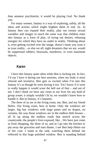than amateur psychiatrist, it would be playing God. No thank you.

For many women, fantasy is a way of exploring, safely, all the ideas and actions which might frighten them in real. ity. In fantasy they can expand their reality, play out certain sexual variables and images in much the same way that children enter into fantasy as a form of play, of trying out desires, releasing energies for which they have no outlet in reality. Thinking about it, even getting excited over the image, doesn't mean you want it as your reality…or else we all, night dreamers that we are, would be suppressed robbers, bisexuals, murderers, or even inanimate objects.

# **Karen**

I have this fantasy quite often while Ben is fucking me. In fact, I'd say I have it during our best sessions, when my body is most relaxed and inventive. Ben gets so excited when I'm into this fantasy it's as though he were having it too. Yet I know if it were to really happen it would scare the hell out of him – and out of me. I don't think we have any room in our lives for any kind of group scene; it simply wouldn't fit in; we wouldn't know how to handle it. But in fantasy, it's fantastic.

The three of us are in the living room, me, Ben, and my friend Helen. Our living room, here at home. Only the windows are larger, big bay windows with large panes and no drapes, no curtains, the way those windows are in the endless little houses – all lit up along the endless roads that stretch across the countryside, the people's lives exposed, like…We have just come in from shopping, the three of us, and as I go into the kitchen to put away the groceries and start dinner, I see Ben help Helen out of her coat. I stand at the sink, watching them behind me reflected in this huge polished window. Ben is standing behind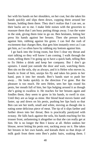her with his hands on her shoulders, on her coat, but she takes his hands quickly and slips them down, cupping them around her breasts, holding them there. They don't realize that I can see, as their backs are to me. I make little noises with the groceries to reassure them that I am busy putting things away. I run the water in the sink, giving them time to go on. Ben hesitates, letting her press his hands against her breasts. Then she presses back against him, rubbing against his groin. I can feel the rush of excitement that charges Ben, that gets him instantly erect as I can get him, as I so often have by rubbing my bottom against him.

I go back into the living room, but first I clear my throat and start talking so they will know I am coming. I walk through the room, telling them I'm going up to have a quick bath, telling Ben to fix Helen a drink and keep her company. But I don't go upstairs. I stand just outside the door and wait, watching them. Ben sits on the sofa, shy as always, and it is Helen who moves in, kneels in front of him, unzips his fly and takes his penis in her hand, puts it into her mouth. Ben's hands start to push her away… He looks quickly in the direction I've gone. But the pleasure is too much. He sees Helen, sees her lips round his penis, her mouth full of him, her lips bulging around it as though she's going to swallow it. He reaches for her breasts again and fondles them; they seem to grow in his hands, to swell in size. Until they are as large as mine. Her blond head moves faster and faster, up and down on his penis, pushing her lips back so that Ben can see her teeth, small and white, moving as though she is eating some delicious piece of meat. The tip of it slips farther and farther down into her throat; Ben is practically paralyzed with ecstasy. He falls back against the sofa, his hands reaching for his trouser front, unfastening it altogether so that she can really get at him. He is no longer the Ben I know at all. Helen undoes her blouse, never letting his penis rest, sucking away on it. She takes her breasts in her own hands, and kneads them so that drops of milk gush from them onto Ben's pubic hairs, soaking them. I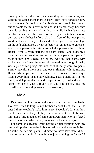move quietly into the room, knowing they won't stop now, and wanting to watch them more closely. They have forgotten now that I am even in the house. Ben is about to come in her mouth, but he wants the milk even more and he lifts her, drags her onto the sofa, so that he can suck her breasts while his hands undress her, fondle her until she moans for him to put it into her, there on our sofa, their clothes half on, half off, in front of the huge picture window. I shake off my clothes and naked I go over to them. I get on the sofa behind Ben. I want so badly to join them, to give Ben even more pleasure in return for all the pleasure he is giving Helen – who is really part me and part Helen – and suddenly I have this warm wet thing to put into him, a penis, my penis. I press it into him slowly, but all the way in. Ben gasps with excitement, and I feel the same wild sensation as though it really was a port of me going into him, as if it really were my penis. Firmly. quickly, I move it in and out in rhythm with his fucking Helen, whose pleasure I can also feel. Having it both ways, having everything, it is overwhelming. I can't stand it, it is too much, and I press deeper and deeper into my husband until it seems my penis goes through Ben and into Helen, into me myself, and I die with pleasure. [Conversation]

## **Abbie**

I've been thinking more and more about my fantasies lately. I've even tried talking to my husband about them, that is, the ones I think wouldn't make him angry. I wouldn't dare tell him that I often think of my old boy friend, of how it used to be with him, nor of my thoughts of some unknown man who has forced himself upon me, which in my imagination I seem to enjoy.

For some *odd* reason, while having sexual relations with my husband I prefer him to be fully clothed, and while we are in bed, I'd rather not see his "parts." I'd rather we have sex when I didn't have to see his penis. Although he enjoys studying my "areas," I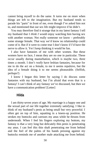cannot bring myself to do the same. It turns me on more when things are left to the imagination. But my husband tends to parade his "parts" in front of me, even though I've asked him not to, and mentioned that our sex life might improve if he didn't.

You may therefore find it strange that in my latest fantasy I tell my husband that I *think I* would enjoy watching him having sex with another woman. Not really someone we know – preferably some strange female. That way we'd know no relationship could come of it. But if it were to come true I don't know if I'd have the nerve to allow it. Yet I keep thinking it would be fun.

I also have fantasies of me with other women. But these women have no face, I mean they are no one in particular. These occur usually during masturbation, which is maybe two, three times a month. I don't *really* have lesbian fantasies, because for me to do the act on a female, to me it seems repulsive, but the idea of a female doing it to me seems pleasurable. (Selfish, perhaps?)

I know I began this letter by saying I do discuss some fantasies with my husband, but I'm afraid that even that is a fantasy! I can't think of any fantasy we've discussed, but then we have a communication problem! [Letter]

# **Hilda**

I am thirty-seven years of age. My marriage is a happy one and the sexual part of our life together extremely satisfying. I like to think of my husband's penis as being small but very powerful. I often get on top of him, squatting in a knees-up position. He strokes my buttocks and caresses my anus while he thrusts from underneath. When I feel his fingers exploring my bottom, my fantasy is that a very long but delicately thin penis is penetrating my anus. I can feel this thin shaft penetrating me from behind and the feel of the palms of his hands pressing against my buttocks reminds me of another male attacking me from behind.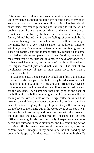This causes me to relieve the muscular tension which I have built up in my pelvis as though to admit this second party to my body. As my husband and I come to our climax, I imagine that this thin shaft inside my rear is pulsating and thrusting to fill me with a double ration of semen, thus ensuring that the act of intercourse, if not successful by my husband, has been achieved by the fantasy "thing" behind me. I have no feelings of who might be the owner of this aggressor from behind me. He or It is a nothing in my mind, but is a very real sensation of additional intrusion within my body. Sometimes the tension in my rear is so great that I lose all control, and the moment after my husband has come, my bladder relaxes completely and I pee, flooding back to him the semen that he has just shot into me. We have only once tried to have anal intercourse, but because of the thick dimension of his mighty dwarf I just could not take him. The fact of my involuntary release of just a little urine gives my man a tremendous thrill.

I have seen cows being served by a bull on a farm that belongs to some friends. One particular bull is very broad across the back, like the flat top of a. table. My husband and I frequently have sex in the lounge or the kitchen after the children are in bed or away for the weekend. Then I imagine that I am lying on the back of the bull, while the bull is mounting a cow. I experience a distinct feeling of the kitchen table or the lounge settee on which I lie heaving up and down. My hands automatically go down on either side of the table to grasp the legs, to prevent myself from falling off the back of the frantic bull as he works away at the cow. I can feel my body thrusting up and down in time with the thrusts of the bull into the cow. Sometimes my husband has extreme difficulty staying inside me. Invariably I experience a climax before my husband in these situations, and his continuing action to bring off his own climax results in me having a second orgasm, which I imagine in my mind to be the bull flooding the cow with his sperm. On these occasions I imagine my husband's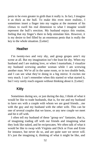penis to be even greater in girth than it really is. In fact, I imagine it as thick as the bull. To make this even more realistic, I sometimes insert a finger into my vagina at the moment of his climax to swell his real dimension to what I imagine would represent the bull's erection. My husband enjoys this routine, feeling that my finger's there to help stimulate him. However, it is my desire to feel filled by an enormous penis that is really the key to the whole situation. [Letter]

### **Heather**

I'm twenty-two and very shy, and group gropes aren't my scene at all. But my imagination isn't the least bit shy. When my husband and I are making love, or when I masturbate, I visualize my husband screwing another woman while I am screwing another man. We're all in the same room, or in two double beds, and I can see what they're doing in a big mirror. It excites me very much. I can't remember when this started or what started it, but I very rarely reach orgasm without thinking about it. [Letter]

# **Kitty**

Sometimes during sex, or just during the day, I think of what it would be like to trade husbands, that is, for me and my husband to have sex with a couple with whom we are good friends…me with the guy and my husband with the other wife. This can be one of several couples that we know, or any new couple we meet and hit it off with.

I often tell my husband of these "group sex" fantasies, that is, of imagining trading off with our friends and imagining what they look like naked, and he reciprocates. We often talk of what it would be like to swap with Virginia and Dick or Fran and Ernie for instance, but never do so, and are quite sure we never will. It's just the imagining it, thinking of what it might be like, and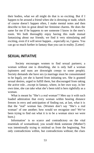their bodies, what we all might do that is so exciting. But if I happen to be around a friend when she is dressing or nude, which of course doesn't happen often, I make mental notes and then describe to him in great detail her feminine charms. He does the same for me if he happens to see someone I know in the men's room. We both thoroughly enjoy having this nude mutual fantasizing about our friends; we find it very stimulating and exciting, even if it will never happen…especially so, I guess. You can go so much further in fantasy than you can in reality. [Letter]

### **SEXUAL INITIATIVE**

Society encourages women to find sexual partners; a woman without one is disturbing, she is only half a woman (spinsters and nuns are downright creepy to some people). Society demands she have sex (a marriage must be consummated to be legal), yet she is barred from initiating sex. She is granted sexual desires, urged to fulfill them, but discouraged from taking the active role…except in fantasy, where, in her own way, in her own time, she can take what she's been told is hers rightfully as a woman.

What is meant by "She's a real woman"? Men say it with such loaded admiration that every woman within hearing distance freezes in envy and anticipation of finding out, at last, what it is that the "real" woman has. (Women don't say "She's a real woman" of one another; how would we recognize one? We've been trying to find out what it is to be a woman since we were born.)

Information' is so scarce and contradictory on the vital essentials of womanhood, you would think someone (Mother?) was intentionally trying to mislead us from the beginning. Not only contradictions within, but contradictions without; the clues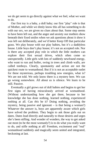we do get seem to go directly against what we feel, what we want to do.

Our first toy is a baby, a doll baby; our first "play" role is that of Mother, and while we dimly know this all has something to do with our sex, we are given no clues about that. Some step seems to have been left out, and the anger and anxiety our mothers show beneath their fixed smiles when we ask questions about it show it was left out deliberately, and we'd better Keep Off that particular grass. We play house with our play babies, but it's a daddyless house. Little boys don't play house; it's not an accepted role. Nor is there any accepted play role in which the little mothers can explore their first sexual drives, which often come so unexpectedly. Little girls with lots of suddenly newfound energy, who want to run and holler, swing in trees and climb walls, are called tomboys. Clearly, spontaneity and action are not the quickest route to womanhood. But if it is not an acceptable outlet for these mysterious, perhaps troubling new energies, what is? We are not told. We only know there is a mystery here. We can go wrong somewhere. All about us is silence. We learn to be still. Passive.

Eventually a girl grows out of doll babies and begins to get her first signs of having miraculously arrived at womanhood. (Without understanding how she got there, because to her knowledge she has done nothing, learned nothing, experienced nothing at all. Can *this* be it? Doing nothing, avoiding the mystery, being passive and ignorant – is that being a woman?) Whatever the answer is, boys are apparently aware which girls have solved the problem. They begin to ask those girls out on dates. Dates lead directly and naturally to those desires and urges she's been stifling. And wonder of wonders, the way to get asked out most (to be the most womanly?) is to do what you really want to do, and stifle nothing at all! Freedom, excitement and "real" womanhood suddenly and magically seem united and integrated, beckoning at last.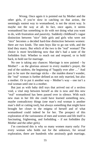Wrong. Once again it is pointed out by Mother and the other girls, if you're slow in catching on that action, the seemingly easiest way to womanhood, is not the nicest way. Is maybe not the way at all. In fact, once again, it seems womanhood has something to do with *not* doing what you want to do, with frustration and passivity. Suddenly childhood's vague distinction between "nice" little girls and girls who were not "nice" becomes a decided hard-line distinction between women: there are two kinds. The ones boys like to go out with, and the kind they marry. But which of the two is the "real" woman? The choice is more bewildering now that she's had a taste of the forbidden fruit: Whether to reach out and respond, or to hold back, to hold out for marriage.

No one is taking any chances: Marriage is now painted – by Mother? – as the glorious answer to every maiden's prayer, the end of the rainbow, the beginning of "happily ever after …" And just to be sure the marriage sticks – the maiden doesn't wander, the "real" woman is further defined as not only married, but also a mother. Or to put it another way – Mother's way – one isn't a real woman until one is a mother.

But just as with baby doll toys that arrived out of a sexless void, a vital step between herself as she is now and this new "real" womanhood has been passed over in silence. With each new man in her life she could have learned something new, maybe contradictory things (one man's real woman is another man's dull or cutting tool), but always something that might have brought her closer to the enigma of herself and of what womanhood could indeed be for her. The prospect of this exploration of the variousness of men and women and life itself is fascinating, frightening, and forbidding – if not forbidden (by Mother and the other girls).

I'm convinced this is why so many women marry early: For every woman who holds out for the unknown, for sexual exploration, there are hundreds who anxiously grab marriage,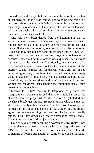motherhood, and the symbolic surface manifestation that she has at last arrived: She is a *real* woman. The wedding ring certifies it and motherhood guarantees it. Who is there in the world to doubt these majestic reassurances? Only herself, the self in her fantasies who picks up where her real self left off in trying out and trying on women's various sexual roles.

One role she's been denied from the beginning is that of sexual initiator, innovator. A woman may ask a man to dinner, but she may not ask him to dance. She may ask him to pass her the salt if she wants more of it, even reach across the table to get it, but she may not put her hand on his knee under it. She will coax him to try her new dishes and urge him to have more because Mother told her his stomach was a quicker (nicer) way to his heart than the telephone. Traditionally, women wait to be asked, or acted upon. To reach out for the man you want is to be aggressive, and to reach out for the way you want him in bed isn't just aggressive, it's unfeminine. The fact that he might enjoy what follows her first move isn't what's at issue: the point is that it isn't done, hasn't been done, and won't be done until men and women are convinced that changing the traditional sexual roles doesn't constitute a threat.

Meanwhile, if he's too shy to telephone, or perhaps less imaginative or worn out in bed than she (might be, given the chance), then two people who'd like to never do get started and the sheets barely get rumpled. He never knows what he's missed; she does, but only in her fantasies. And if in those fantasies, as in so many in this book, she comes on like a tiger, in a startlingly aggressive role – she tying him down on the bed, don't hastily put the little lady down as a secret dominating sexual sadist: Sometimes you have to shout just to be heard.

Even as sexually self-accepting a woman as Carol (below) has to fantasize a sex-instruction class where an imagined instructor *tells* her to take the initiative before she can, in reality, do something as loving and natural as climb on top of her husband.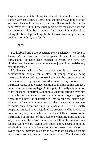Faye's fantasy, which follows Carol's, of initiating her lover into a three-way sex scene, is something she has always longed to do and feels he would enjoy too, but only if she took him by the hand. Why not? Think how much more active the dance floor and the bedroom might be if women (and men) felt easier about taking the first step, making the first move, assuming a second position…or a third, or a fourth.

### **Carol**

My husband and I are expatriate New Zealanders. We live in Papua. My husband is fifty-five years old and I am nearly thirty-eight. We have been married 18 years. We have two children, and have had and continue to enjoy a highly satisfactory sex life together.

My fantasy, which often occupies me, is that we are a demonstration couple for a class of young couples being instructed in the art of intercourse. I can hear the instructor telling the class of our progress toward climax. Every so often the instructor wants us to change position so that his pupils can get a better view between my legs. At this point I usually climb on top of my husband. sometimes adopting a squatting attitude over him to enable our audience to see our connected organs together. Sometimes I hear the instructor tell me to take the active part. whereupon I actually tell my husband that I want our movements to come only from me until he ejaculates. He will usually cooperate. unless I have misjudged hi, progress and he is about to come off anyway, in which case I will mentally apologize to the instructor. But on most of the occasions when my mind runs this way, I can hear the instructor accurately telling the audience my feelings while we are having each other, and he keeps talking the whole time in a soft voice so as not to distract the pair of us. Every time he instructs his class to watch more closely I become even more excited, feeling their eyes on us. The instructor's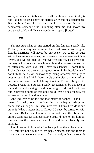voice, as he calmly tells me to do all the things I want to do, is not like any voice I know, no particular friend or acquaintance. But he is a friend in that his role in my fantasy is that of benefactor, someone who is looking after me and knows my every desire. He and I have a wonderful rapport. [Letter]

## **Faye**

I'm not sure what got me started on this fantasy. I really like Richard; in a way we're more than just lovers, we're great friends. Marriage will never be our scene; we could go ages without seeing one another, but whenever we are together it's as lovers, and we can pick up wherever we left off. I do love him, but maybe it's because I love him without the possessiveness that so often goes with love that I have this fantasy. I don't think Richard's ever had a conscious queer notion in his head, I mean I don't think he'd ever acknowledge being attracted sexually to another guy. But I think there's a bit of the bisexual in all of us, and in some way I think I bring it out in Richard. Maybe it's because I want to. You see, I really get turned on by this idea of me and Richard making it with another guy. I'd just love to see him expressing some of that good solid love he has for sex, for women – sharing it with men too.

And I'd love to be the one that makes it happen. That's it, I guess: I'd really love to initiate him into a happy little group scene, and as long as I'm there, involved, I think he'd do it and enjoy it. What's interesting is I know I'd never be turned on with this idea if Richard and I were serious about each other, because I am too damn jealous and possessive. But I'd love to turn him on, him and another man and me. It would be so friendly and exciting.

I am kneeling in front of a fireplace, poking the embers back to life. Only it's not a real fire, it's papier-mâché, and the room is like that chalet we once rented in Switzerland; in fact the room is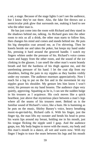a set, a stage. Because of the stage lights I can't see the audience, but I know they're out there. Also, the fake fire throws out a semicircular pink glow that surrounds me, making it hard to see who the other man is.

He has just come into the room with Richard and they stand in the shadows behind me, talking. As Richard goes into the other room to mix us all a drink, the other man starts to follow him, then changes his mind and comes and stands behind me. He puts his big sheepskin coat around me, as I'm shivering. Then he kneels beside me and takes the poker, but keeps my hand under his, pressing it hard around the grooved handle. I watch my fingers whiten under the pressure of his. Richard's voice comes warm and happy from the other room, and the sound of the ice clinking in the glasses. I can smell the other man's warm brandy breath and feel the hardness of his thigh against me, and the unrelenting pressure of his hand. I let the coat slip from my shoulders, feeling the pain in my nipples as they harden visibly under my sweater. The audience murmurs appreciatively. Now I reach for a log to put on the fire and in the movement let my nipples graze his shoulder. My gesture lets him know I won't resist; his pressure on my hand lessens. The audience claps very quietly, approving. Squatting as he is, I can see the sudden bulge in his trousers as I acquiesce. His cock moves like a quick heartbeat, just above that mysterious place between a man's legs where all the seams of his trousers meet. Behind us is the familiar sound of Richard's voice, like a hum. He is humming as he puts on the music, Shirley Bassey's voice, heavy breathing music-to-get-laid-by, Richard calls it. With his finger, just the finger tip, the man lifts my sweater and bends his head to press his warm lips around my breast, holding me in his mouth, just his tongue flicking the nipple until I gasp. And the audience gasps, too. My body begins to move with the music, my body and this man's mouth in a dance, all wet and warm now. With my finger I begin to trace the seam between his legs and his mouth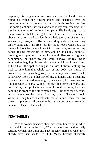responds, his tongue circling downward as my hand spreads round his crotch, the fingers arched and separated over the pressure beneath. In one motion I unzip his fly, setting him free like some giant bird. Now his tongue is in my hair, reaching for it just below the top of my low-slung pants. His hands tug to ease them down so that he can get at me. I can feel his breath just above my clitoris and can feel him inhale the scent of me; I am wet with my own juices. His hands work quickly at the fastening on my pants and I am free, too, his mouth open wide now, his tongue full out for where I want it. I lean back, resting on my hands, raising myself up to him, and he holds my buttocks, pressing my upturned cunt to his mouth like some big, wet persimmon. The lips of my cunt seem to move like real lips in anticipation, begging him for his tongue until I feel it, warm and full on that little spot, sucking it in a kiss. I strain, arching my back to give him that whole part of my body, the music all around me, Shirley wailing away for more, my head thrown back, so far away from that other part of me, so lonely, until I open my eyes and see Richard watching us, fascinated, his own erection big and eager to share. "Come," my own lips form the word, and he is on us, on top of me, his grateful mouth on mine, his cock dangling in front of the other man's face. But only for a second, as the man raises his mouth from my cunt to Richard's cock, while thrusting his own cock into me with such force that my scream of pleasure is drowned in the thunderous ovation from the audience. [Taped interview]

## **INSATIABILITY**

 Why do women fantasize about sex when they've got it, when they're right in the midst of it, Why do unashamed and sexually satisfied women like Carol and Faye imagine more sex when they already have their hands (etc.) full? Maybe because physically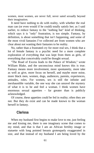women, most women, are never full, never sated sexually beyond their imagination.

It need have nothing to do with reality, with whether the real man can (or even would if he could) totally satisfy her; as I said earlier, to reduce fantasy to the "nothing but" kind of thinking, which says it is "only" frustration, is too simple. Fantasy, by definition, is about something that isn't happening, and some of the most vivid fantasies I've collected are from women who are clear about not wanting their fantasies to be reality.

No, rather than a frustrated cry for more real sex, I think that a lot of female fantasy is a psychic need for a more complete exploration of everything that was kept from them as girls, of everything that conceivably could be thought sexual.

"The Road of Excess leads to the Palace of Wisdom," wrote William Blake, and the unconscious mind knows this is true. Fantasy means more involvement, more spontaneity, more take as well as give, more focus on herself, and maybe more noise, more black men, women, dogs, audiences, parents, experiences, attitudes, roles. For women, sex is still the infinite and inexhaustible variable, the one way she can unravel the mystery of what it is to be and feel a woman. I think women have enormous sexual appetites – far greater than is publicly acknowledged.

Of course, these appetites could be fed in reality; often they are not. But they do exist and can be made known to the woman herself in fantasy.

# **Clarissa**

When my husband first begins to make love to me, just feeling me and kissing me, there is one imaginary scene that comes to my mind, and that is that I am an African fertility image or statuette with long pointed breasts grotesquely exaggerated in size, and that instead of my husband I am being loved by the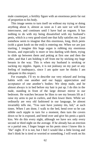male counterpart, a fertility figure with an enormous penis far out of proportion to his body.

This image seems to turn itself on without my trying or doing anything about it, almost as soon as I am sure we will have intercourse, and continues until I have had an orgasm. It has nothing to do with my being dissatisfied with my husband's penis, which is a very good-sized one that fully satisfies me. I just somehow seem to imagine that this enormous, long, thick penis (with a giant knob on the end) is entering me. When we are just starting, I imagine this huge organ is rubbing my enormous breasts, and especially is more or less dueling with them, trying to slide up between them and poking at first one and then the other, and that I am holding it off from me by sticking my huge breasts in the way. This is when my husband is stroking or sucking my nipples. Again, it is not jealousy on my part or any feeling of inadequacy, since I am quite sure he thinks I am adequate in this respect.

For example, I'll try to describe our very relaxed and loving habits with one another and our happy appreciation and acceptance of one another's bodies: We sleep nude, and he almost always is in bed before my hair is put up. I do this in the nude, standing in front of the large dresser mirror in our bedroom. He watches because he likes to see my breasts lift as I raise my arms to put in curlers, and then lower them. While we ordinarily are very old fashioned in our language, he almost invariably tells me, "You sure have yummy tits, kid," at such times. When I am done, I walk to the bed, bend over so he can nibble each nipple in turn for a moment, then turn the covers down so he is exposed, and bend over and give his penis a quick kiss. We do this every night, although we have sex only every second or third night on the average. If he already has an erection or a partial one, I linger longer on his penis since I know this is "the" night. If it is not, but I feel I would like a little loving and don't think he is tired or worried or something, I will work on his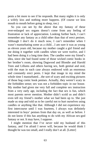penis a bit more to see if he responds. But many nights it is only a wifely kiss and nothing more happens. (Of course we kiss mouth to mouth before going to sleep, too.)

So you can see by the above that my fantasy of these over-enlarged sex organs doesn't come from any feeling of frustration or lack of appreciation. Looking further back, I can't remember any fantasy as a child other than that of erect penises. Although I don't do it much now, I can't remember when I wasn't masturbating some as a child…I am sure it was as young as eleven years old, because my mother caught a girl friend and me doing it together with candles when we were twelve, and I had been doing it a long time then. The candles were my friend's idea, since she had found some of those wicked comic books in her brother's room, showing Dagwood and Blondie and Harold Teen and Lillums and others having sex, both genital and oral, with the man in each case always endowed with an enormous and constantly erect penis. I kept that image in my mind the whole time I masturbated…the sort of scary and exciting pictures of those hug comic book penises. Actually, they weren't scary in the forbidden sense; sex was not a forbidden topic in our house. My mother had given me very full and complete sex instruction from a very early age, including the fact that sex is fun, which most parents never mention. Mother didn't scold us and didn't even tell my friend's mother what we had been up to. She just made us stop and told us to be careful not to hurt ourselves using candles or anything like that. Although I did not experience my first intercourse until I was fourteen, I always was definitely interested in boys' penises from that day on, as well as before. I do not know if this has anything to do with my African sex-god fantasy or not. It may have, I suppose.

I might mention that I've never told my husband of this fantasy, and I'm afraid I never will, because he would think I thought he was too small, and I really don't at all. [Letter]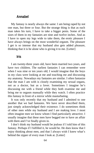### **Annabel**

My fantasy is nearly always the same: I am being raped by not one man, but three or four. But the strange thing is that as each man takes his turn, I have to take a bigger penis. Some of the sizes of them in my fantasies are nine and twelve inches. And as I have to open my legs wide to take them, the erotic pleasure I have always brings on the most wonderful orgasm. The pleasure I get is so intense that my husband also gets added pleasure, thinking that it is he alone who is giving it to me. [Letter]

### **Iris**

I am twenty-three years old, have been married two years, and have two children. The earliest fantasies I can remember were when I was nine or ten years old; I would imagine that the boys in my class were looking at me and touching me and discussing my anatomy. Nowadays my fantasies are similar. I often fantasize that the man I am with is closely examining my sexual organs, not as a doctor, but as a lover. Sometimes I imagine he's discussing me with a friend while they both examine me and bring me to orgasm manually while they watch. I often practice this fantasy in front of a mirror while masturbating.

It was only recently that my husband and I admitted to one another that we had fantasies. We have never described them, just simply acknowledged their existence. I do sometimes think of other men while my husband and I are making love. I most often imagine men we know whom I find particularly attractive. I usually imagine that these men have begged me to have an affair with them and I've finally given in.

I don't think my husband would be jealous if I told him of this fantasy. Perhaps if I fulfilled it, he would be. He does know that I enjoy thinking about men, and that I always wish I knew what's behind the zipper of every man I look at. [Letter]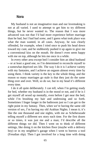### **Nora**

My husband is not an imaginative man and our lovemaking is not at all varied. I used to attempt to get him to try different things, but he never wanted to. The reason that I was more advanced was not that I'd had more experience before marriage than he had, but I had had *some*, and I guess what took place was what the man wanted, in all cases. Anyway, he was clearly offended, for example, when I tried once to push his head down toward my cunt, and he stubbornly pushed it up again to give me a conventional kiss on the mouth. He doesn't even seem happy with me on top, although he lets me once in a while.

In every other area except bed I consider him an ideal husband – or at least a good one, so I'm determined to reconcile myself to a somewhat deprived sex life. The way I do it is I achieve variety with my fantasies, and I achieve an orgasm almost every time by using them. I think variety is the key to the whole thing, and the reason so many marriages go stale is that they just do the same thing over and over. Well, so do we, but in my head it's different every time.

I do it all quite deliberately. I can tell, when I'm getting ready for bed, whether my husband is in the mood or not, and if he is I get myself all sexed up mentally, even before I get near the bed, while I'm brushing my hair and undressing and so forth. Sometimes I linger longer in the bathroom just so I can get to the right point in my fantasy. Then, when we're having the same old version of sex, I'm having my old Arabian Nights. I mean it; it's like the one thousand and one nights, with me as Scheherazade telling myself a different sex story each time. For the first dozen or so times, it was just me and a man; I'd describe all the different things we did. Then I went on to think of different settings, like doing it on the kitchen floor (maybe with a delivery boy) or in my neighbor's garage when I went to borrow a tool (Freudian slip). Then I got involved for a long time with doing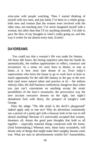sixty-nine with people watching. Then I started thinking of myself with two men, and just lately I've been in a whole group, both men and women (but the women were involved with the other men, not touching me). I've never imagined myself with a woman, but other than that I'll try anything mentally. I'm able to pace the flow of my thoughts to what's really going on, and this way it works for me almost every time. [Letter]

## **DAYDREAMS**

 You could say that a woman's life was made for fantasy. All those idle hours, the boring repetitive jobs that her hands do automatically, the endless opportunities to reflect, construct and reconstruct. In a sense we were born to dream, to stay at home...it is how most men dream of us. Even today's superwomen who leave the house to go to work have at least as much opportunity for the odd idle fantasy as the guy at the next desk (and more natural talent and practice at it) – the tedious subway rides, the dull business conferences, hungover days when you just can't concentrate on anything except the erotic possibilities of the boss's moustache, the provocative way the new account executive dresses on the right, last night's abandoned fuck with Harry, the prospect of tonight's with George.

Does the adage "The idle mind is the devil's playground" indeed apply only to one sex? Why do advertisers consistently use a picture of a pretty girl with a faraway look in her eye to sell almost anything? Because it's universally accepted that women, dreamers all, dream the good pure thoughts that hold us all together – especially material things connected with the home. (And homemaking.) Whereas men, those lusty scoundrels, will dream only of things that might make their naughty dreams come true. What are men in advertisements wistful for? Automobiles,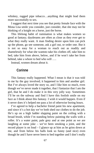whiskey, rugged pipe tobacco…anything that might lead them more successfully to sex.

I suggest that next time you see that pretty female face with the Mona Lisa smile you consider, just consider, that she may not be thinking of a knight on a horse, just the horse.

This lifelong habit of rumination is what makes women so good at fantasy; daydreams are often as close as they ever get to what they really want. A man finding desire upon him can pick up the phone, go see someone, ask a girl out, or order one. But it is not so easy for a woman to reach out as readily and shamelessly for what she wantsto take his clothes off, take him to bed, take him from above, below, and if he won't take her from behind, take a whore to bed who will ….

Instead, women dream about it.

## **Corinne**

This fantasy really happened. What I mean is that it was told to me by the guy involved; it happened to him and another girl. But I've always loved the story so, and I like him so much, even though we've never made it together, that I fantasize that I am the girl, that he and I do make it in this very jolly way. Sometimes I'll be on the subway and find I have this foolish smile on my face as I think about this fantasy. I wish it would happen. Even if it never does it's helped me pass a lot of otherwise boring hours.

I've agreed to help a bachelor friend paint his new apartment, and since it's a hot day we've both shed our clothes to do the job. He's up on a high ladder slapping paint on the ceiling with a broad brush, while I'm standing below painting the walls with a roller. It's a water paint, pale grey and at one point as we are laughing at some joke – we've been smoking a joint, and the record player is on loud – I glance up at him as he grins down at me, and from below his balls look so funny (and nice) even though he and I have never been to bed together and I don't really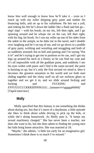know him well enough to know how he'll take it – even so I reach up with my roller dripping grey paint and slather his bouncing balls, and on up to his collarbone. He lets out a yell, and risking his life he's down the ladder like a flash and lets go – slap! slap! – with his brush, on my tits, left then right, and I go spinning around and he whops me on the can, left then right, with his big, fat brush. So I run my roller up one of his sides from the ankle to the armpit, so he dabs me in the navel, and I double over laughing and he's on top of me, and we go down in a puddle of grey paint, writhing and wrestling and struggling and both of us suddenly aroused; hot as hell and panting and I'm saying "Put it in" and he's trying to get me in position so he can, and I get my legs up around his neck in a frenzy so he can find my cunt and it's all impossible with all the goddam paint, and suddenly I see his eyes widen with panic and I feel it the same second: the paint is burning us up, but it's only the first second we mind it, then it becomes the greatest sensation in the world and we both start sliding together and the slimy stuff on all our surfaces glues us together and we get it in, and we slide around fucking and fucking and FUCKING and *FFFUUUCCCKKKIIINNNGGG…[aaaaarrrrrggggghhhhh]*  [Taped interview]

## **Molly**

 Molly specified that this fantasy is not something she thinks about during sex, but that it's more of a daydream, a little episode she likes to think about while driving to pick up the kids, or while she's doing housework. As Molly puts it, "It keeps my sexual machinery charged." She has never been a teacher, nor does she want to be, but she does admit to finding the young men her kids bring home attractive. She was married at 18.

"Maybe," she admits, "a little too early for an imaginative girl. Sometimes I think there is so much I've missed."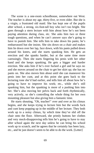The scene is a one-room schoolhouse, somewhere out West. The teacher is about my age, thirty-five, or even older. But she is a virgin, a frustrated old maid. She has kept one of the pupils after school, a strong, six-foot-tall boy who isn't too bright. She goes through a stern lecture with him about how he's not been paying attention during class, etc. She asks him two or three tough questions, and when he can't answer says she's going to have to punish him. She tells him to take down his pants; he's embarrassed but she insists. She sits down on a chair and makes him lie down over her lap, face down, with his pants pulled down around his knees, and she starts spanking him. He gets an erection and she spanks harder, but at the same time more caressingly. Then she starts fingering his penis with her other hand and she keeps spanking. He gets a bigger and harder erection. She asks him if he's ever fucked a girl and he says no and she moves around on the chair to get her skirt up; she has no pants on. She also moves him about until she can maneuver his penis into her cunt, and at this point she goes back to the lecturing tone she'd had earlier, and tells him all about how he's going to have to improve his work; etc., while she's still spanking him, but the spanking is more of a pushing him into her. She's also moving her pelvis back and forth rhythmically, very actively, so she's controlling the whole thing for her own mounting pleasure but also giving him a fantastic time.

He starts shouting, "Oh, teacher!" over and over as his climax begins, and she keeps trying to lecture him but the words fuck and cunt keep popping up in the middle of her lecture. They both work up to a noisy climax, by which time they've slid off the chair onto the floor. Afterward, she primly buttons her clothes and very mock-disapproving tells him he's going to have to stay after school again the next day unless he can bring his school work up to scratch, and he agrees that he certainly has been lazy, etc., and he just doesn't seem to be able to do the work. [Letter]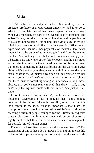## **Alicia**

 Alicia has never really left school. She is thirty-four, an associate professor at a Midwestern university, and is to go to Africa to complete one of her many papers on anthropology. When you meet her, it's hard to believe she is so professional and self-sufficient, as she looks as vulnerable and appealing as Mississippi honeysuckle. But behind those violet eyes, there is a mind like a precision tool. She has a penchant for difficult men, types who beat her up either physically or mentally. I've never known her to be attracted to a "nice guy," and I get the feeling that there's something in her that would turn even a nice guy into a bastard. I do know one of her former lovers, and he's as much as said she invites or incites a put-down reaction from her men, that there is something in her that brings out the worst in a guy: "Maybe it's just that you always know with Alicia that she isn't sexually satisfied. No matter how often you tell yourself it's her and not you yourself that's sexually unsatisfied or unsatisfying – that there must be something wrong with her because you know, always, that you've not really moved that dame – still, a guy can't help feeling inadequate with her in bed. She just isn't all there."

I don't fantasize during sex. My fantasies fall more into occasional daydreams. I like to imagine that I am a unique creature of the future. Ethereally beautiful, of course, but this isn't central to the idea. What is important is that I am the triumph of some incredibly advanced geneticist's work aimed at breeding a strain of people equipped for the ultimate in exquisite sensual pleasures – with nerve endings and sensory circuitry so highly pitched that they can experience ecstasies unimaginable for normal, limited human beings.

For me, for those like me (and are there others like me? The excitement of this is that I don't know; I'm living my intense life in the midst of people who appear to be enjoying the same crude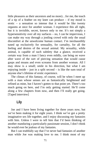little pleasures as their ancestors and no more)…for me, the touch of a tip of a feather on my knee can produce – if my mood is erotic – a sensation so intense that it would be like twenty orgasms at once for another woman. I experience this all right, but it is invisible, secret, known only to me. It's not simply a hypersensitivity over all my surfaces – no, I can be impervious, I can make my way through a jostling crowd with only the usual discomfort at the unwelcome human contact. I'm inexhaustibly tuned up exclusively for sensuality, for carnality, for all the feeling and desires of the sexual animal. My sexuality, while animal, is capable of such subtlety that a glance, received a certain way from a man I fancy even mildly, can bring on wave after wave of the sort of piercing sensation that would cause gasps and moans and even screams from another woman. All I may show is a small; smile in his direction, but what I am enjoying inside – just in a split second – is like the sum total of anyone else's lifetime of erotic experience.

The climax of this fantasy, of course, will be when I meet up with a man whose senses are as fantastically heightened and refined as mine, but I haven't gotten to that point yet. There's too much going on here, and I'm only getting started. He'll come along a few chapters from now, and then I'll really get going. [Taped interview]

## **Lily**

Joe and I have been living together for three years now, but we've been making it for eight years. I think we've got a pretty imaginative sex life together, and I enjoy discussing my fantasies with him. Unless I were to tell him that I'd been thinking of another manduring a particularly passionate session, I don't think he would ever be jealous of my fantasies.

But I can truthfully say that I've never had fantasies of another man while Joe was making love to me. I think most of my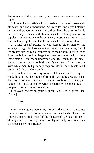fantasies are of the daydream type. I have had several recurring ones:

1. I never had an affair with my ex-boss, but he was extremely attractive and had a moustache. At times I'd find myself staring at him and wondering what it would be like it he were to fondle and kiss my breasts with his moustache rubbing across my nipples. I imagined it would be a very erotic sensation to have him suck my nipples and feel his moustache next to my skin.

2. I find myself staring at well-dressed black men on the subway. I begin by looking at their hair, then their faces, then I let my eye slowly, casually move down their bodies. I try to judge from the bulge just how large their penises are and with a little imagination I see them undressed and feel them inside me. I judge them as lovers individually. Occasionally I will do this with white men, but generally they are black. Joe is black, but I don't think this is why I do this.

3. Sometimes on my way to work I think about the way Joe made love to me the night before and I get quite aroused. I can feel my clitoris get hard and it starts throbbing. It is always a sudden jolt back to reality when I suddenly see the crowd of people squeezing out of the station.

I enjoyed answering your request. Yours is a great idea. [Letter]

#### **Eliza**

Even when going about my household chores I sometimes think of how it feels to have a man run his hands all over my body. I often remind myself of the pleasure of having a firm penis sliding in and out of my mouth and try mentally to recreate any delicious experience. [Letter]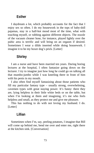### **Esther**

I daydream a lot, which probably accounts for the fact that I enjoy sex so often. I do my housework in the tops of baby-doll pajamas, stay in a half-hot mood most of the time, what with touching myself, or rubbing against different objects. The nozzle of the vacuum cleaner hose, for instance, played lightly over the pubic area is terrific and will bring on an orgasm if desired. Sometimes I wear a dildo inserted while doing housework. I imagine it to be my boxer dog's prick. [Letter]

#### **Shirley**

I am a nurse and have been married ten years. During boring lectures at the hospital, I often fantasize going down on the lecturer. I try to imagine just how long he could go on talking all that mumbo-jumbo while I was kneeling there in front of him with his penis in my mouth.

I also often find myself fantasizing about those patients who fill my particular fantasy type – usually strong, overwhelming, cavemen types with great staying power. It's funny: there they are, lying helpless in their little white beds or on the table, but when I'm looking at them and imagining, it's me who feels helpless and small, as they protect me and give me pleasure.

This has nothing to do with not loving my husband. I do. [Letter]

#### **Lillian**

Sometimes when I'm, say, peeling potatoes, I imagine that Bill will come up behind me, bend me over and enter me, right there at the kitchen sink. [Conversation]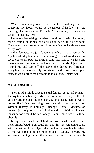#### **Viola**

When I'm making love, I don't think of anything else but satisfying my lover. Would he be jealous if he knew I were thinking of someone else? Probably. Which is why I concentrate wholly on making love.

I save my fantasizing for when I'm alone. I wait till evening, take a couple of drinks, and curl up in bed with a sexy book. Then when the drinks take hold I can imagine my hands are those of my lover.

Other fantasies are just daydreams, which I have constantly. My favorite daydream is of me cooking or washing dishes, my lover comes in, puts his arms around me, and as we kiss and press against one another and our passion builds, I just reach behind me and turn off the stove, the dishes are forgotten, everything left wonderfully unfinished in this very interrupted state, as we go off to the bedroom to make love. [Interview]

# **MASTURBATION**

 Not all idle minds drift to sexual fantasy, as not all sexual fantasy (and idle hands) leads to masturbation. In fact, it's the old chicken-and-the-egg routine. Fantasy and masturbation: which comes first? But one thing seems certain: that masturbation without fantasy is unlikely, unhappy, unreal. Masurbation doesn't just require fantasy, it demands it. Without fantasy, masturbation would be too lonely. I don't even want to think about it.

In my researches I didn't find one woman who said she had never masturbated. You could say that this has something to do with the nature of my subject, that the kind of people who talked to me were bound to be more sexually candid. Perhaps my surprise at finding that all the women I talked to masturbated is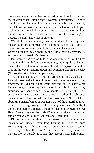more a comment on me than my contributors. Possibly. But you see, it wasn't that I didn't *expect* women to masturbate – to have tried it or stumbled upon it at some point in their lives – I simply didn't think my own experience was all that universal. It goes back again to how little women know about one another, how inclined we are to feel isolated, different, not like the other girls, because we don't know about other girls.

We all know about men; they masturbate. Little boys and masturbation are a normal, even charming part of the women's magazine stories as to how little boys are. I suppose that's it; we've all read so much about it, about little boys discovering it, and being discovered. It's charming.

But women? We're as hidden as our clitorises. By the time we've found them, hidden away up there, we're guilty at having located them. If it were meant to be found and enjoyed, wouldn't it be in the open, hanging down and swinging free like a cock? (No wonder little girls suffer penis envy.)

That, I suppose, is why I was so surprised to find we all do it: I simply assumed without thinking that I was as alone in my discovery as I'd been alone while growing up, with my other female thoughts about my femaleness. Logically, I accepted my similarity to other women – why should I be different? – but emotionally I was as uncertain as to how I stood on the subject of masturbation as I was on whether I was oversexed. No one talked about girls masturbating, it was not a part of the prescribed myth of innocence, of growing up, of becoming a woman. Actually, I don't think there is a female version of that popular myth: neither Heidi, Nancy Drew, or the Little Women masturbated; there is no female equivalent to Studs Lonigan and Huck Finn.

I'll tell you some things I've learned about women and masturbation. Despite their long training to reticence, once you've engaged their confidence, women talk about it easily. Once they realize they aren't the only ones, they admit to masturbation as readily as to sex, they accept it and, unlike men,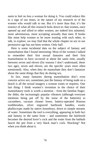seem to feel no less a woman for doing it. You could reduce this to a sign of our times, to the nature of my research or of the women who would talk to me. But it's more than that; it's the essence of what all this research boils down to: that women, once opened up and allied to other women, are indeed less ashamed, more adventurous, more accepting sexually than men. If books like mine help women to be more trusting with each other, to talk, to explore, we may find that the whole chapter on sex in our permissive age has not been written. Only half.

Here is some incidental data on the subject of fantasy and masturbation that I found interesting: Most of the women I talked to remember their first sexual fantasies and their first masturbation to have occurred at about the same time, usually between seven and eleven (for reasons I don't understand, these two ages, seven and eleven, are the specific years most often mentioned). Also, when they do masturbate they don't fantasize about the same things that they do during sex.

In fact, many fantasies during masturbation don't even concern active sex; sometimes just the fantasy of being nude on a beach is all the sexual imagery a woman wants or requires. One last thing: I think women's invention in the choice of their masturbatory tools is worth a mention – from the familiar finger, the dildo, the increasingly popular vibrators (although everyone mentions being put off by the noise of the batteries) to cucumbers, vacuum cleaner hoses, battery-operated Ronson toothbrushes, silver engraved hairbrush handles, exotic phallocrypts made by native houseboys, down to simple streams of water. Sometimes the tool is everything, appearing in both fact and fantasy in the same form – and sometimes the hairbrush becomes the desired lover's cock and the water from the bathtub faucet the pee from a very black man's cock. Shocking? Not when you think about it.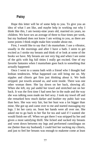## **Patsy**

Hope this letter will be of some help to you. To give you an idea of what I am like, and maybe help in working out why I think like this, I am twenty-nine years old, married six years, no children. We have sex an average of three to four times per week, but my husband does not know I am writing to you, as there are some points I think might make him wonder about me.

First, I would like to say that I do masturbate. I use a vibrator, usually in the mornings and after I have a bath. I seem to get excited as I stroke my breasts and think of or look at some of the books we have. My breasts are not very big and when I see some of the girls with big full titties I really get excited. One of my favorite fantasies when I masturbate goes back to something that actually happened:

Once I went to a sauna bath with a friend who I thought had lesbian tendencies. What happened can still bring me on. My nipples and clitoris get firm just thinking about it. We both stripped. put towels around us, and went inside. There was one other woman there. She lay down on her back, showing all. When she left, my pal undid her towel and stretched out on her back. It was the first time I had seen her in the nude and the way she was talking soon made me feel sexy. I took my towel off and she remarked how much darker and bushier my pubic hair was than hers. She was very fair, but her bust was a lot bigger than mine. She got up and came over to me and started massaging my legs. I let her carry on. Soon her hands were all over me. She asked me to go back to her flat for tea and said if I wanted she would finish me off. When we got there I was stripped by her and given a most satisfying thrill. She licked and sucked my breasts and went down between my legs and performed cunnilingus on me (better than my husband). I could feel her sucking my clitoris, and just to feel her breasts was enough to makeme come at least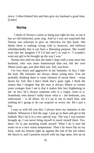twice. I often thinkof this and then give my husband a good time. [Letter]

#### **Norma**

 I think of Norma's name as being just right for her; to me it has an old-fashioned, prim ring. And so I was not surprised that Norma was reluctant to give an interview for this book. She thinks there is nothing wrong with it, however, and believes wholeheartedly that it can have a liberating purpose. She would even like her daughter ("if I'd had one") to read it. "I wouldn't want any girl to be brought up the way I was."

Norma also told me that she hadn't slept with a man since her husband, who was more homosexual than not, left her over fifteen years ago, just after their son, Ted, was born.

I'm very brave and aggressive in my fantasies. In fact, I take the lead. My fantasies are always about young men. You are probably thinking there is some element of incest there – some desire for Ted. But I don't think that's quite right. I think the reason that I imagine that the man is always fifteen or twenty years younger than I am is that it makes him less frightening to me. In fact, he's always someone who is a virgin, close to it. Somebody who doesn't really know what it – the bedroom, you understand – is all about. So it's up to me to teach him, and nothing he's going to do can surprise or worry me. He's just a boy.

I may as well tell you this: I always have my fantasies in the bathtub. Whenever I feel the urge, I just go in there and get in the bathtub. But I do it in a very special way. The way I was trained, brought up, I can never bring myself to touch myself there. Yes, there. Or to put anything inside myself. What I do is turn the water on to a nice warm temperature. Then I lie down flat on my back, with my bottom right up against the end of the tub where the faucet is, and I position myself with my legs open, feet up on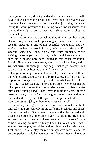the edge of the tub, directly under the running water. I usually have a towel under my head. The warm bubbling water plays over me; I can pace my fantasy by either just lying there and letting the warm pressure of the falling water find its source, or I can hold my lips apart so that the rushing water excites me immediately.

Fantasies get worn out; somehow they finally lose their erotic charge. So you have to keep making up new ones. The one I recently made up is one of this beautiful young man and me. We're completely dressed, in fact, he's in black tie, and I'm wearing something long, black, and very dramatic. We're waiting for some people to arrive; the boy and I are strangers to each other, having only been invited to this house by mutual friends. Finally they phone to say they had to take a plane, and so will not arrive till midnight. They beg us not to go, however, but to pass the time as best we can until they arrive.

I suggest to the young man that we play some cards. I tell him that while cards without risk is a boring game, I still do not like to play for money. So he laughs and asks what would I like to play for. I suggest we play poker, and that the 'winner can get the other person to do anything he or she wishes for five minutes after each winning hand. What I have in mind is a game of strip poker, you see, because I am a very good poker player and know that under the disguise of the game I can get him to do what I want, almost as a joke, without embarrassing myself.

The young man agrees, and in ten or fifteen minutes he finds himself sitting dressed only in his stiff shirt, black tie, and shoes. The rest is naked Sometimes I imagine that he immediately develops an erection, other times I vary it a bit by having him so embarrassed he is unable to have one until I "carelessly" make some revealing gestures with my body. Or touch him. Then I suggest that we play for higher stakes. He asks what this means. I tell him we should play for more imaginative forfeits, and the penalty period should be increased from five to fifteen minutes or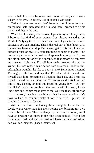even a half hour. He becomes even more excited, and I see a gleam in his eye. He agrees. But of course I win again.

"What do you want me to do?" he asks. I tell him to lie down on the bed, half undressed as he is, and then I proceed to tie his hands and feet to the bed.

When I feel he really can't move. I go into my act. In my mind, I become the kind of sexy woman I've always wanted to be. While he's lying there, tied hand and foot, I go into the sexiest striptease you can imagine. This is the real part of the fantasy. All the rest has been a buildup. But when I get to this part, I can feel almost a flush of heat. My stomach muscles begin to cramp – but not with pain – with the feeling of approaching orgasm. I come and sit on him, but only for a second, so that before he can have an orgasm of his own I'm off him again, leaving him all the wilder, his face redder, his erection hard as a rock. I talk to him, asking him wouldn't he like to put it in me? Sometimes I pretend I'm angry with him, and say that I'd rather stick a candle up myself than him. Sometimes I imagine that I do, and I can see myself, naked, with a large red Christmas candle sticking half out of me, dancing around this beautiful young boy. I tell him that if he'll push the candle all the way in with his teeth, I may untie him and let him make love to me. Or I use that stiff erection like a ramrod, kneeling over him so that his own erection – it's now so hard he couldn't make it soft if he tried – pushes the candle all the way in for me.

And all the time I'm having these thoughts, I can feel the lovely warm water touching me, stroking me, bringing my own rush of blood there. Then suddenly my muscles do cramp, and I have an orgasm right there in the nice clean bathtub. Then I just have a real bath and get into bed and have the most refreshing nap you can imagine. [Taped interview]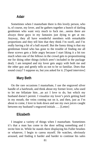#### **Adair**

Sometimes when I masturbate there is this lovely person, who is, of course, my lover, and he gathers together a bunch of darling gentlemen who want very much to fuck me…seems there are always these guys in my fantasies just dying to get at me. Anyway, they all have wonderful members with remarkable proportions and they tell him that they think I'm swell, and I'm really having a bit of a ball myself. But the funny thing is that my gentleman friend who has gone to the trouble of finding me all these screws gets a little angry because I start liking it a bit too much when one of the fellows in the crowd gets to propositioning me for doing other things (which aren't included in the package deal). I am tempted and my lover gets angry with both me and the other guy and gently tells us not to be so familiar. Does that sound crazy? I suppose so, but you asked for it. [Taped interview]

### **Mary Beth**

On the rare occasions I masturbate, I use the engraved silver handle of a hairbrush, and think about my former lover, who used to let me fellatiate him…an act I love to do, but which my husband doesn't permit. I visualize my lover's prick getting hard in my mouth, the veins coming out on it, and then, just as I'm about to come, I love to look down and see my own juices caught between my husband's engraved initials …. [Letter]

#### **Elizabeth**

I imagine a variety of things when I masturbate. Sometimes it's that a man has come to the door selling something and I invite him in. While he stands there displaying his Fuller brushes or whatever, I begin to caress myself. He watches, obviously aroused, and finding it harder and harder to continue his sales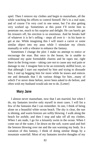spiel. Then I remove my clothes and begin to masturbate, all the while watching his efforts to control himself. He's in a real state, and of course I'm very cool in one sense, but I'm also getting very worked up. Sometimes at this point I'll invite him to penetrate me, much to his surprise and delight. He can barely get his trousers off, his erection is so enormous. And he breaks half of whatever it is he's selling – steps all over it – in his haste to get at me. While imagining this I will insert a carrot or some similar object into my anus while I stimulate my clitoris manually or with a vibrator to enhance the fantasy.

Sometimes I change the plot: I make no attempt to entice or encourage the man. But once in the house, he is unable to withstand my quite formidable charms and he rapes me, right there in the living room – taking care not to cause any real pain or damage to me. I imagine him to be an extremely skillful lover, so that although I start out repulsed by him and trying to dissuade him, I end up begging him for more while he teases and entices me and demands that I do various things for him…many of which I've never done before, never been asked to do before, and often wish my husband would ask me to do. [Letter]

#### **Mary Jane**

I almost never masturbate, now that I am married, but when I do, my fantasies involve only myself in most cases. I will list a few of the fantasies that I can remember. In one, I think of being alone on a beautiful white ocean beach. The sky is clear, the sun is shining, and warm breezes are softly blowing. I walk along the beach for awhile, and then I stop and take off all my clothes. When I am nude, I go for a leisurely swim in the ocean. When I come out of the water, I lie down on the soft, warm sand and feel the breezes blowing over me and the sun warming my body. In a variation of this fantasy, I think of doing similar things by a mountain waterfall. Most of my fantasies involve thoughts of my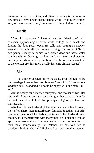taking off all of my clothes, and often the setting is outdoors. A few times, I have begun masturbating while I was fully clothed and, as I was masturbating, I removed all of my clothes. [Letter]

# **Amelia**

When I masturbate, I have a recurring "daydream" of a salesman approaching a lovely white cottage on a beach and finding the door partly open. He calls and, getting no answer, wanders through all the rooms looking for some sign of occupancy. Finally he comes to a closed door and hears water running within. Opening the door he finds a woman showering and he proceeds to undress, climb into the shower, and make love to the woman. By this time I usually have my climax. [Letter]

## **Alix**

 "I have never cheated on my husband, even though before our marriage I was rather promiscuous," says Alix. "Even on our wedding day, I wondered if I could be happy with one man. But I am."

Alix is twenty-four, married four years, and mother of two. Her husband's frequent business journeys give her a lot of time for her fantasies. These fall into two principal categories, lesbian and masturbatory.

Alix has told her husband of the latter, and as he has his own, they often share their masturbatory fantasies together. But Alix has never mentioned her lesbian fantasies to her husband, even though, as is characteristic with many men, he thinks of a lesbian episode as essentially a frivolous matter, of less serious import than male homosexuality; for instance, he has told her he wouldn't think it "cheating" if she had sex with another woman.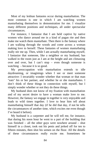Most of my lesbian fantasies occur during masturbation. The most common is one in which I am watching women masturbating themselves in demonstration for me. I visualize many different positions and techniques, all under spectacular circumstances.

For instance, I fantasize that I am held captive by native women who dance around me in a kind of pagan rite and then make me watch them masturbate. Then there is the fantasy where I am walking through the woods and come across a woman making love to herself. These fantasies of women masturbating really stir me up. Then, while I am actually masturbating myself, I fantasize that someone, like a neighbor or my husband, has walked in the room just as I am at the height and am climaxing over and over, but I can't stop – even though someone is watching – because it is so good.

My preoccupation with masturbation extends to idle daydreaming, or imaginings when I see or meet someone attractive: I invariably wonder whether that woman or that man "eats" his or her partner, and whether he or she masturbates. I don't think of these things in connection with myself, but I simply wonder whether or not they do these things.

My husband does not know of my fixation with masturbation and of my secret desire to have a woman make love to me. However, the fantasy we engage in together is very enjoyable and leads to wild times together. I love to hear him tell about masturbating himself that day (if he did that day, if not he tells the circumstances of another time, which excites me even though I've heard it before).

My husband is a carpenter and he will tell me, for instance, that during his noon hour he went to a part of the building that was finished – all the other guys were nowhere around – shut himself in a closet, took out his penis and jerked off for ten to fifteen minutes, then shot his semen on the floor. All the details of these circumstances really excite me. Sometimes he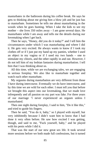masturbates in the bathroom during his coffee break. He says he gets to thinking about me giving him a blow job and he just has to masturbate. Sometimes he tells me about masturbating in the woods when he goes hunting. When I take the kids to see my mother – she lives 350 miles away – I am gone several days. He masturbates while I am away and tells me the details during our lovemaking when I get back.

Then he says, "Honey, did you do it today?" and I tell him the circumstances under which I was masturbating and where I did it. He gets very excited. He always wants to know if I took my clothes off or if I just put my hand up my panties, whether I used an object in my vagina or if I used my two hands – one to stimulate my clitoris, and the other rapidly in and out. However, I do not tell him of my lesbian fantasies during masturbation. I tell him that I was thinking about us.

All this time, while we are exchanging tales, we are engaging in serious foreplay. We also like to masturbate together and watch each other masturbate.

My orgasms during masturbation are very different from those I have during intercourse. Eventually we do have intercourse, and by this time we are wild for each other. I must tell you that before we brought this aspect into our lovemaking, that we made love infrequently and all passion on my part was fake. For three years of our marriage 'l never experienced an orgasm unless I masturbated.

Then one night during foreplay, I said to him, "Do it like this," and tried to guide his fingers.

Then he said, "You do it, baby," so I played with myself, but very inhibitedly because I didn't want him to know that I had done it very often before. He saw how excited I was getting, though, and said to me, "Fuck yourself, baby," and he played with his penis while I did it.

That was the start of our new great sex life. It took several more sessions before we both made full confessions, but it turned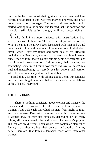out that he had been masturbating since our marriage and long before. I never tried it until we were married one year, and I had never done it as a teenager. The guilt I felt was awful until I started looking into the subject and learned that it is common and natural. I still, felt guilty, though, until we started doing it together.

I really think I am more intrigued with masturbation, both sexes, than with lesbianism. The latter is just part of the former. What I mean is I've always been fascinated with men and would never want to live with a woman. I remember as a child of about seven, when I saw my father and some pals of his urinating behind a barn. Penis envy was my first fantasy, and how I wanted one. I used to think that if Daddy put his penis between my legs that I would grow one too. I think men, their penises, are fascinating; sometimes I think how much I'd love to "catch" my husband masturbating, to secretly see his actions and passion when he was completely alone and uninhibited.

I find that with time, with talking about them, our fantasies and our love life get better and better. I wish we'd started talking earlier. [Taped interview]

# **THE LESBIANS**

 There is nothing consistent about women and fantasy, the reasons and circumstances for it. It varies from woman to woman. And with each individual woman, from night to night and lover to lover. Even with the same lover within the same hour a woman may or may not fantasize, depending on so many things, all the uncharted tides and moons of a woman's psyche. But lesbians are different. Their whole lives contain an element of fantasy – that they are both their own sex and another. It is my belief, therefore, that lesbians fantasize more often than other women.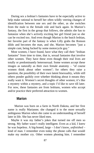During sex a lesbian's fantasies have to be especially active to help make rational to herself her often wildly veering changes of identification between one sex and the other, as she switches from the male to the female role and back again. In Marion's fantasy, the first in the group that follows, she admits she has to fantasize when she's actively exciting her girl friend just so she can be excited too. And even though Marion is the butch lesbian, her favorite part of the fantasy is when Lilly grabs the Ronson dildo and becomes the man, and she, Marion becomes "just a simple cunt, being fucked by some motorcycle guy."

Most women, I have found, have what they call their "lesbian fantasies" from time to time, that is, sexual fantasies that involve other women. They have these even though their real lives are totally or predominantly heterosexual. Some women accept these images as naturally as their own female anatomy – "of course women think about other women"; for others they raise a question, the possibility of their own latent bisexuality, while still others ponder guiltily over whether thinking about it means they really want it. Women's secret thoughts of other women; it's like a mystery within a mystery, and a topic I'd like to save till later. For now, these fantasies are from lesbians, women who accept and/or practice their preferred attraction to women.

## **Marion**

 Marion was born on a farm in North Dakota, and her first name is really Marianne; she changed it to the more sexually ambiguous Marion when she came to an understanding of herself later in life. She has never liked men.

Maybe it was my father's jokes that turned me off men so strong. My father wasn't really intelligent. Even as a kid, I knew he was hopeless. A big-boned, large – I don't know, *unfinished –*  kind of man. I remember even today the phone calls that would make my mother cry. Other women phoning him. I remember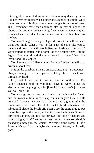thinking about one of these other chicks – Why does my father like her over my mother? This other one sounded so stupid. Once there was a terrible fight over a letter he got from one of them. But I remember more than anything else in, my childhood the phone calls, and my mother crying. I can even remember saying to myself as a kid that I never wanted to be like her. Like my mother.

You won't laugh? Fuck you if you do. What the hell do I care what you think. What I want is for a lot of cunts like you to understand how it is with people like me. Lesbians. The fuckin' word sounds so rotten. And I don't like to be called "gay." I'm no faggot. But why should the word sound so rotten? You like lettuce and I like apples.

You like men and I like women. So what? What the hell is so criminal about that?

Shit on the soapbox. I mean, on preaching. But it's a downer – always having to defend yourself. Okay, here's what goes through my head:

Lilly and I, we like to use an electric toothbrush. The battery-operated kind, so you don't have to worry about the electric wires, or plugging it in. [Laugh] Except that's just what you do – plug it in.

You ever go to a doctor or a dentist, and he's cut his finger, and he wears a little rubber cap on his finger? Like a little condom? Anyway, we use that – we use epoxy glue to glue the toothbrush itself onto the little metal head otherwise the vibration'll shake the brush off. Then I use the same glue to put the rubber cap on the brush, so that it covers the bristles. Some of our friends do this, too. It's like our own "in" joke. "What are you using tonight, Jack?" we say to each other, when somebody's picked up a new girl. "A Schick?" We trade brand names. I like a Ronson. It's got four, or maybe six batteries, I forget, but it really goes.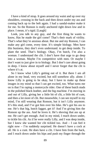I have a kind of strap. It goes around my waist and up over my shoulders, crossing in the back and then down under my ass and coming back up to the belt again. I had a sandal-maker make it for me. So the Ronson is really anchored right down low and in place. I mean, it's rigid. [Laugh]

Look, you talk to any guy, and the first thing he wants to know, Has he made the girl come? That's their mark of virility. That's what they're anxious about. But me and my Ronson, I can make any girl come, every time. It's simple biology. Men have this business, they don't even understand. to get deep inside. To plant the seed. That's biology. Okay, I'm butch, I'm also a woman. I understand the clit. I don't have that urge to go deep into a woman. Maybe I'm competitive with men. Or maybe I don't want to just give in to biology. But I don't care about going in deep. I know about myself and I never forget that the clit is where it's at.

So I know what Lilly's getting out of it. But there I am all alone in my head, very excited, but still somehow ally. alone. I know Lilly is going to be okay, but I have to make up these images in my mind so that I can get excited, too. What turns me on is that I'm raping a motorcycle rider. One of these butch studs in the polished black leather, and the big machine. I'm moving in and out of Lilly, giving her a little bit of clit, a little bit of cunt, and then a lot more of clit. But meanwhile, I can see myself in my mind, I'm still wearing that Ronson, but it isn't Lilly anymore. It's this stud, and I've got him over his bike. He's got his ass to me. He's that big, butch faggot, get it? And I'm giving him the Ronson up the ass. And he loves it. He's shoving that ass up at me. He can't get enough. And in my mind, I reach down under, to tickle his clit. As if he were really Lilly, and I was deep inside, but I knew she wanted her clit tickled too. And – I can feel it right now – I'm suddenly surprised. He doesn't have a cock at all. He *is* a cunt. He does have a clit. I have him from the back, and I reach down under his hips and push my finger through the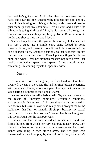hair and he's got a cunt. A clit. And then he flops over on his back, and I can feel the Ronson really plugged into him, and my own clit is vibrating too. He's got his legs wide open and then he puts them up over my shoulders. He's all cunt and I know the vibration is going all through Lilly, but it's going all through me, too, and sometimes at this point, Lilly grabs the Ronson out of its holder and shoves it up me and I love it.

She suddenly becomes the guy in the motorcycle leather, and I'm just a cunt, just a simple cunt, being fucked by some motorcycle guy, and I love it. I love it that Lilly is so excited that she's changed roles. Changed positions, so that suddenly I'm not the guy any more, but she is. Then I put my finger inside her cunt, and when I feel her stomach muscles begin to heave, that terrific contraction, spasm after spasm, I find myself almost screaming. I'm coming myself. [Taped interview]

#### **Jeanne**

 Jeanne was born in Belgium, but has lived most of her twenty-five years in the USA. She had her first lesbian experience with her cousin Renee, who was a year older, and with whom she was sharing a summer at their uncle's farm.

Jeanne considers herself a lesbian still, "by choice, rather than the result of `unhappy home-life,' economic conditions, socioeconomic factors, etc…." At one time she felt ashamed of her desires, but now "a lover who really cares brought me to the realization that I'm not mentally ill simply because my sexual preference is for another woman." Jeanne has been living with this lover, Paula, for the past two years.

The incident that became imbedded in Jeanne's mind, and forms the seed from which her very elaborate fantasy grew, took place in the hayloft of her uncle's farm, where she and her cousin Renee were lying in each other's arms. The two girls were interrupted in their love play by the sight of Anjou, the cousin's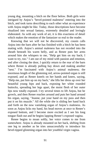young dog, mounting a bitch on the floor below. Both girls were intrigued by Anjou's "bevel-pointed maleness" entering into the bitch, and took turns describing to each other what an experience with Anjou might be like. Today, those descriptions have become ritualized into sexual fantasy, extremely detailed and lovingly elaborated. As with any work of art, it is this exactness of detail which makes the emotion of the fantasizer so real to the reader.

Knowing that we will not be discovered, my cousin calls Anjou into the barn after he has finished with a bitch he has been mating with. Anjou's animal maleness has not receded into the sheath beneath his warm belly, and as Renee puts her arms around him she whispers to me, "Help get him on my back; I want to try, too." I am out of my mind with passion and emotion, and after closing the door, I quickly return to the rear of the barn where Renee is already pulling hay down and making another "nest." I'm fascinated with Anjou's animal maleness; the enormous length of the glistening red, arrow-pointed organ is still exposed, and as Renee kneels on her hands and knees, saying, "Help me, put him up on my back," she lifts her dress up over her beautiful young hips and back, exposing her white rounded buttocks, spreading her legs apart, the moist flesh of her outer lips now totally exposed. I try several times to lift Anjou, but he growls, and then Renee reaches around and puts her hand around his organ, saying, "Jeanne, put your hand on my puss and then put it on his muzzle." All the while she is sliding her hand back and forth on the now vanishing organ of Anjou's maleness. As soon as Anjou licks my hand, his head moves at once to Renee's exposed bottom, and I become more excited as I see his long tongue flash out and he begins lapping Renee's exposed vagina.

Renee begins to moan softly, her voice comes to me from somewhere. Anjou is already mounted on her back, shifting from one leg to another as he tries unsuccessfully to introduce his bevel-tipped glistening organ into her youthful virgin vagina.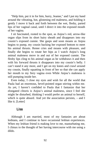"Help him, put it in for him, hurry, Jeanne," and I put my hand around the vibrating, hot, glistening red maleness, and holding it gently I move it back and forth between the wet, fleshy, parted lips of her vaginal canal, until I direct it into the exposed mouth of her vagina.

I sit fascinated, rooted to the spot, as Anjou's red, arrow-like organ slips from its short hairy sheath and disappears into my cousin's exposed cunnie. She gasps and soon moans as Anjou begins to pump, my cousin backing her exposed bottom to meet his animal thrusts. Renee cries and moans with pleasure, and finally she begins to rotate her hips as I watch Anjou's long animal maleness move in and out of her exposed cunnie. The fleshy lips cling to his animal organ as he withdraws it and then with his forward thrusts it disappears into my cousin's belly. I can't stand it any more, and I get on my knees and crawl around my cousin, finally squatting in front of her so that she can apply her mouth to my fiery vagina even While Anjou's maleness is still pumping inside her.

Even today, I close my eyes and wish for all the world that Paula had an enormous, bevel-pointed organ stirring within me. As yet, I haven't confided to Paula that I fantasize that her elongated clitoris is Anjou's animal maleness, since I feel she might be disturbed, thinking I would prefer an animal to herself, which is quite absurd. And yet the association persists, – and I like it. [Letter]

#### **Lisa**

Although I am married, most of my fantasies are about lesbians, and I continue to have occasional lesbian experiences. When my lesbian friend is making love to me, masturbating me, I climax to the thought of her having intercourse with me using a dildo.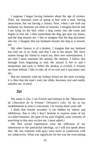I suppose I began having fantasies about the age of sixteen. Then, my fantasies were of going to bed with a man, having intercourse, but not having a climax. Now, when I am with my husband, my fantasies are often of animals. I imagine that he and I are lying on the bed, when a dog comes into the room and begins to lick me. I then masturbate the dog, get onto my knees, and the dog mounts me. I like to imagine that the dog ejaculates into me. I imagine that my husband mounts the dog as it mounts me.

My other fantasy is of a donkey. I imagine that my husband has sold me to an Arab, and that I am in the desert. My slave master brings his friend to watch me, their new entertainment. I am told I must entertain the animal, the donkey. I follow this through from beginning to end: the animal is led in and I masturbate and suck it. When the donkey is excited, it mounts me from behind. I like to take all of its tool and it ejaculates into me.

But my fantasies with my lesbian friend are the most exciting; it is then that the man's tool, her dildo, becomes real and totally satisfies me. [Letter]

#### **Zizi**

My name is Zizi. I am French and militant in the *"Mouvement de Liberation de la Femme"* [Women's Lib]. As far as my establishment in time is concerned, I'm twenty-three years old.

I think that female sexuality is too hidden by taboos and inhibitions, that is why I don't hesitate to express some of my so-called fantasies. (In spite of my poor English, your curiosity of searching in that area excites me, I must admit.)

My first sexual experiences were the reflection of my submission to the patriarchal ideology, so I will not speak about that. My last relations with guys were more in connection with my subjectivity. What was significant for me was the overcoming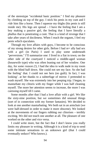of the stereotype "occidental basic position." I find my pleasure by climbing on top of the guy. I stick his penis in my cunt and I *ride* him like a horse. Then I squeeze my thighs (his penis is still inside me). His legs are spread – I have the feeling that I am a boy making a passive girl, the feeling that I have literally a phallus that is penetrating a cunt. That is a kind of revenge that I take after years of docileness. When I reach the orgasm, I feel my penis which ejaculates.

Through my love affairs with guys, I become to be conscious of my strong desires for other girls. Before I had re= ally had sex with a girl (in Paris) I used to play some underneath "perversions." I'll summarize one: I lived in a fiat in town; on the other side of the courtyard I noticed a middle-aged woman (housewife type) who was often leaning out of her window. One day, for *some reason (!),* I had the idea to walk nude in my room with the blind half down. She could not see my face. So she had the feeling' that. I could not see hers (no guilt). In fact, I was looking'. at her thanks to a subterfuge of mirror. I pretended to wash myself. She was extremely into her peeping trip. I began, to masturbate my clitoris with my finger while I was half cleaning myself. The more her attention seems to increase, the more I was caressing myself till I came.

Some months after that I had a love affair with a girl. We like the sixty-nine position, but we sometimes did unusual things (sort of in connection with my former fantasies). We decided to look at one another masturbating. We both sat in an armchair (we were half-dressed in order to make it more obscene). We looked at the movements of our fingers rubbing our clitorises – terribly exciting. We did not touch one another at all. The pleasure of one worked on the other and vice versa.

I could write more, but the fact that I don't know you really limits my pleasure in writing. Although it is a kind of trip to send some intimate sensations to an unknown girl (that I could eventually seduce? Who knows.).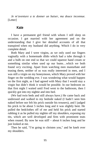*Je m'aventure a te donner un baiser, ma douce inconnue.* [Letter]

#### **Kate**

I have a permanent girl friend with whom I still sleep on occasion. I got married with her agreement and on the understanding that I give her detailed accounts of all that transpired when my husband did anything. Which I do in very complete detail.

Both Mary and I were virgins, as we only used our fingers vaginally with a homemade dildo which had a tube through it and a bulb on one end so that we could squeeze hand cream or something similar when used up our bums…which we both found *very* exciting. Apart from watching men masturbate and teasing them, neither of us was really interested in men, and I was still a virgin on my honeymoon, which Mary proved with her finger on the wedding eve. I was wondering what would happen on the first night, as I had agreed with Mary that I would stay a virgin but didn't think it would be possible. In our bedroom on that first night I waited until Fred went to the bathroom, then I quickly got into my nightie and into bed.

(We had twin beds and still always have.) He came back and undressed and walked to my bedside naked (I hadn't seen him naked before nor felt his prick outside his trousers), and I judged his prick to be about 5 inches long and it was slightly bent. He pulled the bedclothes off of me and held his prick and started rubbing it as he pulled my nightie off my shoulders, exposing my tits, which are well developed and firm with prominent teats when roused. By now he was stiff – about 6 inches long and he just looked at me.

Then he said, "I'm going to christen you," and he knelt over my shoulders.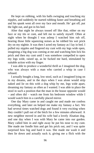He kept on rubbing, with his balls swinging and touching my nipples, and suddenly he started rubbing faster and breathing ard and his spunk went all over my face and mouth. He' got off, put the light out, and got in his bed.

After that night he always tossed off like that, either on my face or my tits or cunt, and left me to satisfy myself. Often at night when he thought I was asleep I watched him rub off, hearing those little squeezing noises as he rubbed his wet prick dry on my nightie. It was then I acted my fantasy as I lay in bed. I pulled my nipples and fingered my cunt with my legs wide open, imagining a big dog was coming at me and watching him lick his prick and then my cunt until I was somehow compelled to open my legs wide, raised up, as he fucked me hard, stimulated by suitable action with my finger.

I was able to produce a wonderful thrill as I imagined the dog, who was always with a man who carried a whip in case I refused.

I actually bought a long, low stool, such as I imagined lying on in my dreams, and in the days when I was alone would strip naked and lie on this with a dog whip by me, legs wide apart, dreaming my fantasy as often as I wanted. I was able to place the stool in such a position that the man in the house opposite would – and often did – watch me from his bedroom window while I would watch him in a carefully placed mirror.

One day Mary came in and caught me and made me confess everything, and later on helped me make my fantasy a fact. We had several times watched dogs and found it very exciting when they couldn't pull out of the bitch for a few minutes afterward. A new neighbor moved in and his wife had a lovely Alsatian dog, and one day when I was with Mary he came into our garden. Mary called him in and right away he put his nose to my cunt. She made me fondle him and get his prick out, and I was quite surprised how big and hard it was. She made me wash it and then lie down and actually suck it, giving me a flick with the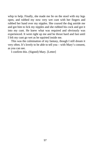whip to help. Finally, she made me lie on the stool with my legs open, and rubbed my now very wet cunt with her fingers and rubbed her hand over my nipples. She coaxed the dog astride me and got him to lick my nipples and she rubbed his cock and got it into my cunt. He knew what was required and obviously was experienced. It went right up me and he thrust hard and fast until I felt my cunt go wet as he squirted inside me.

This was the culmination of my fantasy, though I still dream it very often. It's lovely to be able to tell you – with Mary's consent, as you can see.

I confirm this. (Signed) Mary. [Letter]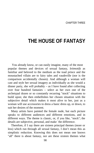# **THE HOUSE OF FANTASY**

 You already know, or can easily imagine, many of the most popular themes and devices of sexual fantasy, *leitmotifs* as familiar and beloved to the medium as the toad prince and the moustached villain are to fairy tales and vaudeville (nor is the comparison accidentally chosen). And although a woman will cast and style her sexual imagery as individually as she would a dinner party, she will probably – as I have found after collecting over four hundred fantasies – select as her own one of the archetypal dozen or so constantly recurring "stock" situations to build upon; she then embellishes her chosen situation with the subjective detail which makes it most alive to her, just as a woman will use accessories to dress a basic dress up, or down, to suit her desires of the moment.

Many artists have painted the female nude, but each picture speaks to different audiences and different emotions, and in different ways. The theme is classic, or, if you like, "stock"; the details are subjective, personal, and make `the difference.

Therefore, if I say there are sixteen principal themes (more or less) which run through all sexual fantasy, I don't mean this as simplistic reduction. Knowing this does not mean one knows "all" there is about fantasy, nor are these sixteen themes what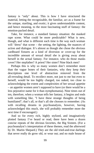fantasy is "only" about. This is how I have structured the material, letting the recognizable, the familiar, act as a frame for the unique, startling, and exotic; it gives understandable content, and hence meaning, to the most fascinating stuff of fantasy: the emotion-packed detail.

Take, for instance, a standard fantasy situation: the masked rape scene. What could be more predictable? What is new, though, and what is different each time is the way each woman will "dress" that scene – the setting, the lighting, the nuances of action and dialogue. It's almost as though she chose the obvious cardboard fixtures as a kind of diversion or cover-up for the incredible amount of sexual detail she is giving away about herself in the actual fantasy. For instance, who do those masks cover? Her stepfather? A priest? Her sister? Nine black men?

Perhaps this is why so many women don't remember more than the vague bones of their fantasies, why they keep their descriptions one level of abstraction removed from the all-revealing detail. To recollect more, not just to me but even to herself, would be too highly charged, too naked, too close to acknowledging the extent and complexities of her sexual appetite – an appetite women aren't supposed to have (or there would be a less pejorative name for it than nymphomania). Nine times out of ten, therefore, when a woman tells her fantasy, it begins and ends with something like, "I have these strange thoughts of being humiliated"; that's all, or that's all she chooses to remember. (As with recalling dreams in psychoanalysis, however, having acknowledged this much, she will probably remember more the next time if encouraged.)

And so for every rich, highly stylized, and imaginatively plotted fantasy I've heard or read, there have been a dozen concise repeats of the obvious favorites, the Big Sixteen. (For a psychoanalyst's interpretation of these themes, read the afterword by Dr. Martin Shepard.) They are the old tried-and-true darlings that never really do grow old, or wear out; and no male house of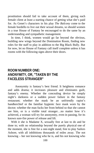prostitution should fail to take account of them, giving each female client at least a starting chance of getting what she's paid for. As Genet's characters in his play *The Balcony* come to the female bordello to live out their sexual dreams, so should women in a true House of Fantasy be encouraged to do the same by an understanding and sympathetic management.

In time, I think, women would go far beyond the obvious, building new wings beyond the Domination Room, finding new roles for the staff to play in addition to the Big Black Bully. But for now, let no House of Fantasy call itself complete unless it has rooms with the following signs above their doors.

# **ROOM NUMBER ONE: ANONYMITY, OR, "TAKEN BY THE FACELESS STRANGER"**

Anonymity is fantasy's best friend. It heightens romance and adds drama; it increases pleasure and eliminates guilt, fantasy's enemy. Whether the concealing device be simply night's darkness or a sudden power failure in the fantasy restaurant; whether the mask be an unfriendly rapist's handkerchief or the familiar hygienic face mask worn by the doctor; whether the man fucks her from behind so that she cannot see him, or is a visible total stranger…no matter how it's achieved, a woman will try for anonymity, even in passing, for its known sure-fire power of release and lift.

With it she is Madame X, sexually free at last to do and be done to; with no relationship beyond the purely physical one of the moment, she is free for a one-night stand, free to play Sailors Ashore, with all inhibitions thousands of miles away. The not knowing – her not knowing who he is, and his not knowing who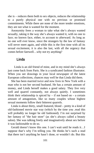she is – reduces them both to sex objects, reduces the relationship to a purely physical one with no previous or promised commitments. While there are none of the more tender emotions, they are not what is wanted for the moment.

Anonymity frees a woman to take what she's always wanted sexually, taking it the way she's always wanted it, with no one to face; no known face, either, to account to afterward. As long as no one will ever know, since the strangers by the law of fantasy will never meet again, and while this is the first time with all its sexual excitement, it is also the last, with all the urgency that comes before farewell…why not try anything?

#### **Linda**

Linda is an old friend of mine, and in my mind she's always just come back from Paris. She is a syndicated fashion illustrator. When you see drawings in your local newspaper of the latest European collections, chances may well be that Linda did them.

She has been married twice and now lives in New York with a man who is not her second husband. He has a certain amount of money, and Linda herself makes a good salary. They live very well and quarrel constantly, not always quietly. I sometimes think their relationship is spiced by  $-$  if not based on  $-$  a certain amount of antagonism, like so many couples whose highest sexual moments follow their bitterest quarrels.

Linda is about thirty, small featured, blond – pretty in a kind of old-fashioned movie star way (which by the time you .read this will probably no longer be old fashioned). I'm not surprised by her fantasy of "the hair store" (as she's always called a beauty salon). She was talking freely and imaginatively about sex before it was fashionable to do so.

Gerald doesn't know this one. I can't wait until he reads it…I suppose that's why I'm telling you. He thinks he's such a stud that there isn't anything he hasn't done, or wouldn't do. But this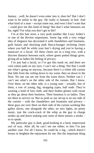fantasy…well, he doesn't even enter into it, does he? But I don't want to be unfair to the guy. He really is fantastic in bed. And what kind of a man – except some nut, and even I don't want that – could give me this kind of thing? But that's what fantasies are for, right? For what you don't get in life?

I'm at this hair store, a very posh number like Lizzy Arden's or one of the Revlon emporiums. Some fag with a very vulgar idea of elegance has decorated it with chandeliers and fountains, gold basins and shocking pink Barca-lounger reclining chairs where you half lie while your hair's drying and you're having a manicure or a facial. All these chairs are in a long row, with a discreet distance between each, where green potted things grow, giving all us ladies the feeling of privacy.

I've just had a facial, so I've got this mask on, and there are cool cotton pads on my eyes. I can't see a thing. Not that I could see what's going on anyway, because there's a white silk curtain that falls from the ceiling down to my waist, then on down to the floor. No one can see me from the waist down. Neither can I. I can't see what's on the other side of the curtain. But I know. Over there, on the other side, is a young man – actually, lots of them, a row of young, big, strapping types, half nude. They're wearing a kind of loin cloth, and their bodies glisten with sweat as they go about their business. Their business is us ladies. They are there to service us. But as posh as our set-up is on our side of the curtain – with the chandeliers and fountains and privacy – these guys are over there on their side of the curtain working like galley slaves, one alongside the other, no nice lights, no pretty music, just the crack-crack of the whip as the guy in charge strides up and down making sure none of them misses a stroke – so to speak.

My particular guy is dark, good-looking in a hard, impersonal sort of way. After all, he can't see me either; to him I'm just another cunt. For all I know, he could be a fag…which doesn't lessen or heighten the enjoyment for me. But the important thing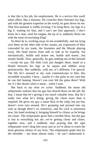is that this is his job, his employment. He is a service this swell salon offers, like a masseur. He crouches there between my legs, and with the greatest expertise in the world, he goes down on me. That first moment is wildly exciting: I'm lying there, my legs in a big V, waiting for him, and I can't see him approach, I don't know he's near, until his tongue, the tip of it, suddenly flicks me with the most excruciating Zing!

So there he is, working away on me wonderfully, and me lying over there on the other side of the curtain, my expression of bliss concealed by my mask, the fountains and the Muzak playing away. His head moves from side to side as he expertly, but mechanically, builds and teases me, builds and teases…but mostly builds. Now, generally, he gets nothing out of this himself – except his pay. His little cock just dangles there, small as a thumb between his legs as he squats and nibbles away perfunctorily. But suddenly, with me, it's different. I'm special. The life he's aroused in my cunt communicates to him, this incredible sexuality I have…maybe it's the pulse in my cunt that he can feel beating. Haven't you ever felt the pulse there? With me it's like drums when it starts…when I start.

But back to my *mise en scène.* Suddenly the mean old whipmaster realizes that my guy has slowed down on the job. By that, I mean that he's giving it too much valuable time, that he's really *into* what he's doing, giving the client more than is required. He gives my guy a smart flick of the whip, but my boy doesn't even turn around. He's groaning and pressed into my cunt as though there's no tomorrow, and his cock is enormous now, his hand stroking it, bringing himself to climax as he brings me closer. The whiprnaster gives him a terrible blow, but the guy is lost to everything but me…we're getting closer and closer, together now, and I suddenly start praying that the ogre whipmaster won't drag him away just as we're about to reach the most glorious climax of our lives. The whipmaster grabs him by the shoulder – my heart almost sinks – he can't understand it.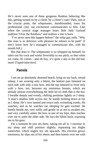He's never seen one of these gorgeous flunkies behaving like this, getting turned on by a client, by a client's cunt! Then, just at the crucial point, the whipmaster, dumbfounded, loses his professional cool, our excitement communicates to him. Like when the cynical stage manager hears little Judy Garland audition "Over the Rainbow" and realizes a star is born.

"I've never seen this happen before!" the whip guy yells. "Why this man is so delirious with pleasure he refuses to be paid!" (I don't know how he's managed to communicate this, with his mouth full.)

But that does it: The whipmaster is so whipped up himself, he takes out *his* cock and works feverishly to our pitch, so that when we come, he comes…and oh boy, it's quite a day in the old hair store! [Taped interview]

## **Pamela**

I am on an absolutely deserted beach, lying on my back, sound asleep. I am wearing only a bikini, the bottom part fastened on each side with only a tiny bow, and the top fastened in front only with a bow, too, between my enormous breasts, which are already almost overwhelming the little bit of cloth that is the bra. I breathe deeply and evenly, shifting positions lightly as I sleep. A man's shadow falls across me; he stands looking down at me as I sleep. He's very tanned and wears only swimming trunks. He watches, and as he watches me sleeping he gets excited. He kneels beside me, very softly and gently so as not to awaken me, and very carefully unties the bow at one of my hips, then reaches over me to untie the other side. He lays the bikini back, exposing me to his gaze.

For a moment he just sits there, taking me all in. I murmur in my sleep and shift position slightly, separating my thighs somewhat, which angles my slit upwards. His erection grows enormous; he slips out of his shorts and then kneels over me with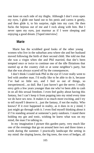one knee on each side of my thighs. Although I don't even open my eyes, I glide one hand out to his penis and caress it gently, and then glide it, to his surprise, right into my cunt. He then fucks the bejesus out of me and I rock along with him. But I never open my eyes, just murmur as if I were sleeping and enioving a good dream. [Taped interview]

#### **Marie**

 Marie has the scrubbed good looks of the other young women who live in the suburban area where she and her husband moved following the birth of their second child. She told me that she was a virgin when she and Phil married, that she's been tempted once or twice to continue one of the idle flirtations that started up at the country club or at some neighbor's party, but that she was always scared off by the consequences.

I don't think I could look Phil in the eye if I ever really went to bed with another man. I'd really like to be able to do it, because I've had so little sex, and I feel so out of things, so inexperienced…so dull. But I just haven't got the nerve. I really envy girls a few years younger than me who've been able to cash in on all this sexual freedom. I even feel guilty about having this fantasy, but I can't keep it from popping into my mind every time we do have sex now. It makes it so much more exciting, and I try to tell myself I deserve it…just the fantasy, if not the reality. Who knows? If it ever happened in reality, as it does in m y mind, I just might go through with it. I even find myself thinking about it if I'm standing around at someone's party outdoors. I stand there holding my gin and tonic, wishing he knew what was on my mind, the man I'm talking to.

In my imagination I picture this garden party, very much like one of the evenings that go on around here two and three times a week during the summer. I practically landscape the setting in my mind: the sloping lawns, the big trees, the rows of hedges, all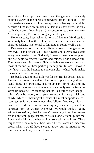very nicely kept up. I can even hear the gardeners delicately snipping away at the shrubs somewhere off in the night… not that gardeners work at night, except in my fantasy. It is night, because all the men are in black tie. I'm in a short dress, the only really short dress I ever bought (my concession to the mini craze). More important, I'm not wearing any stockings.

Not even panty hose, which is not at all like me. My dress is a very pretty blue – like the real one was – and all the waiters are in short red jackets. Is it normal to fantasize in color? Well, I do.

I've wandered off to a rather distant corner of the garden on my own. That's typical, as I love flowers and always investigate every new garden I see. Suddenly I meet a man, another guest, and we begin to discuss flowers and things. I don't know him. I've never seen him before. He's probably someone's husband; most of the men at these parties generally are. In fact, I know in my fantasy that he belongs to someone else…which both makes it easier and more exciting.

He bends down to pick a flower for me. But he doesn't get up; I mean, he doesn't stand up. He comes up under my dress. I stand there, not protesting, just holding my drink and smiling vaguely at the other distant guests, who can only see me from the waist up because I'm standing behind this rather high hedge. I think it's a boxwood, or a yew. Anyway, it's very thick and sturdy, which is meaningful because it almost supports me as I lean against it in the excitement that follows. You see, this man has discovered that I'm not' wearing any underwear, which so surprises him *(no* woman where we live would think of going without *something)* that he doesn't waste any time: He presses his mouth right up against me, sticks his tongue right up into me. I practically fall into the hedge, I get so weak in the knees. There might have been a minute there, when he first came up under my dress, when I would have stepped away, but his mouth is too much and now I pray for him to go on.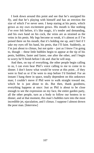I look down around this point and see that he's unzipped his fly, and that he's playing with himself and has an erection the size of which I've never seen. I keep staring at his penis, which grows as my own excitement grows. His mouth is like nothing I've ever felt before, it's like magic, it's tender and demanding, and his own hand on his cock, the veins are as strained as the veins in his penis. My legs become so weak, it's almost as if I'm poised there on his mouth, that it's holding me up, and I feel if I take my eyes off his hand, his penis, that I'll faint. Suddenly, as I'm just about to climax, but not quite – just as I *know* I'm going to, though – these little bubbles begin to appear at the tip of his penis, bubbles, faster and faster, one after the other, and I begin to worry he'll finish before I do and .that he will stop.

And then, on top of everything, the other people begin calling to us, I can even hear Phil's voice calling to me to come in to dinner. I don't know what would be worse at this point…if they were to find us or if he were to stop before I'd finished. For an instant I hang there in space, totally dependent on this unknown man; I couldn't move if Phil were to walk straight toward me, which he is just about to do. But then, thank goodness, everything happens at once: Just as Phil is about to be close enough to see the expression on my face, the entire garden party, all the other people, turn as a body to follow our hostess in to dinner, and at that moment, this man's bubbles turn into the most incredible jet, ejaculation, and I climax. I suppose I almost drown the poor man. [Interview]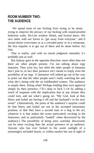# **ROOM NUMBER TWO: THE AUDIENCE**

We spend most of our fucking lives trying to be alone, trying to improve the privacy of our fucking with sound-proofed bedroom walls, No-Lite window blinds, and locked doors. We race miles with our lovers to "get away from everyone," and if sexual desire overcomes us at a crowded party or in a restaurant, the first impulse is to get out of there and be alone before Act One.

That is reality, and with no moral judgment intended, it's probably just as well.

But fantasy goes in the opposite direction: more often than not there are other people present. I'm not talking about orgy fantasies. They exist too, but often the other people in fantasies don't join in, in fact their presence isn't meant to imply even the possibility of an orgy. A fantasizer will indeed go out of her way to point out that the other people aren't really watching her and what she's doing with the six baldheaded waiters. The audience is simply there. Doing what? Perhaps lending their tacit approval simply by their presence. ("It's okay to fuck.") Or by adding a touch of suspense with the implication that at any minute they *could* turn, and see what's going on: "My God, look at that, Harry and Isobel are having it off and her husband's in the next room!" (Alternatively, the point of the audience's surprise could be that Harry and Isobel are not in the accepted missionary position, or that they have a second man or a dog in the act, whatever it is that makes the scene particularly exciting to the fantasizer, and so particularly "loaded" when discovered by the audience.) The *possibility* of being seen, watched, discovered, can be more exciting than the actual presence of an audience. Anyone who has ever fucked in the warm sunlight of a (seemingly) secluded beach, or within earshot but out of sight of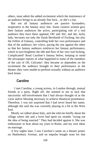others, must admit the added excitement which the imminence of an audience brings to an already fine fuck…or she's a liar.

But not all fantasy audiences are passive bystanders, inoperative in the fantasy story line. Some creative women give their fantasy audiences the active, participating role of a real audience they have them applaud, Oh! and Ah!, and she, lucky lady, becomes not only the Sarah Bernhardt of Fucking, but also the Fellini of Fantasy, controlling both her own performance and that of the audience, her critics, pacing the one against the other so that her fantasy audience reinforces her fantasy performance, which in turn heightens the ebb and flow of her very real fucking. Complicated? Read Caroline's fantasy below, keeping in mind the newspaper reports of what happened to some of the members of the cast of *Oh, Calcutta!:* they became so dependent on the excitement the audience brought to their performance in the theater, they were unable to perform sexually without an audience back home.

### **Caroline**

 I met Caroline, a young actress, in London through, mutual friends at a party. Right off, she seemed to me to lack that narcissistic self-involvement that I had always thought of as the curse and/or blessing necessary to achieve theatrical prominence. Therefore, I was not surprised that I had never heard her name, although she said she was currently playing in a hit in the West End.

Mostly we talked about Italy, and she told me briefly about the village where she and a lover had spent six months "trying out the idea of being married." They had decided against it. She was enthusiastic to hear about my years in Rome, and my own ideas on marriage.

A few nights later, I saw Caroline's name on a theater poster on Shaftesbury Avenue, and on impulse bought seats for that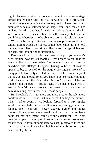night. Her role required her to spend the entire evening onstage almost totally nude, and the first curtain fell on a protracted, tumultuous scene in which she was required to have (just barely simulated?) sexual intercourse on stage, front and center. The audience loved it, and her. It made me curious about a girl who was so reticent to speak about herself privately, but was so uninhibited otherwise as to be able to perform this role on stage.

We went backstage afterward, and a group of us went on to dinner, during which the subject of this book came up. She told me she would like to contribute. Hers wasn't a typical fantasy, she said, but I might find it interesting.

Ever since I had to do this love scene in the play you saw  $-$  it's been running now for six months – I've needed to feel that the same audience is there when I'm making love at home or anywhere else offstage. I suppose having to be, or at least to appear to be, so excited on the stage every night in front of so many people has really affected me. At first I tried to tell myself that it was just another role…you have to act so many emotions in the theater, and there's all that "Method" business of feeling yourself into the part …. But as I said, in the beginning I tried to keep a little "distance" between the personal *me*, and me, the actress, making love in front of all those people.

But I couldn't. As I got more and more used to the role, more comfortable in it, I found that instead of dreading the moment when I had to begin, I was looking forward to it. My nipples would become tight and erect. It was a surprisingly seductive feeling, one I enjoyed. I began wearing tighter and tighter blouses, filmier ones, more see-through, so that the audience could see my excitement, could see the excitement I felt right down – or up – to my nipples. I needed the audience's excitement for my own...a form of complicity was set up between them and me, a sexual conspiracy which heightened my ability, or rather, desire to play the part.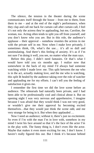The silence, the tension in the theater during the scene communicates itself through the house – from me to them, from them to me – and at the end of the night's performance, when they clap and call me back for curtain call after curtain call, I feel it's not only the actress they're applauding, but me, Caroline, the woman, too. Acting often tends to split you off from yourself, and you don't know who you are. But in this role, the audience's applause – their approval – somehow reunites the actress in me with the private self in me. Now when I make love privately, I sometimes think, Oh, what's the use... it's all so dull and unstimulating. And there's this feeling of anxiety. It's as if I'm not sure I'm doing it well, you see, no matter what the man says.

Before this play, I didn't need fantasies. Or that's what I would have told you six months ago. I realize now that somewhere in the back of my mind I'd always had someone watching while I made love: me. This split between the me who is in the act, actually making love, and the me who is watching, this split is healed by the audience taking over the role of watcher and applauding me for my efforts. I can't tell you the feeling of satisfaction it gives me.

I remember the first time we did the love scene before an audience. The rehearsals had naturally been private, and I had been able to be professionally cool and clinical about it. But on opening night I was very nervous and apprehensive, I imagine because I was afraid that they would think I was not very good, or wouldn't give me their approval by becoming excited themselves…that they would just think the scene odd, and me very strange for being in it. But when they applauded …

Now I need an audience; without it, there's just no excitement. So even if I'm with the man I'm in love with, somehow in my mind I twist his face around so that it's the face of the actor I'm in the play with. The funny thing is, I don't even *like* the actor. Maybe that makes it even more exciting for me, I don't know. I haven't really figured this out. But I think it's because behind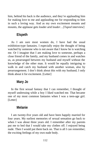him, behind his back is the audience, and they're applauding him for making love to me and applauding me for responding to him in such a loving way. And as my own excitement mounts and mounts, the applause gets louder arid loud*er…[Taped* interview]

## **Elspeth**

As I am sure most women do, I have had the usual exhibition-type fantasies. I especially enjoy the thought of being watched by someone who is not aware that I know he is watching me. Or I imagine that I am making love to someone, perhaps a close friend of the family, and my husband comes in and watches us, as prearranged between my husband and myself without the knowledge of the other man. It would be equally intriguing to walk in and catch my husband with another woman, also by prearrangement. I don't think about this with my husband; I only think about it for excitement. [Letter]

### **Mary Jo**

In the first sexual fantasy that I can remember, I thought of myself undressing while a boy I liked watched me. That became one of my most common fantasies when I was a teen-age girl. [Letter]

# **Melanie**

I am twenty-five years old and have been happily married for four years. My earliest memories of sexual sensation go back to when I was about three years old. I remember after my parents put me to bed that I would take my clothes off. I enjoyed being nude. Then I would put them back on. That is all I can remember; the exciting feelings of my own nude body.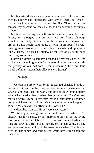My fantasies during masturbation are generally of my old boy friends. I never had intercourse with any of them, but when I masturbate I wonder what it would be like. Often, during the fantasy, my husband watches. He doesn't do anything, he simply is there.

My fantasies during sex with my husband are quite different. Mostly my thoughts are on what we are doing, although sometimes mentally I take it out of the bedroom and imagine we are on a quiet beach, quite nude, or lying in an open field with green grass all around us. I often think of us skinny dipping on a lonely beach. The idea of nudity, of the two of us being nude outdoors, excites me.

I have no desire to tell my husband of my fantasies, of the excitement it would give me for the two of us to be nude outside the privacy of our bedroom. I think speaking them out loud would definitely lessen their effectiveness. [Letter]

### **Celeste**

 Celeste is a pretty, very bright-faced, red-cheeked blonde in her early thirties. She had been a legal secretary when she met Charlie, and had liked the work, but gave it up without a qualm when Charlie asked her to when they got married. They've been married twelve years. Today they live in a comfortable suburban home and have two children. Celeste works for the League of Women Voters and is an officer in the local PTA.

She describes their sex life as "very satisfactory."

We still enjoy making love at unusual times, like when we're already late for a party, or an impromptu session on the living room rug, the kitchen table, etc …. time we can steal while the kids are away at a Boy Scout meeting or football game. I'd say we have sex most nights of the week, even when Charlie's so tired he just comes and falls asleep while he's still on top and inside me.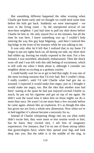But something different happened the other evening when Charlie got home early and we thought we could steal some time before the kids got back. Suddenly we were interrupted – we were in the living room – by the unexpected arrival of our next-door neighbor. I just had time to pull my skirt down before Charlie let him in. He only stayed five or ten minutes, but all the time he was here, I knew something was up. I couldn't help noticing the way this guy kept fidgeting…and then I noticed this big bulge in the front of his trousers while he was talking to me.

It was only after he'd left that I realized that in my haste I'd forgot to put my tights back on; all during our talk, my short skirt had ridden up, leaving me totally exposed to the man. For a few minutes I was mortified, absolutely embarrassed. Then the shock wore off and I was left with this odd feeling of excitement, which is still with me when I think about it, although I consider our neighbor about as exciting as a graham cracker.

I could hardly wait for us to get to bed that night. It was one of the most exciting sessions that I'd ever had. But I couldn't sleep, I really couldn't, until I'd told Charlie what had got me so aroused. I expected it would make him angry, just as I thought it would make me angry, too. But the idea that another man had been' staring at the quim he had just enjoyed excited Charlie so much, he put out his cigarette and got on top of me again. He didn't wait the usual time it takes him on those nights we do it more than once. He wasn't in me more than a few seconds before he came again, almost like an explosion. It's as though this idea has given our sex lives a whole new dimension. Now when we're in bed together it's almost become a necessity for us.

Instead of Charlie whispering things into my ear (that really didn't excite him, they were more or less routine words to him, but he knew they excited me), I tell him of imaginary experiences. For instance, that I'm on one of those stirrup tables that gynecologists have, where they spread your legs and look deep into you. But the table is in the middle of the ring, in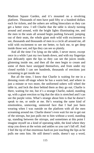Madison Square Garden, and it's mounted on a revolving platform. Thousands of men have paid fifty or a hundred dollars each for tickets, and the ushers are selling binoculars so they can get a better view. I tell Charlie that the table is slowly turning around and around, with the bright lights illuminating me, and the men in the seats all around begin pushing forward, jumping out of their seats, the whole giant mob wild with excitement to see, thousands and thousands of men in a circle all around me, all wild with excitement to see me better, to fuck me, to get deep inside those wet, red lips they can see so plainly.

And all the time I'm lying on the table, I never move, except once in a while I put my two hands down, and with my fingertips just delicately open the lips so they can see the juices inside, glistening inside me, and then all the men begin to cream and some of them have unzipped themselves, and from under my closed eyelids I can see hundreds, thousands of erections just screaming to get inside me.

But all the time, I know that Charlie is waiting for me in a dressing room off-stage where he has a warm bed, and where in just a minute or two more, the uniformed ushers will wheel the table in, and lock the door behind them as they go out. Charlie is there, waiting for me, but it's a strange Charlie, naked, standing up, with a giant erection so big that the skin is stretched and I can see the purple veins. What's strange about him is that he doesn't speak to me, or smile at me. He's wearing the same kind of emotionless, unmoving, unmoved face that I had just been wearing when I was outside on the platform with all the men screaming around me. Charlie doesn't even wait for me to get out of the stirrups, but just pulls me to him without a word, standing up, standing between the stirrups, and sometimes at this point I imagine myself on a kind of operating table, the kind where they strap you down at the wrists and ankles so you can't fall off. And I feel the tip of that enormous hard-on just touching the lips as he pulls me onto him. He still doesn't smile, doesn't say a word,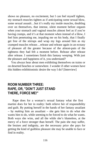shows no pleasure, no excitement, but I can feel myself tighten, my stomach muscles tighten as if anticipating some sexual blow, some sexual assault…but it's really my inside muscles, doubling over on themselves, that intense, silent moment before orgasm when your stomach and vaginal muscles almost feel as if you're having cramps, and it's at that moment when instead of a blow, I feel him penetrating me, impaling me on his body, that I finally get free of the stirrups and wrap my legs around him as my cramped muscles release…release and release again in an ecstasy of pleasure all the greater because of the almost-pain of the tightness they had felt a moment before. Release after release after release. I sometimes finish this fantasy weeping. With just the pleasure and happiness of it, you understand?

You always hear about men exhibiting themselves on trains or on deserted beaches or somewhere. I wonder if other women have this hidden exhibitionistic desire the way I do? [Interview]

# **ROOM NUMBER THREE: RAPE, OR, "DON'T JUST STAND THERE, FORCE ME!"**

 Rape does for a woman's sexual fantasy what the first martini does for her in reality: both relieve her of responsibility and guilt. By putting herself in the hands of her fantasy assailant – by *making* him an assailant – she gets him to do what she wants him to do, while seeming to be forced to do what he wants. Both ways she wins, and all the while she's blameless, at the mercy of a force stronger than herself. The pain she may suffer, the bruises and indignity, are the necessary price she pays for getting the kind of guiltless pleasure she may be unable to face or find in reality.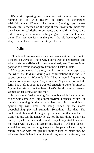It's worth repeating my conviction that fantasy need have nothing to do with reality, in terms of suppressed wish-fulfillment. Women like Julietta (coming up), whose fantasy life is focused on the rape theme, invariably insist that they have no real desire to be raped, and would, in, fact, run a mile from anyone who raised a finger against, them, and I believe them. The message isn't in the plot – the old hackneyed rape story – but in the emotions that story releases.

### **Julietta**

 "I believe I can love more than one man at a time. That's not a theory. I always do. That's why I don't want to get married, and why I prefer my affairs with men who already are. They are in no position to demand monogamy from me." That's Julietta.

With strong views like these, it didn't come as any surprise to me when she told me during our conversations that she is a strong believer in Women's Lib. "But it would frighten my mother to hear me say it," says Julietta. "I grew up on a little farm, but I left as soon as I was old enough to travel by myself. My mother stayed on the farm. That's the difference between women of her generation and me."

It may sound freaky coming from me, but while I enjoy going to bed with some guy I dig almost anytime, I especially like it if there's something in the air that lets me think I'm doing it against my will. That I'm being forced by the man's overwhelming physical strength. Something like that. The doctors call this kind of thing a rape fantasy, but that's as far as I want it to go. On the fantasy level, not the real thing. I don't go out by myself on dark nights, and if any horny stud threatened me, even with a gun, I'd scream my head off. All this doesn't sound like me, but you might say that the person I am today is totally at war with the girl my mother tried to make me. So whatever there is left in me of the girl my mother preferred, that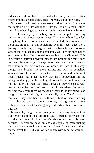girl wants to think that it's not really her fault, that she's being forced into this sexual scene. That I'm really good little Julie.

So when I'm in bed with someone, I don't mind if he wants the lights on or if it's daylight. I like the look of a man…all of him. But when I get to a certain point, when I really become excited, I close my eyes, or bury my face in the pillow, or fling my arm or the pillow over my eyes. That way, while I can feel everything, I can also be back there in the dark, having my own thoughts. In fact, having something over my eyes gave me a fantasy I really dig. I imagine that I've been brought to some warehouse, or place like that, against my will. I'm stripped naked and the only thing I'm allowed to wear is a black silk mask. This is because whatever powerful person has brought me there does not want the men – yes, always more than one in this fantasy – for whom he has procured me, to know who I am. In this way, though he's brought me there against my will, he somehow wants to protect me too. I never know who he is, and he himself never fucks me. I just know that he's somewhere in the background, enjoying this feeling of power he has, not only over me, but over the men, too. That's because they're so hot with desire for me that they can barely control themselves. But he can take me away from them whenever he wants to. In my mind I can imagine the men, all big and powerfully built. They're naked, too, while they wait their turn with me. I think of them watching each other as each of them performs, talking about various techniques, and what they're going to do when their turn comes with me.

Meanwhile, the guy who is really with me, every time he tries a different position, or a different idea, I pretend to myself that it's the next man in line. So it's always exciting this way, because I seemingly have an endless supply of men fucking me…but .they never know who I am. Even if I met one of them on the street the next day, or had lunch with him, he wouldn't know.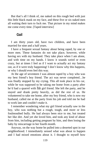But that's all I think of, me naked on this rough bed with just this little black mask on my face, and these five or six naked men all waiting their turn to fuck me. That picture in my mind makes me come every time. [Taped interview]

## **Gail**

I am thirty years old, have two children, and have been married for nine and a half years.

I have a frequent sexual fantasy about being raped, by one or more men. These fantasies do not take place, however, while having sex with my husband. They take place when I am alone, and with time on my hands. I know it sounds weird or even crazy, but at times I feel as if I want to actually act my fantasy out, as if it were truly happening! I don't know why this happens, or why I should even feel this way.

At the age of seventeen I was almost raped by a boy who was my best friend's boy friend. The act was never completed…he was finally stopped by my crying. This all took place in his car, while he was supposed to be taking me home from a party after he'd had a quarrel with his girl friend. She left the party, and he stayed and drank pretty heavily, as did the rest of us. He volunteered to take me home, after my boy friend, who is now my husband, called me at the party from his job and told me he had to work late and couldn't make it.

I remember wondering what my girl friend actually saw in the boy, who was nothing but a rough, tough, and more or less foulmouthed bully. He had always been nice to me, but treated her like dirt. And yet she loved him, and took any kind of abuse from him, including getting pregnant by him, and then losing the baby by miscarriage in her fourth month.

Anyway, on the way home he pulled into a deserted spot in our neighborbood. l immediately sensed what was about to happen and I had mixed emotions about it. I thought to myself how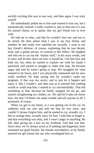awfully exciting this was in one way, and then again I was truly scared!

He immediately pulled me to him and wanted to kiss me, but I automatically refused. I really wanted to, just to find out if it was his animal charm, so to speak, that my girl friend was in love with.

He told me to relax, and that he wouldn't hurt me, and not to be afraid. He then asked what I saw in my boy friend, and whether he had really ever satisfied me sexually. I went to my boy friend's defense, of course, explaining that he was decent, kind, and a gentle person, in contrast to this fellow. He laughed and told me to cut out the "mushy stuff," in his exact words, and to relax and let him show me how it should be. I let him kiss and hold me, but when he started to explore me with his hands I panicked, and started to struggle to make him stop. He became angry and said he wasn't going to stop. We struggled for what seemed to be hours, and I was physically exhausted and by now really terrified. He kept saying that he wouldn't make me pregnant, if that was my worry, and to just let it happen and enjoy it. But I couldn't, and then just as it seemed that nothing would or could stop him, I started to cry uncontrollably. That did something to him, because he finally stopped, let me go, and started straightening my clothes, etc. He said he'd take me home now, but that I'd better not make trouble and tell anyone at all. I promised, of course.

When we got to my home, as I was getting out of the car, he suddenly took my arm and told me that he was sorry, and couldn't I please forgive him, and he started to cry, actually cry. I felt so strange then, actually sorry for him. I told him to forget it, and that everything was okay, that I wasn't angry or anything. He left, after giving me a kiss on my forehead. And that was that. Since then, we've always acted as if nothing had happened, have remained not good friends, but friends nevertheless, as he finally married my girl friend, the one who worshipped him so.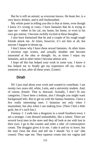But he is still an animal, as everyone knows. He beats her, is a very heavy drinker, and is still foulmouthed.

My whole point in telling you this is that at times, even though I know it's wrong or crazy, I have fantasies that he is trying to rape me – either in his car, my home, his home, or even in his own gas station. I become awfully excited at these thoughts.

I also have fantasized that he and a couple of his rough tough friends attack me. At times, however, it's not him at all, but anyone I happen to dream up.

I don't know why I have these sexual fantasies. At other times I envision rape scenes, and actually shudder and become nauseated at the idea or thought. So, at times I enjoy my fantasies, and at other times I become almost sick.

I hope all this has helped your work in some way. I know it has helped me to finally get my experience off my chest to someone at last, after all these years. [Letter]

### **Dinah**

Hi! I just read about your work and wanted to contribute. I am twenty two years old, white, Latin, and a university student. And, of course, *female.* That is, bisexual. Actually, I don't fit *any*  categories. I have been a lesbian, also I thought you might want background info. But to get on with the fantasy business. I have a few really interesting ones. I fantasize not only when I masturbate, but also when I am making love. (Then I feel a little guilt, but it's such fun.)

*Fantasy 1: I walk into a drugstore in a small Southern town. I* am a stranger. I am dressed outlandishly, like a whore. There are several local men in the store and they all look at me with lust in their eyes. I go to the counter and order a tube .of contraceptive cream. The druggist gives it to me. I take it and try to leave, but the men close the door and tell me I should "try it out" (the cream). They rape me. They squeeze cream into my vagina and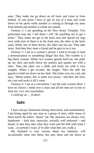anus. They make me go down on all fours and come in from behind. At one point I have to get on top of a man and come down on his penis while another is coming in through my anus from behind and another is inside my mouth.

*Fantasy 2: I* am speeding on the New Jersey Turnpike. Two policemen stop me. I tell them I will "do *anything* not to get a ticket." They make me get in the back seat and spread my legs very wide (one of them is in the front seat, the other in the back seat). While one of them drives, the other one has me. They take turns. And then they meet a friend and he gets in on it too.

*Fantasy 3:* I am in a woman's prison. I tried to escape or lead a demonstration or something illegal like that. The warden is a big black woman. While two women guards hold me, she pulls up my skirt and pulls down my panties and spanks me with a ruler. Then she takes out a dildo and fucks me with it very roughly. When I get excited, she laughs. Then she tells the guards to hold me down on her desk. She looks over my cunt and says, "Mmm mmm, this is some nice pussy," and then she licks my cunt and sucks it till I come.

*Fantasy 4:* I am at a convention. I am the only woman there. I have no choice: I bend over a chair and all the men are in line to fuck me. I act very nonchalant.

I *could* go on…. [Letter]

## **Sadie**

I have always fantasized during intercourse and masturbation. I am being raped by one man or a group of men, while many of them watch the others "abuse" me. My attackers are always very handsome – dark hair, muscular, sexually well endowed – and brutal, in that they take what they want and the hell with what I want…or pretend I want. (I'm after what they are, really.)

My husband is very curious about my fantasies, will occasionally enter into them, but puts them and me down as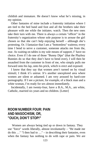childish and immature. He doesn't know what he's missing, in my opinion.

Other fantasies of mine include a fraternity initiation where I am tied to the bed hand and foot and all the brothers take their pleasure with me while the initiates. watch. Then the new ones take their turn with me. There is always a certain "officer" in the fraternity's organization whose sole purpose is to arouse the girl chosen so that she can't help enjoying herself – although she's protesting. Or. I fantasize that I am a "bottomless" waitress; every time I bend to serve a customer, someone attacks me from the, rear. As waiting on tables is my sole means of support, I' have no choice. Even if I do one of those "Bunny Dips" (that the Playboy Bunnies do so that they don't have to bend over), I will then be assaulted from the customer in front of me, who simply pulls me forward onto his lap, onto his prick, which is erect and exposed.

I know that they say that women aren't turned on by visual stimuli; I think it's untrue. It's another unexplored area where women are silent or ashamed. I am very aroused by hard-core pornography. If I see a picture, for example, of a black man and a white woman, I'm ready for sex almost immediately.

Incidentally, I am twenty-four, have a B.A., M.A., am white, Catholic, married six years and no children. [Letter]

# **ROOM NUMBER FOUR: PAIN AND MASOCHISM, OR, "OUCH, DON'T STOP!"**

 Women are always being tied up or down in fantasy. They use "force" words liberally, almost involuntarily – "He made me do this  $\ldots$ " I then had to  $\ldots$ " – in describing their fantasies, even when the fantasy has nothing to do with rape or pain. We are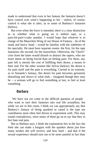made to understand that even in her fantasy the fantasist doesn't have control over what's happening to her – unless, of course, control is what she is after, as in some of Barbara's fantasies (below).

But even when the force is intended, there is a clear distinction as to whether what is going on is indeed rape, or a pain-for-pain's-sake number. I would hope that whoever is in charge of the Masochist Wing of our House of Fantasy – he of the mask and heavy hand – would be familiar with the subtleties of his specialty. He must have separate rooms: the first, for the rape fantasists; the second, for the masochists. Otherwise, the "Ouch!" cries from the latter would disturb or distract the rapees, who are more intent on being forced than on feeling pain. For them, any pain felt is merely the cost of fulfilling their desire, a means to their end. For the other women like Sylvia (below), the desire is for pain itself and the pain is everything. Carried to its extreme, as in Amanda's fantasy, this desire for pain becomes genuinely disturbing and shows to what ends – imagined though they may be – a woman will go to feel something at last, to feel at least something.

## **Barbara**

 We have not yet come to the difficult question of people who want to turn their fantasies into real life actualities, but while we are in this room, I think we can appropriately say that Barbara's fantasy of being spanked or caned is the type my contributors most often feel driven to experiment with. This may sound contradictory, since many of them go on to say that they in fact hate real pain.

But as Barbara says, I think the explanation lies in the fact she feels she can make a bargain with the spanker about just how many strokes she will receive, and how hard – and that if the sexual experience should turn out to be more painful in fact than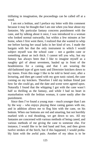titillating in imagination, the proceedings can be called off at a word.

I am not a lesbian, and I preface my letter with this comment because it may be thought that I am one when you hear about my fantasies. My particular fantasy concerns punishment with the cane, and by talking about it once, I was introduced to a woman who looked normal outwardly, but within a few minutes at her home, when I first went there, I realized that she wanted to whip me before having her usual larks in her kind of sex. I made the bargain with her that the only instrument to which I would subject myself was the school cane – not a garden cane or something about an inch thick. I cannot tell you why, but my fantasy has always been that I like to imagine myself as a naughty girl of about seventeen, hauled up in front of the headmistress for a caning, and that I am wearing the old-fashioned type of gym tunic and Directoire knickers down to my knees. From this stage I like to be told to bend over, after a lecturing, and then get caned with my gym tunic raised, the cane corning on my knickers. Therefore I told my lesbian friend just how far she could go, and the date and scene were agreed upon. Naturally I found that the whipping I got with the cane wasn't half so thrilling as the fantasy, and while I had no heart in masturbation with the lesbian woman, it came easily after the punishment.

Since then I've found a young man – much younger than I am by the way – who enjoys playing these caning games with me, and in addition allows me to flog him with the cane, on his bottom. When our bottoms are red and smarting, but not horribly marked with a real thrashing, we get down to sex. All my fantasies are concerned with various methods of being caned, and various methods of me giving the cane to someone else. For instance, I would like to be tied hand and foot, and then given twelve strokes of the birch, but if this happened, I would probably faint with the awful pain. Another of my ideas is to be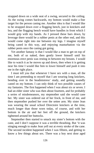strapped down on a wide seat of a swing, secured to the ceiling. As the swing comes backwards, my bottom would make a fine target for the person caning me. Another idea is that I would like to be strapped down over a flogging bench, just in knickers and bra, and the flogging bench would have handles in front which I would grip with my hands. As I pressed these bars down, by leverage there would be a rubber penis at the other end, and this would come right into me between my legs. I imagine myself being caned in this way, and enjoying masturbation via the rubber penis once the caning got going.

Yet another fantasy is that I would like a man to get on top of me, both of us naked, then gently lower himself until his enormous erect penis was resting in between my breasts. I would like to watch it as he moves up and down, then when it is getting near his time I would like him to lower himself and push it into me in the right place.

I must tell you that whenever I have sex with a man, all the time I am pretending to myself that I am wearing long knickers, bending over in the headmistress' study, and getting soundly caned on my bottom. I can only think of two possible causes of my fantasies. The first happened when I was about six or seven. I had an elder sister who was then about fourteen, and for probably a series of misdemeanors, my stepmother said she would cane her. My sister was ordered out of her frock, in front of me, and then stepmother pushed her over the settee arm. My sister Jean was wearing the usual school Directoire knickers at the time, much longer than those worn today, of course, and with her bottom in the air and her feet off the ground, the knickers tightened around her buttocks.

Stepmother then started to smack my sister's bottom with the cane, and I don't suppose it was a terrible thrashing. But 'it was stinging enough to make Jean yell out at every stroke of the cane. The second incident happened when I was fifteen, and getting to know a few things about sex. There was a boy next door aged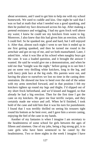about seventeen, and I used to get him to help me with my school homework. We used to cuddle and kiss. One night he said that I was so bad at math that what I needed was a good spanking, and then he pushed my face downward across his lap. After making a pretend resistance and wriggling, I had my gym frock well above my waist; I knew he could see my knickers from waist to leg. Moreover, I also knew that this had given him an erection, which I could feel. So he spanked me, good and hard, but I still enjoyed it. After that, almost each night I went to see him it ended up in me first getting spanked, and then he turned me round in the armchair and got on top of me, and we both masturbated. Later, I asked him . what it was like at his school when naughty boys got the cane. It was a loaded question, and it brought the answer I wanted. He said he would give me a demonstration, and when he told me that "tonight was the night," before going in to see him I put on some very thrilling white knickers, long in the leg, and with fancy pink lace at the leg ends. His parents were out, and having the place to ourselves we lost no time in the caning demonstration. He showed me how to bend over the end of the settee with my arms stretched forward, and in that position I felt my knickers tighten up round my legs and thighs. I'd slipped out of my short frock beforehand, and we'd kissed and hugged, so that already he had a big erection. Then for the first time I got the cane on my knickers. He gave me four terrific swipes, and they certainly made me wince and yell. When he'd finished, I took hold of the cane and told him that it was his turn for punishment. I found that I was terribly thrilled on seeing his trousers tight round his bottom as he bent over, and I gave him a severe caning, enjoying the feel of the cane in my hands.

Another of my fantasies is when I imagine I am secretary to the headmistress of some school for girls between the ages of fifteen and nineteen. One of my jobs, being a big strong girl, is to cane girls who have been sentenced to be caned by the headmistress. Two or three nights in the week I imagine I have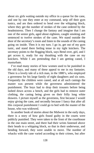about six girls waiting outside my office in a queue for the cane, and one by one they enter at my command, strip off their gym tunics, and are then ordered to bend over the whipping block, where they get the number of strokes of the cane ordered by the headmistress. Then I change the fantasy and imagine that I am one of the senior girls, aged about eighteen, caught smoking and sentenced to twelve strokes of the cane. We stand outside the door of the secretary's room and listen to the sounds of the caning going on inside. Then it is my turn. I go in, get out of my gym tunic, and stand there feeling tense in my tight knickers. The secretary points to the flogging block, says Bend over, girl, and I get across it, ready for my thrashing with the cane on my knickers. While I am pretending that I am getting caned, I masturbate.

I've read many stories of how women used to be punished in the old days, and many of these appeal to me in my fantasies. There is a lovely tale of a rich man, in the 1880's, who employed a governess for his large family of eight daughters and six sons. Frequently the children were caned, and at all such canings the master was present while the governess administered the punishment. The boys had to drop their trousers before being lashed down across a bench, and the girls had to remove outer clothing, the caning being given on their frilly long white drawers. I picture myself as the governess, first because I would enjoy giving the cane, and secondly because I fancy that after all this corporal punishment I could go to bed with the master of the house, who was widowed.

In another book of stories about the Midwest in the early days, there is a story of how girls found guilty in the courts were publicly punished. They were taken to the front of the courthouse in the one main street, and there had their wrists fastened above their heads to a whipping block, so that in their underwear, and bending forward, they were unable to move. The number of whacks with the cane varied according to their crimes, but after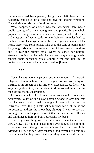the sentence had been passed, the girl was left there so that passersby could pick up a cane and give her another whipping. The culprit was released after three hours.

What happened, of course, was that whenever there was a public caning of a nice young woman, practically the whole population was present, and when it was over, most of the men had erections and were ready to take their own females back to the bedrooms. Then again, in the Middle Ages, and even in later years, there were some priests who used the cane as punishment for young girls after confessions. The girl was made to undress and lie over the priest's table, where he caned her bottom, afterward getting into bed with her, so that many young girls who fancied their particular priest simply went and lied in the confession, knowing what it would lead to. [Letter]

## **Edith**

Several years ago my parents became members of a certain religious denomination, and I began to receive religious instruction in preparation for my own acceptance. At first I was very happy about this, until a friend told me something about the man giving me this instruction.

I know you will think I must have been stupid, because at twentythree years of age I saw nothing wrong in anything that had happened and I really thought it was all part of the instruction, even though I felt that he touched me a lot. In the end he began to undress me altogether, although I want to say that nothing else then happened except that he handled me all over and did things to hurt my body, especially my busts.

The disgusting thing was that although I then knew it was very wrong, I did nothing to stop him. I even longed for him to do it to me, even though he sometimes hurt me dreadfully. Afterward I used to feel very ashamed, and eventually I told my parents what had happened. Although they, too, were disgusted,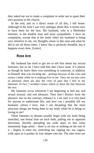they asked me not to make a complaint in order not to upset their own position in the church.

In the end, and as a direct result of all this. I left home. Although at the time I was very unhappy about this, it seems now to have been for the best. My husband, who is a Methodist minister, is the kindest man and most sympathetic. I have no complaints, except that at the times when my husband is being very attentive to me, my thoughts return to this man and what he did to me all those times. I know this is perfectly dreadful, but it happens every time. [Letter]

### **Rose Ann**

My husband has tried to get me to tell him about my sexual fantasies, but so far I have told him that I have none. It's almost as though he knew there was something or someone, in addition to himself, that was exciting me…perhaps because of the cries and noises I make while he is making love to me. They are not just cries of pleasure, there are also the cries of pain that I feel in my fantasies. In fact, I wouldn't know where to draw the line between the two.

My fantasies occur whenever I am beginning to feel any real sexual arousal, and real pleasure. They don't distract from the pleasure, but on the contrary, enhance it. I am sure it is very hard for anyone to understand this, and how can I possibly tell my husband, whom I love, that I am dreaming that the most atrocious things are being done to my body while he is being so loving to me?

These fantasies or dreams usually begin with my body being stretched, one brutal man on each limb, pulling me in opposite directions, literally spreading me wide open so that some immensely huge penis – there is no one or nothing on the end of it – begins to enter me, stretching me, ripping me, my vagina, wide open as it pushes its way deeper into me. The men twist my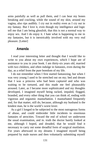arms painfully as well as pull them, and I can hear my bones breaking and cracking, while the sound of my skin, around my vagina, also rips audibly. I cry out in reality even as I cry out in my fantasy. But I love it, even though my intelligence and logic tell me that I am being ghoulish, that this is not a normal way to enjoy sex. And I do enjoy it. I hate what is happening to me in my fantasies, but it is inextricably involved with my very real pleasure. [Letter]

### **Amanda**

I read your interesting letter and thought that I would like to write to you about my own experiences, which I hope are of assistance to you in your book. I am thirty-six years old, married with two children, and often indulge in fantasies, even during the day, as a relief from the pure boredom of my life.

I do not remember when I first started fantasizing, but when I was very young I used to lie stretched out on my; bed and dream that I was a princess who had been captured and who was waiting to be tortured, and this made me feel pleasurably aroused. Later, as I became more sophisticated and my thoughts developed, I imagined myself being racked, impaled, flogged, branded, and every other thing that you can think of, ending with vigorous and orgasmic masturbation. I masturbated frequently and, for that matter, still do, because, although my husband is the kindest man, he is the world's worst lover.

As a girl I longed to be subjected to the most outrageous forms of abuse, and could embroider little incidents to enormous fantasies of atrocities. Toward the end of school we underwent the usual examination, and in. truth the doctor barely looked at me, although I hoped, and dreaded, that he would find it necessary to carry out some dreadful form of surgical mutilation. For years afterward in my dreams I imagined myself being prepared by male nurses and then voluntarily submitting myself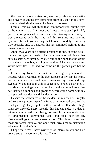to the most atrocious vivisection, scornfully refusing anesthetics and bravely absolving my tormentors from any guilt in my slow, lingering death (in the name of science, of course).

From all this you will think that I am masochistic, but the truth of the matter is that I am not and I just cannot stand pain. My parents never punished me and once, after stealing some money, I was threatened with the strap and this sent me into howling hysterics. In fact, you can say that I was overindulged in every way possible, and, to a degree, this has continued right up to my present circumstances.

About two years ago a friend described to me, in some detail, the lewd suggestions made to her by a man who had pierced her ears. Despite her warning, I visited him in the hope that he would make them to me, but, arriving at the door, I lost confidence and would have fled if he had not come up the garden path behind me.

I think my friend's account had been grossly elaborated, because when I warmed to the true purpose of my trip, he nearly had a fit when I insisted upon removing my dress and slip. Eventually, and not at all at his suggestion, I ended up stripped to my shoes, stockings, and garter belt, and submitted to a few half-hearted fumblings and gropings before going home with my ears pierced lopsidedly and decidedly sore.

Despite the shabbiness of the incident, in my dreams I regally and serenely present myself in front of a huge audience for the ritual piercing of my nipples with hot needles, after which huge rings are inserted. More recently this has expanded, so that in taking a simple bath I am being prepared for an elaborate ritual of circumcision, ceremonial rape, and final sacrifice (by disemboweling) to some awesome god. This is my latest and most protracted fantasy, and one which drives me to distraction whenever I indulge in it.

I hope that what I have written is of interest to you and I do assure you that every word is true. [Letter]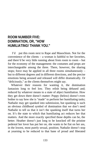# **ROOM NUMBER FIVE: DOMINATION, OR, "HOW HUMILIATING! THANK YOU."**

 I'd put this room next to Rape and Masochism. Not for the convenience of the clients – a woman is faithful to her favorites. and there'd be very little running about from room to room – but for the economy of the management: the costumes and props are interchangeable among the three. There, however, the sharing stops; force may be applied in all three rooms simultaneously – but to different degrees and in different directions, and the precise emotions being aroused and released will differ dramatically. Or "deliciously," as the clients themselves might say.

Whatever their reasons for wanting it, the domination fantasists long to feel low. They relish being debased and; reduced by whatever means to a state of abject humiliation. How they get down there doesn't matter: Poppy (below) doesn't even bother to say how she is "made" to perform her humiliating tasks; Nathalie may get spanked into submission, but spanking is such an obvious childhood symbol of domination that we don't need Nathalie to tell us that it isn't the spanking itself that turns her on. It's the state to which that humiliating act reduces her that matters. And the more exactly specified those depths can be, the better. Heather doesn't just long to be knocked off the pristine pedestal her lover has put her on, she wants to be fiat on her ass, in the lowest, most purely sexual, position; Nathalie doesn't stop at yearning to be reduced to that bane of proud and liberated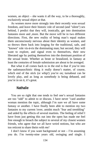women, an object – she wants it all the way, to be a thoroughly, exclusively sexual object at that.

As women move more strongly into their recently won sexual freedom, and leave their historic role of second (and "silent") sex behind, I predict that they will, ironically, get into domination fantasies more and ,more. But the move will be in two different directions. First, the new reality of being man's equal makes them unconsciously nervous about their identity as women, and so throws them back into longing for the traditional, safe, and "known" role vis-à-vis the dominating man; but second, they will want to explore, and signal even to themselves, their new liberated age by putting themselves into the dominant position of the sexual brute. Whether as brute or brutalized, in fantasy at least the centuries of female submission are about to be avenged.

But what it all comes back to in the end is that if you're into the sadomasochistic thing it really doesn't matter, of course, which end of the stick (or whip!) you're on; turnabout can be lovely play, and as long as somebody is being debased, and you're in on it, it's great.

#### **Nathalie**

You are so right that one tends to feel one's sexual fantasies are too "odd" to admit to or discuss. I have never "card another woman mention the topic, although I'm sure we all have some fantasy or another. I have finally been able to mention my two fantasies to my current !over, amidst much "fear and trembling" and aided by the effects of several martinis. The feeling of relief I have from just getting this out into the open has made me feel free enough to broach the subject to several of my closest women friends, who agree that we all have weird notions, but who are too reticent to share theirs with *me!*

I don't know if you want background or not – I'm assuming you do. I'm twenty-nine years old, swinging and single. I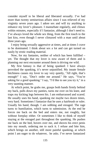consider myself to be liberal and liberated sexually. I've had more than twenty semiserious affairs since I was relieved of my virginity seven years ago. I adore sex and will try anything to enhance my lover's pleasure. I masturbate regularly, and climax within minutes, especially if I fantasize, although I don't need to. I've always loved the whole sex thing, from the first touch to the last kiss, even though I never climaxed with a man until about three years ago.

I enjoy being sexually aggressive at times, and at times I crave to be dominated. I think about sex a lot and can get turned on easily by erotic reading material.

Now, for my fantasies, neither of which has been fulfilled – yet. The thought that my lover is now aware of them and is planning our next encounter around them is driving me wild.

My first fantasy is that of being spanked: I have always provoked the spanking, it's never unjustified. My innate female bitchiness causes my lover to say very quietly, "All right, that's enough!" I say, "Don't order me around." He says, "You're asking for a good spanking." I say, "I'd like to see you try it," in a very taunting manner.

At which point, he grabs me, grasps both hands firmly behind my back, pulls down my panties, turns me over on his knee, and traps my kicking legs between his. I am embarrassed and scared. He usually uses his hand, spanking me maybe two dozen times, very hard. Sometimes I fantasize that he uses a hairbrush or ruler. Usually his hand, though. I am sobbing and enraged. The rage turns to humiliation, which turns to submission. At the end he forces me back on the bed and enters me, not roughly, but without foreplay either. Or sometimes I like to think of myself staying at the enraged part throughout the spanking. He pushes me back on the bed, hovers over me, and shoves his erect penis into my mouth, ordering me to suck it. I refuse and bite him, which brings on another, still more painful spanking, at which point I am eager to do whatever, he asks. I've never fantasized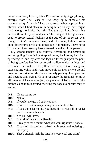being brutalized; I don't, think I'd care for whippings (although excerpts from *The Pearl* or *The Story of O* stimulate me tremendously). As a rule I hate pain, except when approaching a climax, when I find pleasure in being bitten on my inner thighs hard enough to bruise the skin. But this spanking fantasy has been with me for years and years. The thought of being spanked used to arouse sexual feelings at the age of six or seven, even though I didn't recognize them, and, of course, I didn't know about intercourse or fellatio at that age. If it matters, I have never in my conscious memory been spanked by either of my parents.

My second fantasy is as follows. Screaming and scratching and struggling, I am tied or strapped on my back to my bed. I am spreadeagled, and my arms and legs are forced just past the point of being comfortable. He has forced a pillow under my hips, and of course I am naked. The pillow has the effect of raising and exposing my vulva, and I can move only an inch or two up and down or from side to side. I am extremely panicky. I am pleading and begging and crying. He is never angry; he responds to me at all times as if I were an object, very matter of factly. He is fully clothed as he moves around checking the ropes to be sure they're secure.

- ME: Please let me go.
- HIM: Not yet.
- ME: If you let me go, I'll suck you dry.
- HIM: You'll do that anyway, honey, in a minute or two.
- ME: If you don't let me go, you bastard, I swear I'll never let you in my mouth again.
- HIM: Yes you will, love.
- ME: But I don't want to be like this!
- HIM: It really doesn't matter what you want right now, honey.
- ME: (Assorted obscenities, mixed with sobs and twisting at the ropes)
- HIM: That's enough. (All the time he's very cool and calm.)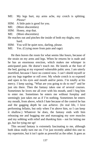- ME: My legs hurt, my arms ache, my crotch is splitting. *Please!*
- HIM: A little pain is good for you.
- ME: (More obscenities)
- HIM: Honey, stop that.
- ME: (More obscenities)
- He reaches out and pinches the inside of both my thighs, very hard.
- HIM: You will be quiet now, darling, please.
- ME: Yes. (Crying more from pain and rage)

He then leaves the room for what seems like hours, because of the strain on my arms and legs. When he returns he is nude and he has an enormous erection, which makes me whimper in anticipated pain. He doesn't touch me. He kneels at the foot of the bed, gazing at my exposed vulnerable pubic area. I am utterly mortified, because I have no control now. I can't shield myself or put my legs together or roll over. My whole crotch is so exposed and open to his eyes and mouth and/or penis. I'm totally at his mercy. I keep saying, "What are you going to do to me?" and he just sits there. Then the fantasy takes one of several courses. Sometimes he loves me all over with his mouth, until I beg him to enter me. Sometimes he enters me without foreplay and seemingly just takes me as if I'm nothing. Sometimes he enters my mouth, from above, which I hate because of the control he has and the gagging depth he can achieve. (In real life, I love performing fellatio, but only when I'm above him, so I can keep it shallow.) Whatever he does, the fantasy ends with him releasing me and hugging me and massaging my sore muscles and my sobbing with relief and *thanking* him – not for letting me go, but for tying me up!

This second fantasy is extremely fascinating to me, although both ideas really turn me on. I've just recently added this one to my repertoire, but it isn't quite as powerful as the other. It goes as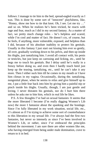follows: I manage to tie him to the bed, spread-eagled exactly as I was. This is done by some sort of "innocent" playfulness, like, "Honey, show me how to tie that knot. Oh, I see. Let me try …" and so on. When he realizes he's been tricked, he reacts with rage and fear, much as I did in my second fantasy. As a matter of fact, we pretty much change roles – he's helpless and scared, while I'm cool and matter of fact. He doesn't cry, of course, but he feels, if anything, more vulnerable, exposed, and helpless than I did, because of his absolute inability to protect his genitals. Usually in this fantasy I just start out kissing him ever so gently, all over, gradually working down to his pelvis, and then up inside his thighs, just tantalizing him. I avoid all contact with, his penis or testicles, but just keep on caressing and licking, etc., until he begs me to touch his genitals. But I delay until he's really in a frenzy before doing so, and even then I hardly touch himI just keep up the teasing, tantalizing, etc., until he can't take it any more. Then I either suck him till he comes in my mouth or I have him climax in my vagina. Occasionally, during the. tantalizing, nongenital phase, when he seems to relax and give himself up to me, I put a little fear back into him by giving him a painful nip or pinch inside his thighs. Usually, though, I am just gentle and loving. I never threaten his genitals, nor do I hurt him there unless he asks me to bite him, which in real life he likes.

P.S. A few thoughts I've had on sexual fantasies: It seems that the more liberated I become (I'm really digging Women's Lib now) the more I fantasize about the spanking and the bondage. Since I'm fully liberated in my work situation, social life, etc., it's almost as if I'm trying to achieve some sort of counterbalance to this liberation in my sexual life. I've always had the first two fantasies, but never so intensely as since I've been involved in Women's Lib, or rather, since I've embraced the principles behind the movement. I am sure there are other women like me, who having emerged from being under male domination, crave to return to it in bed.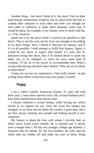Another thing – the more I think of it, the more I feel an ideal male-female relationship would be one in which *both* feel free to confide their fantasies to each other and *both* care enough for each other to endeavor to make these fantasies come true. It would be great, for example, if my fantasy were to mesh with his, i.e., if he craved to

spank me or tie me down while I craved to be spanked or tied down. This is not the case, but he loves me enough to be willing to try these things. Now I intend to discover *his* fantasy, and if it's at all possible, I shall attempt to fulfill that fantasy. Again, it would be too much to expect (but maybe it's true) that he fantasizes being tied down. But if he should desire to paint my body, say, or be whipped, or, have me wear some kind of costume, I'll do all in my power to accommodate him. What's wrong with playing out these inner desires? Why are we so afraid to share them?

I hope you can use my experiences. I feel really turned . on just writing about them! Good luck with your project. [Letter]

#### **Poppy**

I am a white Catholic American woman, 32 years old with three sons. I have been married twice. My second husband and I have been married more than eleven years.

I always entertain a sexual fantasy while having sex which results in an orgasm for me. Over the years the fantasy has changed, as we have moved about the country a great deal, and I am thus always meeting new people and finding myself in new situations.

My fantasy is about the man with whom I recently had. an affair which lasted seven months. He is married and is eleven years younger than I. He has two younger college age brothers. I fantasize that his family, he, his two brothers, his wife, and his father take my clothes off and make me wait on them, doing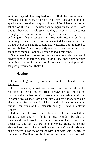anything they ask. I am required to suck off all the men in front of everyone, and if the man does not feel I have done a good job, he spanks me. I receive many spankings. After I have performed fellatio on them all – including cunnilingus on the wife – I am tied to a bed spread-eagle style and they play with me, sometimes . roughly, i.e., one of the men will put his anus over my mouth and request that I tongue him. His wife usually performs cunnilingus on me, and I get very excited looking at her and having everyone standing around and watching. I am required to say words like "fuck" frequently and must describe my aroused feelings to them all. Usually I come at about this time.

Sometimes I am allowed to choose someone to degrade, and I always choose the father, whom I didn't like. I make him perform cunnilingus on me for hours and I always end up whipping him for poor performance. [Letter]

### **Heather**

I am writing in reply to your request for female sexual fantasies.

I do, fantasize, sometimes when I am having difficulty reaching an orgasm (my boy friend always has to stimulate me manually after he has come). I pretend that I am being humiliated in some way. Or that I am being displayed by a man, such as a slave owner, for the benefit of his friends. Heaven knows why, but if I can think of this intensely enough, I have a fantastic orgasm.

I don't think he would be jealous if I told him about these fantasies, just angry. I think he just wouldn't be able to understand, and would be rather disappointed in me and disgusted. You see, we are both university graduates; he has always been proud of my intelligence. He can't stand girls who can't discuss a variety of topics with him with some degree of knowledge. He likes to think of us as being down-to-earth,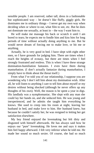sensible people. I am reserved, rather tall, dress in a fashionable but sophisticated way – he doesn't like fluffy, giggly girls. He dominates me in ordinary things – I never get my own way when deciding when or where to eat, what film to see, etc. But he does not dominate me sexually, at least in – the way I want him to.

He will make me massage his back or scratch it until I am bored to tears; he expects me to fondle him and kiss him for long periods of time without actually doing anything to me. But he would never dream of forcing me to make love, or hit me or anything.

Actually, he is very good in bed. I have slept with eight other men, so I have grounds for judging him. There are times when I reach the heights of ecstasy, but there are times when I feel strongly frustrated and restless. This is when I have these strange domination-humiliation fantasies. I even have them during masturbation. (I don't actually fantasize during masturbation, I simply have to think about the threat itself.)

From what I've told you of our relationship, I suppose you are wondering why I don't tell him about my domination wish. After all, he will listen to anything I care to tell him about myself or my desires without being shocked (although he never offers up any thoughts of his own). Well, the reason is he spent a year in digs. His landlady was a nymphomaniac. She slept with any man she could lay her hands on, and she seduced him. He was young and inexperienced, and he admits she taught him everything he knows. She used to creep into his room at night, leaving her husband in bed, and make love to him. Her husband knew, but because he couldn't satisfy her, he was resigned to letting her get satisfaction elsewhere.

My boy friend enjoyed the lovemaking but felt dirty and disgusted with himself afterwards. He has always said how he enjoys our "pure" lovemaking. He loves me and says it makes him feel happy afterward. I felt very inferior when he told me. He made her sound so much sexier. Of course, she had so much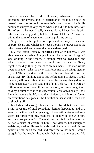more experience than I did. However, whenever I suggest extending our lovemaking, in particular to fellatio, he says he doesn't want me to do it because he's sure I won't like it. He admits he enjoyed it very much when she did it to him, however. He refuses to believe I really want to do it. I have done it with other men and enjoyed it, but he just won't let me. At least, he will to the point of ejaculation, then he pulls me away.

So you see, he has put me on a pedestal in a way. He sees me as pure, clean, and wholesome (even though he knows about the other men) and doesn't want that image destroyed.

My first sexual fantasy occurred soon after puberty. I was about eleven or twelve. At night I would lie in bed and imagine I was walking in the woods. A strange man followed me, and when I started to run away, he caught me and beat me. Every night I would go through varieties on this theme – the man would overpower me – take me away and force me to do things against my will. The sex part was rather hazy. I had no clear ideas on that at that age. By thinking about this before going to sleep, I could make myself dream about it, too. Later the fantasy changed to me being taken away to the East and sold as a slave. There were an infinite number of possibilities to the story, as I was bought and sold by a number of men in succession. Very occasionally I still fantasize about this. My fantasies obviously fall into the "being on exhibition" category in the humiliation sense rather than one of showing off.

My farfetched slave girl fantasies seem absurd, but there is one I will never tire of until something definite happens to end it. I went out with a boy four years ago. I was still a virgin and very green. He flirted with me, made me fall madly in love with him, and then dropped me flat. The main reason I fell for him was that he had a sense of cruelty in him – not vicious, but enough to satisfy my desires. He would grab hold of my wrists and pin me against a wall or on the bed, and force me to kiss him. I would struggle but he would always win, being extremely strong. We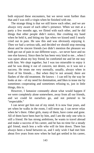both enjoyed these encounters, but we never went further than that and I was still a virgin when he finished with me.

The strange thing is that we still know each other, and we are always very aware of each other's presence. When we met at a party a few months ago, we flirted with each other, and he did things that other people didn't notice, like crushing my hand when he held it, and biting my lips when we kissed until I nearly cried out in pain. He saw this and was obviously enjoying it. Then we had a serious talk, and decided we should stop messing about and be sincere friends (we didn't mention the pleasure we both got out of pain in our different ways…we never have and no one else knows). Since then he has been very kind to me…when I was upset about my boy friend, he comforted me and let me stay with him. We slept together, but I was too miserable to enjoy it and he was doing it out of concern, not desire, so it was not a success. He treats me very normally, usually, always when in front of his friends…. But when they're not around, there are flashes of the old treatment. He knows – I can tell by the way he looks at me – of my need for domination, and likes to tease me by sometimes cooperating and sometimes refusing to, just in little things, this is.

However, I fantasize constantly about what would happen if we were completely alone somewhere, away from all our friends, and we could let ourselves go, and not pretend to be "respectable."

I can never get him out of my mind. It is now four years, and yet when he walks in the room, I still tense up. I can never relax when he's there. Other girls, many of them, have come and gone. All of them have been hurt by him, and I am the only one who is still a friend. He has strong ambitions, he wants to travel abroad and make a success of his career, and he has no time for a steady girl friend, much less a wife who will tie him down. There has always been a bond between us, and I only wish I had met him about five years from now when he had got settled in his career,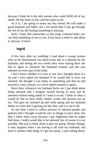because I think he is the only person who could fulfill all of my needs. He has more or less said the same to me.

As it is, I am going to marry my boy friend. He will make a good husband and father, but I am afraid that I may go through the rest of my life feeling something is missing.

Well, I hope that somewhere in this long, confused letter you can find something of use to you. It has been a relief to talk about it, anyway. [Letter]

### **Ingrid**

A few days after my wedding, I read about a young woman who on her honeymoon was taken every day to a tattooist by her husband, and during the two weeks they were staying there she had to agree to whatever her husband wanted, and she was tattooed on every part of her body.

I don't know whether it is true or not, but I thought about it a lot and I even asked my husband if he would like to have me tattooed. He thought I was kinky or something and that he had married a crazy woman, so I never dared mention it again.

Since then, whenever my husband fucks me I just think about being tattooed and I imagine myself having to strip and be tattooed without being asked if I want it or not. I think of what it would be like to have really cheeky words and pictures put on me. This gets me steamed up and really going and my husband thinks it is him that is getting me like that, and it is not at all.

At one time I used to collect pictures of tattooed people and patterns that I thought would be nice as things to have done, but then I threw them away because I got frightened that he might find them. I really would like to be tattooed, but of course it is not possible. But just to think about it gets me going. Mostly though, it only happens when I am having it off with my husband; and there is another little thing: If I get too randy, I start rolling about,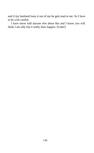and if my husband loses it out of me he gets mad at me. So I have to be a bit careful.

I have never told anyone else about this and I know you will think I am silly but it really does happen. [Letter]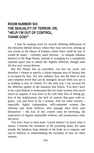# **ROOM NUMBER SIX: THE SEXUALITY OF TERROR, OR, "HELP! I'M OUT OF CONTROL, THANK GOD!"**

I may be making work for myself, defining differences in the emotions behind fantasy where they may not exist, setting up two rooms in the House of Fantasy where there could be one. It would be easier – certainly more obvious – to relegate Johanna (below) to the Rape Room, instead of arranging for a completely separate space just to satisfy her slightly different, though none the less real, sexual desires.

But this House has no precedent, nor has my work, and therefore I choose to specify a whole separate area of fantasy that is occupied by fear. Not just ordinary fear, but the kind of total and complete terror that can be strangely sexual when you see it as leading to loss of control. It's the only way I can account for the different quality in the fantasies that follow. You don't have to be a psychiatrist to understand that for some women who never reach an orgasm, it may have to do with their fear of letting go, fear of the helplessness, the lack of control, that goes with orgasm…you just have to be a woman. And for some women – especially highly independent, self-contained women like Johanna and Anne (below), who manage their lives unto themselves – the loss of this control must be terrifying, the experience of orgasm impossible without, and synonymous with, the terror.

You don't have to have been "scared shitless" to know what it means. Continue the sensation of the pounding heart, the open mouth; the helpless, limp attitude of the body on to orgasm, and you're halfway to understanding the sexuality of fear for these women.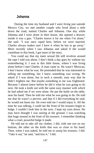#### **Johanna**

During the time my husband and I were living just outside Mexico City, we met another couple who lived about a mile down the road, named Charles and Johanna. One day while Johanna and I were alone in their house, she opened a drawer; inside it was a gun. "Charles leaves it for me when I'm alone," she said. "I was once raped here, before we were married. Charles always makes sure I have it when he has to go away." More recently when I saw Johanna and asked if she would contribute to this book, I got more of the story.

You could say that my inner sexual life still revolves around the rape I told you about. I don't think a day goes by without my remembering it. I was in this little house, where I was living alone before I met Charles. A man came in. He wasn't Mexican; I don't know what he was. He pretended that he was interested in selling me something, but I knew something was wrong. He asked if I was alone, but in such a smooth, easy way that he didn't frighten me. But maybe something in me was frightened. Because I almost knew before he did it what he was going to do next. He took a knife out with the same easy manner with which he had asked me if we were alone. He put the knife on the table, near his hand. Then he told me what he was going to do. He told me that he wasn't a pervert, and that if I did everything he said, he would not harm me. He even told me I would enjoy it. All the time he was talking, I could see the front of his trousers begin to bulge. I couldn't look him in the eyes. I kept my eyes down. He may have thought I was staring at the ground. I was watching that huge mound in the front of his trousers. I remember thinking what a cruel, powerful bulge it made.

He told me to take off my clothes. I did, with one eye on my buttons, the other on the knife that was so close to his hand. Then, when I was naked, he told me to unzip his trousers. I did. "Take it out," he said, "and kiss it." I did.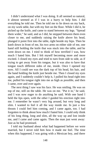I didn't understand what I was doing. It all seemed so natural, it almost seemed as if I was in a hurry to help him. I did everything he told me. Then he told me to lie down on my back, on my work table, but with my feet on the floor. While I did it, he picked up the knife, and came to stand between my legs. "Spread them wider," he said, and as I did, he stepped between them even closer to me, and suddenly raising the knife above his head, plunged it point first into the table, right beside my hips. Then he knelt down in front of me, his two arms on either side of me, one hand still holding the knife that was stuck into the table, and he went down on me. I tried to think of how terrified I was, how much I hated him. But I felt myself becoming more and more excited. I closed my eyes and tried to turn from side to side, as if trying to get away from his tongue, but it was also to have that tongue touch different sides of me, inside. Once I opened my eyes. All I could see was the dark top of his head, his hair, and the hand holding the knife just beside me. Then I closed my eyes again, and I suddenly couldn't help it, I pulled his head right into me, pulled his tongue right into me as high as possible, and then I came, over and over again.

The next thing I saw was his face. He was smiling. He was on top of me, still on the table. He was on me. "Put it in," he said, and I was now eager to do anything he said. With one hand I held the lips open, with the other I guided his erection right into me. I remember he wasn't very big around, but very long and slim. I wanted to feel it all the way inside me. In just a few thrusts I could feel him coming, and I came again, too. I had forgotten to think about how much I hated him. I could only think of his long thing, long and slim, all the way up and lost inside me, and I came and came again. Then the man just went away: Just as he had promised.

I told my husband about what had happened before we were married, but I never told him how it made me feel. The time when this happened, I was going with a Mexican boy, and there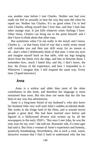was another man before I met Charles. Neither one had ever made me feel so sexually in heat the way that man did when he raped me. Neither has Charles. It's no good when I'm in bed with Charles, telling myself that I love him, and that I hate that other strange man. It just kills whatever erotic feelings I have. Other times, Charles can bring me to the point himself, and I don't have to think about that other man.

But sometimes when I'm not really in the mood, and I know Charles is… or that funny kind of way that a really erotic mood will overtake you and then just drift away for no reason at all…that's when I deliberately think of that man. I close my eyes and imagine myself back on that table, with my legs hanging down from the knees over the edge, and him in between them. I remember how, much I hated him, and the, I don't know, the fear, the *frenzy* of the experience, and how I responded to it. Whenever I imagine that, I still respond the same way. Every time. [Taped interview]

#### **Anna**

 Anne is a widow and older than most of the other contributors in this book, and therefore her language is more restrained than most. But this does not mean that her life has been in any way less adventurous.

Anne is a long-time friend of my husband's, who also knew her husband John very well until John's sudden accidental death. She works in the fringe land of the films, and is around movie people a great deal. She had been married once before and figured in a Hollywood divorce trial written up by all the newspapers in the early 1950's. "But once I met John, he was the only man for me, ever," she told me. Romantic talk, if a teen-ager had said it. But from a woman of Anne's experience and honesty, positively breathtaking. Nevertheless, she is such a vital, warm, attractive woman that I find it hard to understand why she has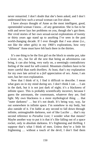never remarried. I don't doubt that she's been asked, and I don't understand how such a sexual woman can live alone.

I have always thought of Anne as the most intelligent, good, openminded woman I know…of any generation. She is fun to be with and never lays her problems on you, though she's got them. Her vivid stories of her own sexual-social explorations of twenty or thirty years ago stand up to anything I've seen in the past world-changing decade. If I ever thought that *I* was alone (i.e., not like the other girls) in my 1960's explorations, how very "different" Anne must have felt back there in the thirties.

It's one thing to be the first girl on the block to smoke pot, take a lover, etc., but for all the zest that being an adventuress can bring, it can also bring, very early on, a seemingly contradictory feeling of the need for self-control. Mountain climbers have to be more careful than earth dwellers. At least, that's my explanation for my own late arrival to a *full* appreciation of sex. Anne, I am sure, has her own explanation.

Now that I think of it, I find it difficult to describe. I mean what goes on in my mind during sex. I don't think I can … I am in the dark, but it is not just dark of night; it's a blackness of infinite space. This is probably scientifically incorrect, because I guess the astronauts, the cosmonauts, whatever they are, find light. My own blackness is a more mythological thing … that "outer darkness" … but it's not death. It's being way, way, far out somewhere in infinite space. I'm somehow in my body, but also outside of it. I'm liable at any second to fall down through infinite, unimaginable darkness, sort of like Lucifer … that's my second reference to *Paradise Lost;* I wonder what that means? Maybe another way to put it is that it's like falling out of a space rocket, only in absolute darkness. It's frightening and thrilling. I suppose that's what I think of men. Unless they're a little bit frightening … without a touch of the devil, I don't find them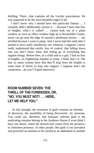thrilling. There…that explains all the Lucifer associations. He was supposed to be the most beautiful angel of all.

I don't know why I should have this particular fantasy … I certainly didn't deliberately *choose* it … because I have that fear of heights, what's it called? … cannot look out of a plane window or even an office window high up in Rockefeller Center, never can go near the edge of anyone's penthouse terrace … am terrified because I want to jump. And I never had this until after I started to have really satisfactory sex relations. I suppose I never really understood that terrific loss of control, that falling down into you don't know what, that letting go of everything that orgasm brings. Before then, as a child and as a girl, I had no fear of heights, no frightening impulse to jump. I think that's it. The fear so many women have that they'll leap from the heights is some kind of desire to leap into orgasm. I suppose that's the connection…do you? [Taped interview]

# **ROOM NUMBER SEVEN: THE THRILL OF THE FORBIDDEN, OR, "NO, YOU MUST NOT! . . . HERE, LET ME HELP YOU."**

 At full strength, the sensation of guilt contains an element of discovery, the possibility of being discovered…by someone. You could say, therefore, that fantasies wherein guilt is the motivating emotion belong in the Audience Room (I even think I have one there), where the desired fuel comes from the presence, or imminent presence, of other people. But guilt is too prevalent and powerful an emotion to be carried as an addendum to another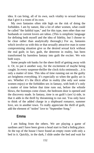idea. It can bring, all of its own, such vitality to sexual fantasy that I give it a room of its own.

My own fantasies often ride high on the risk of doing the forbidden. I am by nature, like a lot of other women, what could be called "the faithful type," and for this type, men other than our husbands or current lovers are taboo. (This is simplistic language for defining both myself and the idea of fidelity, but I choose to be clear rather than analytically thorough.) For us, fantasies which involve us with this or that sexually attractive man in some compromising situation give us the desired sexual kick without the real guilt; in fact, guilt, the deterrent in reality, has been transformed by harmless fantasy into guilt the exciter. We win both ways.

Some people rob banks for the sheer thrill of getting away with it. Or, to put it another way, for the excitement of maybe being caught. In every suspense-thriller the clock ticks ominously…it is only a matter of time. This idea of time running out on the guilty act heightens everything. It's especially so when the guilty act is sex. Whether it's the illicit affair in reality (the only sort some women enjoy) or the forbidden sex in fantasy, with both it's only a matter of time before that time runs out, before the whistle blows, the footsteps come closer, the bedroom door is opened and the discovery made. In fantasy, time is on guilt's (sex's) side, in that it adds to the thrill by threatening to run out. You only have to think of the added charge in a shipboard romance, summer love, sex in another town. To really appreciate the thrill of guilt, add the element of "stolen" love to "September Song."

#### **Emma**

I am hiding from the others. We are playing a game of sardines and I have been given a head start to find a hiding place. At the top of the house I have found an empty room with only a bed in it. Quickly, in the dark, I slide under the bed and wait for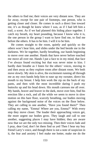the others to find me; their voices are very distant now. They are far away, except for one pair of footsteps, one person, who is getting closer and closer. He comes in such a direct line toward me, it's as though he knew where I was, as if I had left him a trail, a scent. As if we had planned this hiding place together. I catch my breath, my heart pounding, because I know who it is, the one person in the group I want to have find me, to find me before the others. It has to be him. I will it to be him.

He comes straight to the room, quietly and quickly so the others won't hear him, and slides under the bed beside me in the darkness. We lie together, hardly breathing, our hands beginning to move over one another. Hands that have never before touched me move all over me. Hands I put a face to in my mind, that face I've always found exciting but that was never mine to kiss. I hardly dare breathe as I listen for the others' voices, moving in and then away as they explore room after distant room. We both move slowly. My skin is alive, the excitement running all through me as my own hands help him to ease up my sweater, direct his mouth to my breast. I help him work the zip on the back of my pants, and then with the most incredible daring I push my buttocks up and his head down. His mouth caresses me all over. My hands, braver and braver in the dark, move over him, find his erection like a rock, and all the while we seem to move in slow motion on this bare floor, scarcely breathing, our bodies moving against the background noise of the voices on the floor below. They are calling to one another, "Have you found them?" Then calling my name, "Emma! Where are you, Emma?" With every step they move closer. The louder their approaching voices get, the more urgent our bodies grow. They laugh and call to one another, suggesting places I may have hidden; they are aware now that we are the only two missing. Then their voices fade and I pray, dear God, don't let them find us yetl Then I hear my boy friend Larry's voice, and though there is not a note of suspicion in it, the fear and anxiety I feel make me hotter, make me do the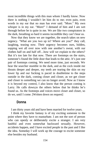most incredible things with this man whom I hardly know. Now there is nothing I wouldn't let him do to me; even pain, even words in my ear that no man has ever said. "More." My own whisper is in my ear. "More!" I demand of him and I am wet through before he is quite in me. We are like two conspirators in the dark, breathing so hard it seems incredible they can't hear us.

Now that they know we are together, the search takes on new urgency. "What are you two up to? Where are you?" they call, laughing, teasing now. Their urgency becomes ours, hidden, sopping wet all over now with one another's sweat, with our clothes half on and half off…how will we explain to the others? But it's too late for that now. There are footsteps on the stairs, someone's found the little door that leads to the attic. It's just one pair of footsteps coming. We need more time, just seconds. We hear the searcher stumble in the dark, and as the cock inside me thrusts deeper and deeper, my teeth are tearing the skin on my lower lip and our fucking is paced in doubletime to the steps outside in the dark, coming closer and closer, as we get closer and closer to something we can no longer avoid. Now as I know it is beyond my control, I also know that the person coming is Larry. He calls down,to the others below that he thinks he's found us. As the footsteps and voices move closer and closer, so do we, until I come. [Written down on request]

#### **Donna**

I am thirty years old and have been married for twelve years.

I think my favorite fantasy is of my exciting someone to the point where they have to masturbate. I am not the sort of person who can openly or deliberately excite a stranger. I am very bashful and even somewhat backward sexually. However, accidents happen, and I have excited people in the past and I like the idea. Someday I will work up the courage to excite someone else besides my husband.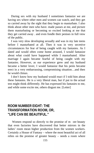During sex with my husband I sometimes fantasize we are having sex where other men and women can watch, and they get so carried away by the sight that they begin to masturbate. I also think about other men who have. made passes at me, and picture them masturbating or becoming so excited looking at me that they get carried away . and even fondle their penises in full view of the public.

I was very slow developing sexually and was in my late teens before I masturbated at all. Then it was in very secretive circumstances for fear of being caught with my fantasies. As I dated and would often come home aroused, I would fantasize about what could have happened while I masturbated. After marriage I again became fearful of being caught with my fantasies. However, as our experience grew and my husband became a better lover, I would fantasize that his penis became erect in a very embarrassing, compromising situation…and then he would climax.

I don't know how my husband would react if I told him about these fantasies. He is a very liberal man, but if put to the actual test might think differently. He has expressed his fantasies to me, and while some excite me, others disgust me. [Letter]

## **ROOM NUMBER EIGHT: THE TRANSFORMATION ROOM, OR, "LIFE CAN BE BEAUTIFUL."**

 Women respond so directly to the promise of m ore beauty that even factories have discovered that better mirrors in the ladies' room mean higher production from the women workers. Certainly a House of Fantasy – where the most beautiful act of all relies on the promise of greater beauty – needs a room where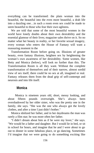everything can be transformed: the plain woman into the beautiful, the beautiful into the even more beautiful, a drab life into a dazzling one…in such a room even sex could be made to seem beautiful to those who fear their own ugliness.

We are told that some of the most beautiful women in the world have lonely doubts about their own desirability and the essential glamour of their lives; magazine sales thrive on it. So no matter what her beauty in reality, or her favorite sexual imagery, every woman who enters the House of Fantasy will want a reassuring moment in the

Transformation Room before going on. Illusions of greater beauty, even fantasy illusions, heighten sex by heightening the woman's own awareness of her desirability. Some women, like Betty and Monica (below), will look no further than this. The Transformation Room is all they want. Without the complete transformation of themselves and of their narrow, almost sordid view of sex itself, there could be no sex at all, imagined or real. Fantasy releases them from the dead grip of self-contempt and neurosis and into life itself.

#### **Monica**

Monica is nineteen years old, short, messy looking, and about fifteen pounds overweight. She's always been overshadowed by her older sister, who was the pretty one in the family, she says. "She was the one who always got the lovely clothes, and after a time I just didn't bother."

Monica idolized her father, and in her daydreams the man was rarely a film star; he was more often her father.

"I didn't dream about him as if he were my lover," she says. "We would be a father and daughter. But I would lie in bed, or sit in school for hours, and imagine that he and I were about to go out to dinner in some fabulous place, or go dancing. Sometimes I'd imagine that we were going to do something exciting like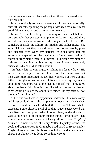driving to some secret place where they illegally allowed you to play roulette."

In all, a typically romantic, adolescent girl, somewhat scruffy, but with her father playing the principal idealized male role in her youthful imagination, and a pretty sister to envy.

Monica's parents belonged to a religious sect that believed very strongly that sex was a temptation to be resisted, and there was almost never an allusion to the subject in her house. "But somehow it made me admire my mother and father more," she says. "I knew that they were different from other people, purer and cleaner; even when my parents' religious ideas left me entirely unprepared for the beginning of my menstruation, I didn't entirely blame them. Oh, maybe I did blame my mother a little for not warning me, but not my father. It was a nasty, ugly business. Why should he talk about it?

"In fact, it left me with a greater admiration for my father. His silence on the subject, I mean. I knew even then, somehow, that men were more interested in, sex than women. But here was my father, this glamorous, wonderful figure who – my daydreams about him were more real to me than he himself was – only cared about the beautiful things in life, like taking me to the theater. Why should he talk to me about ugly things like my period? You see how I built him up?

"Then one day I was in my parents' bedroom. They were away, and I just couldn't resist the temptation to open my father's chest of drawers and see what I'd find there. I don't know what I expected. Some glorious symbol of that vague, secret world that men lived in, I suppose. What I found there, under the shirts, were a little pack of those nasty rubber things – even today I hate to say the word – and a copy of Henry Miller's book, *Tropic of Cancer*. I'd never heard of Henry Miller. I quickly opened the book and began to read it. Or maybe I had heard of Henry Miller. Maybe it was because the book was hidden under my father's shirts. But I knew I was doing something wrong."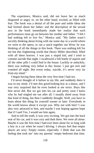The experience, Monica said, did not leave her so much disgusted or angry or, on the other hand, excited, as filled with fear. The book was a denial of all the pure and noble ideas she had formed about her father; and the description of the sexual acts in the book immediately made her realize that such performances must go on between her mother and father. "I felt I had nothing left to live for," Monica said. "My father wasn't secretly thinking about living with me some day in a world where we went to the opera, or ran a ranch together out West; he was thinking of all the things in this book. There was nothing left for me but this frightening world that Henry Miller described, filled with all these horrors. I was just a stupid kid, and I tried to commit suicide that night. I swallowed a full bottle of aspirin and all the other pills I could find in the house. Luckily or unluckily, there was nothing very lethal in the; house. I just got sick and vomited all night. But evens today, suicide, it's never very far from my mind."

I began having these ideas the very first time I had sex.

I'd never thought of it before in my life, and suddenly there it was in my mind. I'd met this good-looking boy at a dance, and I was very surprised that he even looked at me twice. Boys like him never did. But we got into his car and pretty soon I knew why by had singled me out after all. I usually shied away from that kind of thing, but then I suddenly thought, Well, you have to learn about this thing for yourself sooner or later. Everybody in the world knows about it except you. Why not with him? I was also very attracted to him, and maybe I was hoping against hope that if I said Yes, I would see him again.

And to tell the truth, it was very exciting. We got into the back seat of his car, and it was cozy and dark there. We were all alone. Maybe it was the first time I had ever been alone for so long with a boy in a car when he wasn't driving. I always feel that empty places are sexy. Empty rooms, especially. I think that was the feeling that took me' into my parents' empty bedroom that time.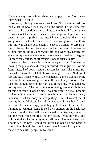There's always something about an empty room. You never know what's in there.

Anyway, this boy was an expert lover. Or maybe he had just read a lot of books and knew all the tricks. I was somewhat aware that he was doing these things to me, but all I could think of .was about the moment when he would get on top of me and open my legs to push it into me. I knew somehow that it was going to hurt. But just the idea that he was going to put that thing into me was all the excitement I needed. I wanted to scream at him to forget the, sex techniques and to hurry up. I remember helping him to get my underwear off, and when my panties got stuck on my ankle – wewere in some awkward position, imagine! – I practically tore them off myself, I was in such a hurry.

After all that, it went in without any pain at all. I remember looking for just a second, being surprised that it grew out of his front, instead of down inside between his legs, like mine. But then when it went in, I felt almost nothing. No pain. Nothing. I just felt dead inside, with all the excitement gone. I was just lying there while he was going through all these funny motions. And then this thought came to me right out of the blue. I was suddenly not my own self. The body he was screwing was not this funny fat thing of mine, it wasn't me, it was my sister. So it all became a picture in my mind. I could see him just as he was, very handsome. But the body he was putting it in  $-$  it wasn't me. It was my beautiful sister. Part of me was glad it was her. I hated her, and I became angry and happy to think of her in this humiliating position, being fucked by a stranger in the back seat of a car. But the other half of me wanted to be like her, wanted to feel the man inside me. If it was my sister, it was all right. And right with that picture in my mind, all the excitement came back. I could feel the boy, I could feel myself moving up and back in time to him, but all the time it wasn't me, it was all happening to these two beautiful people in my mind.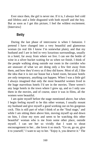Ever since then, the girl is never me. If it is, I always feel cold and lifeless and a little disgusted with both myself and the boy. But as soon as I get this picture, I feel the wildest excitement. [Interview]

### **Betty**

During the last phase of intercourse is when I fantasize. I pretend I have changed into a very beautiful and glamorous woman (in real life I know I'm somewhat plain), and that my husband and I are in bed in very luxurious surroundings, usually in a hotel, far away from where we live. I can see the bottle of wine in a silver bucket waiting for us when we finish. I think of the people walking along outside our room in the corridor who are unaware of what we are doing only a few feet away from them, and how they'd envy us if they did know. Most of all, I like the idea that it is not our house but a hotel room, because hotels are only temporary, anything can happen. When I was a little girl I always imagined that only the most beautiful women lived in the huge marvelous hotels I'd see in the movies. There weren't any large hotels in the town where I grew up, and so I only saw them in the movies, and of course, since it was in films, all the women were beautiful.

I am quite myself before the stage mentioned above, but when I begin feeling myself to be this other woman, I usually mount my husband and give myself a good working out on his gorgeous cock. This is still part of what I think of as the "final stage," and while I am sitting there above him, moving myself up and down on him, I close my eyes and seem to be watching this other beautiful' woman who is me from some other place, outside myself. I can see her so vividly that I want to shout encouragement to her…she loves it so much. "Go on, go on, give it to yourself," I want to say to her. "Enjoy it, you deserve it." The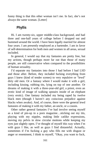funny thing is that this other woman isn't me. In fact, she's not always the same woman. [Letter]

## **Phyllis**

Hi. I am twenty-six, upper middle-class background, and had three and one-half years of college before I dropped out and bummed around the world. I have been legally married for almost four years. I am presently employed as a bartender. I am in favor of self-determination for both men and women in all areas, sexual included.

In general, I would say that my fantasies are pretty free, but my actions, though perhaps more far out than those of many people, are still conservative when compared to the possibilities of human sexuality.

I'd separate my fantasies into those I had before I had LSD and those after. Before, they included fucking everything from guys I knew (kind of tender scenes) to very repulsive or "lewd" dirty old men. Or a fantasy where I would make it with a girl, including kissing, rubbing tits, lying on top of one another. Or dreams of making it with a three-year-old girl, a priest, even an erotic kind of image of walking upstairs inside of an elephant (very erotic). One fantasy included my being raped by twelve black men (though I haven't any conscious prejudice against blacks when awake). And, of course, there were the general lewd fantasies of making it with my father, an uncle, or a cousin.

Other rather general fantasies I've had involve seeing myself as a kind of pin-up in a porn magazine…sticking out my tits, playing with my nipples, making little catlike expressions, moving my pelvis in slow circular motions while keeping my eyes just slightly open. I've thought of myself this way when I'm with guys I like, as well as guys I find distasteful. Actually, sometimes if I'm fucking a guy who fills me with disgust or anger or resentment, I think to myself, "Okay, you want to fuck,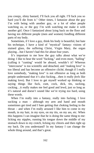you creepy, slimy bastard, I'll fuck you all right. I'll fuck you so hard you'll die from it." Other times, I fantasize about the guy I'm with being with another guy, or a lot of other people watching us, or the guy I'm with watching me make it with another girl. Once I fantasized about lying back on the floor and having ten different people (men and women) fondling different parts of my body.

Sometimes, if I love a guy, think his body is beautiful, but hate his technique, I have a kind of "mystical" fantasy: visions of stained glass, the suffering Christ, Virgin Mary, the organ playing…but I haven't had this for about four years.

It's important to me how the guy talks about what we're doing: I like to hear the word "fucking," and even more, "balling" (calling it "cunting" would be absurd, wouldn't it? Whereas "intercourse" is too scientific and detached, and "making love" is too liberal and has become an offensive cliché, though if I really love somebody, "making love" is not offensive as long as both people understand that it's also fucking…then it really *feels* like making love). But I love to get myself worked up thinking or saying things like fuck, cunt, cock, dick, tits, sucking, cocking…it really makes me feel good and lewd, just so long as it's natural and doesn't sound like we're trying *too* hard, using these words.

When I'm really into a fantasy, really into fucking, I love sucking a man – although my arm and hand and mouth sometimes get tired and I hate getting that choking feeling in the throat – and when I'm really aroused I like him to come in my mouth, in my hair, in my eyes, on my tits, on my ass, etc. When this happens I can imagine that he is doing the same thing to me: licking my nipples, running his tongue down the middle of my stomach down to my crotch, licking my clitoris and then right up my back. Do you understand? In my fantasy I can change the whole thing around, and that's great.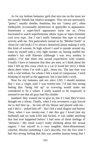As for my lesbian fantasies: girls that turn me on the most are not usually friends but relative strangers. They are not necessarily "pretty"; usually slender, feminine, but not "cutesy pie"; often tomboyish; occasionally mysterious or gypsylike in appearance. Sometimes a super-bitch appearance turns me on. (Very fascinated to watch superfeminine idiotic types or super-feminine cool sexy type…but I can't really fantasize this type in sexual activity with me. Not particularly turned on by "Mother Earth" or clean-cut cold look.) I've always fantasized about making it with this kind of women. In high school I used to parade around my room by myself with a very tight sweater on, having stuffed my mother's bra with Kleenex (although I was very modest in public). I've had three real sexual experiences with women. Usually I have to fantasize that they are men, or I think about the time I felt up this crazy chick in a car (I loved her tits!); I think about them when I'm with a girl…those tits. The last time was with a real lesbian, for whom I felt a kind of compassion. I tried thinking of myself as the aggressor, but it just didn't work.

Now for my fantasies and sex since LSD. I should mention that I was a virgin until I was twenty-one. I'd had this strong feeling that "being felt up" or screwing would make me considered to be a whore. I really wanted to be respected. It seemed to me that all guys had this double

standard: they wanted me to give in, but if I had, they'd have thought me a whore. Finally, when I was seventeen, a guy forced me to feel him up – he tore off my blouse and played with me – and I did it – jerked him off – but I felt a total disgust and hatred. Then, when I was twenty-one, I met this guy I loved (not my husband) and we took LSD and fucked. It was unlike anything that had ever happened before: I had none of those feelings of "dirtiness." My mind wasn't really thinking about the sexual organs; I lost myself in a very tangible, three-dimensional, colorful, blissful something I can't describe. For the first time I had this strong feeling that this was another human being that I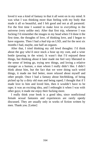loved it was a kind of fantasy in that it all went on in my mind. It was what I was thinking more than feeling with my body that made it all so beautiful, and I felt good and not at all paranoid. For the first time I wanted to make love to *everything* in the universe (very unlike me). After that first trip, whenever I was fucking I'd remember the images in my head when I'd done it the first time, the thoughts of love, of thinking love, and I began to have orgasms. Then I had a *bad* trip on LSD, and for the next six months I had, maybe, one half an orgasm.

After that, I tried thinking my old lewd thoughts: I'd think about the guy who'd once stuck a hose up my cunt, and a wine bottle (pouring in the wine). It wasn't that I'd enjoyed these things, but thinking about it later made me feel very liberated in the sense of letting go, trying new things, and loving a relative stranger as a human, a man whom I really didn't like. I didn't think about him, but the fact that we were doing such weird things, it made me feel better, more relaxed about myself and other people. Once I had a fantasy about hitchhiking, of being picked up by a dirty old man and being raped; I thought that if I made love to him and loved him, then it wouldn't have to be rape; it was an exciting idea, and I rethought it when I was with other guys; it made me enjoy their fucking more.

I really think your book is a good idea, since nonfictional female sexual fantasies and experiences are rarely openly discussed. They are usually only in works of fiction written by men. Thank you. [Letter]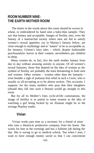## **ROOM NUMBER NINE: THE EARTH MOTHER ROOM**

 The letters in the words above this room should be woven in wheat, or embroidered by hand onto a baby-blue sampler. They axe that homey and acceptable. Images of fertility rites, even the fantasy of a matriarchal society where men are fed to satisfy women's sexual appetites, (as in Marina's fantasy below, are close enough to mythology and to "nature" to be as acceptable as, for instance, Grimm's fairy tales – which, despite fashionable psychoanalytic horror at their content, nevertheless put children to sleep.

Many women do, in fact, live the earth mother fantasy from day to day without arousing anxiety in anyone. Of all women's sexual fantasies, those that depend on the idea of woman as the symbol of fertility are probably the least threatening to both men and women. Other women – women other than the fantasist – even breathe a sigh of jealousy-free relief at such a Ceres, who is usually so all-accepting as to be almost sexless. This accounts, I suppose, for the many mothers who pray that their daughters (should they fall into such a House) would go straight to this room.

But for all its Mother's Oats cycle-of-life connotations, the image of fertility is as potent to some women as the idea of watching a girl being fucked by an Alsatian might be to the average Playboy reader.

#### **Vivian**

 Vivian works part time as a secretary for a friend of mine who runs a theatrical production company from his home. She works for him in the evenings and has a fulltime job during the day. She is saving to go to medical school, "but when I start, I want to have enough money saved so that I can concentrate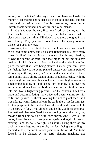entirely on medicine," she says, "and not have to hassle for money." Her mother and father died in an auto accident, and she lives with a maiden aunt. She is twenty-one, pretty in an unfashionable scrubbed kind of way, and very intense.

I had this fantasy the very first time I had sex. Jimmy was the first man for me. He's still the only one, but no matter who I sleep with later on, I think I'll always have these thoughts I have with Jimmy. They just seem to automatically spring to mind whenever I open my legs.

Anyway, that first night, I don't think we slept very much. We'd had some grass, and so I can't remember just how many times. It didn't hurt a bit and there was hardly any bleeding. Maybe the second or third time that night, he put me into this position; I think it's the position that inspired this idea in the first place, the idea that I was being planted. I mean, you can't have the feeling that you're being planted unless your cunt is pointed straight up at the sky, can you? Because that's what it was: I was lying on my back, all my weight on my shoulders, really, with my legs straight up and over his shoulders. He was high above me – I remember looking up and seeing him looming large over me and coming down into me, boring down on me. Straight *down*  into me. Not a frightening picture – on the contrary, I felt very large and accommodating, very wide and open, waiting for him to fill me up with his thrust. Waiting for him to plant seed like I was a large, warm, fertile hole in the earth, there just for him, just for that purpose, to be planted. I was the earth and I was the hole in the earth. In fact, I was all hole, and he, he was like some great International Harvester Seed Planter moving down the field, me, moving from hole to hole with each thrust. And I was all the holes, I was the earth. I was planted again and again. It was so exciting…and so, well, so right, so natural. Lying there on my back with my legs up in the air, my feet facing the ceiling, it seemed, at last, the most natural position in the world. And to be fucked, to be planted by an earth planting machine, this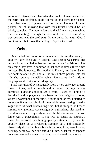enormous International Harvester that could plunge deeper into the earth than anything, could fill me up and leave me planted, ripe…that was it, I guess: not just the excitement of being planted, but of knowing that with each thrust I would be left whole, complete. Can you understand that? It wasn't the machine that was exciting – though the inexorable size of it was. What was exciting was the seed part. Or me being the earth. God, I don't know…but I love that feeling. [Taped interview]

#### **Marina**

 Marina belongs more to her nomadic social set than to any country. Now she lives in Boston. Last year it was Paris. Her current lover is an Italian banker: her former an English lord. The only thing they have in common is that each is almost three times her age. She is twenty. Her mother is French, her father Swiss, her bank balance high. For all the miles she's packed into her life, she remains incredibly naive. She speaks half a dozen languages and works for an ad agency.

I had masturbated systematically from a very early age, around three, I think, and so much and so often that my parents consulted a doctor about it. As a child, I used to think of a favorite friend or playmate, or a beautiful lady neighbor of ours, whom I worshipped at the time. Around nine or ten, I started to be aware 9f men and think of them while masturbating. I had a vague idea of what lovemaking was, but it stopped at French kissing. My ignorance was set right by a girl friend, also aged ten – children mature very early around the Mediterranean – whose father was a gynecologist, so she was obviously au courant. I remember we were munching grapes by a stream in my parents' country place on a sweltering summer day, and constantly, obsessively discussing boys, boys, boys, love, love, love, kissing, necking, petting…Then she said did I know what really happens between men and women, and how, and she told me, more than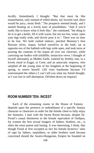lucidly. Immediately I thought: "But that must be like masturbation, only instead of rolled sheets, my favorite tool, there would be juicy, moist flesh." The prospects seemed heady, and I started floating on a lovely haze of possibilities. "And if you'd really like to know what it feels like," she continued, "the thing to do is to get a kettle, fill it with warm, but not too hot, water, open your legs really wide, and slowly pour it in.". There was no time to be lost. We both rushed indoors, pinched Mummy's best Russian silver, teapot, locked ourselves in the bath, sat at opposite ens of the bathtub with legs wide open, and took turns at pouring the contents of the teapot all over our clitorises, while caressing our bodies with infallible, instinctive verve. I thought of myself alternately as Mother Earth, watered by fertility rain, in a lovely ritual in Eygpt, or Crete, and an autocratic empress, who sampled all the young men of her kingdom at the beginning of spring, to renew herself. (All were handsome because I'd exterminated the others.) I can't tell you what my friend thought, as I was lost in self-absorption. [Written down on request]

### **ROOM NUMBER TEN: INCEST**

 Each of the remaining rooms in the House of Fantasy depends upon the presence or embodiment of a specific fantasy character or characters in order for the female client to fully enjoy her fantasies. I start with the Incest Room because, despite Dr. Freud's casual disinterest in the female equivalent of Oedipus, for women the first sexual imagery of fathers, brothers, etc., is often the most potent and lasting. It was interesting, I think, that though Freud at first accepted as fact his female hysterics' tales of rape by fathers, stepfathers, or older brothers (and became concerned should the Austro-Hungarian, Empire be founded on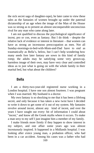the sick secret saga of daughter-rape), he later came to view these tales as the fantasies of women brought up under the paternal dictatorship of an age when the image of the Man of the House was so strong as to present an almost unconquerable unconscious rival for any man who came along later.

I am not qualified to discuss the psychological significance of incest, pro or con, even as fantasy. But I do think – despite the relative lack of evidence or interest in literature – that women can have as strong an incestuous preoccupation as men. Not all Sunday-mornings-in-bed-with-Mom-and-Dad have to end as traumatically as Bella's, below, but I can't help wondering how many seeds fore later fantasy are sown in this kind of family romp; the adults may be satisfying some very grown-up, harmless image of their own, may have very clear and controlled ideas as to just what is going on with the whole family in their marital bed, but what about the children?

### **Bella**

I am a thirty-two-year-old registered nurse working in a London hospital. I have one son almost fourteen. I was pregnant when I was married. My husband is a doctor.

My own fantasy is so shocking to me that it has been a lifelong secret, and only because it has taken a new twist have I decided to write it down to get some of it out of my system. My fantasies revolve around incest, almost any kind of incest, and over the years I have sought out every: bit of information I could about "incest," and know all the Greek myths where it occurs. To make a man sexy to my self I just imagine him a member of my family.

I make friends more firmly if they happen to show interest in my subject, and one affair some years ago was almost incestuously inspired. It happened in a Midlands hospital. I was looking after a\nice young man, a probation officer, who had been in a car accident. Among his cases was a father who had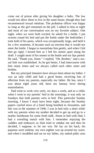come out of prison after giving his daughter a baby. The law would not allow them to live in the same house, though they had recommenced sexual relations. The probation officer was happy so long as the girl remained on the pill. I talked to him at night and most of our conversation was on my favorite subject. One night, when we were both excited, he asked for a bottle. I put screens round his bed and put the bottle under the bedclothes. I took hold of his penis, which was exceptionally large, and held it for a few moments. It became such an erection that it would not enter the bottle. I began to masturbate him gently, and when I felt him go rigid, I kissed him as I felt his semen spurt along his shaft. I caught most of his semen in the bottle and our lips parted. He said, "Thank you, Sister." I replied, "Oh, Brother," and a sexual link was established. As he got better, I had intercourse with him many times and we always called each other sister and brother.

But my principal fantasies have always been about my father. I was an only child and had a good home, receiving lots of affection from my parents, especially my father. He has, since I was about eight years old, been my fantasy lover during masturbation.

Dad went to work very early, six days a week, and as a child, when I went to my parents' bed in the mornings, it was only on Sundays that both parents were in bed. This particular Sunday morning, I know I must have been eight, because the Sunday papers carried news of a hotel being bombed in Jerusalem, and this was in the summer of 1946. I was in bed only a short while with my parents when my mother decided to get up and go to a nearby farmhouse for some fresh milk. Alone in bed with Dad, I had a wrestling match with him. I remember enjoying the cuddles and embraces as Dad tried to subdue me and then he decided, I suppose, to let me win. He lay on his back, his pajamas were undone, my own nightie was up around my waist, and when I straddled and sat on my father, my naked pubic area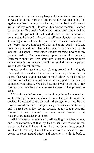came down on my Dad's very large and, I now know, erect penis. It was like sitting astride a broom handle. At first it lay flat against my Dad's tummy. I rocked my bottom back and forward while Dad lay very still. It was at this precise moment I learned to masturbate. Eventually Dad reached for a hankie and rolled me off him. He got out of bed and dressed in the bathroom. I continued to lie in bed and touch myself lovingly with my fingers. I then began to do this all the time in bed or when I was alone in the house, always thinking of that hard thing Daddy had, and how nice it would be to feel it between my legs again. But this was not to happen. Every other Sunday morning I went to my parents' bed, but Dad was already up and about. As I began to learn more about sex from other kids at school, I became more adventurous in my fantasies, until they settled into a set pattern when I was almost thirteen.

It was at this age that I was playing around with a slightly older girl. She talked a lot about sex and one day told me her big secret, that was having sex with a much older married brother. She told me what the word "incest" meant; part of the sex she explained was fellatio. She said how she loved to do this to her brother, and how he sometimes went down on her privates as well.

With this new information buzzing in my brain, I was out for a walk with my Dad one Sunday afternoon. Deep in the woods he decided he wanted to urinate and did so against a tree. But he turned toward me before he put his penis back in his trousers, and I gazed for a few loving seconds at my Dad's beautiful monster. It has remained the main erotic feature of my masturbatory fantasies ever since.

All I have to do is imagine myself walling in a silent woods, and I can almost *feel* that my Dad is somewhere else in that woods, and that if I can almost hold my breath long enough, we'll meet. The way I meet him is always the same. I turn a corner or come around a tree, and there he is, with his back to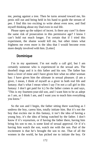me, peeing against a tree. Then he turns around toward me, his penis still out and being held in his hand to guide the stream of pee. I find this too exciting to write about even now, and find myself thinking about my Dad even in real life.

Please open up the subject of incest. Is there any cure? Is there the same risk of prosecution in this permissive age? I know I can't hold out much longer. I'm certain that if I tried this experiment, the shame would kill me, but other times what frightens me even more is the idea that I would become even more deeply involved with him. [Letter]

#### **Dominique**

I'm in my apartment. I'm not really a call girl, but I am certainly someone who is experienced in the sexual arts. The doorbell rings and it is this father and his son. The father has been a lover of mine and I have given hire what no other woman has: I have given him the ultimate in sexual pleasure. (I am a giver, I mean, I think of myself as a giver in both real life and fantasy; that's what I mean when I say I'm not a call girl in this fantasy: I don't get paid for it.) So the father comes in and says, "This is my fourteen-year-old son, and I want him to be as adept as I am, as I think I am, and I want you to teach him everything you know."

So the son and I begin, the father sitting there watching as I undress the boy, caress him, totally initiate him. But it's not the boy that excites me in this fantasy, it isn't the idea of having a young boy, it's the idea of being watched by the father. I don't know if it's voyeurism, or if having the father there, having him bring his son to me, is some kind of sexual approval. Or if it's having him watch the son, watch me with the son. Part of the excitement is that he's brought the son to me. That of all the women in the world, he has picked me to initiate the boy. Or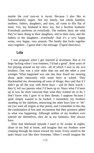maybe the *real* turn-on is incest. Because I also like to fantasizefamily orgies. Not my family, but whole families, mothers, fathers, daughters, and sons, all come to this flat of mine. Yes, my husband is here, too, but a faceless husband. Everybody performs on everybody: The mothers show me what they've been doing to their daughters, and to their sons; and the fathers to the daughters…everybody! And it's a *very* happy scene, very happy, very sensual. The family that fucks together stays together…I guess that's the message. [Taped interview]

#### **Lola**

I was pregnant when I got married at seventeen. But as I'd begn fucking when I was fourteen, I'd had a good', three years of fun playing around on my own…all of which I owe to my two brothers. One was a year older than me and the other a year younger. What happened was one day they found me messing about quite innocently with some boys at school. They blackmailed me, threatening all sorts of things; they said that if I didn't go all the way with those boys – and let them watch – they'd, tell our parents what I'd been up to. Since what I'd been up to was far more innocent than what they wanted me to do, I don't know why I gave in to their threats. I suppose because I quite simply wanted to be fucked. I remember; my brothers standing on the sidelines, instructing the other boys how to "do" me (we were all virgins at that point), and I remember to this day the combination of fear and: excitement that their presence added to what was happening. Although neither of my brothers ever entered me themselves, they do in my fantasies, they always have.

After that blackmail episode I used to lie awake at nights, alone in my bed at home, and imagine that my brothers were creeping through the house toward my room. Every sound in the quiet house was like their footsteps. Often I would imagine the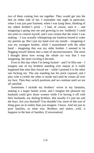two of them coming fore me together. They would get into the bed on either side of me. I remember one night in particular, when I was just past fourteen, when I was lying there, thinking of my oldest brother's prick – I had, of course, seen it – and imagining it going into me and growing in me. Suddenly I could not seem to control myself, and I was certain that the noise I was making – I was actually whimpering out loudwas bound to wake my parents up. But I put my hand over my mouth – imagining it was my youngest brother, while I masturbated with the other hand – imagining that was my older brother. I seemed to be flogging myself almost into a state of unconsciousness. The more I thought about how wrong the whole act was that I was imagining, the more exciting it became.

Even to this day when I'm being fucked – and I'm fifty-one – I imagine one of my brothers standing over mejust as it really happened that time they forced me – while I pretend it is the other one fucking me. The one standing has his prick exposed, and I play with it (while the other is inside me) until he comes all over my face. Then they switch positions and we continue until we are all satisfied.

Sometimes I include my brothers' wives in my fantasies, making it a larger family scene, and I imagine the pleasure my husband could give those women while I'm having it off with their husbands, my darling brothers. But usually it's just me and the boys. Are you shocked? You shouldn't be; more of this sort of thing goes on in reality than you imagine. I know. And not just in poor families, as mine was. Brothers and sisters…well, it happens in the best of families. [Conversation]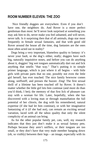## **ROOM NUMBER ELEVEN: THE ZOO**

 Nice friendly doggies are everywhere. Even if you don't have one, the neighbors do. And Rover is a more perfect gentleman than most: he'll never look surprised at something you may ask him to do, never make you feel ashamed, and will never, never talk. Is it surprising then that of all animals, dogs star most frequently in female sexual fantasies, and that with good old Rover around the house all the time, dog fantasies are the ones most often acted out in reality?

Dogs bring a very important, blameless quality to fantasy: it's never your fault, or the dog's either, really; doggies have such big, naturally inquisitive noses, and before you can do anything about it, doggies' big wet tongues automatically dart out and lick anything that smells "that way." That's putting it in simple primer language, which is just where it all begins – with little girls with private parts that no one, possibly not even the little girl herself, has ever touched. The nice family bowwow comes along, sniffsniff, and presses the buzzer. Zing! The first sexual thrill of a lifetime has been touched off by Rover. It doesn't matter whether the little girl lets him continue (and more do than you'd think, I bet); the memory of that first lick of pleasure can stay with a woman for life. Later, hopefully, when she has discovered with a loving man or through masturbation the full potential of her clitoris, the dog with his remembered, natural expertise (if she had let him continue), or with her imaginative fantasizing of it (if she had not), can remain an exciting sexual variation, laced with all the taboo quality that only the silent complicity of an animal can bring.

As for the other popular family pet, cats, well, my research indicates that they just don't make it as sexual fantasy pets. Perhaps because they aren't sniffers, or their tongues are too small, or they don't have that very male member hanging down (oh, so visibly) between their legs – an image, especially with its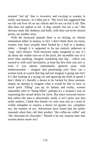aroused "red tip" that is evocative and exciting to women in reality and fantasy. As Libby put it: "My lover has suggested that we rub cod liver oil on my clitoris and let our cat lick it off. This idea does not appeal to me. A dog, maybe, but not a cat." But obvious studs like donkeys and bulls, with their not-to-be missed pricks, are another story.

With the farmyard animals there is no licking, no clitoral stimulation either in fantasy or fact. I don't think there are many women who have actually been fucked by a bull or a donkey, either – though it is supposed to be not entirely unknown at "stag" (ah!) dinners. With barnyard studs, imagined or not, it's all about the visible turn-on of the prick, the incredible size of it more than anything. Imagine something that big – which you reacted to with such fascination, at least the first time you saw it, even if you almost immediately glanced away with embarrassment – imagine that penetrating you! How can a woman look at a prick that big and not imagine it going into her? It's like looking at a racing car and ignoring the thrill of speed. I don't think it's literally a desire to be fucked by these animals, simply an attempt to imagine what it would be like to have so much prick "filling" you up. In fantasy and reality, women repeatedly refer to "being filled"; perhaps it's a woman's way of expressing her sexual desire for more. But since everyone knows that unless the man is abnormally small, it isn't penis size that really matters, I think this female cry only uses size as a kind of visible metaphor to express a desire for greater sex, completer sex, the essence of sex. Advertisers have found that the public responds when they call their product "the coffee-ier coffee" and "the chocolate-ier chocolate." Should it be any surprise then that women desire sexier sex?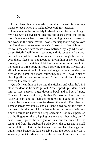#### **Jo**

I often have this fantasy when I'm alone, or with time on my hands, or even when I'm making love with my husband.

I am alone in the house. My husband has left for work. I begin my housework downstairs, clearing the dishes from the dining room into the kitchen. I take off my nightgown and housecoat and work in the nude. While I work, the neighbor's dog follows me. He always comes over to visit. I take no notice of him, but his wet nose and warm breath move between my legs whenever I pause. Briefly I will let my legs part, and his tongue will dart out and lick me while I continue my chores as though he weren't even there. I keep moving about, not giving him or me too much. Slowly, as if not noticing, I let him have more: now two licks, increasing to three, four, his nose burrowing into my privates as I allow him to get at me for longer and longer periods. Suddenly he tires of the game and stops following, just as I have finished cleaning all the downstairs rooms. Except the kitchen. I always save the kitchen for last.

Quickly I call him as I go into the kitchen, and when he's in I close the door so he can't get out. Now I speed up. I don't want him to lose interest. I get down a bowl and a box of Betty Crocker chocolate cake, my husband's favorite. I mix up the batter quickly, and put half the mixture into a cake tin so we'll have at least a one-layer cake for dessert that night. The other half I smear across my breasts, and as I bend down to put the cake in the oven I let the dog lick the batter from my breasts. With my finger I scrape up batter and keep spreading it on my nipples so that he lingers on them, lapping at them until they ache, until I ache. Now I go to the refrigerator, take out the butter for the icing, and from the cupboard I take down the sugar and a small bottle of Bovril. I sit on the kitchen chair to blend the sugar and butter, right beside the kitchen table with the bowl in my lap. I smear my cunt inside and out with the Bovril, and as I stir the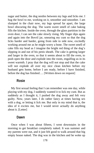sugar and butter, the dog nestles between my legs and licks me. I hug the bowl to me, working on it, smoother and smoother. I am slumped in the chair now, my legs spread far apart, the large bowl obscuring the dog. The warm sweet smell of cake baking fills the kitchen. Inside the oven, through the glass partition in the oven door, I can see the cake slowly rising. My finger dips again and again into the Bovril jar, smearing my cunt so that the dog licks harder and harder, going from side to side now, excitedly working around me as he might worry a bone. The sweet smell of cake fills my head as I imagine the bright red thing of the dog's slipping in and out of his penis sheath. The cake is getting larger and larger in the oven, so that it seems about to fill the oven, to push open the door and explode into the room, engulfing us in its sweet warmth. I pray that the dog will not stop and that the cake will not explode all over my nice clean kitchen before my husband gets home, before I am ready, before I have finished, before the dog has finished…. [Written down on request]

#### **Rosie**

My first sexual feeling that I can remember was one day, while playing with my dog, I suddenly wanted it to lick my cunt. But as suddenly as I thought it, I pushed the dog away and felt very guilty. Now, years later, I do rather fancy at times having sex with a dog, or letting it lick me. But only in my mind that is, the idea of it excites me, but I would never actually do anything about it. [Letter]

#### **Dawn**

Once when I was about fifteen, I went downstairs in the morning to get breakfast completely naked. It was summer and my parents were out, and it just felt good to walk around that big empty house naked. The dog was in the kitchen and he woke up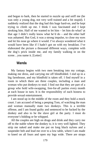and began to bark, then he started to nuzzle up and sniff me (he was only a young dog, not very well trained and a bit stupid). I suddenly realized that the dog had this huge hard-on, and he kept trying to climb up me. I think I was fascinated and I kept stroking him. Half of me wanted to let him – let him do what? at that age I didn't really know what he'd do – and the other half was ashamed. But God, it was a strong impulse, to close my eyes and let his nose go where it would. I've always wondered what it would have been like if I hadn't got on with my breakfast. I've elaborated the picture a thousand different ways, complete with the dog's prick inside me, and my family walking in on the scene...you name it. [Letter]

## **Wanda**

My fantasy begins with two men breaking into my cottage, making me dress, and carrying me off blindfolded. I end up in a big farmhouse, and my blindfold is taken off. I find myself in a room in which there are three couples, including a man and woman who put donkeys to stud. I find out that they are part of a group who hold wife-swapping, free-for-all parties every month at each house in turn. It is the responsibility of each hostess to provide sexual entertainment.

I am stood up in the middle of the room and they hold a mock court. I am accused of being a peeping Tom, of watching the man and woman manually mate two donkeys. This is a terrible offense, and I am found guilty and sentenced to be fucked by the donkey and also to be the slave girl at the party. I must do everyone's bidding or be whipped.

All the couples are high on drugs and drink and they carry me off to the stable where the donkey is; it is very well lighted. They strip me naked and make me put on long black nylons and a suspender belt and lead me over to a low table, where I am made to kneel on all fours and open my legs wide. There are straps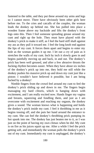fastened to the table, and they put these around my arms and legs so I cannot move. There have obviously been other girls here before me. To the cries and catcalls of the couples, the woman leads the donkey up behind me. She has pulled into place a wooden frame above my backside and lifts the donkey's front legs onto this. Then I feel someone spreading grease around my cunt and right up the hole. They must have played with the donkey's prick to make it stiff, as I feel the hard stiff shaft against my ass as they pull it toward me. I feel the long knob end against the lips of my cunt. It forces them apart and begins to enter my hole as the woman guides it up me. I let out a cry of pain as it stretches the walls of my cunt. Inch by inch it slowly goes in and begins painfully moving up and back, in and out. The donkey's prick has been well greased, and after a few abrasive thrusts the fucking rhythm becomes easier. When they have about six inches of the donkey's prick up into me, they hold me still while the donkey pushes his massive prick up and down my cunt just like a piston: I wouldn't have believed it possible, but I am being fucked by a donkey!

Nimble fingers from the crowd feel around my cunt to feel the donkey's prick sliding up and down in me. The fingers begin massaging my hard clitoris, which is hanging down with excitement, and I am really excited now. Hands finger my vagina and breasts, squeezing and fondling them, and just as I am overcome with excitement and reaching my orgasm, the donkey gives a sound. The woman knows what is happening and holds the donkey's prick inside my cunt. I feel it throbbing in me as it begins tossing off, and she puts her hand around the entrance to my cunt. She can feel the donkey's throbbing prick pumping its hot spunk into me. The donkey has just beaten me to it, as I was just on the point of having my own climax when he did. My cunt is on fire as his juices squirt up me. After a while I feel the prick getting soft, and immediately the woman pulls the donkey's prick out of my cunt. Immediately my cunt is unplugged, the donkey's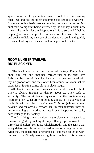spunk pours out of my cunt in a stream. I look down between my open legs and see the juices streaming out just like a waterfall. Someone holds a basin between my legs to catch the juices. My cunt feels so big after being stretched by the donkey's prick; now it feels like my insides are dripping out. It is so sore and I feel the dripping will never stop. Then someone kneels down behind me and begins to lick my cunt dry of the donkey's spunk and quickly to drink all of my own juices which now pour out. [Letter]

## **ROOM NUMBER TWELVE: BIG BLACK MEN**

 The black man is cut out for sexual fantasy. Everything about him, real and imagined, throws fuel on the fire: He's forbidden because of his color; his cock has been endowed with mythic proportions; and the story's been around for years that his expertise at fucking comes close to black magic.

All black people are promiscuous…white people think. They're always fucking or they're about to. They reek of sexuality. The most loaded question in the contemporary bedroom after "What are you thinking about?" is "Have you ever made it with a black man/woman?" Most (white) women haven't, and for obvious reasons. But in their fantasies they do, and everything that worked against it ever happening in reality adds mileage to the fantasy.

The first thing a woman does in the black-man fantasy is to remove the guilt by making it a rape. Being raped allows her to throw her (helpless) self more wholeheartedly into the act, so that every determined thrust can be read as one of struggling protest. After that, the black man's rumored skill and size can go to work on her. (I can't help wondering how rough all this advance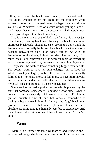billing must be on the black man in reality; it's a great deal to live up to, whether or not his desire for the forbidden white woman is as strong as the real cases of alleged rape would have you believe. Whenever I read of a white woman yelling "Rape!" I half suspect her cry was more an accusation of disappointment than a protest against her black assailant.)

Size is the real power of the black-man fantasy. It's never just a black man, it's a big black man. Never just a black cock but an enormous black cock. Though size is everything, I don't think the fantasist wants to really be fucked by a black cock the size of a baseball bat…unless pain is an added turn-on. As with the fantasies of stud animals, I think the idea of more cock, of so much cock, is an expression of the wish for more of everything sexual; the exaggerated size, the attack by something bigger than life, represent the wish to know something bigger than her life. She doesn't want to have her cunt enlarged, but to have her whole sexuality enlarged; to be filled, yes, but to be sexually fulfilled too – to know more, to feel more, to have more novelty and experience under her belt, thanks to the life-enhancing mythical prick and promise of the sexy black man.

Someone has defined a puritan as one who is plagued by the fear that someone, somewhere, is having a good time. When it comes to sex, we secretly think we may be the self-inhibited puritans ourselves, after all, and that someone, somewhere, is having a better sexual time. In fantasy, the "big" black man promises to take us to that final exploration of sex, the most absolute orgasmic time it is humanly possible to experience. And then, forever after, at least we'll have known what "it" is "all about."

#### **Margie**

 Margie is a former model, now married and living in the suburbs. Although she loves the creature comforts her husband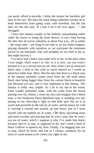can easily afford to provide, I think she misses her bachelor girl days in the city. She does the usual things suburban women do to keep themselves from going crazy with boredom, but the last time we met she said, "If I had it all to do over again …" and shrugged.

I have this fantasy usually in the bathtub, masturbating either under the faucet or using the hand shower. (I can't help having the idea that all across suburbia, at about four p.m., all us ladies – the smart ones – are lying in our tubs or on our chaise longues, playing dreamily with ourselves as we anticipate the imminent arrival of our husbands, who will probably be too tired to lay us that night anyway.)

I've never had a black man make love to me. In the days when I was single, black wasn't as chic as it is now, our eye wasn't attuned to it as a sexual turn-on yet. Now when I see an attractive black man, I look at him with as much interest as I would an attractive white man. More. But the idea that there is a black man in the fantasy probably comes more from the old myth about black men being bigger than from the current black-is-beautiful fad. Because you see, size is very important in this fantasy. The fantasy is really very simple: As I lie in my tub in the warm, Estee Lauder perfumed water, with the water from the faucet playing over my clitoris, I close my eyes and imagine that a black man, a very handsome Harry Belafonte type, is standing over me, peeing on me, directing it right on that little spot. His jet is as warm and powerful as the real jet of water, and he teases me with it, moving it around and around, up and down, just as I tease myself with the bathtub jet of water. I lie there, becoming more and more excited, and praying that he won't stop, that he won't run out of water, which I suppose is why I've made him black, because they're so big, or supposed to be, and I need a kind of black Gulliver to quench my fires. Finally, I'm begging him not to stop, which he loves, and just as I climax, somehow his jet turns to warm semen as he comes too, right on me.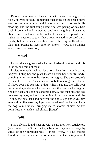Before I was married I went out with a real crazy guy, not black, but very far out. I remember once lying on the beach, there was no one else around, and I was lying on my stomach. He stood up, and the first thing I knew he was peeing on my bare back. I screamed and jumped up, but I was laughing – I was mad about him – and our tussle on the beach ended up with him inside me, needless to say. I have never wanted to be peed on in reality, before or since, but this idea of the very well-endowed black man peeing for ages onto my clitoris…wow, it's a winner every time. [Conversation]

#### **Raquel**

I masturbate a great deal when my husband is at sea and this is the scene I think of most:

I picture myself making love to a beautiful, large-breasted Negress. I strip her and plant kisses all over her beautiful body, bringing her to a climax by kissing her vagina. She then proceeds to make love to me. Then when we are both relaxing, she asks me if I have ever had sex with a dog. When I say no, she calls over her large dog and opens her legs and lets the dog lick her vagina. She lies back and soon has another climax. She then puts the dog between my legs, and as I am getting close to a climax with the licking, she puts her hand between the dog's legs and gives him an erection. She eases my hips over the edge of the bed and helps the dog to mount me, bringing me to another climax. At this point I usually reach a real climax. [Letter]

## **Lydia**

I have always found sleeping with Negro men very satisfactory (even when it isn't satisfactory) because they are so sexy by virtue of their forbiddenness…I mean…wow, if your mother found out…so the whole Negro number is a nice fantasy when I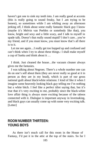haven't got one to sink my teeth into. I am really good at accents (this is really going to sound freaky, but I .am trying to be honest), so sometimes while I am whiling away an afternoon jerking off, I think about some really fantastic black guy I know (maybe it's Melvin van Peebles or somebody like that), you know, bright and sexy and a little scary, and I talk to myself in spade talk. Doesn't that really sound stupid? I don't care…you're my friend, and if you must know, you must know that's all there is to it.

Let me see again…I really get too hopped up and confused and can't think when I try to about these things.: I shall make myself a cup of Sanka and think about it …

I think. Just cleaned the house…the vacuum cleaner always gives me the fantasies.

I was talking about Negroes. There's a whole number one can do on one's self about them (they are never really so good at it in person as they are in my head), which is part of our gross national guilt about black/white relations: I kind of like it when I imagine some heavenly looking black guy telling me I'm nothing but a white bitch. I feel like a perfect idiot saying that, but it's true that it's very exciting to me, probably since the black-white love affair thing is always more exciting because of the taboos connected with it. Dialogue is important anyway in lovemaking, and black guys can usually come up with some very exciting talk. [Letter]

## **ROOM NUMBER THIRTEEN: YOUNG BOYS**

 As there isn't much call for this room in the House of Fantasy, I'd put it in the attic at the top of the stairs. So far I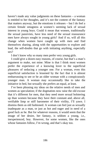haven't made any value judgments on these fantasies – a woman is entitled to her thoughts, and it's not the content of the fantasy that matters anyway, but the emotions it releases – but I do feel a certain female smugness at women's seeming lack of sexual interest in young boys. Could it mean that women, traditionally the sexual passivists, have less need of the sexual reassurance men have always sought in young girls? And if so, will all this change when women have caught up with men and find themselves sharing, along with the opportunities to explore and lead, the self-doubts that go with initiating anything, especially sex?

I don't know why so many men prefer very young girls.

I could give a dozen easy reasons, of course, but that's a man's argument to make, not mine. Mine is that I think most women prefer the experience of a knowing lover to the superficial pleasures of seducing a younger one. For a woman, even this superficial satisfaction is lessened by the fact that it is almost embarrassing to see or be an older woman with a conspicuously younger man. A woman may occasionally like to take the initiative in bed, but sexually she prefers an equal, at least.

I've been phrasing my ideas on the relative needs of men and women as speculation; if the dogmatists now raise the old excuse that it's different for men, that they need more sexual bolstering up than women because they have their constant and, above all, verifiable limp or stiff barometer of their virility, I'll yawn. I dismiss them as old fashioned. A woman can feel just as sexually inadequate as a man, or just as hot and eager and in need of a good fuck as he. But for whatever reasons, it would seem that the image of her desire, her fantasy, is seldom a young, i.e., inexperienced, boy. However, for some women, like the ones whose fantasies follow, I'm wrong, and that's okay too.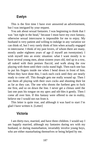## **Evelyn**

This is the first time I have ever answered an advertisement, but I was intrigued by your request.

You ask about sexual fantasies. I was beginning to think that I was "not right in the head," because I must have my own fantasy, otherwise sexual intercourse is impossible for me to enjoy. My husband is very patient and willing to indulge in any variation we can think of, but I very rarely think of him when actually engaged in intercourse. I think of my past lovers, of whom there are many, mostly under eighteen years of age (I myself am twentynine). I wish myself into an erotic situation: what I want mostly is to have several young men, about sixteen years old, tied up in a row, all naked with their penises flaccid, and walk along the row playing with them until their cocks stand high. Then each one has to put his fingers inside me when I bend down in front of him. When they have done this, I suck each cock until they are nearly ready to come off. This thought gets me really wound up. Then I see them all playing with their own cocks and shooting their lot as far as they can. The one who shoots the furthest gets to fuck me first, and so on down the line. I never get a climax until the last one puts his tongue on my apex and nib bles it gently. Then I come all over him. If this fantasy were offered to me in reality, believe me I would not run from it.

This letter is quite true, and although it was hard to start I'm glad I have written it. [Letter]

## **Victoria**

I am thirty-two, married, and have three children. I would say I am happily married, although my fantasies during sex with my husband, or during masturbation, invariably involve young boys, who are either masturbating themselves or being helped by me.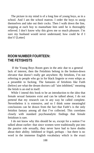The picture in my mind is of a long line of young boys, as in a school. And I am the school matron. I order the boys to unzip themselves and take out their cocks. Then I walk down the line, stopping at each boy to masturbate him until he is thoroughly relieved. I don't know why this gives me so much pleasure. I'm sure my husband would never understand; how could he if I don't? [Letter]

## **ROOM NUMBER FOURTEEN: THE FETISHISTS**

 If the Young Boys Room goes in the attic due to a general lack of interest, then the Fetishists belong in the broken-down elevator that doesn't really get anywhere. By fetishists, I'm not referring to people who go in for black lingerie or even whips as a preamble to fucking. The fantasies of fetishists like Faith (below) are what the dream doctors call "aim inhibited," meaning the fetish is an end in itself.

While I intend this book to be an introduction to the *idea* that female sexual fantasies exist and can be talked about, I do not pretend that my research can in any way be called complete. Nevertheless it is extensive, and so I think some meaningful conclusions can be drawn from the fact that Faith's is the only fetishist fantasy among all that I've collected. This correlates closely with standard psychoanalytic findings that female fetishism is rare.

I do not know why this should be so, except for a notion I've talked about earlier: that since women were traditionally put into the passive role sexually, they never have had to have doubts about their ability. Inhibited or frigid, perhaps – but there is no word in the immense English vocabulary which is the exact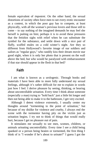female equivalent of *impotent.* On the other hand, the sexual distortions of society often force men to see every erotic encounter as a contest, in which the poor guy has to compete, at least physically, with all the woman's previous lovers and those still to come – to say nothing of the imagined demands he may feel she herself is putting on him; perhaps it is to avoid these pressures that the fetishist sighs with relief when he can substitute the symbol for the substance, and settle down with a nice pair of fluffy, scuffed mules on a cold winter's night. Are they so different from Hollywood's favorite image of our soldiers and sailors as "regular guys," who randily kiss their dream movie star good night, when it is only her photo that is present on the wall above the bed, but who would be paralyzed with embarrassment if that star should appear in the flesh in that bed?

## **Faith**

I am what is known as a urologenic. Through books and materials I have been able to more fully understand my sexual feelings, although it's rather difficult for me to explain in words just how I feel. I derive pleasure by seeing, thinking, or hearing about uncontrollable urination. Every time I think about someone (especially a man) trying to "hold back" just a little bit longer and then not being able to make it to the bathroom, I get very excited.

Although I detest violence extremely, I usually center my thoughts around "tormenting to the point of urination," but because of my dislike for violence and cruelty, I always end the scene with the tormentor having pity on the victim just as urination begins. I try not to think of things that would really hurt, because I get no pleasure out of pain.

It stimulates me sexually to see men, women, children, or animals urinating uncontrollably. Every time I see a child being spanked or a person being beaten or tormented, the first thing I think of is "I wonder if he's about to urinate?" I guess I got the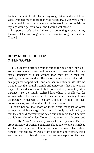feeling from childhood. I had a very rough father and we children were whipped much more than was necessary. I was very afraid of him, and it got so that every time he would go to punish me my legs would get very weak and I would wet myself.

I suppose that's why I think of tormenting scenes in my fantasies. I feel as though it's a sure way to bring on urination. [Letter]

## **ROOM NUMBER FIFTEEN: OTHER WOMEN**

 Just as many a difficult truth is told in the guise of a joke, so are women more honest and revealing of themselves in their sexual fantasies of other women than they are in their real dealings with one another. Since most women are so blocked in any physical rapport with one another in ordinary life, it's no wonder that the natural warmth and tenderness that one woman may feel toward another is likely to come out only in fantasy. (For instance, take the highly stylized kiss which it is allowed for women who like each other to bestow when meeting, kisses deliberately ritualized to convey affection without physical consequences; very often their lips kiss air alone.)

I don't believe that most of these erotic thoughts of other women are highly charged fantasies of deeply buried desire, or that they should necessarily be acted out, any more than I believe that idle reveries of a New Yorker about green grass, brooks, and trees really "mean" he secretly wants to be a peasant. But the erotic imagery of women's fantasies about other women is indeed so clearly a projection of how the fantasizer really feels about herself, what she really wants from both men and women, that I was tempted to give this room an entire chapter of its own.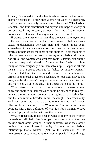Instead, I've saved it for the last inhabited room in the present chapter, because if I'd put Other Women fantasies in a chapter by itself, it would inevitably have come to be called "The Lesbian Chapter," and thus sensationalized beyond any hope of clarity or perspective. In my research, women's fantasies of other women are revealed as fantasies like any other – no more, no less.

If women are a mystery to men, they are even more mysterious to themselves and to one another. I'm convinced that any closer sexual understanding between men and women must begin somewhere in an acceptance of the. precise desires women express in their sexual thoughts of one another. These thoughts of other women are not nec essarily, to my mind, lesbian thoughts, nor are all the women who visit this room lesbians. Nor should they be cheaply dismissed as "latent lesbians," which is how many of them resignedly sum themselves up: "I suppose all this means I have a secret desire to be fucked by another woman." The defeated tone itself is an indictment of the simpleminded effects of universal drugstore psychiatry on our age. Maybe she does, maybe she doesn't, maybe she is a lesbian, or a bisexual; and maybe not. But in the end, I don't care; that's not the point.

What interests me is that if the emotional openness women show one another in their fantasies could be extended to reality, I am sure the result would be, not a soaring increase in lesbianism, but the contrary: a broader, more meaningful heterosexuality. And yes, when we have that, more real warmth and honest affection between women, too. Who knows? In time women may come up with a new definition of what it is for a woman to have "normal" physical contact with another woman.

What is repeatedly made clear in what so many of the women themselves call their "lesbian-type" fantasies is that they are seeking from other women in their fantasies what they aren't getting from their lovers in reality. It's not the real lesbian relationship that's wanted. (Not to the exclusion of the heterosexual one, anyway; as one woman put it, "I wouldn't go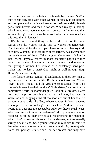out of my way to find a lesbian or female bed partner.") What they specifically find with other women in fantasy is tenderness, and complete and experienced arousal of their essentially female parts, their breasts and their clitorises. When reality is lacking, who knows more about tenderness, breasts, and clitorises than women, being women themselves? And what safer area to satisfy this need than in fantasy?

It's the most natural thing in the world that, for the same reason men do, women should turn to women for tenderness. That they should, for the most part, have to resort to fantasy to do so is life. Woman, the great giver of tenderness, has always been on the short end of the tit. Take the great Cocksman's Guide for Real Men: Playboy. Where in those seductive pages are men taught the values of tenderness toward women, and reassured that giving a woman this instead of a constantly hard prick makes him no less a man? One might as well impugn Hugh Hefner's heterosexuality!

The female breast, symbol of tenderness, is there for men to cry on, suck on, lie on for life. But how about women? We all begin on the breast, but little girls are soon turned from their mother's breasts into their mothers' "little sisters," and sent into a comfortless world in motherdaughter, look-alike dresses. Dad's not much help; not only has he not got a breast, but even his warm lap and hugging arms all too soon are out of bounds. No wonder young girls like Bee, whose fantasy follows, develop schoolgirl crushes on older girls and teachers. And later, when a young man becomes the acceptable outlet for these sexual needs, who then can she turn to for tenderness? Most young men are too preoccupied filling their own sexual requirements for manhood, which don't allow much room for tenderness, not necessarily virility's best friend. So, a young woman may logically come to fantasize about another woman (usually with big breasts) who holds her, perhaps lets her suck on her breasts, and may even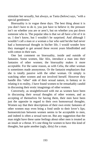stimulate her sexually, but always, as Tania (below) says, "with a special gentleness."

Bisexuality is in vogue these days. The best thing about it is you don't have to do it, you just have to believe it; the pressure isn't on whether you are or aren't, but on whether you put down someone who is. The popular idea is that we all have a bit of it in us. I don't know, but I wouldn't be surprised. And although I wouldn't call a man or a woman a liar who said he/she had never had a homosexual thought in his/her life, I would wonder how they managed to get around these recent years blindfolded and with cotton in their ears.

One last comment on bisexuality, inside and outside of fantasies. Some women, like Alix, introduce a man into their fantasies of other women; the bisexuality makes it more acceptable. For the same reason, as with Celia, the other woman is sometimes made anonymous. Or the fantasist emphasizes that she is totally passive with the other woman. Or simply is watching other women and not involved herself. However they handle this "other" side of their sexual nature, in fantasy or in relating it to reality, I have found women to be remarkably candid in discussing their erotic imaginings of other women.

Conversely, as straightforward with me as women have been in discussing their sexual thoughts of other women, and as accepting of themselves for having them, their men have been just the opposite in regard to their own homosexual thoughts. Women say that their descriptions of their own erotic fantasies of other women may even bring a fond smile to their lover's lips; homoeroticism between women seems to be acceptable to men, and indeed is often a sexual turn-on. But any suggestion that the man might have these same feelings about other men is treated as an insult or a threat. It's one thing for women to have this kind of thoughts, but quite another (ugly, dirty) for a man.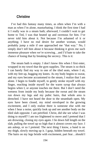#### **Christine**

I've had this fantasy many times, as often when I'm with a man as when I'm alone, masturbating. I think the first time I had it I really was in a steam bath; afterward, I couldn't wait to get home to Ted, I was that heated up and ravenous for him. I've never told him about it. Not because I'm ashamed of it or anything; I have no real desire for another woman, would probably jump a mile if one approached me "that way." No, I simply don't tell him about it because thinking it gives me such immense pleasure when we're screwing…and I'd hate to take the chance of losing that by breaking the secrecy. This is it:

The steam bath is empty. I don't know this when I first enter, wrapped in my towel that the gym supplies. The steam is so thick I can barely find my way to one of the tiled seats, where I sit, with my feet up, hugging my knees. As my body begins to sweat, and my eyes become accustomed to the steam, I realize that I am alone. I begin to fondle myself, to gently stroke myself with my finger, reaching inside myself for the warm syrup that always begins when I, or anyone touches me there. But I don't need the wetness from inside my body because the sweat and the steam run down my legs and my pubic hairs, that whole area is drenched. I have not heard the door to the steambath open. My eyes have been closed, my mind enveloped in the growing excitement, and I only realize there is someone else with me when I hear a noise, quickly look up and see another body on the tiled slab opposite. I am petrified. Christ, did she see what I was doing to myself? I am too frightened to move and I pretend that I am drowsing, closing my eyes again. I lie down full length on the slab, pulling the towel up so high that it almost covers my face. I am asleep, or so I pretend. The next thing I know, a hand is on my thigh, slowly moving up it. I gasp, hidden beneath my towel. The hairs on my legs bristle with excitement, part fear…should I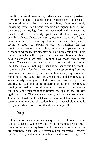run? But the towel protects me, hides me, and I remain passive. I leave the problem of another person entering and finding us to her; she will watch. Her hands are on both my thighs now, slowly massaging them, her fingers reaching up higher, higher, until they gently part my legs. I wait for her mouth and she leaves me thus for endless seconds. My lips beneath the towel now plead silently – please, please, don't stop, kiss me, kiss it! Her fingers have parted me, exposing my clitoris to the warm heat, and it seems to grow, to expand toward her, reaching for her mouth…and then suddenly, softly, tenderly her lips are on me, her tongue warm against me, moving. Half of my mind can't help but wonder what will happen now if we are discovered, but I have no choice. I am hers. I cannot leave those fingers, that mouth. The sweat pours over my face, the steam swirls all around me, I feel, have felt nothing of her but her hands and her mouth. Otherwise she is formless. I can feel the syrup pouring from me now, and she drinks it, her saliva, her sweat, my sweat all mingling in my cunt. Her lips are so full, and her tongue so warm, slowly licking me, all the way from my ass up to my clitoris, but stopping on it, lingering on it, then her tongue moving in small circles all around it, teasing it, but always returning, and when the tongue returns, the lips too, the full kiss again and again. The heat is so intense, and my own excitement, I am afraid I will faint, that I will scream out. I bite hard on the towel, raising my buttocks suddenly so that her whole tongue is in my cunt when I come. [Written down on request]

## **Dolly**

I have never had a homosexual experience, but I do have many lesbian fantasies. While my boy friend is making love to me I often fantasize about my best friend. We are not lesbians but we are extremely close (she is twentysix, I am nineteen). Anyway, the fantasizing begins when my boy friend starts kissing me. I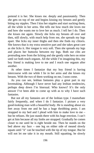pretend it is her. She kisses me. deeply and passionately. Then she gets on top of me and begins kissing my breasts and gently biting my nipples. Then I kiss her nipples and start sucking them, all the while in her arms. She tells me how much she loves me and how she wants me to love her as much. I tell her I do. Then she kisses me again. Slowly she licks my breasts all over and then, still slowly, with much help from me, she spreads my legs apart. She licks my inner thighs and then she finds my clitoris. She knows that is my extra sensitive part and she takes great care as she licks it. Her tongue is very soft. Then she spreads my legs and places her buttocks between my legs. Both our clits are protruding now from the licking and she gently rubs hers on mine until we both reach orgasm. All the while I'm imagining this, my boy friend is making love to me and I reach one orgasm after another.

At other times I fantasize that my boy friend is having intercourse with me while I lie in her arms and she kisses my breasts. With the two of them working on me, I soon come.

As you can see, lesbian fantasies play a great part in my lovemaking. Although I have never had any lesbian tendencies, perhaps deep down I'm bisexual. Who knows? It's the only answer I've been able to come up with as to why I have such fantasies.

But not all my fantasies are of the lesbian type. I masturbate fairly frequently, and when I do I fantasize. I picture a very good-looking man with a beautiful body. He is standing about six feet away from me and he has a huge throbbing penis. I am strapped to my bed and I plead with him to make love to me – but he refuses. He just stands there with his huge erection. I can't get at him because all my limbs are strapped. Gradually he comes closer to me until he is right beside me. Then he stands on the bed above my face – one leg on either side of meand slowly squats until "it" can be touched with the tip of my tongue. But he will not let me take it in my mouth. Still squatting, he slowly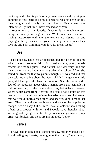backs up and rubs his penis on my huge breasts and my nipples continue to rise, hard and proud. Then he rubs his penis on my inner thighs and finally on my clitoris. Finally we have intercourse. By that time I have reached an orgasm.

Another one of my favorite fantasies is to imagine myself being the focal point in group sex. While men take their turns having intercourse with me, the women are kissing me and playing with my breasts. Everyone is telling me how much they love me and I am brimming with love for them. [Letter]

#### **Bee**

I do not now have lesbian fantasies, but for a period of time when I was a teen-age girl, I did. I had a young, pretty female teacher on whom I guess I had a crush. She was very kind and nice to me, and we had many long talks after school. When she found out from me that my parents thought sex was bad and that they told me nothing about the "facts of life," she got me a little pamphlet that gave the basic information. She also answered a few of my questions about what I learned from that pamphlet. I did not learn any of the details about sex, but at least I learned where babies came from. Anyway, as I said, I had a crush on this teacher, and I would sometimes fantasize about her. I dreamed that we would undress each other, and she would hold me in her arms. Then I would kiss her breasts and suck on her nipples as though I were a baby. Other times, I would fantasize about taking a bath or a shower with her, and I would have thoughts about washing and drying her entire body. When she got married, my crush was broken, and these dreams stopped. [Letter]

## **Venice**

I have had an occasional lesbian fantasy, but only about a girl friend feeling my breasts; nothing more than that. [Conversation]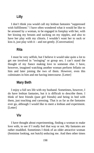## **Lilly**

I don't think you would call my lesbian fantasies "suppressed wish fulfillment." I have often wondered what it would be like to be aroused by a woman, to be engaged in foreplay with her, with her kissing my breasts and sucking on my nipples, and also to have her play with my clitoris. I wouldn't want her to suck or kiss it, just play with it – and not gently. [Conversation]

#### **Rita**

I must be very selfish, but I believe it would take quite a lot to get me involved in "swinging" or group sex. I can't stand the thought of my fiance making love to someone else. I have, however, imagined watching another woman perform fellatio on him and later joining the two of them. However, even this culminates in him and me having intercourse. [Letter]

#### **Mary Beth**

I enjoy a full sex life with my husband. Sometimes, however, I do have lesbian fantasies, but it is difficult to describe them. I think of best friends (past girl friends) and being in bed with them, just touching and caressing. That is as far as the fantasies ever go, although I would like to meet a lesbian and experiment. [Letter]

#### **Viv**

I have thought about experimenting, finding a woman to make love with, to see if I really feel that way or not. My fantasies are rather muddled. Sometimes I think of an older attractive woman (feminine looking, not butch) seducing me. And then other times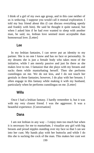I think of a girl of my own age group, and in this case neither of us is seducing. I suppose you would call it mutual exploration. I told my boy friend about this (I can discuss everything openly and frankly with him). He said he thought it quite natural, but when I asked him if he had ever wanted to sleep with another man, he said, no, lesbian love seemed more acceptable than homosexual love. [Letter]

#### **Lee**

In my lesbian fantasies, I can never put an identity to my partner. She is no one I know and has no face or personality. In my dreams she is just a female body who takes most of the initiative, while I am merely passive and just lie there as she makes love to me. I fantasize that she plays with my breasts and sucks them while masturbating herself. Then she performs cunnilingus on me. We do not kiss, and I do not touch her genitals in these fantasies; however, I do play with her breasts. I often engage in this fantasy while making it with my husband, particularly when he performs cunnilingus on me. [Letter]

#### **Willa**

Once I had a lesbian fantasy. I hardly remember it, but it was with my very closest friend. I was the aggressor. It was a beautiful experience. [Conversation]

#### **Dana**

I am not lesbian in any way – I enjoy men too much but when it is necessary for me to masturbate, I visualize any girl with big breasts and proud nipples standing over my face so that I can see into her cunt. My hands play with her buttocks and while I do this she is sucking the cock of the man. This makes her cunt wet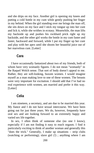and she drips on my face. Another girl is opening my knees and putting a cold bottle in my cunt while gently pushing her finger in my behind. When the girl standing over me brings the man off, she sits down on my face and I stick my tongue up into her cunt and lick it, while she writhes in ecstasy. Meanwhile, the man lifts my backside up and pushes his rockhard prick right up my backside, and the other girl works the bottle in my cunt faster and faster, backward and forward, while I put my finger up her cunt and play with her apex until she shoots her beautiful juice out of her marvelous cunt. [Letter]

#### **Cara**

I have occasionally fantasized about two of my friends, both of whom have very womanly figures. I do not mean "womanly" in the Raquel Welch sense. That sort of body doesn't appeal to me. Rather, they are soft-looking, buxom women. I would imagine myself as a man making love to one of these women. The breasts were very important for excitation. I should add that I've had no real experience with women, am married and prefer it this way. [Letter]

## **Celia**

I am nineteen, a secretary, and am due to be married this year. My fiance and I do not have sexual intercourse. We have been going out for just three years. We do, however, frequently have oral sex and are looking forward to an extremely happy and varied sex life together.

In sex, I often think of someone else (no one I know), especially if I am not finding it easy to reach orgasm. I find it particularly exciting to think of another woman and generally this "does the trick." Generally, I make up situations – strip clubs (watching or performing); slave girl (!) ; anything where I am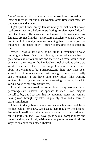*forced* to take off my clothes and make love. Sometimes I imagine there is just one other woman, other times that there are two women and a man.

I get quite turned on by female nudity or pictures (I always read erotic literature before masturbating, to give myself ideas!), and it automatically shows up in fantasies. The women in my fantasies are not friends; I just picture a faceless woman's body. I don't think I actually imagine touching her. I just enjoy the thought of the naked body. I prefer to imagine she is touching me.

When I was a little girl, about eight, I remember always bullying my best friend into playing games where we had to pretend to take off our clothes and the "wicked man" would make us walk in the street, or the inevitable school situations where we would force each other to do things. I remember when I was about ten, wanting to be a stripper…and there may have been some kind of intimate contact with my girl friend, but I really can't remember. I did have quite sexy ideas…like wanting another girl to dry me down after showering, or being forced in various ways to take my clothes off.

I would be interested to know how many women (what percentage) are bisexual, as opposed to men. I can imagine myself to be, but I suspect that my apparent interest in women, having read through my letter, is just objective and a form of extra stimulation.

I have told my fiance about my lesbian fantasies and he is neither jealous nor angry. We discuss them regularly. He does not fantasize himself, but quite understands why I do. He considers it quite natural, in fact. We have great sexual compatibility and understanding, and I only wish every couple in the world felt the way we do about each other. [Letter]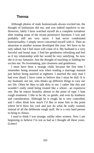## **Theresa**

Although photos of male homosexuals always excited me, the thought of lesbianism did not, and was indeed repulsive to me. However, lately I have watched myself do a complete turnabout after reading some of the recent permissive literature. I was and probably still am very naive. I had never condemned homosexuality; I simply never concerned myself with it. Then an attraction to another woman developed this year. We have so far only talked, but I feel more will come of it. My husband is a very forceful and brutal man. I find her gentleness refreshing and feel as if my relationship with her would be very satisfying. So now she is in my fantasies. Just the thought of touching or holding her excites me. No lovemaking, just closeness and gentleness.

I must have been a strange child, because the first time I remember being aroused was when reading a marriage manual just before being married at eighteen. I married the only man I had ever dated. I have come to believe that I must be dull. It is my husband, not me, who thinks up different things to vary our sex life. Often he likes to talk dirty to me. I rather like this and wouldn't really mind being treated like a whore…an expensive one. But he enjoys brutality almost to the point of rape. I hate rough treatment. I like to be oh, so gentle, and won by kindness and consideration. Although he is rough, he is very controlled, and I often think how much I'd like to tease him to the point where he'd blow his cool and just do what he really wanted, instead of all the deliberate rough stuff. He is a very hard person to bring to climax.

I used to think I was strange, unlike other women. Now I am beginning to believe I'm not as bad as I thought all these years. [Letter]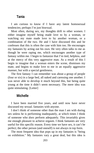#### **Tania**

I am curious to know if I have any latent homosexual tendencies; perhaps I'm just bisexual.

Most often, during sex, my thoughts drift to other women. I either imagine myself being made love to by a woman, or watching my mate made love to by another woman, or a combination of the two. He and I have discussed this and he confesses that this is often the case with him too. He encourages my fantasies by acting out his own. He very often talks to me as though he were raping me, which encourages another type of fantasy within me. I begin to fantasize that I'm tied, helpless, and at the mercy of this very aggressive man. As a result of this I begin to imagine that a woman enters the scene, dismisses my mate, and begins to make love to me in an equally aggressive manner, but with a special gentleness.

The first fantasy I can remember was about a group of people (four or six) in a large bed, all naked and caressing one another. I was never able to develop it much beyond this, but being quite young at the time it didn't seem necessary. The mere idea was quite stimulating. [Letter]

## **Michelle**

I have been married five years, and until now have never discussed my sexual. fantasies with anyone.

I don't think of someone other than the man I am with during sex unless he is performing inadequately, at which times I think of someone who *does* perform adequately. This invariably gives me enough pleasure to achieve orgasm. I think fantasies are very useful for this specific reason. Every time we have sex, it can't be perfect; the other person (and oneself) is not always in top form.

The most frequent idea that pops up in my fantasies is "being on exhibition." My fantasies vary a great deal, but this idea is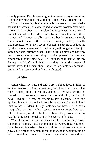usually present. People watching, not necessarily saying anything or doing anything, but just watching… that really turns me on.

What is interesting is that although I've never had any desire for another woman, or even looked at another woman "that way" in reality, I do often have lesbian fantasies when with a man. I don't know where this idea comes from. In my fantasies, these women and I never actually touch, no bodily contact, I simply think about them, other women, usually naked, usually large-breasted. What they seem to be doing is trying to seduce me by their erotic movements. I allow myself to get excited just watching them, but then when I have built to a pitch and have my real orgasm, the women simply smile, pleased for me, and disappear. Maybe some day I will join them in sex within my fantasy, but I don't think that is what they are building toward. I would never tell a man about these lesbian fantasies because I don't think a man would understand. [Letter]

#### **Sandra**

Often when my husband and I are making love, I think of another man (or two) and sometimes, not often, of a woman. The man I usually think of was my dentist (I say was because he moved to another state). I never had sex with him, but I would have liked to. To me, he resembles my husband. He is soft spoken, but not one to be bossed by a woman (which I like a man to be: A Man). In my fantasies we have sex in every imaginable position within reason. We even masturbate each other. However, most of the time I think of my husband during sex; he is my ideal sexual partner. He even smells sexy.

When I fantasize about the other men I find attractive, toward the point of climax, I settle on one man (or woman). So you see, I have lesbian fantasies. Usually I think of a woman who is physically similar to a. man, meaning that she is heavily built but still feminine, tender, loving (motherly sometimes),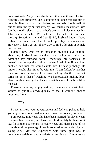compassionate. Very often she is in military uniform. She isn't beautiful, just attractive. She is assertive but open-minded, fun to be with, likes music, sports, clothes, and animals. She is well off but not rich, thrifty but not miserly. We usually masturbate, kiss (on the mouth), sleep in each other's arms (she holds me mostly). I feel secure with her. We suck each other's breasts (me hers mostly). Sometimes she and I go 69. My husband knows I have lesbian tendencies and that I could possibly be ambisexual. However, I don't go out of my way to find a lesbian or female bed partner.

I don't know what it's an indication of, but I love to think about my husband and another man having sex with me. Although my husband doesn't encourage my fantasies, he doesn't discourage them either. When I ask him if watching another man fuck me would excite him, he says probably. He knows I would like him to be with me if I am fucked by another man. We both like to watch our own fucking. Another idea that turns me on is that of watching two homosexuals making love; also, I wish women got a chance to watch some of the blue films men see.

Please excuse my sloppy writing; I am usually neat, but I wanted to put this down quickly so that I wouldn't change anything. [Letter]

## **Patty**

I have just read your advertisement and feel compelled to help you in your research. I will attempt to write as honestly as I can.

I am twenty-nine years old, have been married for eleven years to a merchant seaman, and have two children. My husband is at sea for almost six months of every year, and during one of his trips about three years ago I was introduced to lesbianism by two young girls. My first experience with these girls was so completely satisfying and wonderfully exciting that I now relive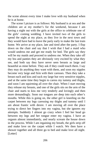the scene almost every time I make love with my husband when he is at home.

The scene I picture is as follows: My husband is at sea and the children are at my mother's for the weekend, because I am having a night out with the girls at the office to celebrate one of the girls' coming wedding. I have invited two of the girls to spend the night at my place, as they live in the next town and they would have had to leave the party early to make the last train home. We arrive at my place, late and tired after the party. I flop down on the chair and say that I wish that I had a maid who would undress me and get me ready for bed. The girls say they will be my maids and proceed to undress me. When they take off my bra and panties they are obviously very excited by what they see, and both say they have never seen breasts as large and beautiful as mine before. They ask if they could touch them. I say they may do anything they want with them, and soon my nipples become very large and firm with their caresses. Then they take a breast each and kiss and suck my large but very sensitive nipples, and at the same time they begin to caress my tummy and thighs, and soon I am squirming all over the chair. When I start moving they release my breasts, and one of the girls sits on the arm of the chair and starts to kiss me very tenderly and lovingly and then more demandingly. Soon our tongues are deep into each other's mouths. While this is going on, the other girl is kneeling on the carpet between my legs caressing my thighs and tummy until I am about frantic with desire. I am moving all over the place trying to direct her fingers into my vagina, but she ignores my attempts. Suddenly I almost go crazy when I feel her head go between my legs and her tongue enter my vagina. I have an orgasm almost immediately, and nearly scream the house down in the process. While I am regaining my breath, the girls strip off and make love on the carpet while I watch. We then have a shower together and all three go to bed and make love all night. [Letter]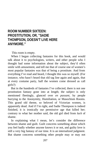## **ROOM NUMBER SIXTEEN: PROSTITUTION, OR, "SADIE THOMPSON, DOESN'T LIVE HERE ANYMORE."**

This room is empty.

When I began collecting fantasies for this book, and would talk about it to psychologists, writers, and other people who I thought had some information about the subject, they'd often smile with amusement, and tell me that of course one of women's most popular fantasies was that of being a prostitute. And from everything I've read and heard, I thought this was so myself. (For instance, who hasn't heard that old tag line again and again, that at every costume party, half the women come dressed as call girls?)

But in the hundreds of fantasies I've collected, there is not one prostitution fantasy gone into at length; the subject is only mentioned fleetingly, glanced over *en passant,* by people hurrying to the Anonymity, Humiliation, or Masochism Rooms. This grand old theme, so beloved of Victorian women, is apparently dead. And if I'm right, and Sadie Thompson is indeed finished, it is ironically our permissive age that killed her; contrary to what her mother said, the old girl died from *lack* of shame.

In explaining what I mean, let's consider the difference between shame and guilt. Guilt concerns something about which you feel badly whether anyone knows it or not, and guilty love is still a very big fantasy of our time. It is an internalized judgment. But shame concerns something other people may or may not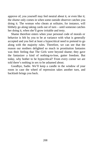approve of; you yourself may feel neutral about it, or even like it; the *shame* only comes in when some outside observer catches you doing it. The woman who cheats at solitaire, for instance, will blithely go along taking cards out of turn – until someone catches her doing it, when she'll grow irritable and testy.

Shame therefore enters when your personal code of morals or behavior is felt by you to be at variance with what is generally accepted and you feel at least a hypocritical need to pretend to go along with the majority rules. Therefore, we can see that the reason our mothers delighted so much in prostitution fantasies was their feeling that The Girls were beyond shame; they gave the fantasizer a kind of nothing-to-lose, gutter freedom. But today, why bother to be hypocritical? From every corner we are told there's nothing in sex to be ashamed about.

Goodbye, Sadie. We'll keep a candle in the window of your room in case the wheel of repression takes another turn, and backlash brings you back.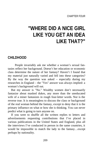# **"WHERE DID A NICE GIRL LIKE YOU GET AN IDEA LIKE THAT?"**

## **CHILDHOOD**

People invariably ask me whether a woman's sexual fantasies reflect her background. Doesn't her education or economic class determine the nature of her fantasy? Haven't I found that my material just naturally varied and fell into these categories? By the way the question was asked – especially during my researches in England – the "Yes" answer was always implied: a woman's background will out.

But my answer is "No." Wealthy women don't necessarily fantasize about masked dukes, any more than the uneducated wife of a miner fantasizes in rough four-letter words. Nor is the reverse true. It is meaningless to discuss the class or background of the real woman behind the fantasy, except to deny that it is the primary influence on what or how she is thinking. You can never predict what is going to turn anyone on.

If you were to shuffle all the written replies to letters and advertisements requesting contributions that I've placed in various publications in the United States and England, plus all the interviews I've conducted in person in the same countries, it would be impossible to match the lady to the fantasy…except perhaps by nationality.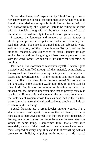So no, Mrs. Jones, don't expect that by ""birth," or by virtue of her happy marriage to Jack Princeton, that your Abigail would be found in the relatively acceptable Earth Mother Room. With all her Foxcroft training, she is just as likely to be rolling in the mud with an Airedale, along with all the other fantasizers of sexual humiliation. She will merely talk about it more grammatically.

I suppose the language and imagery of sexual fantasy is shocking, and perhaps it has put some readers off when they first read this book. But once it is agreed that the subject is worth serious discussion, no other course is open. To try to convey the emotion, meaning, and experience of sexual fantasy through euphemism would be like giving a thirsty man a piece of paper with the word "water" written on it. It's either the real thing, or nothing.

I've had a few moments of revelation myself. I haven't gone passively and unruffled through all this material, sympathetic to fantasy as I am. I used to open my fantasy mail – the replies to letters and advertisements – in the morning, and more than one gulp of coffee went down the wrong way. Wow! Not so much at the language, or the situations…although they're potent stuff for nine A.M. But it was the amount of imaginative detail that amazed me, the intuitive understanding that to prettify fantasy is to take the life out of it, and above all the evocative creativity in the fantasies of women whose lives, as described in their letters, were otherwise as routine and predictable as sending the kids off to school in the morning.

Sexual fantasies are a great leveler among women. It's a shame women can't speak to one another as directly or be as honest about themselves in reality as they are in their fantasies. In fantasy, everyone speaks the same language because everyone wants the same thing. I sometimes think that's what men essentially get out of their sessions in the clubhouse locker room: there, stripped of everything, they can talk of everything without pretense or bullshit, slipping each other a little sexual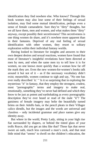identification they find nowhere else. Who knows? Through this book women may also lose some of their feelings of sexual isolation, may find some mutual identification, perhaps even a sense of female camaraderie. Sure they're "dirty" thoughts, but we all have them, men and women, and what makes them "dirty" anyway, except possibly their secretiveness? This secretiveness is one thing women do share, and it's nowhere more apparent than in their fantasies. Deprived of any real feeling of sexual identification with other women, they resort to solitary exploration within their individual fantasy worlds.

Having looked to literature for insights and answers to their own deepest desires and sexual reactions, women have found that most of literature's insightful revelations have been directed at men by men, and when the same men try to tell how it is for women, no one knows more quickly than a woman how far off the mark they are. Even the new women-for-women's books talk around it but not of it – as if the necessary vocabulary didn't exist; meanwhile, women continue to sigh and say, "No one has ever really described `it.' " Is it so surprising that in exploring the mysterious "it" in fantasy, that they employ the strongest, crudest, most "pornographic" terms and imagery to make real, emotionally, something they've never had defined and which they *know* to be just as potent and earthshaking as every pornographic description they've ever heard or read of the male "it"? The gutsiness of female imagery may belie the beautifully turned brims on their Adolfo hats, or the pencil pleats in their Villager calico dirndls, but the images and the words are universal and classless – only incidental grammar and place names give any identity away.

But where in the world, Pretty Lady, sitting in your high rise fiat surrounded by diapers, or behind the tinted glass of your trolls Royce, did you get an idea like that? Those lips that never swore an oath, much less caressed a man's cock, and that neat little mind that "seems" to dwell on the children's education, the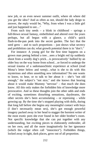new job, or an even newer summer outfit, where oh where did you get the *idea?* And as often as not, should the lady deign to answer, the reply would be, "Why, from when I was a little girl and just happened to see…"

From such tiny seeds – a blink in childhood – springs a full-blown sexual fantasy, embellished and altered over the years perhaps, but all begun with a glance, a child's quick flash-in-the-pan peek into the secret garden. The fact that the seed grew – and to such proportions – just shows what secrecy and prohibition can do; what growth potential there is in "don't."

For instance: A young girl for the first time happens on a grown man peeing behind a tree…sees a bright red tip suddenly shoot from a woolly dog's prick…is provocatively' bullied by an older boy on the way home from school…or forced to undergo the sexual trauma of a sadomasochistic experience at school (read Mona's letter below and weep)…what is she to do with this mysterious and often unsettling new information? No one wants to know, to hear, or to talk to her about it – she's "not old enough," the subject's "not nice," and she knows that hearing about it would make Mummy "nervous" – that much she does know. All this only makes the forbidden bits of knowledge more provocative. And so these thoughts join the other odds and ends of exciting, sometimes disturbing sensations, daydreams, the other secrets she's been accumulating – or repressing – while growing up. By the time she's stopped playing with dolls, during that long lull before she begins any meaningful contact with boys (I don't necessarily mean sex), she's got enough powerful imagery packed away in her head to stagger the horniest writer of the most exotic porn she ever found in her older brother's room. Not specific knowledge that she can put together with any understanding, but exciting pieces to elaborately embroider, all on her own, and all the more imaginatively for her ignorance (which the vulgar often call "innocence"). Forbidden things, locked away in tight, dark places, grow out of all proportion.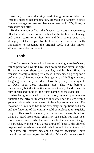And so, in time, that tiny seed, the glimpse or idea that instantly sparked her imagination, emerges as a fantasy, clothed in more outrageous gear and language than books, TV, films, or dirty jokes can offer.

By the time you or I hear the fantasy – ten years or even twenty after the seed (women are incredibly faithful to their first fantasy, and often return to it after new and less potent ones have strangely lost their  $zap$ ) – by the time she tells us, it is usually impossible to recognize the original seed. But she knows. Women remember important firsts.

### **Theda**

The first sexual fantasy I had was on viewing a teacher's very rotund posterior. I would have been not more than seven or eight. He wore a very short coat, was fat, and his bum filled his trousers, sharply outlining his cheeks. I remember it giving me a definite sexual feeling even at that age, also of finding an excuse for going to bed early in order to have the privacy for being able to dwell upon those inspiring orbs. This was before I masturbated, but the infantile urge to slide my hand down his bum cheeks and round to "the front" compelled me even then.

After being introduced to masturbation, my main problem was obtaining the privacy in which to indulge. I had to sleep with a younger sister who was aware of the slightest movement. The movement of my hand had to be extremely surreptitious and slow and the fingering of the clitoris would be prolonged to exquisite lengths. This would inevitably invite sexual fantasy, based on what I'd heard from other girls…my age could not have been more than fourteen…who had seen their brothers' cocks. One girl in particular, Monica, was a great source of fantasy. She allowed boys to feel her while she undid their flies and "tossed them off." The phrase still excites me, and on endless occasions I have mentally substituted myself for Monica. Monica's mother took in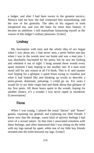a lodger, and after I had been sworn to the greatest secrecy, Monica told me how she had witnessed him masturbating, and the size of his genitalia. The idea of his orgasm in truth enraptured me, and was the basis for more than fantasy: It became an ambition. I still masturbate fantasizing myself as the voyeur of this lodger's solitary pleasures. [Letter]

### **Lindsay**

My fascination with men and the whole idea of sex began when I was about ten. I had never seen a penis before one day when I was in the woods near our home and saw a man piss. I was absolutely fascinated by his penis, but he saw me looking and whisked it out of sight. I hung around those woods every spare moment I had, hoping to see another one. If a man even stood still for any reason at all I'd think, This is it! and saunter over hoping for a glimpse. I spent hours trying to visualize just what it had looked like and thinking up words to describe a penis-proud, dominant, pulsating. I could go on. For years I would lie in my little virgin bed and think about that glimpse of my first penis. All those hours spent in the woods, hoping for another chance, it's a wonder I was never raped or murdered. [Conversation]

### **Fiona**

When I was young, I played the usual "doctor" and "house" games, exposing my genitals and exploring my little friends. I know now that the strange, warm kind of quivery feelings I had were of a sexual nature. At that time I associated urination with these feelings, and often fantasized that I was sitting on the toilet with my legs spread far apart, while one of my little boy friends urinated into the toilet between my legs. [Letter]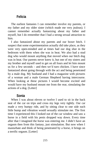# **Felicia**

The earliest fantasies I can remember involve my parents, or my father and my older sister (which made me very jealous). I cannot remember actually fantasizing about my father and myself, but I do remember that I had a strong sexual attraction to him.

I also fantasized about my parents and our boxer bitch. I suspect that some experimentation actually did take place, as they were very open-minded and at times had our dog shut in the bedroom with them when she was in heat. We also had a stud dog who would mount anything that moved when our bitch dog was in heat. Our parents never knew it, but one of my sisters and my brother and myself used to get on all fours and let him mount us for a few seconds – and then we'd turn chicken. I have since fantasized about going through with the act and being penetrated by a male dog. My husband and I had a magazine with pictures of a woman and a male German Shepherd having intercourse. When looking at these pictures I would become excited and would have my husband mount me from the rear, simulating the actions of a dog. [Letter]

# **Sonia**

When I was about eleven or twelve I used to sit in the back seat of the car on trips and cross my legs very tightly. Our car made a very bumpy ride, and by sitting clear to one side each little bump and vibration would sexually stimulate me. The first time I experienced this I looked out of the car window and saw a horse in a field with his penis dropped way down. Every time after that I imagined the horse was entering me. I didn't have an orgasm then from this fantasy, just stimulation. But now when I masturbate and think of being penetrated by a horse, it brings on a terrific orgasm. [Letter]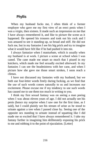# **Phyllis**

When my husband fucks me, I often think of a former employer who gave me my first view of an erect penis when I was a virgin, then sixteen. It made such an impression on me that I have always remembered it, and like to picture the scene as it happened. He opened his trousers and took out his cock and I was amazed to see it standing up, so broad and stiff. He did not fuck me, but in my fantasies I see his big prick and try to imagine what it would have felt like if he had pushed it into me.

I always fantasize when I masturbate, which is usually when my husband is at work. I picture a scene at school when I was caned. The cane made me smart so much that I pissed in my knickers, which made me feel sexually excited afterward. In my fantasies I can see the headmistress with her cane, and when I picture how she gave me those smart strokes, I soon reach a climax.

I have not discussed my fantasies with my husband, but we both use four-letter words freely during fucking, as we find that the use of such words comes naturally to us and increases our excitement. Please excuse me if my tendency to use such words has caused me to use them too much in writing to you.

I think my first sexual fantasy was on seeing a man peeing when I was about eleven years of age. I did not actually see his penis (hence my surprise when I saw one for the first time, as I said), but I could plainly see his stream of urine as he stood to urinate against a tree when I passed close by. Seeing one of the opposite sex standing to urinate instead of squatting like I did made me so excited that I have always remembered it. I take my fantasy further in imagining him deliberately exposing his prick to me and rubbing it to the point of ejaculation. [Letter]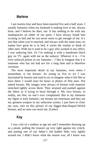### **Marlene**

I am twenty-four and have been married five and a half years. I usually fantasize when my husband is making love to me, always have, and I believe he does, too. It has nothing to do with any inadequacies on either of our parts; I have always found him exciting in bed and he can never seem to get enough of me. It's just that when you're married, and always with the same man, no matter how great he is in bed, it varies the routine to think of other men. With me it used to be a guy who worked in my office; I was seducing him. Or I'm making it with a handsome black guy on TV, again with me as the seducer. Whoever it is  $-$  I've even seduced priests in my fantasies – I like to imagine that it is someone who has not had sex for a long time and is therefore ravenous.

The most important detail in my fantasies, even when I masturbate, is my breasts. As young as five or six I was fascinated by breasts and used to try to imagine what it felt like to have them. I would stare for hours at photos of film stars. Not naked breasts. My images were always of breasts with material stretched tightly across them. They strained and pushed against the fabric as if trying to burst through it. My own breasts, in reality, are fine; no one's ever complained. But in my fantasies my figure is truly fantastic; my breasts are enormous and they are my greatest weapon in my seduction scenes. I just have to close my eyes, turn on this picture of my bigger-than-Raquel-Welch breasts, and no man can resist me. [Letter]

### **Kay**

I was a bit of a tomboy at age ten and I remember dressing up as a pirate, pulling the trousers up very tight against my crotch, and putting one of my father's old leather belts very tightly around me. I didn't know what the reason was, all I knew was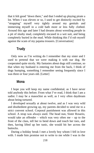that it felt good "down there," and that I ended up playing pirate a lot. When I was eleven or so, I used to get distinctly excited by "strapping" myself very tightly around my genitals and immersing myself in a cold bath more or less fully clothed. Around this age and later I had dreams about wrestling people in a pit of slushy mud, completely encased in a wet suit, and being completely buried in the mud. While thinking this I'd rub myself against the scam of my pajama trousers. [Conversation]

# **Trudy**

Only now as I'm writing do I remember that my sister and I used to pretend that we were making it with our dog. He cooperated quite nicely. My fantasies about dogs still continue, so that when my husband is entering me from the back, I think of dogs humping, something I remember seeing frequently since I was three or four years old. [Letter]

### **Mona**

I hope you will keep my name confidential, as I have never told anybody this before. From what I've read, I think that I am a sadist. I may be a masochist as well, as I very often daydream about being tortured.

I developed sexually at about twelve, and as I was very wild and disobedient growing up, my parents decided to send me to a strict convent school. Corporal punishment was allowed in this school. A strap was always used. The head nun, Sister Rosario, would take an offender – which was very often me – up to the front of the class, tell her to bend down and touch her toes, and then, having lifted up her tunic, she would hit her across the buttocks.

During a holiday break I met a lovely boy whom I fell in love with. I made him promise not to write to me while I was in the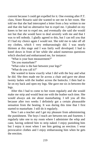convent because I could get expelled for it. One evening after P.T. class, Sister Rosario said she wanted to see me in her room. She told me that she had intercepted a letter from a boy written to me and that she had no alternative but to expel me. I pleaded on my knees to her not to expel me, and eventually she said she would not but that she would have to deal severely with me and that I was to tell nobody. I gladly agreed to this, but I can tell you that if I had my choice again I would not. She told me to take off all my clothes, which I very embarrassingly did. I was nearly thirteen at this stage and I was fairly well developed. I had to kneel down in front of her while she asked numerous questions which shocked and embarrassed me, for instance:

"What is your bust measurement?"

"Do you masturbate?"

"What color is the hair between your legs?"

"What do you call it?"

She wanted to know exactly what I did with the boy and what he did. She then made me lie across a chair and gave me about twenty lashes with the leather across the buttocks. I then had to lie on my back and open my legs. She gave me six in between the legs.

After this I had to come to her room regularly and she would make me strip and would beat me with the leather each time. She would always ask me about masturbating. I tell you all this because after two weeks I definitely got a certain pleasurable sensation from the beating. It was during this time that I first started to masturbate. I still do it regularly.

Now I am a teacher and I get my pleasure from administering the punishment. The boys I teach are between ten and fourteen. I regularly take one to my room where I administer the whip and cane, having ordered him to strip naked. I enjoy punishing him but I enjoy it most when I see him getting an erection. I wear provocative clothes and I enjoy embarrassing him when he gets the erection.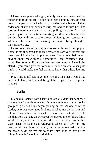I have never punished a girl, mainly because I never had the opportunity to do so. But I often daydream about it. I imagine her being strapped to a bed with only panties and a bra on. I then order one of my boy pupils to strip her and to torture her. The tortures I normally dream about are pulling the hairs from her pubic region one at a time, inserting needles into her breasts, burning her with hot candle grease, whipping her, caning her, while at the same time making her admit filthy thoughts, masturbation, etc.

I also dream about having intercourse with one of my pupils. Some of my thoughts and indeed my actions are very diverse and queer, and I find it hard to put on paper. I have never before told anyone about these things. Sometimes I feel frustrated and I would like to know if my practices are very unusual. I would be elated if you could give me some information on what other girls think. It would make me feel easier to know that others like me exist.

P.S. I find it difficult to get the type of whips that I would like here in Ireland, so I would be grateful if you could help me. [Letter]

## **Stella**

My sexual fantasy goes back to an actual event that happened to me when I was about eleven. On the way home from school a group of girls and boys began picking on me. At one point the leader, who was very good looking, grabbed me by the arm and told me I would have to do whatever he ordered me to do. He told me that from that day on whenever he ordered me to follow him I would do so, and that he would then tell me what his wishes were. Then he let me go. Afterward, whenever I saw him my heart would leap into my mouth, but he never seemed to notice me again, never ordered me to follow him or to do any of the things I thought I would dread, doing.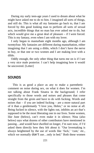During my early teen-age years I used to dream about what he might have asked me to do to him. I imagined all sorts of things, and still do. This is what all my fantasies go back to, that I am forced by this good looking man to perform all sorts of sexual acts, incredible things that no man has ever asked me to do, but which would give me a great deal of pleasure – if I were forced. This is my fantasy, even when I am with my lover.

I only began to masturbate eight months ago, although I am twentyfour. My fantasies are different during masturbation, either imagining that I am using a dildo, which I don't have the nerve to buy, or that one or two women and I are making love with a dildo.

Oddly enough, the only other thing that turns me on is if I see a very nice male posterior. I can't help imagining how it would be uncovered. [Letter]

# **SOUNDS**

 This is as good a place as any to make a parenthetic comment on noise during sex, on what it does for women. I'm not talking about Frank Sinatra in the background; I refer specifically to those words and noises and phrases that come straight from the groin and have to do with fucking. Words and noises that – if you are indeed fucking – are a more natural part of it than a gentlemanly "I love you, Helen," or no noise at all. Being fucked in silence, with the lights out, inhibits an act that's supposed to be the most liberating one in our lives. Some women, like June (below), can't even make it in silence; Nina (also below) says what dozens of other contributors have mentioned in passing…and would have dwelled on longer, I'm sure now, if I'd asked them directly how they felt about it: "Our lovemaking is always heightened by the use of words like 'fuck,' 'cunt,' etc., which we normally *don't* use...only in bed." Both these women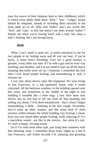trace the source of their fantasies back to their childhood, which is where most adults think these "dirty," "low," "vulgar" noises should be relegated, instead of including them naturally in the most adult act of all. Who said "ladies" don't use words like "fuck" and "cunt," or that one doesn't use them around "ladies"? Maybe not when you're having lunch with a lady, but when a lady's fucking, she's not having lunch.

#### **June**

What I can't stand is quiet sex. It seems unnatural to me for two people to be fucking away and all you can hear, if you're lucky, is some heavy breathing. Give me a good moaner, a groaner, a real yeller any time. If I'm with a guy and he won't say anything, just breathes, and I'm too timid to start up all the heavy moaning that really turns me on, I fantasize. I remember the first time I ever heard people fucking, and remembering it, well, it releases me.

I was only about eleven when this happened. We were living in San Francisco, in a big apartment house with a center courtyard. All the bedroom windows in the building opened onto this court, and sometimes in the middle of the night in that building it sounded like a mass orgy. I may have been only eleven, but no one had to tell me what all that moaning and yelling was about. I'd lie there mesmerized – that's when I began masturbating, I think – listening to the first couple. Invariably, they'd wake up other couples, and like some kind of chain reaction within minutes the whole building was fucking. I mean, have you ever heard other people fucking, really enjoying it? It's a marvelous sound…not like in the movies…but when it's real. It's such a happy, exciting sound.

So if I'm with some silent type, just lying there noiseless with him thrusting away, I remember those noisy nights as a kid in San Francisco, and within seconds I'm. moaning and groaning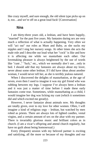like crazy myself, and sure enough, the old silent type picks up on it, too…and we're off on a great loud fuck! [Conversation]

### **Nina**

I am thirty-three years old, a lesbian, and have been happily, "married" for the past five years. My fantasies during sex are very much a reflection of what is actually happening. Very often we will "act out" our roles as Mum and Baby, as she sucks my nipples and I sing her nursery songs. At other times she acts the male role and I describe out loud what her "cock" is like and how it is affecting me while we masturbate each other. Our lovemaking pleasure is always heightened by the use of words like "cunt ," "fuck," etc., which we normally *don't* use…only in bed. I should add that my fantasies are always about my lover, never about some other lesbian. If I did have ideas about another woman, I would never tell her, as she is terribly jealous natured.

When I discovered the delights of masturbation, at the age of seven, even then I used to imagine it was my girl friend who was rubbing between my legs. I suppose I've always been a lesbian and it was just a matter of time before I made these early fantasies come true. Sometimes, while masturbating as a child, I would imagine her dog was licking my cunt (which it sometimes did and which excited me greatly).

However, I never fantasize about animals now. My thoughts are totally given, over to my love for other women. Often, I will imagine a kind of religious orgy – lesbian, but watched by men robed as priests. There are always lots of lighted candles, vestal virgins, and a certain amount of sex on the altar with my partner. There is invariably glorious music and brilliant colors as in church. (I am a vicar's offspring and attend church regularly, but have no guilt about being homosexual.)

Every (frequent) session with my beloved partner is exciting and satisfying, all the more so because of my thoughts and our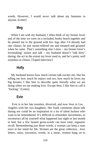words. However, I would *never talk* about my fantasies to anyone. [Letter]

#### **Meg**

When I am with my husband, I often think of my former lover and of the time we were on a secluded, bushy beach together and he pinned me to the ground with his: legs after I'd already had one climax; he just steam-rollered me and moaned and groaned when he came. That's something else I miss – my former lover's lovemaking' noises and talk – my husband doesn't "talk dirty" during; the act to the extent my lover used to, and he's pretty well noiseless at climax. [Taped interview]

# **Holly**

My husband knows how much certain talk excites me, like his telling me how much he enjoys oral sex, how much he loves my big breasts; I like him to describe quite literally what we are doing when we are making love. Except then, I like him to call it "fucking." [Letter]

### **Evie**

 Evie is in her late twenties, divorced, and now lives in Los Angeles with her two daughters. Her frank comments about talk during sex could be an inspiration to a lot of silent fuckers who want to be remembered. It's difficult to remember movements, to reconstruct all by yourself what happened last night or last month in bed, but a few heated groin-words can have total, orgasmic recall. Remembering just those words, a woman can keep a man erect in her mind for life. Women are the great collectors…love letters, roses, souvenirs, words; in a sense, women hang on to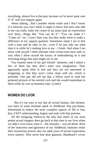everything, almost live in the past, because we're never quite sure if "it" will ever happen again.

About talking…that's another whole realm and I don't know if it interests you, but I think it might to know that men who talk to me can really make me cream in my jeans (just an expression) over them…things like "You can do it"; "You can make it"; "Come on"; etc. I won't bore you, but they really seem to make a difference in my orgasm quotient. Sometimes when I am in bed with a man and he talks to me…even if he just asks me what time it is while he's making love to me…I freak. And when I am alone with myself I often reiterate what certain men have said, or very often I allow myself the luxury of embroidering on it and inventing things that men might say to me.

You wanted some of my girl friends' fantasies, and I asked a few of them but they don't seem very imaginative. They apparently speak little in bed and they are not interested in imagining, or else they won't come clean with me, which is probable. One girl did tell me that a fellow used to send her polaroid pictures of his erected cock and she would masturbate to them while he was on business trips. [Letter]

# **WOMEN DO LOOK**

 But it's too easy to say that all sexual fantasy, like dreams, was born of some inchoate spark in childhood. Pop psychiatry, determined to reduce the most complete aspects of life to fast, *fast*, FAST understanding, begins and ends with that premise.

All the foregoing reinforces the idea that much of our most potent sexual imagery does go back to that time in our lives when we didn't even know what it – the stimulus – was all about. Born of the innocence and ignorance of our childhood, fantasies retain their mysterious powers into our adult years of sexual exploration (even satiety). They never lose their glamour. Bluebeard's wives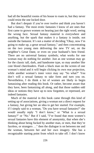had all the beautiful rooms of his house to roam in, but they never could resist the one locked door.

But don't despair if you're over twelve and think you haven't had a fantasy. The most erotic fantasies I know of are ones that first came to grown women on hearing just the right word, seeing the wrong face. Sexual fantasy material is everywhere and anything, but the spark that makes it a fantasy is inside, not outside the fantasist. It's not a matter of deciding "Okay, now I'm going to make up, a great sexual fantasy," and then concentrating on the two young men delivering the new TV set, on the neighbor's Great Dane, or even on your husband's best friend. There are no universal fantasy symbols; what works for one woman may do nothing for another. Just as one woman may go for the classic tall, dark, and handsome type, so may another like cute blond cheerleaders. Flash a black man on the screen of one woman's mind and it will begin clicking its own rear projection, while another woman's inner voice may say "So what?" You don't will a sexual fantasy to take form and turn you on. Nevertheless, I do think a lot of women are likely to begin fantasizing after reading this book. Or rather, become aware that they have, been fantasizing all along, and that those sudden odd ideas or notions they have up to now forgotten, or repressed, are indeed fantasies.

Much of the material in this book came through this kind of setting up of associations, giving a woman not a direct request for a fantasy, but giving her an idea to get her started. For example, if I simply said to a woman, "Do you have sexual fantasies?" she would usually reply "I don't know," or "What is a sexual fantasy?" or "No." But if I said, "I've found that most women's sexual fantasies have this element of anonymity, that when she's thinking about being fucked by another man, or men, that they're faceless, or strangers …" then the dialogue is on between me and the woman, between her and her own imagery. She has a recognizable starting point from which to take off. I don't know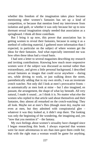whether this freedom of the imagination takes place because mentioning other women's fantasies has set up a kind of competition, or because that mention freed my interviewee from isolation and guilt, or whether it was only because her up to now dormant sexual imagination simply needed that association as a springboard. I think all three contribute.

But I bring it up now, this power that association has in getting women to reveal their fantasies, because in using it as a method of collecting material, I gathered more information than I expected, in particular on the subject of where women get the ideas for their fantasies. And what especially interested me was how often these ideas had a visual basis.

I had sent a letter to several magazines describing my research and inviting contributions. Knowing how much more responsive women were if the subject was discussed as normal rather than extraordinary, and given a little personal background, I described sexual fantasies as images that could occur anywhere – during sex, while driving to work, or just walking down the street, parenthetically adding that in my own strolls, I was an inveterate crotch watcher. Not only did I look at men's provocative fronts – as automatically as men look at mine – but I also imagined, en passant, the arrangement, the shape of what lay beneath. All very natural, I made it sound…as I think it is. No matter what else the women who replied to that article said about themselves and their fantasies, they almost all remarked on the crotch-watching: They all look. Maybe not at men's flies (though most do), maybe not even at men, but they admitted with conspiratorial glee – whatever it was they looked at, it didn't stop there. The looking was only the beginning of the wondering, the imagining and, yes "now that you mention it" – the fantasy.

My own feelings about women's sexuality have changed since I began researching this book. I always expected that women were far more adventurous in sex than men gave them credit for; that with the right man a woman would be game for anything.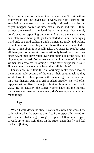Now I've come to believe that women aren't just willing followers in sex, but given just a word, the right "starting off" association, women can be sexually original, can be an as-yet-untapped source of new sexual ideas and fun. I think women are sexually stimulated by many things; they simply aren't used to responding outwardly. But give them a clue they can relate to without guilt, get them started with an encouraging word and, as I said earlier, I think women are ready and willing to write a whole new chapter in a book that's been accepted as closed. Think about it: it usually takes two sexes for sex, but after all these years of going at it we've still only beard from one. Ever since Adam, men have rolled over onto their side of the bed, lit a cigarette, and asked, "What were you thinking about?" And the woman has answered, "Nothing." Or the more outspoken, "You." How can men have really believed them all this time?

For instance, men (and their tailors) may think women look at them admiringly because of the cut of their suits, much as they would look at a fashion photo on the men's page, or that sane suit on a coat hanger. And if a girl is asked directly, she will often reply something like, "I was just thinking how nice you look in gray." But in actuality, the stories women have told me indicate that when a woman looks at a man, she's seeing and wondering many things.

# **Fay**

When I walk down the street I constantly watch crotches. I try to imagine what the penises are like. I am especially turned on when a man's balls bulge through hiss pants. Often I am tempted to walk up to him, right there on the street, unzip his fly and feel his balls. [Letter]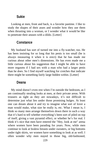### **Sukie**

Looking at men, front and back, is a favorite pastime. I like to study the shapes of their asses and wonder how they use them when thrusting into a woman, or I wonder what it would be like to penetrate their anuses with a dildo. [Letter]

### **Constance**

My husband has sort of turned me into a fly-watcher, too. He has been insisting for so long that his penis is too small (he is always measuring it when it is erect) that he has made me curious about other men's dimensions. He has even made me a little curious about his suggestion that I might be able to have more orgasms if I had sex with a man who had a larger penis than he does. So I find myself watching for crotches that indicate there might be something fairly large hidden within. [Letter]

#### **Deana**

My mind doesn't even rest when I'm outside the bedroom, as I am continually stealing looks at men, at their private areas. With trousers as tight as they are nowadays, it's not difficult to determine just what lies under those promising bulges. At least one can dream about it and try to imagine what sort of lover a man would make, what size he really is, etc. What I mean is, I think so many men arrange themselves down there in such a way that it's hard to tell whether everything's been sort of piled on top of itself, giving a vast pyramid effect, or whether he's for real. I think it's nice that men have entered the "Hey, look at me" arena where women have been parading for years. Now, while men continue to look at braless breasts under sweaters, or big bottoms under tight skirts, we women have something to look at as well. I often wonder why men stayed in those big, old-fashioned,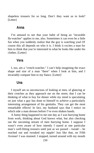shapeless trousers for so long. Don't they want us to look? [Letter]

#### **Anna**

I'm amused to see that your habit of being an "incurable fly-watcher" applies to me, also. Sometimes it can even be a little fun when you suddenly realize that the guy is watching youl Of course this all depends on who it is. I think it excites a man for him to think that you're interested in what he looks like under his clothes. [Letter]

### **Vera**

I, too, am a "crotch-watcher." I can't help imagining the exact shape and size of a man "there" when I look at him, and I invariably compare him to my fiance. [Letter]

#### **Una**

I myself am so unconscious of looking at men, of glancing at their crotches as they approach me on the street, that I can be thinking of what to buy for dinner while my mind is speculating on just what a guy has done to himself to achieve a particularly interesting arrangement of his genitalia. They can get the most remarkable effects! In fact, my husband says that I notice on which side a man dresses before I've even shaken hands.

A funny thing happened to me one day as I was hurrying home from work, thinking about God knows what, but also checking out the oncoming stream of men hurrying home. I suppose I wasn't even aware of how intently I stared at one particular man's well-fitting trousers until just as we passed – tweak! – he reached out and tweaked my nipple! Just like that, on Fifth Avenue! I was stunned. I stopped, turned around with my mouth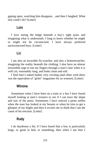gaping open, watching him disappear…and then I laughed. What else could I do? [Letter]

#### **Lois**

I love seeing the bulge beneath a boy's tight jeans and imagining what is underneath. I long to know whether he might or might not be circumcised. I have always preferred uncircumcised boys. [Letter]

#### **Liz**

I am also an incurable fly-watcher, and also a bottomwatcher, imagining the reality beneath the clothing. I also have an almost irresistible urge to run my fingers through a man's hair when it is well cut, reasonably long, and looks clean and soft.

I find men's naked bodies very exciting (and often wish there was the equivalent of "girlie" magazines for us women). [Letter]

### **Winona**

Sometimes when I have been on a train or a bus I have found myself looking at men's trousers to see if I can trace the shape and size of the penis. Sometimes I have noticed a penis stiffen when the man has looked at my breasts or when he tries to get a glimpse of my thighs and then it excites me to think that I am the cause of his erection. [Letter]

# **Rudy**

I do daydream a bit; if I have heard that a boy is particularly large, or good in bed, or something, then when I see him I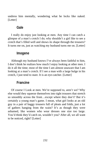undress him mentally, wondering what he locks like naked. [Letter]

### **Gale**

I really do enjoy just looking at men. Any time I can catch a glimpse of a man's crotch I do; why shouldn't a girl like to see a crotch that's filled well and shows its shape through the trousers? It turns me on, just as watching my husband turns me on. [Letter]

### **Imogene**

Although my husband knows I've always been faithful to him, I don't think he realizes how much I enjoy looking at other men. I do it all the time; most of the time I am almost unaware that I am looking at a man's crotch. If I see a man with a large bulge in his crotch, I just tend to stare. It is an eye-catcher. [Letter]

# **Francine**

Of course I Look at men. We're supposed to, aren't we? Why else would they squeeze themselves into tight trousers that stretch so smoothly across the front…except where they don't? But it's certainly a young man's game. I mean, what girl looks at an old guy in a pair of baggy trousers full of pleats and folds, just a lot of gathers hanging from the waist? It's as though they were ashamed, like women who wear dresses one size too large. You'd think they'd catch on, wouldn't you? After all, we all want to be noticed, right? [Letter]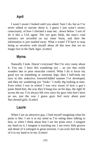# **April**

I wasn't aware I looked until you asked. Sure I do, but as I've never talked to anyone about it, I guess I just wasn't aware, consciously, of how I checked a man out…down below. I sort of do it like a CIA agent: The eye goes blink, the man's vital statistics are recorded on my inner brain, and then the information is just stashed away. What a waste! I'll have to stop being so secretive with myself about all this now that we no longer live in the Dark Ages. [Letter]

### **Myrna**

Naturally I look. Doesn't everyone? But I'm very canny about it. You see, I have this wandering eye – an eye that *really* wanders due to poor muscular control. What I do is focus my good eye on something or someone legit, then I half-mast my eyes in this seductive, lowered-lidded manner I've developed, and then my wandering eye "looks." I really dig looking at men. Even when I was in school I was very aware of how a guy's pants fitted him, the way they'd hang low on his hips, the tight fit across the ass. I've always felt very sorry for guys who don't have an ass, just the way I guess guys feel sorry about poor flat-chested girls. [Letter]

# **Laurie**

When I see an attractive guy, I find myself imagining what his penis is like. I see it in my mind as I'm sitting there talking to him, or when I think about him I see his penis erect. I imagine my hand on it, I imagine it touching me, I see every little groove and detail of it enlarged in great erection. I can even feel the heat of it in my hand or in me. [Letter]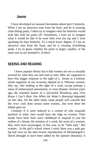### **Jeanie**

I have developed an unusual fascination about men's buttocks. When I see an attractive man from the back, and he is wearing close-fitting pants, I often try to imagine what his buttocks would look like with his pants off. Sometimes, I even try to imagine what it would be like if he were bent over my lap and I were spanking his bare buttocks. To a much *lesser* degree, if I see an attractive man from the front, and he is wearing closefitting pants, I try to guess whether his penis is larger, smaller, or the same size as my husband's. [Letter]

# **SEEING AND READING**

I know popular theory has it that women are not as sexually aroused by what they see and read as men. Men are supposed to have this trigger response to the sight of a . breast or a bottom; whole segments of our economy depend on it. Whereas women, they say, feel nothing at the sight of a cock, except perhaps a sense of embarrassed amusement, or even distaste. Several years ago, the essential humor of a successful Broadway play (*You Know I Can't Hear You When the Water's Running*) depended on this idea. On the other hand, some people will concede that the *erect* cock does arouse some women…but even there the debate goes on.

Certainly if it were reduced to a contest of *who* responds quickest to what, men would have the edge on women. Their minds have been freer since childhood to respond to just the outline of a breast, the mention of a word, the scent of a woman; they were even encouraged, in this way, to be "little men." But women…In the girl's school where I went, there was a pale gay fig leaf even on the dark bronze reproduction of Michelangelo's David (thought to have been added by the spinster librarian). It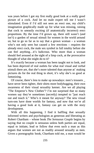was years before I got my first really good look at a really good picture of a cock. And let no male expert tell me I wasn't stimulated. Even if I'd still not seen an erect one, my child's imagination graphically made up for what was missing, raising that cock to uneasily exciting (if anatomically incorrect) erect proportions. By the time I'd grown up, there still wasn't (and isn't) a garden of sexual stimuli for women in the world around us; but to go so far as to say that a grown woman – a woman who's not only seen but caused a few erections – requires the already erect cock, the male sex symbol in full totality before she can feel anything…it's ludicrous. Who more than a woman should feel aroused at the sight of a limp cock, at the provocative thought of what she might do to it?

It's exactly because a woman has been taught not to look, and has been deprived of real outlets for what real visual and verbal stimuli there are, that she's more talented than anyone at` making pictures do for the real thing in short, it's why she's so good at fantasizing.

Of course, there's less to make up nowadays: men's trousers \_ have never been tighter, their shirts more bodyhugging, their own awareness of their visual sexuality keener. Are we all playing "The Emperor's New Clothes"? I'm not surprised that so many women say they're sometimes (secretly) tempted to "just reach out and touch it." Who's it meant for anyway? The new visual turn-ons have done worlds for fantasy, and now that we're all having a good look at it, fantasy can get on with the story development.

With all this happening, I find it baffling that sexually informed writers and psychologists as generous and liberating as Robert Chartham – whose book *The Sensuous Couple* begins by saying that no couple is sensuous unless both parties are equal, equal to initiate, lead or follow that even such a man as this argues that women are not as readily aroused sexually as men. Given a pornographic book, Chartham told me, a man would be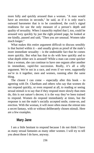more fully and quickly aroused than a woman. "A man would have an erection in seconds," he said, as if it is only man's outward barometer that is to be considered, the cock's signal readiness for use the only measure of a person's depth and quality of sexuality. When I staunchly replied that I, too, could be aroused very quickly by just the right printed page, he looked at me kindly, paused and said, "Then you are unusual. Women take much longer."

What makes this entire argument difficult to discuss sensibly is that buried within it – and usually given as proof of the male's more immediate sexuality  $-$  is the undeniable fact that he comes more quickly. But what has that to do with how quickly and to what depth either sex is aroused? While a man can come quicker than a woman, she can continue to have one orgasm after another in immediate, rapid-fire succession. Really, it's all a silly argument. We're not in a race, and even if we were, supposedly we're in it together, men and women, running after the same thing.

The closest I can come – especially after this book – to agreeing with Dr. Chartham and others who say that women do not respond quickly, or even respond at all, to reading or seeing sexual stimuli is to say that if they respond more slowly than men do, this is not nature's decree; it is the way they've been trained to respond. Women do respond immediately at times, but the response is not the male's socially accepted smile, come-on, and erection. With the woman, it will more often mean the retreat into a secret fantasy, with or without deliberately chosen stimuli. Here are a few examples.

### **Mary Jane**

I am a little hesitant to respond because I do not think I have as many sexual fantasies as many other women. I will try to tell you about those I do have, anyway.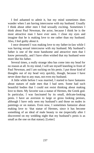I feel ashamed to admit it, but my mind sometimes does wander when I am having intercourse with my husband. Usually I think about other men I find sexually exciting. Sometimes I think about Paul Newman, the actor, because I think he is the most attractive man I have ever seen. I close my eyes and imagine that he is making love to me rather than my husband. Also, I feel guilty about it.

I once dreamed I was making love to my father-in-law while I was having sexual intercourse with my husband. My husband's father is one of the most handsome and attractive men that I know personally, and I have often wished that my husband were more like his father.

Several times, a really strange idea has come into my head for no reason at all. In my mind, I will see myself kneeling in front of Paul Newman, and I am sucking on his penis. I put those kind of thoughts out of my head very quickly, though, because I have never done that to any man, not even my husband.

A little while before I was married, I started to have fantasies about statues of nude men that I had seen. Some had such beautiful bodies that I could not resist thinking about making love to them. My favorite was a statue of Hermes, the Greek god. In particular, I was fascinated by its small, delicate-looking penis. I have an aversion to large or gross looking penises, although I have only seen my husband's and those on nudes in paintings or on statues. Even now, I sometimes fantasize about making love to 'that statue of Hermes, since it has become something of an ideal of male beauty to me (especially after I discovered on my wedding night that my husband's penis is as small as the one on that statue). [Letter]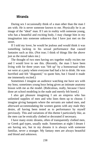# **Miranda**

During sex I occasionally think of a man other than the man I am with. He is never someone known to me. Physically he is an image of the "ideal" man. If I am in reality with someone young, who has a beautiful and exciting body, I may change him in my imagination into someone unknown that I have just met on the street.

If I told my lover, he would be jealous and would think it was something lacking in his sexual performance that caused fantasies such as this. (Not true; I think of things like the above just as the mood takes me.)

The thought of two men having sex together really excites me and I would love to see this. (Recently, the man I have been living with for three years was "felt up" by a homosexual when we were at a party where everyone had had a lot to drink. He was horrified and felt "disgusted," to quote him, but I found it made me immensely excited.)

Sometimes I imagine an audience watching me have sex with my boss; sometimes young boys being given an intimate anatomy lesson with me as the model. (Ridiculous, really, because I have done art school modeling in the nude and merely felt bored.)

I also get pleasure imagining I am an empress who has unlimited supplies of men and who lines them up to choose. I imagine giving banquets where the servants are naked men, and afterward accommodating the women guests with any male they desire, all having been tested as to performance by myself previously. This and variations of this theme I particularly like, as the men can be erotically clothed or decorated if necessary.

I have many erotic dreams, often of transparently clothed men, or Greek gad types, usually nude. Sometimes at night I dream I am having sex, but in my dreams it is always with someone familiar, never a stranger. My fantasy men are always beautiful and blond and unknown.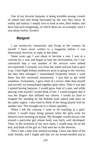One of my favorite fantasies is being invisible among crowds of naked men and being fascinated by the way they move. In reality and fantasy I simply love to look at men, their bodies, and have had such imaginings, of which these are an example, since I was about twelve. [Letter]

# **Margaret**

I am twenty-six, unmarried, and living in the country by myself. I have never written to a magazine before. I was determined, however, to reply to this letter.

Some years ago I was about to become a nun. I was at a convent for a year and began to hate the environment, for I was convinced that a vast number of the novices were indeed sex-repressed. I certainly was from the outset and just had to give it up. I had slight lesbian tendencies prior to going to the convent, but they then enlarged. I masturbated frequently before I went there, but this increased enormously. I just had to get relief somehow. Fortunately, I grew fond of a novice older than myself and secretly we masturbated together quite often. Then it was that I started having fantasies. I would grow fond of a nun, and while playing with myself I would think of her. I would imagine that it was her fingers that titillated my clitoris. I would try hard to imagine her standing by the bedside stark naked with hairs on her pubic region. I also tried to think of her being played with by another nun. This brought me to a climax speedily.

When I left the convent, I went in for teaching at a girls' school. I would enjoy being present when the girls went for showers each morning en masse. My thoughts would always veer toward a particular girl whose body was fairly well developed. Then, in the seclusion of my own room, I would strip, lie on the bed, and think of the girl as I had seen her in the showers.

Then I met a man who seemed exciting. I have met three of his male friends, and I might add that we are broad-minded and at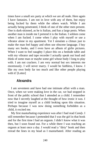times have a small sex party at which we are all nude. Here again I have fantasies. I am not in love with any of them, but enjoy being fucked by them while the others watch. While I am actually being penetrated, I think of one of the other men present. One is dark-skinned, as he is Italian, and has a large penis. When another man is inside me I pretend it is the Italian. I seldom come when I am fucked. I come when I play with myself or use a vibrator alone in my apartment. Yet I simulate a climax just to make the man feel happy and often use obscene language. I buy many sex books, and I even have an album of girlie pictures. When I want to feel naughty I place this on a bedside table and with my vibrator and tape recorder I actually speak out loud and think of some man or maybe some girl whose body I long to play with. I am not crackers. I am very normal but sex interests me enormously. I will never marry. I would be faithless, I know. I like my own body far too much and like other people playing with it! [Letter]

# **Alexandra**

I am seventeen and have had one intimate affair with a man. Once, when we were making love in the car, we had stopped in front of the public school that I attended as a child. I remember now that I secretly laughed at the thought of how ironic it was. I tried to imagine myself as a child looking upon this situation. Perhaps because I was now doing something forbidden as a child, it excited me.

My first masturbating experience was after I had read *Candy*. I still remember because I pretended that I was the girl in that book and for the first time I had an orgasm. I didn't know what it was then, but I soon found out. For a while there I was reaching an orgasm at least once a day. I would read a "dirty" book and then reread the lines in my head as I masturbated. After reading an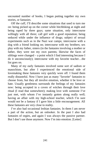uncounted number of books, I began putting together my own stories, or fantasies.

Off the cuff, I'll describe some situations that used to turn me on: being picked up on the corner while hitchhiking at night and being raped by three guys; same situation, only intercourse willingly with all three; call girl with a good reputation; being seduced while under the influence of drugs; subject of sexual experiments such as in the Nazi war camps; intercourse with a dog with a friend looking on; intercourse with my brothers; sex play with my father, sisters (in the fantasies involving a mother or father, they were not my own parents; likewise the faces of siblings were changed – a point which I find interesting because I do it unconsciously); intercourse with my favorite teacher…the list goes on.

Many of my early fantasies involved some sort of sadism or masochism, but after I experienced the emotional side of lovemaking these fantasies very quickly wore off. I found them really distasteful. Now I have just as many "favorite" fantasies to choose from, but they all involve emotion, whether it be love or hate. Usually gentleness surrounds the feelings of my fantasies now: being accepted in a coven of witches through their love ritual (I read that somewhere); making love with someone I've just met, with whom I've instantly gotten along really well; having an affair with my high-school teacher, which I'm sure would not be a fantasy if I gave him a little encouragement. All these fantasies are very close to reality.

I've also had occasional lesbian fantasies. In them I am never a part of the action, but an onlooker. In the past I also had fantasies of orgies, and again I was always the passive partner. But I don't use those anymore. Now I'm into emotion. [Letter]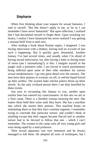# **Stephanie**

When first thinking about your request for sexual fantasies, I said to myself, "But this doesn't apply to me, as far as I can remember I have never fantasized." But upon reflection, I realized that I had disciplined myself to forget them. Upon wracking my brains, I realize I have fantasized but never realized I was getting a sensual thrill from it until now.

After reading a book about Roman orgies, I imagined. I was having intercourse with a donkey, having read an account of just such a happening. But it quickly grew distasteful. Another fantasy I've had several times, and usually when I'm afraid of having sexual intercourse, say after having a baby or during times of stress (am I rationalizing?), is this: I imagine myself in the jungle with a primitive tribe. I am forced to watch punishments being inflicted upon same of their tribe members far various sexual misdemeanors. I go into great detail over the tortures. The men have their penises or scrotum cut off, or red-hot liquid forced up their urethra. The women hake red-hot pokers thrust up them slowly. As the only civilized person there I am duly horrified by these events.

Just now in recounting this fantasy to you, another upon similar lines has entered my consciousness. In this one we are in a Nazi camp. There is a fiendish woman torturing the men. She makes them hold their urine until they burst. She has a machine into which she inserts their penises. This machine keeps on stimulating them so that they have constant orgasms. I remember trying to conclude that particular torture, and couldn't think of anything except that their organs became flaccid and so another torture had to be devised to follow that one – which I can't remember. The women in the camp were all very young girls and were being raped by a mad professor.

Their sexual apparatus was very immature and he always managed to kill them. He adopted all sorts of techniques, but I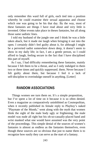only remember this ward full of girls, each tied into a position whereby he could examine their sexual apparatus and choose which one was going to be his that day. By the way, most of these fantasies are things I have read about and very little is invented. Other events take place in theses fantasies, but all along those same sadistic lines.

I told my husband of the jungle one and I think he was a little taken aback, but it made me laugh when bringing it out into the open. I certainly didn't feel guilty about it, for although I might be a perverted sadist somewhere down deep, it doesn't seem to show in my daily life; in fact, I am a gentle person, so I could afford to laugh, feeling secure in the fact that I have disciplined this part of myself.

As I say, I had difficulty remembering these fantasies, mainly because I felt them to be a threat, and so I only indulged in them two or three times and quickly suppressed. them. Never because I felt guilty about them, but because I feel it a lack of self-discipline to overindulge oneself in anything. [Letter]

# **RANDOM ASSOCIATIONS**

 Things women see turn them on. It's a simple proposition, but I've spent a lot of time on it because it is so often denied. Even a magazine as comparatively uninhibited as Cosmopolitan, when it recently published its female reply to Playboy's naked "Playmate of the Month," went along with the myth that women think the sight of the male body ugly or frightening; the male model was nude all right but his oh-so-casually-placed hand and wrist masked what one would have assumed was the very point of the proceedings. This simple denial of the sources of women's fantasies is almost as endless as the fantasies themselves, even though these sources are so obvious that just to name them is to recognize how easily they can serve as the start of a fantasy.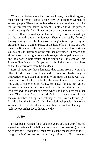Women fantasize about their former lovers, their first orgasm, their first "different" sexual scene, say, with another woman or several people. There are the fantasies that are continuations of a real or remembered sexual moment – a stolen kiss, the pressed hand, last night's first dinner in an as-yet-unconsummated but sure-fire affair – sexual sparks that haven't yet, or never will get off the ground, but do in fantasy. There's the totally fictional fantasy sprung from the fantasizer's imagination inspired by an attractive face at a dinner party, or the hero of a TV play, or a pop music or film star. If this last possibility for fantasy hasn't struck you as endless, just think of the millions of women – perhaps one sitting next to you right now – whose eyes glaze, palms moisten, and lips part in half-smiles of anticipation at the sight of Tom Jones or Paul Newman. Do you really think their minds are blank or that they turn off when the TV does?

Less obvious are those fantasies that spring from a woman's effort to deal with emotions and desires too frightening or destructive to be played out in reality. In much the same way that dreams act as a healthy outlet for the violent emotions we would not want to experience in reality, so sexual fantasy can give a woman a chance to explore and thus lessen the anxiety of jealousy and the conflict she feels when she has desires for other men. That's why I've included Gelda's fantasy here; if her fantasy, touched off by her jealousy of her lover's former girl friend, takes the form of a lesbian relationship with that other woman, at least she doesn't take her destructive feelings of jealousy out on her lover during the day.

### **Susie**

I have been married for over three years and last year finished a yearlong affair with a fellow executive civil servant (G.), who is twice my age. Frequently, when my husband makes love to me, I imagine it is G. on top of me again (difficult, as G. is heavier,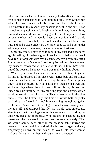taller, and much hairierchested than my husband) and find my own climax is intensified if I am thinking of my lover. Sometimes when I come I even call his name out, but stifle it a bit. (Fortunately in this respect, my husband is deaf in one ear!) I had a much more passionate relationship with my lover, than with my husband, even while we were engaged. G. and I only had to look at one another and he would have an erection and I would become wet. It even helps me to think that the bedclothes my husband and I sleep under are the same ones G. and I lay under while my husband was away in another city on business.

Since my affair, I have tried to rebuild my husband's shattered ego by telling him what a good lover he is. (It helps now that I have regular orgasms with my husband, whereas before my affair I only came in the "superior" position.) Sometimes I have to keep my husband convinced with a few white lies. I think he'd walk out of the house if he knew what I was really thinking about.

When my husband fucks me I dream about G.'s favorite game: for me to be dressed all in black with garter belt and stockings under a long black skirt that buttons up the side. After stripping down to his trousers, he would kiss me, then bend down and stroke my leg where the skirt was split and bring his hand up under my skirt until he felt my stocking tops and garters, which would make him catch his breath. Then he would undo the skirt buttons from the bottom. By this time we would both be pretty worked up and I would "climb" him, swishing my nylons against his trousers. Sometimes at this stage of my fantasy, having taken my top off and unzipped his fly, we would start intercourse standing up, with my legs around his waist and G. holding me under my back. but more usually he insisted on sucking my left breast and then we would undress each other completely. Then we would admire each other in the dressing table mirror and tease each other, and I would admire his erect organ and very frequently go down on him, which he loved. (No other woman had ever done that...at first he thought it was perverted!)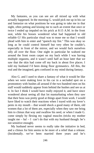My fantasies, as you can see are all mixed up with what actually happened. In the morning G. would pick me up in his car and fantasize on what positions he was going to take me in that night, often petting and kissing me to such an extent that once or twice I ended up impaled on his prick at 8:15 A.M. in the front seat, while his bosses wondered what had happened to old reliable G! His particular ritual was to tease me so that I would plead with him to enter and "quench my fire." This was okay so long as he could control himself but very often he couldn't, especially in front of the mirror, and we would fuck ourselves silly all over the floor. One night in particular he waltzed me around the front room carpet on my back while I was having multiple orgasms, and it wasn't until half an hour later that we saw that the skin had come off my back in about five places. I told my husband I'd been doing floor gymnastics. All this, the real and the imagined, gets confused in my mind during fantasy.

Also G. and I used to share a fantasy of what it would be like when we were making love in his car in a secluded spot on a promontory with bushes all around if the two hundred men on his staff would suddenly appear from behind the bushes and see us at it. In fact I think I would have really enjoyed it, and have since wondered about seeing all that lot masturbating when they saw that their boss was pretty good at things apart from work. I would have liked to watch their reactions when I toyed with my lover's penis in my mouth – that would shock a good many of them, old women that a lot of them are, especially when they saw me bring him to climax that way and swallow his seed, or when I made G. come simply by flexing my vaginal muscles (tricks my mother taught me  $-$  ha!  $-$  I can't do that with my husband though: he's not sensitive enough).

My husband never seems to really take the initiative in bed, and a climax for him seems to be more of a relief than a release. (Incidentally. we've been married three years and he's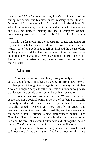twenty-four.) What I miss most is my lover's manipulation of me during intercourse, and his more or less mastery of the situation. Most of all I remember when I'm with my husband how G., when his climax came, used to grunt and groan with the pleasure and kiss me fiercely, making me feel a complete woman, completely possessed. I haven't really felt like that for months now.

Thank you for giving me the opportunity to get something off my chest which has been weighing me down for almost two years. Very often I've longed to tell my husband the details of my adultery – it would heighten my opinion of my husband if he could take joy in what my lover has experienced. But I know it's just not possible. After all, my fantasies are based on the real thing. [Letter]

## **Adrienne**

Adrienne is one of those lively, gregarious types who are easy to get to know. I met her on the QE2 trip from New York to Southampton. Although the voyage is only, five days, a ship has a way of bringing people together in terms of intimacy so quickly that it seems incredible when remembered back on shore.

This was the case with Adrienne and me. We were introduced at the Captain's cocktail party. (The two of us being practically the only unattached women under sixty on board, we were naturally asked.) Nicknames, very quickly invented and bestowed, are another part of shipboard life; and there was a man on board whom Adrienne almost immediately named "The Gambler." She had already met him by the time I got to know her, and the three of us would often have a drink together before dinner. The Gambler was one of those men who like to talk about sex a great deal, and with, astonishing perseverance would want to know more about the slightest detail ever mentioned. It was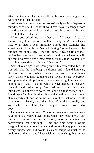after the Gambler had gone off on his own one night that Adrienne and I had our talk.

Adrienne is a plump, almost professionally social thirtytwo or thirtythree; as I said, I doubt if we'd ever have exchanged more than first names on land, we had so little in common. But she loved to talk and I listened.

When you asked me the other day if I ever had sexual fantasies, my first reaction was that I really didn't think I ever had. What had I been missing? Maybe the Gambler has something to do with my "secondthinking." What I mean is, he reminds me of this guy I used to know. Now, on reflection, I realize that on more than one occasion my thoughts have run wild and that I do have a vivid imagination. It's just that I wasn't used to calling these ideas and images "fantasies."

Several years ago, I was going out with a man called Ted. He was tall (like the Gambler), handsome, and I found him very attractive but elusive. When I first met him we were at a dinner party, which was held outdoors on a lovely terrace overgrown with pink and white petunias. It was a warm night and we were sipping buck fizzes – a drink which always makes me feel very romantic and rather sexy. We had really only just been introduced, but there we were, off alone on that terrace, and I found myself telling him that I had a giant teddy bear back home at my apartment, and he immediately replied that now I could have another "Teddy, bare" that night. He said it so easily, and with such a spirit of fun, that I thought to myself, "Well, why not?"

He was a wonderful lover. You know how some people always have to have a record player going when they make love? With me, all I have to do to get into a sexy mood is remember the conversation that first night. Time and time again I would imagine him as a large teddy bear and me as a honey pot. He was a very hungry bear and would suck and scrape as much as he could out of that pot and I kept wishing and wishing that my pot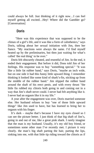could always be full. Just thinking of it right now…I can feel myself getting all excited…Hey! Where did the Gambler go? [Conversation]

## **Doris**

"Here was this experience that was supposed to be the climax of a girl's life, and it was like a form of calisthenics," says Doris, talking about her sexual initiation with Jim, then her fiance. "My reactions were always the same. I'd find myself heated up by the preliminaries, but then just waiting for what's called 'the real thing' to be over."

Doris felt obscurely cheated, and resentful of Jim. In the end, it ended their engagement. But before it did, Dons told Jim of her feelings. His response was to buy "something special." "It was like a little fat rubber band," says Doris, "maybe an inch wide, but on one side it had this funny little upward thing. I remember thinking it looked like some kind of shark's-fin, sticking up from the middle of the rubber band." Jim slipped the rubber band around the shaft of his erect penis. and with every thrust "the little fin rubbed my clitoris both going in and coming out in a way that Jim's shaft never could. I never had felt anything like it. I never had an orgasm like it in my life."

A year after the engagement was over, Doris married someone else. Her husband refuses to buy "one of those little upward things" like Jim used to have, but has learned to bring her to orgasm with his finger.

It's dark – maybe that's because I have my eyes closed so I can see the picture better. I just think of that big shaft of Jim's, going in and out of me, like a great pink shark. I rarely imagine that the man is my husband. Usually, it's my old boy friend, or sometimes some other man I've recently met. I picture it very clearly. the man's big shaft parting the hair, parting the lips, sinking into me, with that little tip riding toward the clitoris as if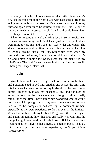it's hungry to touch it. I concentrate on that little rubber shark's fin, just touching me in the right place with each stroke. Rubbing as it goes in, rubbing as it goes out. I've never mentioned it to my husband again ever since he refused to buy one. But it's one of the nicest wedding presents my old boy friend could have given us…this picture of it I have in my mind.

I like to imagine that we're making love in some tropical sea or a warm swimming pool. And I can just see this pink shark swimming toward me, and I open my legs wider and wider. The shark knows me, and he likes the warm feeling inside. He likes to wriggle around just at the lips. Sometimes even when my husband's not inside me, I only have to think about that shark's fin and I start climbing the walls. I can see the picture in my mind's eye. That's all I ever have to think about. Just the pink fin rubbing me. [Taped interview]

#### **Lulu**

Any lesbian fantasies I have go back to the time my husband and I experimented in bed with another girl. It was the only time this had ever happened – not for my husband, but for me. I must admit I enjoyed it. It was my husband's idea, and although he asked me to make the advances toward the girl, I didn't really mind. Since that time I have sometimes wondered what it would be like to pick up a girl all on my own somewhere and seduce her, or to be completely seduced by a dominant woman, especially as my own experience so far has been as the initiator. When I am in bed with my husband I'll go over this scene again and again, imagining how that first girl really was with me, the things I might have tried had I only known. If I like I can even imagine that my finger is her tongue, as I remember it. That's a lot of memory from just one experience, don't you think? [Conversation]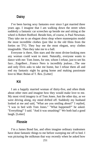# **Daisy**

I've been having sexy fantasies ever since I got married three years ago. I imagine that I am walking down the street when suddenly a fantastic car screeches up beside me and sitting at the wheel is Robert Redford. Beside him, of course, is Paul Newman. They take me to an elegant dress shop where mannequins model the most incredible clothes (just like in the old films from the forties on TV). They buy me the most elegant, sexy clothes imaginable. Then they take me to a ball.

Everyone is there, film stars and the most divine-looking men any woman could want to meet. Naturally, everyone wants to dance with me: Tom Jones, for one, whom I refuse, just to see his face…Engelbert…Franco Nero is incredibly jealous…The one and only Elvis asks to take me home, but I refuse them all and end my fantastic night by going home and making passionate love to Marc Bolan of T. Rex. [Letter]

## **Kit**

I am a happily married woman of thirty-five, and often think about other men and imagine how they would make love to me. My most vivid imagery is of Tom Jones. Just the other day, as we were driving along, my mind drifted off. Suddenly my husband looked at me and said, "What are you smiling about?" I replied, "I was in bed with Tom Jones." "What happened?" he asked. "Everything!" I said. "And it was smashing!" We both had a good laugh. [Letter]

## **Flossie**

I'm a James Bond fan, and often imagine ordinary tradesmen have done fantastic things to me before sweeping me off to bed. I was picturing the milkman that way recently when he asked how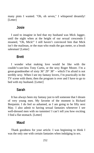many pints I wanted. "Oh, oh seven," I whispered dreamily! [Letter]

#### **Josie**

I used to imagine in bed that my husband was Mick Jagger, until the night when at the height of our sexual crescendo I moaned, "Oh, Mick!" I still haven't convinced him that Mick isn't the mailman, or the man who reads the gas meter, or a brush salesman! [Letter]

#### **Brett**

I wonder what making love would be like with the couldn't-care-less Tony Curtis, or the sexy Roger Moore. I'm a great-grandmother of sixty 36" 29" 38" – which I'm afraid is not terribly sexy. When I see my fantasy lovers, I'm practically in the TV scene with them; then the program is over and I have to go to bed with my husband. [Letter]

## **Sarah**

It has always been my fantasy just to tell someone that I dream of very young men. My favorite of the moment is Richard Benjamin. I do feel so ashamed, as I am going to be fifty next May. I also admit to having sexual fantasies whenever I see well-dressed men with no tummies! I can't tell you how exciting I find a flat stomach. [Letter]

## **Maud**

Thank goodness for your article. I was beginning to think I was the only one with certain fantasies when indulging in sex.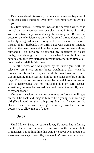I've never dared discuss my thoughts with anyone bepause of being considered indecent. Even now I feel rather shy in writing to you.

My first fantasy, I remember, was on the occasion when, as is normal on most evenings, our love play started in front of the fire with me between my husband's legs fellatiating him. But on this occasion the television was on with the sound turned down, and I suddenly imagined myself doing it to the man on the screen instead of my husband. The thrill I got was trying to imagine whether the man I was watching had a penis to compare with my husband's. This certainly heightened my eagerness to please hubby, and although he had no idea what I was thinking, he certainly enjoyed my increased intensity because in no time at all he arrived at a delightful climax.

The other occasion was inspired by the first: again, with the television on, I was on my knees watching a play when he mounted me from the rear, and while he was thrusting home I was imagining that it was not him but the handsome brute in the play. The effect on me was indescribable and I was putting up such a performance that my husband did, I am sure, suspect something, because he reached over and turned the set off, much to my annoyance.

On other occasions, when he sometimes performs cunnilingus on me, I lie back and imagine him to be a young fresh teen-age girl (I've longed for that to happen). But alas, I never get the chance to meet one, as I cannot get out on my own. He is far too possessive to allow me out. [Letter]

## **Gelda**

Until I knew Sam, my current lover, I'd never had a fantasy like this, that is, one that involved me with another woman. Lots of fantasies, but nothing like this. And I've never even thought of a woman that way in real life, just wouldn't ever want a woman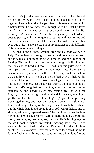sexually. It's just that ever since Sam told me about her, the girl he used to live with, I can't help thinking about it; about them together. I know how she changed Sam's life sexually, made him a better lover. I also know he's through with her, that he loves me; I am as convinced of it as one could rationally be. But jealousy isn't rational, is it? And I hate it, jealousy; I hate what it does to people, and I'm not going to let it ruin. things for me and Sam. Sometimes I feel that if I ever met that girl I'd scratch her eyes out, at least I'd want to. But in my fantasies it's all different. This is more or less how they go:

The bed is one of those wrought-iron antique beds you see in Italy. The Italians hang religious medals and ornaments on them, and they make a chiming noise with the up and back motion of fucking. The bed is painted red and there are gold balls all along the spikes at the head and foot. The bed is in this girl's room, in her apartment. I can see the apartment just from Sam's description of it, complete with the little dog, small, with long gray and brown hair. The dog is on the bed with us, licking the asshole of the girl, who is between my legs. I can't see the dog but I know it's there, that the girl has trained the dog to do this. I feel the girl's long hair on my thighs and against my lower stomach, as she slowly kisses me, parting my lips with her fingers, her tongue going straight to that delicate spot, touching it gently, and then her lips, full and lingering against me, pressing warm against me, and then the tongue, slowly, very slowly at first – and not just the tip of the tongue, which would be too hard, but the whole length and breadth of it, soft, warm, licking me in slow, great, warm, repeated kisses. The blunt feel of her teeth as her mouth presses against me. Sam is there, standing across the room, watching us, watching me, my face. He is leaning against the wall, cool, detached, interested, knowing how I am. He is wearing his old khakis, the red Banlon shirt, the old blue sneakers. His eyes never leave my face, he is fascinated, he waits for the flush to start in my cheeks, as he knows it will, as I know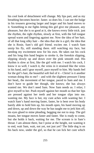his cool look of detachment will change. My lips part, and as my breathing becomes heavier. faster. so does his. I can see the bulge in his trousers growing larger and larger and his hand moves to it. Something in me fights letting this girl give me pleasure, any pleasure, but she is so good at it, she knows every little trick. just the rhythm, the right rhythm, slowly at first, with the full tongue spread warm and lingering against me. Now the idea of her hair, of all that long silky hair – the idea that she is a girl, the idea that she is Rosie, Sam's old girl friend. excites me. I watch Sam unzip his fly, still standing there. still watching my face, but needing my excitement now for his own. He takes out his cock and his long thin hand begins to stroke it, the foreskin slipping, slipping slowly up and down over the pink smooth end. His rhythm is slow at first, like the girl with me. I watch his cock, I know it so well, I watch it, the veins in it strained like the veins in his hand, and I gear myself, pace myself to him. My hands feel for the girl's hair, the beautiful soft feel of it – Christ! is it another woman doing this to me? – and with the slightest pressure I keep her head,, the movement of her tongue, paced to Sam and me. I don't have to guide her though, she knows; she has always wanted me. We don't need Sam. Now Sam needs us. I relax; I give myself to her. Push myself against her mouth so that her lips are pressed against her teeth and her tongue slips into me. wanting me. My face is hot, my cunt aches with wanting her. I watch Sam's hand moving faster, faster, he is bent over his body barely able to hold him up, his mouth open, his hand moving up and down, up and down the way he has taught me to jerk him off, his eyes glued to mine pleading, begging me not to stop. The girl moans, her tongue moves faster and faster. She is ready to come, but she holds it back, waiting for me. The scream is in Sam's throat. I am almost there, but I poise at the height, not wanting it to end, wait Sam, wait, not yet, not just yet? The little dog is on his back now, under the girl, so that he can lick her cunt which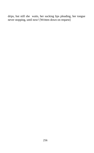drips, but still she waits, her sucking lips pleading, her tongue never stopping, until now! [Written down on request]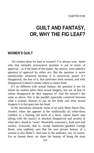# **GUILT AND FANTASY, OR, WHY THE FIG LEAF?**

# **WOMEN'S GUILT**

 Do women dress for men or women? I've always won dered why that eternally provocative question is put in terms of approval – as if the heart of the matter, the answer, were indeed a question of approval by either sex. But the question is never satisfactorily answered because it is incorrectly posed. It's disapproval, the fear of it, that motivates most women, and with disapproval it doesn't matter where it comes from.

It's no different with sexual fantasy; the question is not for whom do women select their sexual imagery, but out. of fear of whose disapproval do they suppress it? And the answer's the same as above. Nor is the parallel especially contrived between what a woman chooses to put on her body and what sexual imagery it is that goes into her head.

In the marvelous climactic scene of an early Bette Davis film, *Jezebel,* when she appears at the traditionally all white-dress cotillion in a flaming red torch of a dress, whose hearts stop (along with the music) in shocked disapproval and anxiety at what she's dared to 'wear? Absolutely everyone's, *both men and women.* Everyone, that is, except handsome gambler George Brent, who suddenly sees that his own private fantasy of a woman is also Bette's. And ours in the audience, too, of course. For an instant there, we share the fantasy of being the most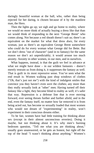daringly beautiful woman at the ball, who, rather than being rejected for her daring, is chosen because of it by the manliest man, the Hero.

Then the lights go up; we sigh and go home to reality, where we would no more think of actually buying a dress like that than we would think of responding to the next "George Brent" who comes along. Not because a red sheath doesn't suit us; there's an equivalent on the market for what that dress *does,* for every woman, just as there's an equivalent George Brent somewhere who could do for every woman what George did for Bette. But we don't dress "out of character" (and in to fantasy) for the same reason we don't act unpredictably; it would arouse too much anxiety. Anxiety in other women, in our men, and in ourselves.

What happens, instead, is that the guilt we feel in advance at what we might have done – in our wildest fantasies – doesn't merely restrain us from doing it, it suppresses the fantasy as well. That is guilt in its most repressive sense. You've seen what the end result is: Women walking past shop windows of clothes ("Oh, that's just not me") with the kind of indulgent smiles that convince you they haven't even *seen* the clothes; any more than they really sexually look at "other" men. Having turned off their fantasy like a light, they become blind to reality as well; it's safer that way. Repression is a defense line that is ever moving forward, ever seeing threats further and further afield, and in the end, even the fantasy itself, no matter how far removed it is from being acted out, has become so sexually loaded that most women who would not dream of "experimenting" in reality, won't experiment in their conscious dreams either.

To be fair, women have had little training for thinking about sex (except in their almost unconscious reveries). Doing it maybe, but not thinking about it. It's why men's burning bedroom question, "Tell me what you are thinking about," usually goes unanswered, or he gets an honest, but right off the top of the head "I wasn't thinking about anything." Women's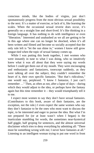conscious minds, like the bodies of virgins, just don't spontaneously progress from the most obvious sexual possibility to the next. It's a matter of exercise, or lack of it, like learning the scales. When the occasional sexual reverie does occur, it's generally on a straight line and short-lived. It's like thinking in a foreign language. It has nothing to do with intelligence or even "liberation." Interested and unabashed as we all are getting to be in this age where one can no longer be shocked, when it's all been written and filmed and become so socially accepted that the only rule left is "let the sun shine in," women I know still grow tongue-tied when the topic of sexual fantasy comes up.

While I was putting this book together, I met women who were instantly in tune to what I was doing, who so intuitively knew what it was all about that they were saying my words before I could get them out of my mouth. They were encouraging and enthusiastic and fantasizers, tooexcept suddenly, as they were talking all over the subject, they couldn't remember the heart of it, their own specific fantasies. "But that's ridiculous," one would say, perplexed. "I know I fantasize, I just can't remember …" Then, as often as not, after a lapse of days – during which they would adjust to the idea, or perhaps have the fantasy again but this time remember it – they would triumphantly tell it to me.

I expect most women to say they don't have sexual fantasies. (Contributors to this book, aware of their fantasies, are the exception, not the rule.) I even expect the same women who say they don't fantasize to be the ones who most want to discuss the topic, to be interested and eager to pursue the idea. But what I'm not prepared for (or at least wasn't when I began) is the inarticulate stumbling for words, the sometimes near-hysterical half giggle, half groping for sentences, and the almost universal disclaimer which tries to deny everything by admitting all: "There must be something wrong with me; I never have fantasies at all." Listening to an intelligent woman trying to put one word in front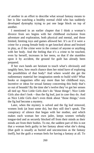of another in an effort to describe what sexual fantasy means to her is like watching a healthy normal child who has suddenly developed dystrophy trying to put one large block on top of another.

I mentioned in an earlier chapter that I think a woman's divorce from sex begins with her childhood exclusion from adventure and exploration, both physical and mental, and those limited, limiting toys and games allowed her. It's as if it were a crime for a young female body to get knocked about and bruised in play, as if the crime were in the contact of anyone or anything with her body. And the feeling that it's a crime to be touched, even by herself, increases in her teens, so that if she stumbles upon it by accident, the ground for guilt has already been prepared.

If her own hands are hesitant to touch what's obviously and tangibly hers, how much chance does her mind have of exploring the possibilities of that body? And where would she get the rudimentary material her imagination needs to build with? What books or magazines offer any more than her childhood toys, incentive or ideas for sexual fantasy concerning this body that's so out of bounds? By the time she's twelve they've got her senses all tied up: Nice Little Girls don't do "those things"; Nice Little Girls also don't look – thus the fig leaf, just in case they do. And as Nice Little Girls don't even think about "those things," even the fig leaf become a mystery.

Later, when the mystery is solved and the fig leaf removed, women look (at least some do), but they still don't speak. The conspiracy of silence that began with her mother, and which makes each woman her own jailer, keeps women verbally tongue-tied and as securely blocked off from their minds as their minds are from their bodies. To me, the saddest part of this is not that a woman feels guilty in her fantasy about what she's doing (that guilt is usually as buried and unconscious as the fantasy itself), but the guilt a woman feels for having a fantasy at all. To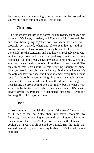feel guilt, not for something you've done, but for something you've only been thinking about – that is sad.

## **Christiana**

I suppose my sex life is as normal as any twenty-eight year-old woman's. It's happy, it exists, and I've never felt frustrated. Ted and I've been going together for two years now and we'll probably get married, when and if we feel like it…and if it doesn't mean I'll have to give up my job, which I love. I have to travel a lot for the company, and Ted knows I probably sleep with another guy now and then. But jealousy's not one of our problems. We don't really have any sexual problems. We hardly ever go to sleep without making love first. It's just natural. The only thing that isn't natural is this recurring thought of mine, what you would probably call a fantasy. If this is a fantasy it's the only one I've ever had, and I have it almost every time I make love. It's the only unnatural thing about me. Invariably, when a man is on top of me, inside me, I have this desire, this image that he is having me from behind. He's not really, but it's what I want – yes, to be fucked from behind, again and again. It's what I always dream of. Perhaps if it happened, just once, I wouldn't feel so guilty thinking of it. [Letter]

## **Hope**

Are you going to publish the results of this work? I really hope so. I used to feel so guilty about my sexual thoughts, my fantasies, about everything to do with sex, I guess, including masturbation. But I didn't stop, not the sex or the fantasies…I couldn't in a way, it all seemed so natural. But the guilt, that seemed natural too, until I met my husband. He's helped me out so much.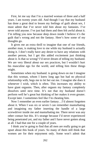First, let me say that I'm a married woman of three and a half years. I am twenty years old. And though I say that my husband has done a great deal to lessen my feelings of guilt about sex, I must admit that I've never told him about my fantasies. I've never told anyone. I've just had them and then felt awful about it. I'm telling you now because deep down inside I believe it's the guilt that's wrong and not the fantasy. Here's how some of my thoughts go.

It gives me an extra thrill to imagine that one of our friends, another man, is making love to me while my husband is actually doing it. I don't really have any desire to have any relations with another person, but I get this added excitement just thinking about it. Is that so wrong? I'd never dream of telling my husband. We are very liberal about our sex practices, but I wouldn't hurt his masculine ego for the world, and telling him these things might.

Sometimes when my husband. is going down on me I imagine that this woman, whom I knew long ago but had no physical relationship with, begs me to let her eat me. I imagine she does it whenever I wish, which is often. This increases my ability to have giant orgasms. Then, after orgasm my fantasy completely dissolves until next time. It's not that my husband doesn't perform well he's great but thinking of her makes it even greater. Except later. I sometimes feel like I'm cheating him.

Now I remember an even earlier fantasy…I'd almost forgotten about it. When I was six or seven I can remember masturbating and imagining my father inserting the handle of a large screwdriver inside me and masturbating me. There never was any other contact but this. It's strange because I'd never experienced being penetrated yet, and my father and I have never gotten along at all. I had that one for a couple of years.

I think you're going to find that all men are really going to get upset about this book of yours. So many of them still think that women are for their enjoyment only. Some won't admit that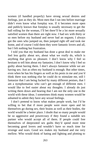women (if handled properly) have strong sexual desires and feelings, just as they do. Most men that I ran into before marriage didn't even know what foreplay was. If it becomes more open and publicly known that foreplay is usually necessary to get the ball rolling for the woman, I'll bet there'll be a lot more sexually satisfied women than there are right now. I had sex with thirty or so men before my husband and never had an orgasm; I always got the ones who jumped on, then jumped right off and took me home, and of course I told them they were fantastic lovers and all, but I felt nothing but frustration.

I told you that my husband has done a great deal to make me feel less guilty about sex, about what we *really* do, which is anything that gives us pleasure. I don't know why I feel so hesitant to tell him about my fantasies; I don't know why I feel so guilty about having them. I don't always fantasize while we are having sex. Just as often my husband is enough. But other times, even when he has his fingers as well as his penis in me and you'd think there was nothing else he could do to stimulate me, still I fantasize that I am being fucked by many different penises, that I am a nymphomaniac who can't get enough of different men. I would like to feel easier about my thoughts. I already do just writing them down and hearing that I am not the only one in the world with these ideas. I sometimes think many women would be ashamed to admit they have any sexual feelings.

I don't pretend to know what makes people work, but I'd be willing to bet that if more people were more open and let themselves go during sex, their brains as well as their bodies, the world would be a better place. I doubt that so many people would be so aggressive and powercrazy if they found a suitable sex partner who would accept all of them. If people could free themselves of deeprooted sex guilts they'd spend more time becoming good lovers and wouldn't have so much time for revenge and wars. Good sex makes my husband and me very mellow. Who would think of hating and fighting and plotting to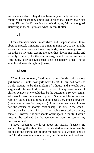get someone else if they'd just been very sexually satisfied…no matter what means they employed to reach that happy goal? Not many, I'll bet. So I'm ending up defending my "dirty" thoughts! Believing in them, I guess is what I mean. [Letter]

# **Lil**

I only fantasize when I masturbate, and I suppose what I think about is typical. I imagine it is a man making love to me, that he kisses me passionately all over my body, concentrating most of his ardor on my cunt, teasing the outer lips, loving me totally and expertly. I simply lie there in ecstasy, which makes me feel a little guilty later at having such a selfish fantasy, since I never even imagine touching him. [Letter]

## **Alison**

When I was fourteen, I had the usual relationship with a close girl friend (I think most girls have them). In my bedroom she would pretend to be the madam of a house and I would be a virgin girl. She would dress me in a sort of sexy bikini made of chiffon scarves. She would then be the customer, a rowdy seaman who would take me against my will. She would lie on me and rub her vagina against mine. I experienced very intense orgasms (more intense than from any man). After she moved away I never had the chance of another relationship like ours. Now when I masturbate I usually think that I am being seduced by a pretty female. However, if it ever should occur again in reality, I would need to be seduced by the woman in order to control my embarrassment.

I have spoken to my lover about my lesbian fantasies. He knows I feel guilty about them. He has tried to enter into them by talking to me during sex, telling me that he is a woman, and so on. This does excite me to an extent, but I'm not sure if he does it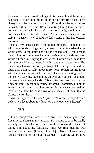for me or for homosexual feelings of his own, although he says he has none. He does like me to lie on top of him (my back to his chest) so that he can feel my breasts. From things he says, I think he wishes they *were* his. It's an exciting thought to me and I don't understand why he won't admit to the slightest interest in homosexuality – after all. I have. As he sees no shame in my lesbian fantasies, why should he feel shame at his homosexual fantasies?

Not all my fantasies are in the lesbian category. The man I live with has a good-looking cousin, a man; I used to fantasize that he would come to the house and find me naked, and I would make love to him, or sometimes he would arrive with friends and they would all touch me, trying to arouse me; I would then make love with the one I fancied most. I rarely have this fantasy now. The men in my fantasies nowadays always take me by force and are older than I am (usually about thirty-five). Sometimes my lover will encourage me to think that lots of men are making love to me; he will paw me, touching me all over very quickly, as though his hands were many hands. This excites me very much at the time, but later I can't help feeling ashamed. I sometimes think he enjoys my fantasies, that they excite him when we are making love, but that later he looks down on me because of them, that he blames me for them.

Am I a suppressed lesbian? I just don't know. Perhaps I could be less two-faced about my fantasies if my lover were. [Letter]

## **Clare**

I am trying very hard to free myself of sexual guilts and frustrations. Thanks to my husband, I'm hoping to soon be totally sexually free – but I must admit I'm afraid to take the chance of telling him about my fantasies. When we first met, he was jealous of other men. (I never flirted, I just liked to look at men, just as men like to look over a woman.) However, we are now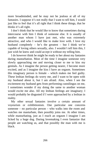more broadminded, and he may not be jealous at all of my fantasies. I suppose it's not really that I want to tell him, I would just like to feel that it's all right that I think these things, that he thinks it's all right.

I don't think that he would like to know that sometimes during intercourse with him I think of someone else. It is usually of another man whom I have just met, who was extremely attractive, and who I would like to make love with. I love my husband completely – he's the greatest – but I think we're capable of loving others sexually, also. I wouldn't tell him this, I just wish he knew and could accept it without my telling him.

I do however think be might be ready to her about my fantasies during masturbation. Most of the time I imagine someone very slowly approaching me and moving closer to me to kiss my genitals. As I imagine the person getting nearer, I become more excited, and as I imagine the kiss I have an orgasm. Sometimes this imaginary person is female – which makes me feel guilty. These lesbian feelings do worry me, and I want to be open with my husband about it, but I am afraid. Also, when I see the excitement my husband gets from performing cunnilingus on me, I sometimes wonder if my doing the same to another woman would excite me also. All my lesbian feelings are imaginary; I would probably be disgusted if I were approached by a lesbian in reality.

My other sexual fantasies involve a certain amount of voyeurism or exhibitionism. One particular one concerns someone – no particular person – who walks into the room and watches me masturbate, then possibly joins me. At other times, while masturbating, just as I reach an orgasm I imagine I am licked by a huge dog. During lovemaking I even fantasize that people are watching us, and that possibly the man with me is black.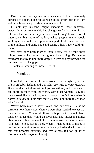Even during the day my mind wanders. If I am extremely attracted to a man, I can fantasize an entire affair, just as if I am writing a book or a play about the relationship.

I think my husband might encourage these fantasies, especially as our relationship has changed so for the better. I have told him that as a child my earliest sexual thoughts were not of intercourse, but more of nudity, naked people, many people walking around naked at a pool or in a park. I, of course, was one of the nudists, and being nude and seeing others nude would turn me on.

We have only been married three years. For a while there things were quite boring during our lovemaking. But we've overcome that by falling more deeply in love and by throwing off our many sexual hangups.

Thanks for wanting to know. [Letter]

## **Penelope**

I wanted to contribute to your work, even though my sexual life is probably lacking and will add very little to your research. But even that fact alone will tell you something, and I do want to feel more in touch with the world, with other women. I say my own sexual life is lacking even though I don't know what is normal or average. I am sure there is something more to sex than what I've felt.

We've been married seven years, and our sexual life is no different now than it was when we were first married, except that there's less of it. You would think, or hope, that as people lived together longer they would discover new and interesting things about one another that would help them to give one another more happiness in sex. But it's only when I imagine that someone is performing cunnilingus on me, which my husband will not do, that sex becomes exciting, and I've always felt too guilty to discuss this with anyone. [Letter]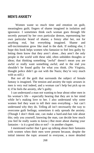# **MEN'S ANXIETY**

 Women waste so much time and emotion on guilt, meaningless guilt; fingers of shame imagined in isolation and ignorance. I sometimes think each woman goes through life secretly pursued by her own particular demon, representing her own particular brand of shame; a frenzy after her, not for anything real, but everything imagined. Shame and self-incrimination grow like mad in the dark. If nothing else, I hope this book helps women who fantasize to feel less guilty by letting them know that they aren't alone…they aren't the only people in the world with these odd, often unbidden thoughts or ideas; that thinking something "awful" doesn't mean you are awful or really want something awful; and in the end you shouldn't be found guilty for what you think. (No Virginia, thought police didn't go out with the Nazis; they're very much with us still.)

But not all the guilt that surrounds the subject of female fantasy is imagined. The tension and anxiety the topic arouses in men is very real indeed, and a woman can't help but pick up on it; if he feels the anxiety, *she's* guilty.

I can understand a man not wanting to hear about other men in his woman's life – especially hearing that they are in her mind while he's making love to her. I also understand why some women feel they want to tell their men everything – but can't understand why they do. Telling all isn't necessarily the way to overcome guilt feelings; sometimes it only spreads the anxiety. (Though I don't think one, can make a hard-and-fast rule about this; only you yourself, knowing the man, can decide how much you feel he really wants to know.) But more about sharing your fantasies – is it a good idea or not? – in another chapter.

I mentioned earlier that I gave up talking about their fantasies with women when their men were present because, despite the initial interest the topic aroused in everyone, a more detailed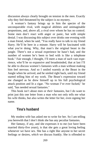discussion always clearly brought on tension in the men. Exactly why they feel threatened by the subject is no mystery.

A woman's fantasy brings up in him the spectre of the unconquerable rival, with magical abilities and unimaginable proportions, and, above all, a rival over whom he has no control. Some men don't react with anger or panic, but with simple denial. I was discussing this subject over drinks one evening with a man friend, when he said, "You really have to talk to my friend Harry. He'll be here in a minute. Harry will be fascinated with what you're doing. Why, that man's the original beast in the jungle. There's not a sexual experience he hasn't had, and the number of women he's been to bed with is like a telephone book." Fair enough, I thought, I'll meet a man of such vast experience, who'll be so expansive and broadminded, that at last I'll be able to discuss women's fantasies with a man without making him feel nervous. And so I smiled warmly at the Beast in the Jungle when he arrived, and he smiled right back, until my friend started telling him of my work. The Beast's expression toward me changed as he drew himself up to his full psychological attack position and lit a cigar. "No woman I've ever fucked," he said, "has needed sexual fantasies."

This book isn't about men or *their* fantasies, but I do want to print just this one letter from a man who not only tells me what his wife thinks, but also writes the letter for her, even signing her name.

## **Tina's husband**

My modest wife has asked me to write for her. So I am telling you herewith that I don't think she has any peculiar fantasies.

Her fantasy, if any, and she expresses it to me (we have been married thirty-five years), is that she gets a great loving feeling whenever we have sex. She has a right like anyone to her secret feelings or desires, *which* we discuss frankly. She is offended to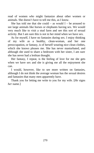read of women *who* might fantasize about other women or animals. She doesn't have to tell me this, as I know.

She has told me that she could  $-$  as would I  $-$  be aroused to see large animals like horses or elephants having sex. We would very much like to visit a stud farm and see this sort of sexual activity. But I am sure this is not in her mind when we have sex.

As for myself, I have no fantasies during sex. I enjoy thinking of my wife as a healthy, clean-woman, and her one preoccupation, or fantasy, is of herself wearing nice clean clothes, which she knows pleases me. She has never masturbated, and although she used to share a bedroom with her sister, I am sure she has never had a lesbian thought.

Her fantasy, I repeat, is the feeling of love for me she gets when we have sex and she is giving me all the enjoyment she can.

I would, however, like to see more written on fantasies, although I do not think the average woman has the sexual desires and fantasies that many men apparently have.

Thank you for letting me write to you for my wife. [*He* signs *her* name.]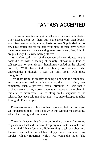# **FANTASY ACCEPTED**

Some women feel no guilt at all about their sexual fantasies. They accept them, act them out, share them with their lovers, even live them on a day-to-day basis, as does Sophie (below). A few have gotten this far on their own; more of them have needed the encouragement of an accepting lover. And a very few, I think, are just lucky; they were born guilt-free.

As you've read, most of the women who contributed to this book did so with a feeling of anxiety, almost in a tone of self-reproach or even disgust though many ended on the relieved note of, "Well, thank God, I've finally told someone who understands; I thought I was the only freak with these thoughts…"

This relief from the anxiety of being alone with their thoughts, and the greater reality which sharing them can bring, was sometimes such a powerful sexual stimulus in itself that it excited several of my correspondents to interrupt themselves in midletter to masturbate. Carried along on the euphoria of the release, they even told me about this – so, more therapeutic relief from guilt. For example:

Please excuse me if this is rather disjointed, but I am sure you will understand that I could not write this without masturbating, which I am doing at this moment...,

The only fantasies that I speak out loud are the ones I make up to please my husband. I always keep my real fantasies locked up in my mind. I have found it a little exciting to tell you about my fantasies, and a few times I have stopped and manipulated my nipples with my fingertips while I was typing this letter. (The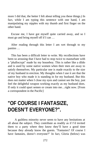more I did that, the better I felt about telling you these things.) In fact, while I am typing this sentence with one hand, I am manipulating my nipples with my thumb and first finger on the other hand.

Excuse me, I have got myself quite carried away, and so I must go and bring myself off if I can …

After reading through this letter I am wet through to my panties …

This has been a difficult letter to write. My recollections have been so arousing that I have had to stop twice to masturbate with a "phallocrypt" made by my houseboy. This is rather like a dildo and is used by some native women when their men are away to satisfy themselves. My particular one is made exactly to the size of my husband in erection. My thoughts when I use it are that the native boy who made it is standing in for my husband. But this does not matter when I close my eyes and cannot see the boy, just feel the delightful weapon working exactly as my husband does. If only it could spurt semen or cream into me…right now. [From a correspondent in the Pacific]

# **"OF COURSE I FANTASIZE, DOESN'T EVERYONE?".**

A guiltless minority never seem to have any hesitations at all about the subject. They contribute as readily as if I'd invited them to a party where they know they'll have a good time because they already know the guests. "Fantasies? Of course I have fantasies, doesn't everyone?" In fact, Gloria (below) was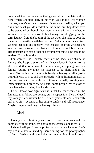convinced that no fantasy anthology could be complete without hers, which, she uses daily in her work as a model. For women like her, there's no wall between fantasy and reality; what you *think* and what you do needn't be the same, but they don't have to be separated as though they were at war with one another. A woman who lives this close to her fantasy isn't dragging out the dirty laundry from the bottom of the pit when she talks to you; the material is easily available to her. What's significant isn't whether her real and fantasy lives coexist, or even whether she acts out her fantasies, but that each does exist and is accepted. Her fantasies are part of her self-awareness; there is no threat, no anxiety. That's how she is.

For women like Hannah, there are no secrets or shame in fantasy: she keeps a photo of her fantasy lover in her mirror as she would that of a real lover, and enjoys slipping into her fantasy routine any night she happens to be alone and in the mood. To Sophie, her fantasy is barely a fantasy at all – just a desirable way to live, and she proceeds with no hesitation at all to put her desire to live with two different, equally exciting men immediately into practice. As I said, some people live so close to their fantasies that they live inside them.

I don't know how significant it is that the four women in the fantasies that follow are young, but I suspect it is. I've included my youngest contributor here – fifteen years old and technically still a virgin – because of her simple candor and self-acceptance. Maybe it says something for fantasy's future.

## **Gloria**

I really don't think any anthology of sex fantasies would be complete without mine. It's got to be the greatest one there is.

I should tell you I use it professionally, when I model. Let's say I'm in a studio, standing there waiting for the photographer to finish fussing with the lights and everything. I look bored,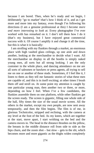because I am bored. Then, when he's ready and we begin, I deliberately "go to market"-that's how I think of it, and as I get more and more into my fantasy, even though I'm following his directions (I am a genuine professional at this) I *become more and more interesting to look at.* Every photographer I've ever worked with has remarked on it. I don't tell them how I do it (that's my business), but I have enjoyed great commercial success with it. Of course I amplify it and change it all the time, but this is what it is basically:

I am strolling with my flunkies through a market, an enormous place with high vaulted glass ceilings, up one aisle and down another, looking at the merchandise to decide what I want. All the merchandise on display in all the booths is simply naked young men, all sorts but all strong looking. I am the only customer in the whole place, and dancing attendance on me are all sorts of salesmen or hawkers or press agents, all trying to sell me on one or another of these studs. Sometimes, if I feel like it, I listen to them as they tell me fantastic stories of what these men are capable of, and this is in itself exciting; at other times I brush them off and stroll on. At some point my attention is caught by one particular young man, then another two or three, or more, depending on how I feel. When I've a few candidates, the flunkies assemble them on one platform, while other flunkies get the screen ready. The screen is gigantic, filling one whole side of the hall, fifty times the size of the usual movie screen. All the others in the market, except my own people, are now sent away temporarily, and then the film begins. The film is of me, in glorious Technicolor, stripped and reclining, with the camera at my level at the foot of the bed. As my knees, which are together at the start, move apart, I start writhing on the bed and the camera moves in. The head in the distance thrashes on the pillow, the breasts in the middle distance roll from side to side as the hips churn, and the zoom shot – but slow – gets to the slit, which becomes more and more gigantic as the thighs widen completely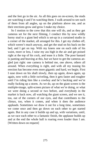and the feet go in the air. As all this goes on on-screen, the studs are watching it and I'm watching them. I walk around to see each of them from all angles, up on the platform above me, and as their erections grow and grow I make my choice.

So I motion to the crew that this one will do, and as they get cameras set for the next filming, I conduct this by now wildly horny stud to a giant bed which is set-up in a curtained studio in a corner of the market, all arranged for this. I get my clothes off, which weren't much anyway, and get the stud on his back on the bed, and I get on top. With my knees one on each side of his waist, more or less, I raise my ass high in the air and get poised right at the top of his cock, and tease it a little. The poor bastard is panting and heaving at this, but we have to get the cameras angled just right: one camera is behind me, one above, others all around. When everything is right, and with all my teasing his erection has become even more gigantic and hard, we begin. First I ease down on his shaft slowly, then up again, down again, up again, now with a little swiveling, then it gets faster and rougher until I'm riding him like a cowboy and he's bucking and we're really fucking up a storm. As we do, up on the giant screen is the multiple-image, split-screen picture of what we're doing, or what we were doing a second or two before, and everybody in the market is back now, all watching the giant screen, and we see it, too, out of the corners of our eyes, and that contributes to the climax, too, when it comes, and when it does the audience applauds. Sometimes we draw it out for a long time, sometimes we come once and then go down on each other to get started again. But in any case it builds up and up, with variations, until, as we race each other to a fantastic finish, the applause builds up and at the end the whole hall is roaring even louder than I am. [Written down on request]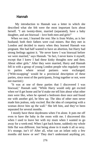# **Hannah**

My introduction to Hannah was a letter in which she described what she felt were the most important facts about herself. "I am twenty-three, married (separated), have a baby daughter, and am bisexual – love both men and girls!"

When we met, I learned the rest: She is from Wales, as is her husband; both their fathers were coal miners. But they met in London and decided to marry when they learned Hannah was pregnant. She had half wanted to have an abortion, but Harry had strong feelings against it. "He never knew I was bisexual before we were married," says Hannah. "In fact, I never knew it myself, except that I knew I had these kinky thoughts now and then. About other girls." After they were married, Harry and Hannah fell in with a group of young London people who regularly went to parties where sexual partners were exchanged. ("Wife-swapping" would be a provincial description of these parties, since most of the participants, living together or not, were not married.)

"It was at one of these parties that I discovered I was bisexual," Hannah said. "While Harry would only get excited when we'd get home and he'd make me tell him about what other men were like, when he opened a bedroom door once and found me with another girl, he blew up. The idea of other men never made him jealous, only excited. But the idea of competing with a woman drove him up the wall." She left him, and they've been separated for several months.

I mostly have these daydreams when I'm alone. It puts me off even to have the baby in the room with me. I discovered this when I used to leave her with my mum when I wanted to go away for a week-end. When I got back home, suddenly my whole little flat was different. Just being alone in it made it all so sexy. It's strange, isn't it? After all, what can an infant only a few months old know or see? They don't understand anything yet.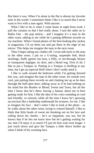But there it was. When I'm alone in the flat is almost my favorite time in the world. I sometimes think I like it so much that I never want to live with a man again. With anyone.

What I like to do is when I come home at night from work, I pull the curtains so that I feel really alone. I turn the radio on to Radio One – the pop station – and I imagine it's a man in the other room, talking to me while he's putting different records on my machine. When I found photos of the best-looking disc jockey in magazines, I'd cut them out and put them in the edge of my mirror. This helps me imagine the man in the next room.

Then I begin taking my clothes off. I even talk back to the man in the other room. I put on a G-string, suspender belt, black stockings, fluffy garters (no bra), a frilly, or see-through, blouse or transparent negligee, no skirt, and a blond wig. First of all, I like to put a Tampax in. Putting in a Tampax is thrilling at any time, but I get an especial thrill when I don't really need it.

I like to walk around the bedroom while I'm getting dressed this way, and imagine the man in the other room. Ire sounds very cool, just putting these records on and chatting me up as he does through the half-open door, talking away as if he had nothing on his mind but the Beatles or Blood, Sweat and Tears, but all the time I know that he's there, having a fantasy about me in here getting ready for him. I like the idea of his voice sounding so cool and friendly, so relaxed, while all the time I know he's growing an erection like a battleship underneath his trousers, for me. I like to imagine his face – that's when I like to look at the photo – as he walks about the other room, trying to control himself. I like to think that little beads of sweat are breaking out on his face and rolling down his cheeks – he's so impatient, you see, but he knows that if he lets me know how hot he's getting waiting for me, that I'll enjoy it so much I'll just let him wait even longer. I just reach down and give the Tampax a little shove further up when I think of his sweating face.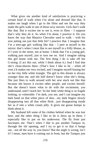What gives me another kind of satisfaction is practicing a certain kind of walk when I'm alone and dressed like that. It makes me laugh when I go to the films and see the way they make the girls walk in one of those sexy movies. Girls don't walk like that. But it excites me to see it, even in films – I suppose that's why they do it. So when I'm alone, I practice it. Do you know the way that Maurice Chevalier used to walk – with his arse jutting out just that little bit? I practice that. I imagine that I'm a teen-age girl walking like that – I peer at myself in the mirror; that's when I most like to see myself in a frilly blouse, as if I were in the street, not at home. I think that I'm a young girl, walking past myself, just to turn me on. And I imagine taking this girl home with me. The first thing I do is take off her G-string. (I act this out, while I think about it.) And I find that she's clean-shaven there. (That's how I like to be – white all over.) It makes me very excited, and I imagine myself kissing her on her tiny little white triangle. The girl in this dream is always younger than me, and she half doesn't know what she's doing. She just likes to walk around with her arse stuck out like that because she knows it excites other people, and excites herself. But she doesn't know what to do with the excitement, you understand, until I teach her: So her little white thing is so fragile looking, so vulnerable. I'm dark, you see, and I can imagine my dark hand on that white piece of skin…my dark fingers slowly disappearing into all that white flesh…just disappearing inside her as if into a white cream jelly. It gives me goose bumps to think about it.

My husband left some of his clothes behind when he was last here, and the other thing I like to do is dress up in them. I especially like to put on his underwear. The fly front just fascinates me. That's when I like to put another Tampax in, through the slit opening, and I try to get it so that it hangs out…not all the way in, you know? But the angle is wrong, isn't it? I mean, men have it coming out in front, but the Tampax just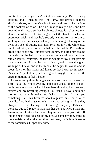points down, and you can't sit down naturally. But it's very exciting, and I imagine that I'm Harry, just dressed in these slit-front shorts, and there's a black man with me. I like the idea of the contrast of color. The black man is really black, and he's covered with sweat, so that he almost shines. It makes my own skin even whiter. I like to imagine that the black man has an enormous prick, and that he's secretly waiting for me to tire of walking around in this special way. He's having a fantasy of his own, you see, of putting that giant prick up my little white arse, but I feel him, and come up behind him while I'm walking around and shove my Tampax right up him, and grab him around the waist, by the balls, so that he can't move without me doing him an injury. Every time he tries to wiggle away, I just give his balls a twist, and finally, he has to give in, and in goes this giant white prick I have, and in the middle, he begins to love it, and he drops down on his hands and knees so that I can get in easier. "Shake it!" I yell at him, and he begins to wiggle his arse in little circular motions to feel it better.

I always enjoy these little games the most because I know that I still have the whole evening and night ahead of me. I don't really have an orgasm when I have these thoughts, but I get very excited and my breathing changes. So I usually have a bath and turn on the telly. It makes me feel so peaceful. I'll tell you something – all this business about orgasms must be a lot of twaddle. I've had orgasms with men and with girls. But they always leave me feeling a bit on edge, anyway. Exhausted perhaps, but still ready to have another go. But when I have my fantasies, and I take a bath after they're over, I can just drift off into the most peaceful sleep of my life. So somehow they must be more satisfying than the real thing. At least, that's how it seems to me sometimes. [Taped interview]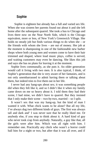# **Sophie**

Sophie is eighteen but already has a full and varied sex life. When she was sixteen her parents found out about it and she left home after the subsequent quarrel. She took a bus to Chicago and lives there now on the Near North Side, which is the Chicago equivalent, more or less, of New York's Greenwich Village. She holds no steady job but finds various things to do when she – or the friends with whom she lives – are out of money. Her job at the moment is shampooing in one of the fashionable new barber shops where both young men and women come to have their hair trimmed and shaped, where loud music plays, coffee is served, and waiting customers may even be dancing. She likes this job and says she has no plans for leaving it at the moment.

Sophie lives communally, as she puts it. An older generation would call it living with two men. It is also typical, I think, of Sophie's generation that she is very aware of her fantasies, and is not only unembarrassed to admit having them or talking about them, but indeed tries to live them out in her life.

I never had any hang-ups about sex; it was something people did when they felt like it, and so I didn't like it when my family came down on me so heavy about it. I told them they had their scene, I had mine, we didn't have to quarrel. But they insisted that I only make their scene – two-by-two, married – so I split.

It wasn't sex that was my hang-up, but the kind of man I wanted it with. What chick wants to be alone? But all my life, I've always dug two different kinds of guys. The first was always tall and dark and' I was never sure that he really liked me. Or anybody else, if you stop to think about it. A hard kind of guy who never took crap from anybody. Naturally, a guy like that, all the girls were after him. Which was all right with him. I remember one. Practically any chick who wasn't a horror could ball him for a night or two, but after that it was all over, and if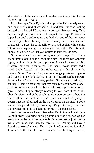she cried or told him she loved him, that was tough titty, he just laughed and took a walk.

My other type, Type B, is just the opposite. He's mostly small, and maybe with kind of washed-out blond hair. But good-looking and sad, as if he had TB and wasn't going to live very long. Type A, the rough one, was a school dropout, but Type B was very hipped on books and reading and had all sorts of theories about philosophy…about the way the world really is. He has this kind of appeal, you see, he could talk to you, and explain why certain things were happening. He made you feel calm. But his main appeal, of course, was that you wanted to take care of him.

So ever since I started going out with guys, I'm like a grandfather clock, tick tock swinging between these two opposite types, thinking about the one type when I was with the other. But it wasn't ever that clear to me. Until some movie house had a Clark Gable festival and I dug right away that this chick in the picture, *Gone With the Wind,* she was hung-up between Type A and Type B, too. Clark Gable and Leslie Howard. Leslie Howard, Jesus, what a Type B he was, perfect. So when you ask about fantasy, I knew right away that my fantasy wasn't some story I made up myself to get it off better with some guy. Some of the guys I know, they're always reading to you from these books, about lesbians, and eight people going down on each other. But that's all in the mind, it doesn't affect me much. Anyway, it doesn't get me all turned on the way it turns on the men. I don't know what you'd call my own story. It's just the way I live and that's what I think is so exciting for me in the bed scenes.

And the scenes we have! Like, when I'm in the sack with Type A, he'll order B to bring our big portable mirror closer so we can see ourselves better. Or else he tells him to roll some joints for us while we finish, and then the three of us light up and have a friendly smoke afterwards. But all the time I'm making it with A, I know B is there in the room, too, and he's thinking about me,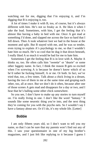watching out for me, digging that I'm enjoying it, and I'm digging that B is enjoying it, too.

A lot of times I make it with B, too, of course, but it's always different with him. He's not so freaky as A. He likes it when I take the lead. Sometimes, with him, I get the feeling that it's almost like having a baby in bed with me. Once A got mad at something I'd done, and slapped me across the face so hard that I fell down. Then A took whatever loot we had in the house at the moment and split. But B stayed with me, and he was so tender, even trying to explain A's psychology to me, so that I wouldn't hate him so much. He's so cool that he dug it that down beneath, I really liked A so much it would be bad for me to hate him.

Sometimes I get the feeling that B is in love with A. Maybe A thinks so, too. He often calls him "sweetie" or "dearie" or some other faggoty name. In fact, I think the reason B gets so excited when I'm screwing A is because he doesn't know which of us he'd rather be fucking himself, A or me. Or both. In fact, we've tried that, too, a few times. Talk about a chick living in a dream, having the two of them in me at the same time and groping each other, too, all at once. But we don't do it often, because after one of those scenes A gets mad and disappears for a day or two, and I hear that he's balling some other chick somewhere.

So you see, I don't have to make up any stories to turn myself on. I'm really living in one. I don't like the word "fantasy." It sounds like some neurotic thing you're into, and the next thing they're coming for you with the psycho nets. So I wouldn't say I have a fantasy about sex. Or if I do, it's my whole life. [Letter]

#### **Bobbie**

I am only fifteen years old, so I don't want to tell you my name, so that I can be sure that my parents won't find out any of this. I saw your questionnaire in one of my big brother's magazines, and I just felt like replying to it because I guess I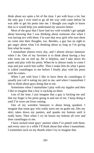think about sex quite a bit of the time. I pet with boys a lot, but the only guy I ever tried to go all the way with came before he was able to get his penis into me. I thought you ought to know that so it would help you understand my answers better.

Most of the guys that I have had sex with wouldn't get uptight about knowing that I was thinking about someone else when I was having sex with them. I'm sure that sexy girls who turn them on come into their thoughts, too. Besides, a guy has no right to get angry about what I'm thinking about as long as I'm giving him what he wants.

I masturbate almost every day, and I almost always fantasize when I do. One of my favorites is to think about having a boy who turns me on tied up. He is helpless, and I take down his pants and play with his penis. When he is almost ready to come I stop and just watch him suffer. Then I make him do what I guess is called cunnilingus to me before I finally play with his penis until he comes.

When I pet with boys I like to have them do cunnilingus (I usually just call it eating my pie) to me, and when I masturbate I like to think about guys doing that to me.

Sometimes when I masturbate I play with my nipples and then I like to imagine that a boy is sucking on them.

Lots of the time, I just imagine that a guy is fucking me and that my finger is his penis going in and out of me. I keep doing it until I'm worn out from coming.

One of my weirdest fantasies is about being spanked. I imagine that some guy who really turns me on grabs me, lifts my skirt, takes down my panties, and spanks my bottom until it really hurts. Then when I cry he kisses my bottom all over and does cunnilingus to me.

I have sucked some guys' penises when I've petted with them, and every once in a while I'll think about that when I masturbate. I sometimes suck on my thumb when I try to imagine that.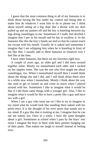I guess that the most common thing in all of my fantasies is to think about having the boy under my control and being able to make him do whatever I want him to do to please me. I think about myself sitting on a big chair like a throne with my skirt pulled up and my panties off and the boy is kneeling between my legs doing cunnilingus to me. Sometimes if I really feel devilish I imagine that I pee in his mouth and he has to swallow it. In the fantasies like this the boy's hands are tied so that he cannot touch me except with his mouth. Usually he is naked and sometimes I imagine that I am whipping him when he is kneeling in front of me like that. I usually add to these fantasies in whatever way I feel like at the time.

I have other fantasies, but these are my favorites right now.

A couple of years ago, an older girl and I did mess around together some. Mostly we masturbated each other and I sucked on her nipples some. She was the one who first taught me about cunnilingus, too. When I masturbated myself then I would think about the things she and I did, and I still think about them once in a while now when I masturbate. Mostly I think about the way she used to get so turned on and come so much when I played around with her. Sometimes I like to imagine what it would be like if I did those same things with a younger girl. Also, I like to imagine what it would be like to have a penis like a guy and have sex with a girl.

When I see a guy who turns me on I like to try to imagine in my mind what he would look like standing there naked with his penis erect. It is the thought of his erect penis that stands out in my mind. If a guy like that is looking at me, I imagine that he can see me naked, too. Once in a while, I have the same thoughts about a girl. Sometimes at school when I pass by the boys' rest room I imagine the boys in there with their penises hanging out of their pants. That makes me laugh to myself instead of feeling sexy.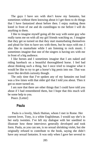The guys I have sex with don't know my fantasies, but sometimes without them knowing about it I get them to do things that I have fantasized about before then. I enjoy making them kneel in front of me and do cunnilingus to me before I will do anything to them.

I like to imagine myself going all the way with some guy who really turns me on with all my girl friends watching us. I imagine that they get so turned on that they start masturbating themselves and plead for him to have sex with them, but he stays with me. I also like to masturbate while I am listening to rock music. I sometimes imagine that one of the singers is having sex with me in front of a big audience.

I like horses and I sometimes imagine that I am naked and riding bareback on a beautiful thoroughbred horse. I feel bad about thinking such a thing, but I once tried to imagine what it would be like to try to get a horse's big penis into me. That was more like devilish curiosity though.

The only time that I've spoken any of my fantasies out loud was a few times with that older girl that I told you about. Then it got us more turned on.

I am sure that there are other things that I could have told you about if I had remembered them, but I hope that this much will be some help to you.

Peace. [Letter]

#### **Paula**

 Paula is a lovely, black Haitian, whom I met in Rome. Her current lover, Tony, is a white Englishman. I would say she's in her early twenties. I've left my dialogue with her unedited to illustrate how these interviews generally developed and took form. Paula, as you can see, is no sexual shrinking violet, but she originally refused to contribute to the book, saying she didn't have any sexual fantasies. It was only when I gave her several to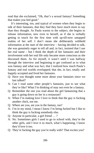read that she exclaimed, "Oh, *that's* a sexual fantasy! Something that makes you feel good."

It's interesting, too, and typical of women when they begin to talk of their fantasies, that they find they have much more to say than they thought. As Paula warms to the subject, she begins to release information, new even to herself, as if she is verbally getting in touch for the first time with up-till-now untapped realms of her self. I don't mean she deliberately withheld information at the start of the interview – having decided to talk, she was genuinely eager to tell all and, in fact, insisted that I use her real name – but I think the depth of her fantasies and their involvement with her real life only became more conscious as she discussed them. As for myself, it wasn't until I was halfway through the interview and beginning to get confused as to what was fantasy and what was fact, that I realized how much Paula's fantasy and real worlds overlapped; that she, in fact, totally and happily accepted and lived her fantasies.

- Q: Have you thought some more about your fantasies since we last talked?
- A: Can I read some other people's fantasies, just to see what they're like? What I'm thinking of may not even be a fantasy.
- Q: Remember the one you read about the girl fantasizing that a guy is going down on her in a restaurant?
- A: When I'm making love I love to think that the guy is fucking another chick, not me.
- Q: Where are you, are you in the fantasy, too?
- A: I'm in my mind, I mean I know I'm being fucked but I like to think the guy is fucking somebody else.
- Q: Anyone in particular, a girl friend … ?
- A: No. Sometimes girls I used to go to school with, they're the other girls, and I love it so much, what's happening, I know they'd love it too.
- Q: They're fucking the guy you're really with? That excites you?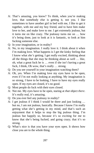- A: That's amazing, you know? To think, when you're making love, that somebody else is getting it, not you. I like sometimes to have another girl in bed with me, I like to get it together, with me and my boy friend, and to have him make love to her, and make love to me. I get extremely jealous, but it turns me on like crazy. The jealousy turns me on … how it's being done, just to look at it is fantastic, to look at him fucking someone else.
- Q: In your imagination, or in reality?
- A: No, in my imagination. I really love it. I think about it when I'm making love. What happens is I get the kinky feeling that I know what *she's* getting. I get really excited, thinking about all the things that she may be thinking about as well … like, oh, what a great fuck he is … even if she isn't having a great fuck, I think, Oh wow, that's really … strong.
- Q: Do you see yourself in your imagination watching them?
- A: Oh, yes. When I'm making love my eyes have to be open, even if I'm not really looking at anything. My imagination is so strong, I have to be looking, I have to have my eyes really open. If my eyes are closed, it's no good.
- Q: Most people do fuck with their eyes closed.
- A: Not me. My eyes have to be open, staring at *that* object *there*. It's really real, it's amazing.
- Q: Do you ever feel any jealousy in reality?
- A: I get jealous if I think I would be there and just looking … but no, I am not jealous, basically. Because I know I'm really getting what she's getting in my mind, and that's such an enjoyment that it helps to stop the big jealous thing. I'm jealous but happily so, because it's so exciting for me to know that she's being fucked, and going crazy; that it's so strong.
- Q: What's nice is that you have your eyes open. It shows how close you are to the whole thing.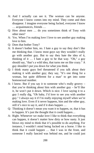- A: And I actually can see it. The woman can be anyone. Everyone I know comes into my mind. They come and then disappear. I imagine everyone being fucked, everyone I know … acquaintances, friends …
- Q: How about men … do you sometimes think of Tony with other men?
- A: Yes. When I'm making love I love to see another guy making love to him.
- Q: Does that bother Tony?
- A: It doesn't bother him, no. I hate a guy to say they don't like me thinking that. I know most guys say they wouldn't really go with another guy. But to say they hate the idea of it, thinking of it … I hate a guy to be that way. "Oh," a guy should say, "that's a wild idea, that turns me on like crazy." A guy shouldn't put you down for what you think.
- Q: I think many guys feel threatened if you talk about their making it with another guy; they say, "It's one thing for a woman, but quite different for a man" to get into some homosexual number.
- A: I know. But if you say it to someone who's really groovy that you're thinking about him with another guy – he'll like it, he won't put it down. Which is nice. I love saying it to a guy I really dig, "Oh baby, I'd love to see you with another guy." I always say it if I'm really enjoying myself when we're making love. Even if it never happens, him and the other guy, still it's nice to say it, and if it does happen …
- Q: Thinking it doesn't mean you want it to happen, or, that it has to happen. It's just the thought that it could happen…
- A: Right. Whenever we make love I like to think that everything can happen, it doesn't matter how dirty or how nasty. It just blows my mind to think that it's possible to do anything. For instance, I wouldn't mind being fucked on a horse. I like to think that it could happen … that I was in the front, and someone I really fancied was behind me, and he could just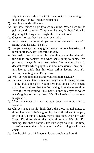slip it in as we rode off, slip it in and out. It's something I'd love to try. I know it sounds ridiculous.

- Q: Nothing sounds ridiculous.
- A: But these things do go through my mind. When I go to the polo grounds to watch Tony play, I think, Oh boy, I'd really dig being taken right now, right there on that horse.
- Q: Guys on horses, they're a very sexy sight.
- A: Very. I asked him once, do you come sometimes when you're riding? And he said, "Nearly."
- Q: Do you ever get into any group scenes in your fantasies … I mean more than, say, just three of you?
- A: Not really. I usually have this major thing about the other girl, the girl in my fantasy, and when she's going to come. This picture's always in my head when I'm making love. It doesn't matter which guy it is, it's not necessarily Tony, but I just like to think that this other girl is feeling what I'm feeling, is getting what I'm getting.
- Q: Why do you think this makes you feel more excited?
- A: Because the excitement is something I want to share, because I know that some girls would love that kind of excitement, and I like to think that they're having it at the same time. Even if I'm really tired, I just have to open my eyes to watch what's going on in my head. It's like looking at your own imagination.
- Q: When you meet an attractive guy, does your mind start to wander?
- A: Oh, yes. But I would think that's the most natural thing, to think: I wonder if he's a good lay. Even if it doesn't happen, or couldn't, I think it. Later, maybe that night when I'm with Tony, I'll think about that guy, think that it's him I'm fucking. But that's natural. I'm sure guys do it all the time, fantasize about other chicks when they're making it with their chick.
- Q: Are the girls you think about always people you know?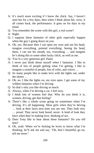- A: It's much more exciting if I know the chick. Say, I haven't seen her for a few days, then when I think about her, wow, it all comes back, the performance. It goes on for days in my mind.
- Q: You remember the scene with this girl, a real scene?
- A: Right.
- Q: I suppose these fantasies of other girls especially happen when the guy's going down on you.
- A: Oh, yes. Because then I can open my eyes and see his head, imagine everything, pretend everything. Seeing his head, there, I can see his mouth, too, everything … and imagine he's doing this to some other lucky chick, as well as me.
- Q: You're a very generous girl, Paula.
- A: I never just think about myself when I fantasize. I like to think of lots of people getting what I'm getting, I like to imagine a roomful of people, lots of color, and voices …
- Q: So many people like to make love with the lights out, under the sheets …
- A: Oh, no. I like the lights on, my eyes open. I get some of my wildest fantasies when I'm driving.
- Q: So that's why you like driving so much.
- A: Always, when I'm driving a car, I feel sexy.
- Q: I think lots of women feel that. Why do you think it is, women, driving, get that feeling?
- A: There's like a whole scene going on sometimes when I'm driving. It's all happening. Most girls when they're driving … look at their faces next time you see one. They look very … proud. They never look bored, never. A kind of look they have when they're making love, thinking of sex.
- Q: Does Tony like to hear about these fantasies? Do you tell him?
- A: Oh, yeah. When we're fucking he loves to know what I'm thinking, he'll ask me and say, "Oh, that's beautiful; go on, tell me more."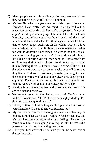- Q: Many people seem to fuck silently. So many women tell me they wish their guys would talk to them more.
- A: It's beautiful when you get someone to talk to you. I love that. Fantastic. I can really lose my mind. It's only half a fuck when you do it silently, it's like you're by yourself. But when a guy's inside you and saying, "Oh baby, I love to fuck you like this," and telling you about how it feels and then I tell him how it feels and what I'm thinking and when he hears that, oh wow, he just fucks me all the wilder. Oh, yes, I love to chat while I'm fucking. It gives me encouragement, makes me want to do even wilder things. If a guy doesn't talk to you while he's fucking you, you don't dare to do certain things. It's like he's cheering you on when he talks. Guys spend a lot of time wondering what chicks are thinking about when they're fucking them … I think it worries some of them. But the only way fucking can get better is when you tell them, and they like it. And you've got to say it right, you've got to use the exciting words, you've got to be vulgar, or it doesn't mean anything. Because when you're fucking, you should use fucking words. You've got to be vulgar, really vulgar.
- Q: Fucking is not about vaginas and other medical terms, it's about cunts and cocks …
- A: You're not going to the doctor, are you? You're: being fucked. I love to say, "Oh, I'd love to be naughty, darling, I'm thinking such naughty things …"
- Q: When you think of him fucking another guy, where are you in your fantasies? Watching? Are you fucking, too?
- A: My favorite is that he's fucking me while another guy is fucking him. That way I can imagine what he's feeling, too. It's also like I'm sharing in what he's feeling, like the cock going into him is also going into me, so like there's extra pressure from above. I'm getting two cocks.
- Q: When you think about other girls are you in the active role or the passive role?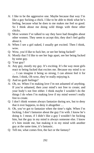- A: I like to be the aggressive one. Maybe because that way I'm like a guy fucking a chick. I like to be able to think what he's feeling, because what he does to me makes me feel so good. So I think about me doing wild things with these other chicks.
- Q: Most women I've talked to say they have had thoughts about other women. They seem to accept this; they don't feel guilty about it.
- A: When I see a girl naked, I usually get excited. Then I think, wow.
- Q: Wow, you'd like to fuck her, or see her being fucked?
- A: Mostly that I'd like to see her legs apart, see her being fucked by some guy.
- Q: Your guy?
- A: Any guy, mostly my guy. It's exciting. It's the way most girls react to being fucked that excites me. Because my mind is so … I can imagine it being so strong, I can almost feel it for them. I think, Oh wow, they're really enjoying it.
- Q: And no guilt feelings?
- A: Oh, no. When I'm making love I'm not ashamed of anything. If you're ashamed, then your mind's not free to create; and your body's not free either. I think maybe I wouldn't do the things I do when I'm making love if my mind weren't really free to create.
- Q: I don't think women always fantasize during sex, but to deny that it ever happens, to deny it altogether …
- A: Oh, you've got to fantasize when the time's right. When I'm fucking, I don't fantasize about the guy I'm with. I know he's doing it. I mean, if I didn't like a guy I wouldn't be fucking him, but the guy in my mind is always someone else. I know it's him inside me, but making it in my mind with another guy at the same time, it's fantastic.
- Q: Tell me, what comes first, the fact or the fantasy?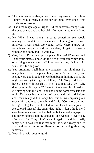- A: The fantasies have always been there, very strong. That's how I knew I would really dig that sort of thing. Ever since I was … eleven or twelve.
- Q: That's the magic age all right. Did the fantasies change, say, the ones of you and another girl, after you started really doing it?
- A: No. When I was young I used to sometimes see people making love, and it used to make me feel quite good. I wasn't involved, I was much too young. Well, where I grew up, sometimes people would get careless, forget to close a window or a door, and I'd walk by.
- Q: Gee, I wish I'd grown up in a place like that! When you tell Tony your fantasies now, do the two of you sometimes think of making them come true? Like another guy fucking him while he's fucking you?
- A: Yes. Anything I tell him, my fantasies, are all things I'd really like to have happen. Like, say we're at a party and feeling very good. Suddenly we both begin thinking this is the night we will get it together. I'll say, "Oh Tony, I'd love to have a scene with that chick." He'll automatically say, "Why don't you get it together?" Recently there was this American girl staying with me, and Tony and I came home very late one night. I'd never had any kind of scene with this girl before, and Tony really didn't fancy her, but he was enjoying our scene, him and me, so much, and I said, "Come on, darling, let's get it together," so I called to this chick to come join us. He enjoyed himself like crazy that night. I don't think she'd ever been in a scene like that before, but she really enjoyed it, she never stopped talking about it. She wanted it every day after that. But Tony didn't want it again. He didn't really fancy her, it was just that that night he was already excited and he'd got so turned on listening to me talking about my fantasies.
- Q: How about with another guy?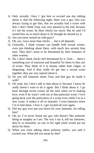- A: Only recently. Once I 'got him so excited one day talking about it, that the following night, there was a guy who was always trying to get him, that we actually had a scene with him. I don't think Tony was very pleased in the end, because it's not his scene, he likes chicks too much. But he said I'd turned him on so much about it, he thought he should try it.
- Q: Are you more turned on with guys?
- A: Oh, yes. Guys more than chicks … but it all depends.
- Q: Generally, I think women can handle both sexual scenes, even just thinking about them, with much less anxiety than men. They don't seem to be threatened by their fantasies of other women.
- A: No, I don't think chicks feel threatened by it. Girls … there's something sort of innocent and beautiful for them in that sort of scene. They think of it as beauty rather than vulgar, or disgusting. And if they really do get into a sexual scene together, they are very natural about it.
- Q: Do you still fantasize about Tony and that guy he made it with?
- A: Oh yeah, but I don't talk to him about it, because I know he really doesn't want to do it again. But I think about it. I go back through recent scenes all the time when we're making love, even if he wasn't with me at that particular scene. I love going back over the particulars of a scene even while I'm in a new scene. It makes it all so fantastic. I even fantasize when I'm in bed alone. I love it. I get excited all over again.
- Q: Did any guy ever put you down for your fantasies, for telling him?
- A: Oh, no. I've never found any guy who doesn't like someone being as naughty as I am. The way I say it, tell my fantasies, they're so beautiful, no one in his right mind would put me down for them.
- Q: When you were talking about jealousy earlier, you said it excited you. What did you mean by that?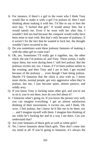- A: For instance, if there's a girl in the room who I think Tony would like to make it with, a girl I'm jealous of, then I start thinking about making it with her. I'd like to say to him the next day, "I fucked that girl." It would annoy him, but it would satisfy me. Even if he went with her after that, I wouldn't feel too bad because the conquest would really have been mine to start with. But that's only because of jealousy; if it weren't for the fact that he wanted to fuck her, the thought wouldn't have occurred to me.
- Q: Do you sometimes want these jealousy fantasies of making it with the other girl to come true?
- A: Oh, yes. Sometimes I'll really get it together, me, the other chick, the one I'm jealous of, and Tony. These scenes, I really enjoy them, but even during them I 'still feel jealous. But the jealousy excites me, too. I mean, if I've been jealous earlier in the evening, and then Tony and I are in bed, I get excited because of the jealousy … even though I hate being jealous. Maybe I'll fantasize that the chick is also with us. I know most chicks, normal people, get very aggressive when they're jealous, but me, I just become quiet, almost passive, and wildly sexy.
- Q: If you know Tony is fucking some other girl, and you're not in on it, you're not there, how do you feel about it?
- A: I fantasize what's going on. If you know the person very well, you can imagine everything. I get an almost satisfaction thinking of their movements, it excites me, and I think, Oh, wow. I feel jealous, but I know he'd like me to be there, too … and I imagine myself with them. I imagine him thinking of me while he's fucking her and in a way I am there. Can you understand that?
- Q: Are your fantasies of black girls as well as white girls?
- A: No, I never fantasize about black girls. They don't come into my mind at all. If you're going to fantasize, it's always the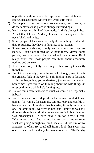opposite you think about. Except when I was at home, of course, because there weren't any white girls there.

- Q: Do people in your fantasies dress strangely, wear masks, or do the fantasies take place in strange surroundings?
- A: No, I always just think of them nude. And it's always in bed. A bed that I know. And my fantasies are always in color, never black and white.
- Q: Some people, if they want to really do something wild while they're fucking, they have to fantasize about it first.
- A: Sometimes, not always, I really *need* my fantasies to get me started, I can't get turned on without them. Maybe some people, they only have to be touched and they get sexy. But I really doubt that most people can think about absolutely nothing and get sexy.
- Q: If it's somebody totally new, maybe then you get instantly turned on.
- A: But if it's somebody you've fucked a lot though, even if he is the greatest fuck in the world, I still think it helps to fantasize … in the beginning, you understand, just to get you started. Sometimes I get turned on thinking about the wild things *he*  must be thinking while he's fucking me.
- Q: Do you think men fantasize as much as women do, especially in bed?
- A: No; I think men often depend on the woman to start things going. If a woman, for example, can just relax and confide in her man and tell him about her fantasies, it really turns him on. The other night, we were in bed, and I knew he was still thinking about his work, that he wanted to fuck, but his mind was preoccupied. He even said, "I'm too tired." I said, "You're not tired." And he just had to look at me to know what was going through my mind, because I'd told him of my fantasies so often. He could tell from a look that I was into one of them and suddenly he was into it, too. That's why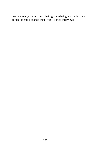women really should tell their guys what goes on in their minds. It could change their lives. [Taped interview]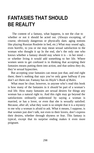# **FANTASIES THAT SHOULD BE REALITY**

 The content of a fantasy, what happens, is not the clue to whether or not it should be acted out. (Always excepting, of course, obviously dangerous or physically dam. aging notions like playing Russian Roulette in bed, etc.) What may sound ugly, even horrific, to you or me may mean sexual satisfaction to the woman who thought it up In the end, she's the only one who knows whether a fantasy should stay where it is  $-$  in her mind  $$ or whether living it would add something to her life. Where women seem to get confused is in thinking that accepting their fantasies means putting them into action, and that unless they do, they're sexual hypocrites.

But accepting your fantasies can mean just that, and end right there; there's nothing that says you've only gone halfway if you don't act them out. Fantasy has no *Hoyle's Book of Rules.*

What must be clear; however, to anyone who's read this book is how many of the fantasies in it *should* be part of a woman's real life. How many fantasies are sexual desires for things any woman has a natural right to. And this right may go beyond the satisfactions ordinarily understood by saying a woman is married, or has a lover, or even that she is sexually satisfied. Because, after all, what they want is so simple that it is a mystery to me why a woman is afraid to ask. What it means, I suppose, is that women just don't talk, not even to their lovers, don't express their desires, whether through shyness or fear. This fantasy is typical, except that its surprise ending makes it even more poignant.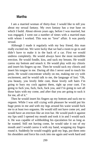#### **Martha**

I am a married woman of thirty-four. I would like to tell you about my sexual fantasy. My own fantasy has a true base on which I build. About eleven years ago, before I was married, but was engaged, I went out a number of times with a married man with whom I worked. This was no "love" affair. It was purely sexual.

Although I made it regularly with my boy friend, this man really excited me. We were lucky that we had a room to go to and didn't have to make it in the back of a car. First we would undress completely. He would always have the most incredible erection. He would fondle, kiss, and suck my breasts. He would caress my bottom and smack it. He would play with my clitoris and insert his fingers up me. Then he would suck my clitoris and insert his tongue in me. During all this I never used to touch his penis. He would concentrate wholly on me, making me cry with excitement, and he would talk to me, the language of lust: "Oh, you beauty, you lovely little cunt, those lovely soft hairs I'm going to bury my cock against them, right up your cunt. I'm going to fuck you, fuck, fuck, fuck you, and I'm going to wet all those hairs with my come, and after that you are going to suck it for me, all of it."

Then he would insert his fingers up my bottom and suck me to orgasm. While I was still crying with pleasure he would put his huge penis in me and with my legs around his waist would fuck me to at least two orgasms. He would still not have come yet, and would have an erection like an iron bar. He would push it against my lips until I opened my mouth and took it in and I would suck it. He was capable of withholding his ejaculation for as long as he wanted. Still not having come, he would take it out of my mouth and I would caress it with my hand, wrapping my fingers round it. Suddenly he would roughly grab my legs, put them onto his shoulders and force his cock into me again and work hard and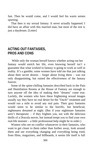fast. Then he would come, and I would feel his warm semen spurting.

That then is my sexual fantasy. It never actually happened. I did have an affair with this married man, but most of the rest is just a daydream. [Letter]

# **ACTING OUT FANTASIES, PROS AND CONS**

 While only the woman herself knows whether acting out her fantasy would enrich her life, even knowing herself isn't a guarantee that what worked in fantasy is going to work as well in reality. It's a gamble; some women have told me that just talking about their secret desires – forget about living them – was not only disappointing, but ruined the effectiveness of the fantasy forever.

Some of the spine-chilling fantasies described back in the Pain and Humiliation Rooms at the House of Fantasy are enough to turn anyone off the idea of making their "dreams" come true. Luckily, the women who have these frightening sexual images usually say they have no real desire for the "Ouch!" treatment and would run a mile to avoid any real pain. Their gory fantasies would seem to be similar to the horrific, but beneficial, nightmares dreamed at night. (But if your nightmare fantasies aren't therapeutic – if they frighten you, not with the delicious thrills of a Dracula movie, but instead tempt you to find your own real-life monster – a little professional help might be in order.)

Women who see no conflict whatsoever in their fantasies, who want to get closer to them rather than further away, look around them and see everything changing and everything being tried; from films, magazines, and billboards, it seems life itself is full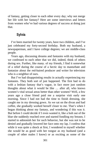of fantasy, getting closer to each other every day; why not merge her life with her fantasy? Here are some interviews and letters from women who've had various degrees of success at doing just that.

## **Sylvia**

I've been married for twenty years, have two children, and I've just celebrated my forty-second birthday. Both my husband, a newspaperman, and I have college degrees; we are middle-class people.

Years ago, discussing dreams and fantasies with my husband, we confessed to each other that we did, indeed, think of others during sex. Further, like many. of my friends, I find it somewhat of a relief during the course of a hectic day to masturbate and fantasize about the red-haired producer and writer for television who is a neighbor of ours.

But I've had disappointing results in actually experiencing my fantasies. They both sort of just happened. The first had to do with a lesbian fantasy that's vague, in fact more just random thoughts about what it would be like … after all, who knows women's vital sexual areas better than other women? Well, a few years ago a close friend paid me a surprise visit early one morning. Since I had not had the time to finish dressing, she caught me in my dressing gown. As we sat on the divan and had coffee, she gradually worked herself closer to me. That's when I began thinking about my fantasy, and wondering if this was it. But before I could decide if I even wanted it, like a bolt out of the blue she suddenly reached over and started fondling my breasts. I started to admonish her for such behavior, but she was not to be denied and gradually lowered her face onto my lap. I confess that while it was quite a shock at first, I wondered to myself whether she would be as good with her tongue as my husband (and a couple of other males I know) or as exciting as some of the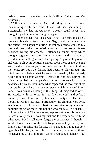lesbian scenes so prevalent in today's films. Did you see *The Conformist?*

Well, sadly she wasn't. She did bring me to a climax, masturbating with her hand. I can still see her doing it. Fortunately, she has moved away. I really could never have brought myself around to seeing her again.

The other incident has to do with what I am sure must be a prevalent female fantasy: the male Negro and his reputed size and talent. This happened during the last presidential contest. My husband was called to Washington to cover some Senate hearings. During his absence, I attended a dinner party which brought together two presidential hopefuls and a group of pseudointellects (forgive me). One young Negro, well groomed and with a Ph.D. in political science, spent most of the evening with me discussing subjects from sales to sex. He offered to drive me home. By now, the fantasy had begun to play through my mind, and wondering what he was like sexually, I had already begun thinking about whether I wanted to find out. During the drive he pulled into a parking lot and proceeded to make advances. Of course you know what happened: he took out of his trousers his very hard and pulsing penis which he placed in my hand. I was actually holding it, this thing I'd imagined so often. He pleaded with me to let him "go down on you," and before I knew it, I was lowering my briefs and pantyhose. He ate as though it was his last meal. Fortunately, the children were away at school, and so I thought it best that we drive to my home and continue the action there. I'm not one who can relax in a sedan.

I don't know if Charlie was any representative of his race, but he was a *lousy* fuck. It was my first and last experience with the other race. But I shall never forget the experience. I thought it would also be the end of the male Negro as a fantasy for me, but I find it hasn't finished the fantasy, it's changed it. I may not do it again but I'll always remember it … in a way. One more thing: he begged me to suck him off – which I had done in fantasy – but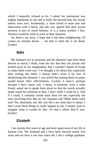which I naturally refused to do. I admit his instrument was mighty handsome to see and to hold, but beyond that, his sexual talents were zero. Incidentally, a close friend of mine also had intercourse with a black, and she, too, agreed that their sexual prowess is just so much baloney. It is a status symbol, I fear. Women would be smart to stick to their fantasies.

So, there's my story. I hope that it has been enlightening. Of course we mortals dream … for that is what life is all about. [Letter]

#### **Babs**

My fantasies are so personal, and the pleasure I get from them derives so much, I think, from the fact that they are private and locked away in my imagination, that I wouldn't dream of trying to make them come true. I've thought a lot about this, especially after writing this letter. I almost didn't write it for fear of diminishing this pleasure; I was afraid that putting them on paper would lessen their effectiveness. Luckily it hasn't, perhaps because I don't know you. I mean, if someone, even a close friend, asked me to speak them aloud so that the words actually made sound for someone to hear, I don't think I could do it. And if I could, it certainly would spoil them for me, especially the ones involving love. But act my fantasies out? Make them come true? No, absolutely not. My real life's not what they're about; I don't want those things to really happen to me, I simply want to imagine what it would be like. So that's where they'll stay. [Letter]

## **Elizabeth**

I am twenty-five years of age and have spent most of my life in Kansas City. My husband and I have been married nearly five years and we have a son four years old. I am a college graduate,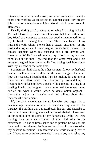interested in painting and music, and after graduation I spent a short time working as an actress in summer stock. My present job is that of a telephone solicitor. Good luck in your research. Here goes.

Usually during sex I concentrate on what I'm doing and who I'm with. However, I sometimes fantasize that I am with an old boy friend or a complete stranger, that another man in addition to my husband is making love to me. There is a friend of my husband's with whom I once had a sexual encounter (at my husband's urging) and I often imagine him as the extra man. This fantasy happens when my husband and I are having anal intercourse. While I am stimulating my clitoris or my husband stimulates it for me; I pretend that the other man and I are enjoying vaginal intercourse while I'm having anal intercourse with my husband at the same time.

I sometimes think about the other women I know my husband has been with and wonder if he did the same things to them and how they reacted. I imagine that I am he, making love to one of these women. Also, when I am blowing my husband I try to imagine how it feels to have a penis with someone sucking it or tickling it with her tongue. I can almost feel the semen being sucked out when I would (when he does) obtain orgasm. I thoroughly enjoy my fantasies and find talking about them increases the excitement.

My husband encourages me to fantasize and urges me to describe my fantasies to him. He becomes very aroused for instance, if I tell him that I masturbated that day and describe to him what I was thinking about while I masturbated. I have even at times told him of some of my fantasizing while we were making love. Any verbalization of this kind adds to his excitement. He has at times asked me to pretend he was an old lover and to describe my feelings and reactions. I have also asked my husband to pretend I am someone else while making love to me. I have once or twice pretended I was a boy and asked my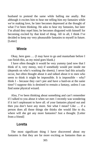husband to pretend the same while balling me anally. But although it excites him to hear me telling him my fantasies while we're making love, he later becomes depressed at the thought of what I've been thinking. He asks to hear my fantasies, but later I'm afraid they repel him; he becomes disgusted with himself for becoming excited by that kind of thing. All in all, I think I've decided to keep my very pleasurable fantasies to myself in future. [Letter]

#### **Winnie**

Okay, here goes … (I may have to go and masturbate before I can finish this, as my mind goes blank.)

I have often thought it would be very yummy (and now that I think of it, very messy, too) if somebody would pee inside me (depends on who's washing the sheets). I never had this actually occur, but often thought about it and talked about it to men who seem to think it might be impossible. It is impossible – why? think I – because they can't pee and have a hard-on at the same time? I suppose this is destined to remain a fantasy, unless I can find some physical wizard.

Also, I've been thinking about something and can't remember if I talked to you about it when we met: I recently was wondering if it isn't unpleasant to have all. of your fantasies played out and then you don't have any more. See what I mean? Like … if a person does all those things she thinks she would like to do, where will she get any more fantasies? Just a thought. [Letter from a friend]

## **Loretta**

The most significant thing I have discovered about my fantasies is that they are far more exciting as fantasies than as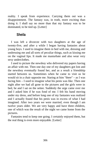reality. I speak from experience. Carrying them out was a disappointment. The fantasy was, in truth, more exciting than doing it. I shall say no more than that my fantasy was to be dominated, to be tied up. [Letter]

# **Sheila**

I was left a divorcee with two daughters at the age of twenty-five, and after a while I began having fantasies about young boys. I used to imagine them in bed with me, dressing and undressing me and all sorts of peculiar things, such as kissing me on the vaginal lips. It made me masturbate and also wear very sexy underclothes.

I used to picture the newsboy who delivered my papers having an affair with me. Then one day one of my daughters got lost and the newsboy eventually found her, and as a result a friendship started between us. Sometimes when he came to visit us he would sit in a chair opposite me. Staring at him "there" – as I was facing him – I used to imagine what his penis was like. Then one night after we had all gone to the pictures and the girls were in bed, he and I sat on the settee. Suddenly the urge came over me and I asked him if he was fond of me. I felt his hand moving under my dress, and before long one of my fantasies was realized and I actually found that his penis was in excess of what I had imagined. After two years we were married, even though I am twelve years older. We are very happy and have three children, one of which was the result of the night we came home from the pictures.

Fantasies tend to keep one going. I certainly enjoyed them, but the real thing is even more enjoyable. [Letter]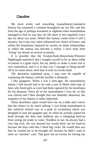# **Claudine**

My most exotic and rewarding masturbatory/copulative fantasy has remained a constant throughout my sex life, and this from the age of perhaps seventeen or eighteen when masturbation managed to find its way into my life more or less regularly every day for about two years. Where this fantasy comes from is still a mystery, but it has very often influenced my choice of lovers, and within the boundaries imposed by society on those relationships in which the fantasy has become a reality, I have truly been "living" my dream on several occasions.

It is possible that the Scorpio/Sado-Masochistic/Florence Nightingale superfuck that I imagine myself to be on these noble occasions is a giant myth, but my ability to make it seem real is very unmythical, and it is in that way I manage to bring myself off to its sweet music each time it rears its lovely head.

The aberration explained away, I may now be capable of explaining the fantasy with the lucidity it demands.

I like gangsters. When I was a teen-ager, the masturbatory stories I told myself had to do with a sort of Mafia chief type of fatso who hired girls or even had them captured by his henchmen for his pleasure. Since all of the masturbation I ever do, or did, was clitoral and I then thought that was blatantly abnormal, the sequence of my fantasy is rather important.

These henchmen types would have me on a table and I never had the chance to do much talking. I was being masturbated in this artificial clitoral way to a peak of excitement which was designed to turn the gangster guy on when he actually poked his head through the door and suddenly got a whopping hard-on from seeing me ready to come. Needless to say, he always had a very big cock. He was dressed but would show me his hard-on because the boys told him I liked big cocks. He would then say that he wanted me to be brought off, because he didn't want to enter an "uncome" cunt. That gave me an excuse for having my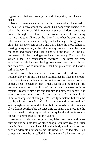orgasm, and that was usually the end of my story and I went to sleep.

Now … there are variations on this theme which have had to be dealt with throughout the years. This dangerous character of whom the whole world is obviously scared shitless sometimes comes through the door of the room where I am being masturbated to readiness by the "boys," and when he sees me and talks to me he decides he really thinks I am just the grooviest chick he has ever seen or met, and that I have the most delicious looking pussy around, so he tells the guys to lay off and he fucks me good and proper and likes it and tells me that I will be his. permanent old lady and get to have him every Thursday, for which I shall be handsomely rewarded. The boys are very surprised by this because the big boss never turns on to chicks, and they even stop to remind me that I am just about the luckiest girl in the world.

Aside from this variation, there are other things that occasionally swim into the scene. Sometimes he likes me enough to avoid entering me because his cock is so enormous as to have actually been rejected by many, many ladies, and he feels a little nervous about the possibility of hurting such a sweetie-pie as myself. I reassure him a lot and tell him it's perfectly dandy if he wants to enter me before I come because I can handle it. (I-am-a-champ sort of thing.) He's usually reluctant, but tells me that he will try it out first after I have come and am relaxed and wet enough to accommodate him, but that maybe next Thursday if we find it comfortable the first time … again this gives me the excuse I need to bring myself off with my hand and not introduce objects of unimportance into my vagina.

Anyway … this gangster guy is my friend and he would never hurt me but he hurts lots of other people 'cuz he's really a killer meanie. But … I am a nice chick and nobody would want to spoil such an adorable number as me. He used to be called "Joe," but sometimes now he is called by the name of whatever current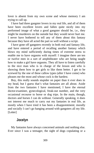lover is absent from my own scene and whose memory I am trying to call up.

I have had three gangster lovers in my real life, and all of them have been excellent lovers and fallen quite nicely into my preformed image of what a good gangster should be, i.e., they might be murderers on the outside but they would never hurt me. I never have bothered to tell any of them about this fantasy because they have all acted the part so well without a script.

I have gone off gangsters recently in both real and fantasy life, and have entered a period of recalling another fantasy which blows my mind sufficiently during times of extreme stress to enable me to have orgasms with myself: I imagine there are ten or twelve men in a sort of amphitheater who are being taught how to make a girl have orgasms. They all have to listen carefully to the nice man who is in charge of the lesson and who is showing them how to get girls to like them better. I get to be screwed by the one of these callow types (after I have come) who pleases me the most and whose cock is the hardest.

Boy, this really sounds stupider on paper than it ever does in my head, but I guess that's what fantasies are all about. Aside from the two fantasies I have mentioned, I have the eternal doctor-examiner, gynecological, freak-out number, and the very occasional recourse to horse or dog trips. In the main, though, doctors and horses I can do without. Generally speaking, it does not interest me much to carry out my fantasies in real life, as mostly when I have tried it has been a disappointment; morally and socially I can't go hanging around with gangsters all my life. [Letter]

# **Jocelyn**

My fantasies have always concerned animals and nothing else. Ever since I was a teenager, the sight of dogs copulating or a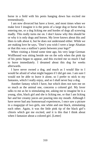horse in a field with his penis hanging down has excited me tremendously.

I am now divorced but have a lover, and most times when we make love I imagine it is the penis of a large dog or horse that is entering me, or a dog licking me and hordes of dogs all screwing madly. This really turns me on. I don't know why this should be or why it is only dogs and horses. My lover knows about this and likes to talk about it, but he does not understand either. While we are making love he says, "Don't you wish I were a large Alsatian or that this was a stallion's penis between your legs?"

When visiting a friend some time ago, his very large German Wolfhound was sitting beside me on the sofa when the pink tip of his penis began to appear, and this excited me so much I had to leave immediately. I dreamed about this dog for weeks afterwards.

I have never owned a dog, and much as I would like to I would be afraid of what might happen if I did get one. I am sure I would not be able to leave it alone, so I prefer to stick to my fantasies, which I really enjoy, and so I shall never buy a dog.

Another fantasy which I have, but which does not turn me on so much as the animal one, concerns a colored girl. My lover talks to me as he is stimulating me, asking me to imagine he is a young, slim, black girl and she is licking me, or that I am licking her and her creamy juices are pouring into my mouth. Although I have never had any homosexual experiences, I once saw a picture in a magazine of two girls, one white and one black, stimulating each other. Again, it was the little pink tip of the black girl's clitoris which got me excited, and it is this that I think about when I fantasize about a colored girl. [Letter]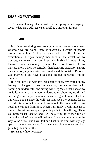## **SHARING FANTASIES**

 A sexual fantasy shared with an accepting, encouraging lover. What can I add? Like sex itself, it's more fun for two.

## **Lynn**

My fantasies during sex usually involve one or more men; whatever we are doing, there is invariably a group of people present, watching. In both fantasy and real life, I am an exhibitionist. I enjoy having men look at the crotch of my trousers, swim suit, or pantyhose. My husband knows of my fantasies, and encourages them. He also knows of my masturbation, which he considers heightens my sexuality. During masturbation, my fantasies are usually exhibitionistic. Before I was married I did have occasional lesbian fantasies, but no longer do.

If in real life I sit with my legs apart to show my crotch, in my fantasy it changes so that I'm wearing just a mini-dress with nothing on underneath, and sitting wide-legged so that I show my genitals. My husband is very understanding about my needs and encourages and helps me in my fantasies. I give him a better time this way. For instance, he will kiss and suck my genitals for an extended time so that I can fantasize about other men without any vocal interruption from him. When I am ready, I will indicate to him and he will move up and put his penis in. He will say, "Have you been fucked today?" and I will say, "Yes, three men fucked me at the office," and he will ask me if I showed my cunt on the way to the office, and I will tell him I sat in the train with my legs apart so the men could see. It's a game we play together and both get a big kick out of this.

Here is my favorite fantasy: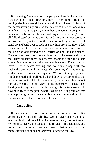It is evening. We are going to a party and I am in the bedroom dressing. I put on a sling bra, then a short tunic dress, and nothing else but shoes (I have a beautiful tan). I stand in front of the mirror raising my arms so that my dress lifts well above my cunt. We arrive at the party, where there are about six couples, all handsome or beautiful, the men with tight trousers, the girls are all fully dressed as far as their tits and crotches are concerned. I sit down and enjoy knowing the men are looking up my skirt. I stand up and bend over to pick up something from the floor. I feel hands on my hips. I stay as I am and feel a great penis go into me. I do not look around and he carries on until he has finished. Then another man takes me and lays me on the settee and fucks me. They all take turns in different positions while the others watch. But none of the other couples have sex. Eventually we leave. It is a warm evening and we walk along with my husband's arm around my waist. This pulls my skirt up enough so that men passing can see my cunt. We come to a grassy patch beside the road and I pull my husband down to the ground so that he is on his back. I take his penis in my mouth and then mount him and we fuck in full view of the passersby. If I had been fucking with my husband while having this fantasy we would now have reached the point where I would be telling him of what was happening in my fantasy an that he was the man doing it so that we could work up to wonderful finish. [Letter]

## **Jacqueline**

It has taken me some time to write to you, even after consulting my husband, Who had been in favor of my doing so since we first read your letter. The reason for my not making up my mind earlier was because of the results of my fantasies, and not so much because I practiced them. Whether you will find them surprising or shocking only you, of course can say.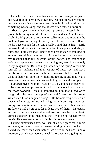I am forty-two and have been married for twenty-five years, and have four children now grown up. Our sex life was, we think, reasonably satisfactory, except that I thought, for a long time, that something was missing, and that it was often rather humdrum.

About a year ago my husband apparently guessed this – probably from my attitude at times to sex, and also (and far more likely, I think) because he came to realize more and more that he could not give me enough to satisfy me. He had asked me often if he did have enough for me, and usually I said that he had – partly because I did not want to make him feel inadequate, and also, in retrospect, I am sure that I knew once I really started thinking of another man giving me more, that it would so obviously show in my reactions that my husband would notice, and might take serious exceptions to another man fucking me, even if it was only in my imagination. But one night, when he was trying to fuck me himself, he suddenly said that was not of much use, and that I had become far too large for him to manage; that he could put what he had right into me without me feeling it and that what I now wanted was a man who was able to give me a thicker penis.

I amazed myself with my reaction to this, and he obviously felt it, because he then proceeded to talk to me about it, and we had the most wonderful fuck. I admitted to him that I had often imagined. other men on top of me, and I even let him know which men I had imagined doing it. He became very worked up over my fantasies, and started going through our acquaintances, noting my variations in reactions as he mentioned their names. He knew I had a soft spot for at least two of them – his cousin and my sister's ex-husband – and we both reached a fantastic climax together, both imagining that I was being fucked by his cousin. He even made me call him by his cousin's name.

Having experienced this, we then of course practiced it more and more, and after about two weeks, during which time he had fucked me more than ever before, we were in bed one Sunday afternoon, which was about a week before we were going away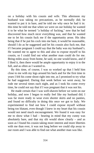on a holiday with his cousin and wife. This afternoon my husband was taking no precautions, as he normally did; he wanted to put it in bare, and he told me why once he had it in: this time he told me that when we were on our holiday he wanted it to be what he termed "a holiday of fucking," now that he had discovered how much nicer everything was, and that he wanted me to let his cousin fuck me if the opportunity arose. His idea being that if he put his cock into me bare, it would be reasonable, should I do as he suggested and let his cousin also fuck me, that if I became pregnant I could say that the baby was my husband's. He wanted me to agree to this and also to expose myself to his cousin, so I could find out what another man could do for me. Being miles away from home, he said, no one would know, and if I liked it, then there would be ample opportunity to enjoy it to the full, and as often as I wanted to.

By this time, of course, I was so worked up that I held him close to me with my legs around his back and for the first time in years I felt his come shoot right into me, as I promised to try what he had suggested. During that week before we went away, he rode me several times each night, and as I took his come every time, he could not say that if I was pregnant that it was not his.

He made certain that I was well-shaven before we went on our holiday, and now I began to really feel like my husband did; I was far more ready to wear even shorter skirts and no panties, and found no difficulty in doing this once we got to Italy. We experimented to find out how I could expose myself without being too blatant, even though I knew in my heart that his cousin would not need much encouragement. We found it was easy for me to show what I had – bearing in mind that my cunny was absolutely bare, and that my slit would show clearly – and as soon as I found his cousin taking more interest and more liberties with me than ever, it was not long before we could slip away to our room and I was able to find out what another man was like.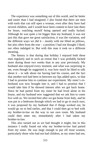The experience was something out of this world, and far better and easier than I had imagined. I also found that there are men with tools that can still open a woman, even after they have had several children, and I would have been content to have lain there for hours, watching myself being opened and really fucked. Although he was quite a lot bigger than my husband, it was not just this that gave me great satisfaction, it was the variation, and the different ways we did it – mostly with me lifted on pillows, but also often from the rear – a position I had not thought I liked, nor often indulged in. But with this man it took on a different meaning.

The history is that during that holiday I enjoyed both these men regularly and to such an extent that I was probably fucked more during those two weeks than in any year previously. My husband also enjoyed every moment, and what was surprising to me, even though he suggested it, was how much he liked to talk about it – to talk about me having had his cousin, and the fact that another tool had been in between my lips added spice, so that I had to promise him to continue our experiment. My sister's exhusband was now brought into it, and I had to promise that I would take him if he showed interest after we got back home. Since he had parted from my sister he had lived alone in his house, and my husband now suggested that we ask him to come live with us. We invited him after we got home from Italy, and he was put in a bedroom through which we had to go to reach ours; it was proposed by my husband that if things worked out, he would go on to bed earlier, and that I could then go to bed with my brother-in-law on the way to our own room. My husband could then enter me, immediately after I had taken my brother-in-law.

This also turned out as we had thought it might, but in this instance I really found out why my brother-in-law had parted from my sister. He was large enough to put off most women, particularly those who had not had children, as my sister had not,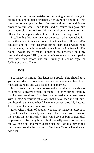and I found my fullest satisfaction in having some difficulty in taking him, and in being stretched after years of being told I was too large. When I got into bed afterward with my husband, it was obvious to him what I had taken, and of course this gave him even more pleasure to insert his own tool only a minute or two after in the same place where I had just taken this larger tool.

I realize that this letter may not be exactly what you asked for, as in the main, it is an account of actions that followed *after*  fantasies and not what occurred during them, but I would hope that you may be able to obtain some information from it. The point I would try to make is that it has benefited both my husband and myself. Him, because he is so much more a superior lover now than before, and quite frankly, I feel no regret or feeling of shame. [Letter]

# **Doris**

My fiancé is writing this letter as I speak. This should give you some idea of how open we are with one another. I am nineteen years old and we are soon to be married.

My fantasies during intercourse and masturbation are always of him; he is always present in them. It is only during foreplay that I sometimes think of another man, in particular a man I work with. I imagine various situations that I have been in with him, but these thoughts end when I have intercourse, probably because I have never had intercourse with him.

Even when I think of another woman, my fiancé is present in my fantasies. He is usually watching as the woman goes down on me, or me on her. In reality, this would give us both a great deal of pleasure. In fact, anything I think sexually seems to turn him on. We don't talk too much during sex, but I do like him to tell me at the outset that he is going to "fuck me." Words like this can add a lot.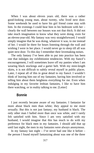When I was about eleven years old, there was a rather good-looking young man, about twenty, who lived next door. Some weekends he used to have his girl friend come stay with him. In the evenings I could hear him in his bedroom with her – clearly the wall between our houses was not that thick. It did not take much imagination to know what they were doing, even for an eleven-year-old. My fantasy was very straightforward. I would simply imagine that he was doing, whatever it was, to me instead of her. I would lie there for hours listening through the wall and wishing I were in her place. I would never go to sleep till all was quiet next door. To this day I remember their lovemaking noises.

The only fantasy I've been able to put into practice has been one that indulges my exhibitionist tendencies. With my fiancé's encouragement, I will sometimes leave off my panties when I am wearing black stockings and a garter belt. With my mini-length skirts, it is not difficult to subtly reveal myself in public places. Later, I repeat all of this in great detail to my fiancé. I wouldn't think of leaving him out of my fantasies; having him involved or telling him about them heightens everything for me. Even when indulging in my favorite lesbian fantasies, I like to have him there watching, or in reality talking to me. [Letter]

## **Bonnie**

I just recently became aware of my fantasies. I fantasize far more about black men than white; they appeal to me more sexually. But this is not just fantasy; my husband is black. The only other man I balled more than once was white, and I rarely felt satisfied with him. Since I am very satisfied with my husband, I would imagine that this has much to do with my preference for black men in my fantasies. I should add that up until last night, the men in my fantasies were always anonymous.

In my fantasy last night  $-$  I've never had one like it before  $$ the person I found myself fantasizing about was one of the three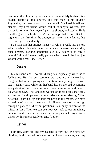pastors at the church my husband and I attend. My husband is a student pastor at this church, and this man is his advisor. Physically, the man is not my ideal at all. My ideal is tall and slender (my best friend would call it "skinny"), whereas this pastor is no taller than myself, perhaps shorter, and stocky. He is middle-aged, which also hasn't before appealed to me. But last night was the first time the anonymous lover in my fantasy has ever been given an identity.

I do have another strange fantasy in which I walk into a store which deals exclusively in sexual aids and accessories – dildos, false breasts, sucking apparatus, etc. My desire is to buy a "mouth," though I never really picture what it would be like, just what it would feel like. [Letter]

#### **Jessie**

My husband and I do talk during sex, especially when he is feeling me. But the best sessions we have are when we both imagine that we are giving an exhibition on anything to do with sex. I usually strip while my husband lies on the bed describing every detail of me. I stand in front of our large mirror and have to do what he says. The language we use on these occasions really excites me. I end up caressing my titties and masturbating. When he strips, I part his legs and take the penis in my mouth. We have a session of oral sex, then we rub oil over each of us and go through a pattern of different positions. Rear entry in front of the mirror is best. Then we can see how we look to our imaginary audience and I can see it in me and also play with my clitoris, which by this time is really on end. [Letter]

## **Esther**

I am fifty years old, and my husband is fifty-four. We have two children, both married. We are both college graduates, and my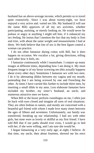husband has an above-average income, which permits us to travel quite extensively. Since I was about twenty-eight, we have enjoyed a very active and. varied sex life. My husband (I will use the name Bill) approves of all my sex activities, whether participating, assisting, or merely looking on. He would never be jealous or angry at anything I might tell him, if it enhanced my sex feeling. He insists that I mention the fact that my body is firm and trim, with about the same weight and measurements I had at thirty. We both believe that lots of sex is the best figure control a woman can practice.

I do not often fantasize during coitus with Bill, but it does happen on occasion. We vocalize a lot, giving directions, telling each other how it feels, etc.

I fantasize continuously while I masturbate. I conjure up many images at different times, depending how I am doing it. My most frequent image is of my boxer screwing me (this actually happens about every other day). Sometimes I fantasize sex with two men. I do it by alternating dildos between my vagina and my mouth, pretending that I am being screwed by one and Frenching the other. At times I have carried this further to include three men, by inserting a small dildo in my anus. Less elaborate fantasies have included my brother, my sister's husband, an uncle, and numerous attractive men we know.

When Bill or the boxer perform cunnilingus on me, I often just lie back with eyes closed and imagine all sorts of oral situations. They are often lesbian in nature, and mostly are concerned with a beautiful girl friend with whom I made love many times between the ages of fifteen and seventeen. Unfortunately, our family was transferred, breaking up our relationship. I had sex with other girls, but none were as lovely or skillful as my first friend. I have told Bill that if our paths should ever cross, I would go to bed with her, if she were willing, and I am sure she would be.

I began fantasizing at a very early age; at eight, I believe. At that time, my uncle, then about fourteen, showed me his erect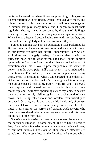penis, and showed me where it was supposed to go. He gave me a demonstration with his finger, which I enjoyed very much, and rubbed the head of his penis against my small hole. We engaged in similar sex play many times, and I began to masturbate regularly. Always, it was accompanied by thoughts of his finger screwing me, or his penis caressing my inner lips and clitoris. When I was thirteen, I began having sex with my brother, and this continued irregularly until about my sixteenth year.

I enjoy imagining that I am on exhibition. I have performed for Bill so often that I am accustomed to an audience, albeit of one. In our travels we have had several opportunities to view sex exhibitions, and strangely, perhaps, I always identify with the girls, and how, and to what extent, I felt that I could improve upon their performance. I am sure that I have a decided streak of exhibitionism in me. I love to pose for pictures; the sexier the better. In mild ways (with Bill's approval), I have indulged in exhibitionism. For instance, I have not worn panties in many years, except (honest injun) when I am expected to take them off; at the doctor's or the dressmaker's. I have given lots of strange men an unexpected peek at my pussy, while Bill and I observed their surprised and pleased reactions. Usually, this occurs on a motor trip, and I will have applied lipstick to my labia, to be sure they are unmistakably visible against the background of dark brown hair. Being rather moist and swollen, their visibility is enhanced. On trips, we always have a dildo handy and, of course, the boxer. I have let him screw me many times as we traveled, much, I am sure, to the surprise of passing truck drivers, who must have wondered what a large dog was doing with his paws on the back of the front seat.

Speaking our fantasies out naturally decreases the novelty of the particular situation to some extent. But we have discarded few, if any, of our fantasies. Actually, we have experienced many of our best fantasies, but even so, they remain effective sex stimulators. The most effective, the favorite, and the one which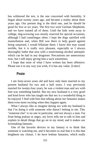has withstood the test, is the one concerned with bestiality. It began about twenty years ago, and became a reality about three years ago. Our present dog is the third one, and he should be good for five or six years. The first two were German Shepherds, and we have trained all of them. Until the kids went away to college, dog-screwing was mostly reserved for special occasions, although I had cunnilingus often. I kept the dogs satisfied with masturbation and, when Bill was there to help guard against being surprised, I would fellatiate them. I know this may sound terrible, but it is really very pleasant, especially as I always thoroughly bathe that area with a nonirritating alcohol antiseptic which can be had in any drugstore. Precautions are unnecessary now, but I still enjoy giving him a suck sometimes.

I hope that none of what I have written has been offensive. Please use it in any way you wish, if it has any value. [Letter]

#### **Posie**

I am forty-seven years old and have only been married to my present husband for two and a half years. I was previously married for twenty-four years; he was a violent man and sex with him was something hateful. But my new husband is a very good and kind lover who has taught me that sex is a wonderful thing to be enjoyed. I find with him that talking about our fantasies makes them even more exciting when they happen again.

What I always like to imagine during sex with my husband is that I'm doing it with someone who doesn't belong to me. This "someone else" is no one in particular, and not always a man. Far from being jealous or angry, my lover tells me to talk to him and explain in detail things that go on in my mind, and it makes our lovemaking fantastic.

One of the favorite devices in my fantasy is to think that someone is watching me, and it becomes so real that it is this that heightens my climax. I do have lesbian fantasies, which really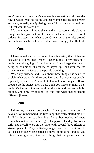aren't great, as I'm a man's woman, but sometimes I do wonder how I would react to seeing another woman feeling her breasts and cunt, actually manipulating herself. I don't want to be doing it, I just want to watch her.

We often indulge in fantasies together, acting out little plays as though we had just met and he has never had a woman before. I seduce him, teach him what to do. Or we switch the roles around and he becomes the instructor. Either way it's enjoyable. [Letter]

#### **Marx**

I have actually acted out one of my fantasies, that of having sex with a colored man. When I describe this to my husband it really gets him going. If I add on top of this image the idea of being on exhibition, it gets me so keyed up I can even see the expressions on the faces of the people watching.

When my husband and I talk about these things it is easier to explain what we really, think and feel, but of course most people, especially women, don't want to talk about taboo subjects. If you brought up the subject they would think you were sex-mad, when really it's the most interesting thing there is, and you are able by talking, and only by talking, to find out what makes people different. [Letter]

## **Joan**

I think my fantasies began when I was quite young, but q I have always remembered the first thing that really started me off. I still find it exciting to think about. I was about twelve and knew as much about sex as the next girl, I suppose. One day, two other girls and myself were in the park with several boys fifteen or sixteen years old. They bullied a younger boy to expose himself to us. This obviously fascinated all three of us girls, and as you might have guessed, the next thing that happened was an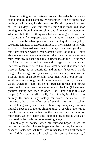intensive petting session between us and the older boys. It may sound strange, but I can't really remember if one of those boys really got all the way inside me or not. But throughout it all, and still to this day, I can remember seeing that small red knob coming out through the foreskin, and I remember wondering whatever that little red thing was that was coming out toward me.

Seeing that first exposure got me started on fantasies as well as sex. I am fifty-five years old, and until quite recently kept secret my fantasies of exposing myself. In my fantasies it is I who expose my cleanly-shaven cunt to younger men, even youths, so that they can see what a real woman's cunt looks like. I have always wondered about the size of other men, because after our third child my husband felt like a finger inside me. It was then that I began to really look at men and to urge my husband to tell me what other men were like. I couldn't believe that some men were as large as he described, and in my fantasies I would imagine them, egged on by seeing my shaven cunt, mounting me. I would think of an abnormally large man with a tool so big it would take me a long time to accommodate it. In my fantasy I would watch my bare slit being stretched further and further open, as his huge penis penetrated me to the hilt. (I have even pictured taking two men at once – as I know that this can happen.) And as my slit, totally free of hair, is visible in its entirety, the man in my fantasy can watch me as well, the movement, the reaction of my cunt. I see him thrusting, stretching me, stabbing away and then withdrawing completely for our mutual inspection of the red shining knob, over which the skin is then forced back just as hard as the man can stand without too much pain, which broadens the knob, making it just as wide as it can possibly be made before reinserting it again.

Eventually, of course, when my husband began to see the reaction his stories of other larger men had on me, he began to suspect I fantasized. At first I was rather loath to admit them to him. I didn't want to talk back to him during intercourse; I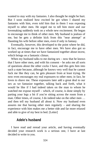wanted to stay with my fantasies. I also thought he might be hurt. But I soon realized how excited he got when I shared my fantasies with him, even told him that in them I was exposing myself to other men. He urged me to tell him more and our lovemaking suddenly took on a whole new excitement. He began to encourage me to think of other men. My husband is jealous of me, but he gets a definite kick from this "near attempt" at flaunting his wife before other men, even if only in fantasy.

Eventually, however, this developed to the point where he did, in fact, encourage me to have other men. We have also got so worked up at times that we have fantasized together about incest, which brings on a fantastic climax.

When my husband talks to me during sex – now that he knows that I have other men, and with his consent – he asks me all sorts of questions about the other cocks I have, and this gets him into such a state because, although he knows very well that he cannot fuck me like they can, he gets pleasure from at least trying. He now even encourages my real exposures to other men; in fact, he loves to shave me. These exposures later add a great deal to our sex as we fantasize together, talking back and forth, what it would be like if I had indeed taken on the man to whom he watched me expose myself – which, of course, is done simply by parting your legs a bit if you're sitting across the room from a man. Other times, of course, I do indeed take on the other men … and then tell my husband all about it. Now my husband even assures me that having other men regularly – and sharing the experience with him makes me a better ride and far more relaxed and able to give of my best in bed. [Letter]

# **Adele's husband**

I have read and reread your article, and having eventually decided your research work is a serious one, I have at last decided to write to you.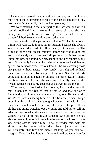I am a heterosexual male, a widower, in fact, but I think you may find it quite interesting to read of the sexual fantasies of my dear late wife, who sadly died five long years ago.

We were married in the latter part of the last war, and when I was demobilized I was twenty-three years old and she was twenty-one. Right from the word go our married life was wonderful, both sexually and in every other way.

To come to the matter you're interested in. We had been to see a film with Alan Ladd in it at her instigation, because she always said how much she liked him. How much, I did not realize. The film had only been on ten minutes before she was kissing me very passionately and, of course, I slipped my hand in her blouse, undid her bra, and found her breasts hard and her nipples really erect. So naturally I went up her skirt with my other hand, having spread my raincoat over both our knees. She was wearing those silk panties without elastic – very handy – so I slipped my hand under and found her absolutely soaking wet. She had already come and as soon as I felt her clitoris, she came again. I finally had two fingers in her and she went wild. I hardly saw the film myself because she got my cock out and slowly tossed me off.

When we got home I asked her if seeing Alan Ladd always did that to her, and she replied that it was so and that she often fantasized about him when we were making love. But she said it wasn't the same as seeing him in a film because I wasn't tough enough with her. In fact, she thought I was too kind with her, so there and then I knocked her onto the settee, stripped off her clothes and mine, switched out the lights and told her to call me Alan and to do what she wanted with me or tell me what she wanted Alan to do to her. It was fantastic! She told me she had always wanted him to fuck her while he was on his horse and she was sitting astride facing him. So we pretended this, with me sitting on the settee while she played jockey on me. Unfortunately, that first time didn't last long, as you can well imagine. Now I realize how totally uninhibited we were then for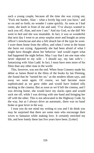such a young couple, because all the time she was crying out, "Fuck me harder, Alan – what a lovely big cock you have," and so on and so forth; no wonder I came quickly. As soon as I had come, she knelt in front of me and said, "I've always wanted to suck you off, Alan, and now I am." And my God, so she did! We went to bed and she was insatiable. In fact, it was so wonderful that next day I went to an army surplus store and bought an army officer's trenchcoat and also a felt slouch hat of the type he wore. I wore them home from the office, and when I went in the house she burst out crying. Apparently she had been afraid of what I might have thought about her behavior 'and would regret what had happened the night before. May I say that I am one man who never objected to my wife  $-$  I should say, my late wife's  $$ fantasizing with Alan Ladd. In fact, I must have seen more of his films than any other man in the world.

This, however, was not the end. When Sean Connery made his debut as James Bond in the films of the books by Ian Fleming, she found that he "turned her on," as the modern idiom says, and away we went again. Of course, we had become more sophisticated as we grew older and would have looked silly necking in the cinema. But as soon as we'd left the cinema, and I was driving home, she would have my slacks open and would suck me off, while I was driving with one hand and bringing her off with the other. This is not advocated in the Highway Code, by the way, but as I always drive an automatic, there was no hand brake or gear lever in the way.

I trust you do not mind my writing to you and I do think you may be surprised that there are some men who encourage their wives to fantasize while making love. It certainly enriched my life, and how lonely these last five years have been. [Letter]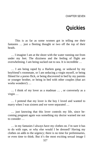#### CHAPTER SEVEN

# **Quickies**

 This is as far as some women got in telling me their fantasies … just a fleeting thought or two off the top of their heads.

… I imagine I am at the shore with the water running out from under my feet. The dizziness and the feeling of flight are overwhelming. I am being sucked out to sea. It is incredible …

… I am being raped by a Harlem gang, or seduced by my boyfriend's roommate, or I am seducing a virgin myself, or being filmed for a porno flick, or being discovered in bed by my parents or younger brother, or being in bed with other couples (that act works wonders!) …

… I think of my lover as a madman … , or conversely as a virgin …

… I pretend that my lover is the boy I loved and wanted to marry when I was sixteen and we were separated …

… just knowing that this lover controls my life, since becoming pregnant again was something my doctor warned me not to consider …

… in my fantasies I always have my clothes on. I'm sure it has to do with rape, or why else would I be dressed? Having my clothes on adds to the urgency; there is no time for preliminaries, or even time to think. But it's the most exciting sexual image I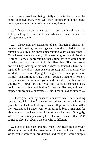have ... me dressed and being totally and fantastically raped by some unknown man, who will then disappear into the night, leaving me wonderfully satisfied and yes, dressed …

… I fantasize very typical stuff … our running through the fields, making love at the beach, whispered talks in bed, his asking to marry me …

… I discovered the existence of sex through a chance encounter with mating guinea pigs and was then filled in on the human details by a girl three embarrassing years younger than I. Once I knew the act existed, I did everything to try and visualize it: stung Kleenex up my vagina, then sitting down to watch hours of television, wondering if it felt like that. Picturing some crew-cut boy looking at me naked (he'd undoubtedly have been repelled by my almost non-existent breasts) and wondering what we'd do from there. Trying to imagine the actual penetration painful? disgusting? joyous? I really couldn't picture it. When I tried, it seemed so intimate you could only do, it with someone you really … cared for. But if you really cared for someone, how could you do such a terrible thing? It was a dilemma, and nearly stopped all my sexual fantasies … until I fell in love at sixteen …

… I imagine I am my husband's mistress while he is making love to me. I imagine I'm trying to seduce him away from his prudish wife. Or I think of myself as a call girl or prostitute. After my husband and I once went to an all nude bar, I imagined for about a week that I was one of the girls we had seen. Strangely, when we are actually making love, I never fantasize that *he is* someone else. I'm always the one who is different …

… I used to have sex dreams, when I was reaching puberty; it all centered around the penetration. I was fascinated by how wonderful it seemed in my dreams, and thought I would simply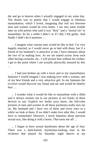die and go to heaven when I actually engaged in sex some day. The dream was so potent that I would engage in fabulous masturbation, which I loved, imagining that real sex between men and women would be even better. I ran into some trouble later on with priests who said it was "dirty" and a "mortal sin" to masturbate. So for a while I didn't, or if I did, I felt guilty. And finally I didn't do it anymore …

… I imagine what various men would be like in bed. I'm very happily married, so I would never go to bed with them, but if a friend of my husband's is attractive to me, I have fantasies about the two of us making love. As we are seated across from each other having cocktails, etc., I will picture him without his clothes. I get to the point where I am actually physically aroused by this

… I had just broken up with a lover and in my masturbatory fantasies I would imagine I was making love with a woman, one of my best friends and a very attractive girl. In my fantasies the ex-lover would discover my friend and me and would be bitterly hurt …

… I wonder what it would be like to masturbate with a dildo and it always arouses me to see pictures in sex books of these devices in use. Explicit sex books (you know, the full-color pictures of men and women in all those positions) really turn me on. My husband and I have two of them and every once in a while we look at them. If we didn't make love after this, I would have to masturbate! However, I never fantasize about perverse sexual acts, like doing it with a horse. *That* turns me off …

… I began to have sexual daydreams about the age of four. There was a dark-haired, mysterious-looking man in the orchestra that played for Saturday night dances at my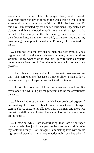grandfather's country club. He played bass, and I would daydream from Sunday on through the week that he would come some night around dusk and whisk me off in the bass case. To this day I am attracted by dark-haired musicians, especially bass players, and have allowed myself time and time again to be carried off by them (not in their bass cases), only to discover that their lovemaking, no matter how wild, can never live up to my now quite grown-up fantasies of what I'd really like them to do to me …

… I am not with the obvious he-man muscular type. My sex orgies are with intellectual, almost shy men, who you think wouldn't know what to do in bed, but I picture them as experts under the surface. As if I'm the only one who knows their prowess …

… I am chained, being beaten, forced to make love against my will. This surprises me, because I'd never allow a man to lay a hand on me ... yet I keep coming back to this situation ...

… I just think how much I love him when we make love. But every once in a while, I play the pussycat and he the affectionate owner …

… I have had erotic dreams which have produced orgasm. I am making love with a black man, a mysterious stranger, teen-age boys, once, to tell all, even with a woman, and there was one with a stallion who looked like a man I know but was a horse all the same …

… I imagine, while I am masturbating, that I am being raped by a man who has just kidnapped me because he couldn't resist my fantastic beauty … or I imagine I am making love with an old high-school sweetheart who was maddeningly sexy but whom I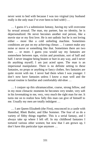never went to bed with because I was too virginal (my husband really is the only man I've ever been to bed with!) …

… I guess it's a submission fantasy, having my will overcome by sexual arousal. The man, my partner, has no identity, he is depersonalized. He never becomes another real person, like a movie star or my first love. He is not sadistic but he is not loving either – more like a cold unfeeling machine. Sometimes conditions are put on my achieving climax … I cannot make any noise or move or something like that. Sometimes there are two men … or more. I guess you would say my fantasies are somewhere between rape, victim and prostitute, sort of half and half. I never imagine being beaten or hurt in any way, and I never do anything myself; I am just acted upon. The man is an impersonal manipulator. There is no definite setting to these fantasies, no props or anything or fancy clothes. Sex fantasies are quite recent with me. I never had them when I was younger. I don't now have fantasies unless I know a man well and the sexual routine is familiar and comfortably old-shoe …

… I conjure up this ultramasculine, coarse, strong fellow, and in my most climactic moments he becomes very tender, very soft in his lovemaking to me, very, very much the right man for me. It turns me on to realize how fully this man can give of himself to me. Usually my men are totally indulgent …

… I am Queen Elizabeth (the First), ensconced in a castle with Hannibal, Rhett Butler, and Elke Sommer. The four of us do a variety of filthy things together. This is a serial fantasy, and I always take up where I left off. In my childhood fantasies I tortured various other women; but now that I am grown up, I don't have this particular type anymore …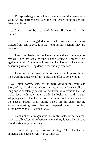… I'm spread-eagled on a huge roulette wheel that hangs on a wall. As my partner penetrates me, the wheel spins faster and faster and faster …

… I am attacked by a pack of German Shepherds (sexually, that is) …

… I have been smuggled into a male prison and am being passed from cell to cell. It is the "long-termer" section (they are ravenous!) …

… I am completely passive having things done to me against my will. It is not actually rape, I don't struggle, I enjoy it but against my will. Sometimes I hear a voice, like on a PA system, describing what is being done to me and my reactions …

… I am out on the street with no underwear. I approach two men walking together, lift my skirts, and offer to do anything …

… I often borrow some of the more vivid scenes from *The Story of O*, like the one where she wears no underwear all day long and is constantly on call for her lover, who requests that she make love with other men while he looks on. And straight whipping scenes, like the bit from that same book where she is in the special beauty shop, sitting naked on the chair, having various interesting parts of her body prepared for sex. For orgies, I lean heavily on *My Secret Life …*

… I am not very imaginative. I simply fantasize scenes that have actually taken place between me and my lover which I have found particularly interesting …

… I am a stripper, performing on stage. Then I enter the audience and have sex with various men …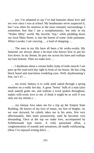… yes, I'm ashamed to say I've had fantasies about love and sex ever since I was at school. My headmaster never suspected it, but I was often *his* mistress in the most romantic surroundings. I sometimes fear that I am a nymphomaniac, but only in my "Walter Mitty" world. My favorite "trip," while plodding down our local Main Street, is into the harem of some virile potentate. When I awake, I am carrying  $\ldots$  a load of shopping  $\ldots$ 

… The men in my life have all been a bit wishy-washy. My fantasies are always about a he-man who knows how to put his foot down. In my dream, he puts me across his knee and wallops my bare bottom. Then we make love …

… I daydream about a certain bulky lump of male muscle I see pass up the road each day right in front of our house. He has a big black beard and marvelous twinkling eyes. Well, daydreaming's free, isn't it? …

… my erotic fantasy is to walk stark naked through a spring meadow on a really hot day. A great "horny" hulk of a man (also stark naked) grabs me, and without a word spoken throughout, makes wild erotic love to me. (I think it might be as well if you only use my initials.) …

… my fantasy love takes me for a trip up the Empire State Building. He knows of my love of music, my fear of heights. As we soar skyward, he calmly takes me in his arms, first very affectionately, then more possessively, until he becomes very demanding. Once at the top we make love, accompanied by Scheherazade type music. A wild, passionate affair, a conglomeration of sounds and sensations, all madly exhilarating. (How I've enjoyed writing this!) …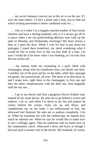… my secret fantasies concern sex in the air or on the sea. If I won the state lottery, I'd hire a plane and a boat, just to find out which rocking movement is better combined with sex ...

… why is it when I'm a happily married mother of four lovely children and have a darling husband, why is it I always go off in a trance when I see our good-looking delivery man walk up the path on Monday and Wednesday mornings? My heart misses a beat as I open the door. While I wait for him to put down his packages, I stand there transfixed, my mind wondering what it would be like to make love to this six-foot hulk of a man. I'm sure I would die if he knew what I was thinking, as I'm only four feet ten inches tall

… my fantasy finds me swimming in a pool, filled with champagne, along with two handsome men, one blond, one dark. I clamber out of the pool and lie on the table, while they massage me gently, but possessively, all over. The three of us dive back in, and I make love, right there in the champagne, to first one and then the other; tempestuously with the dark one, then languidly with the fair one …

… I go to my doctor and find a gorgeous Doctor Kildare type instead of my usual doctor. He asks me to go behind a screen and undress. I do so, and when I'm down to my bra and panties he comes behind the screen, looks me up and down, and compliments me on my body. I am embarrassed at first, but afterward feel flattered. He asks me to undress completely. I do so. When he examines me with the stethoscope, he repeats how much he admires me. When he says he would like to make love to me I willingly agree. Then he undresses and we make love on the examination couch. Afterward I dress and leave as though I had just paid a normal visit to the doctor. My husband, of course,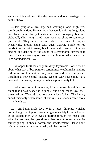knows nothing of my little daydreams and our marriage is a happy one…

… I'm lying on a low, large bed, wearing a long, bright red, see through, antique Roman toga that would suit my long blond hair. Near me are two pet snakes and a cat. Lounging about are eight tall, slim, long-haired men, wearing short roman togas, pure white. They serve me and talk to me on erotic topics. Meanwhile, another eight sexy guys, wearing purple or red bell-bottom velvet trousers, black belts and flowered shirts, are singing and dancing to the sound of stereophonic, psychedelic music. I can choose any of them at any time to make love to me. (I'm not underaged.) …

… whoopee for those delightful dirty daydreams. I often dream about what sort of bed partners certain men would make, and my little mind went berserk recently when we had these lovely men installing a new central heating system. Our house may have been cold that week, but my thoughts kept me pretty hot …

… when sex got a bit mundane, I found myself imagining one night that I was "Jane" in a jungle but being made love to. I screamed out "Tarzan!" and tore at my lover's hair. The fantasy ended miserably when some .of hubby's last strands came away in my hands …

… I am being made love to in a huge, dimpled, whiskey bottle, hung from top to bottom in tiger skins. My lover is dressed as an executioner, with eyes glittering through his mask, and when he takes me, the tiger skins slither down to reveal my entire family gazing in shock, horror, and bewilderment. Please don't print my name or my family really will be shocked! …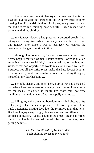… I have only one romantic fantasy about men, and that is that I would love to walk out dressed to kill with my three children looking like TV model children. As I pass, every man looks at me and desires me, thinking how beautiful I keep myself for a woman with three children

… my fantasy always takes place on a deserted beach. I am taking an evening stroll when I meet my heart-throb. I have had this fantasy ever since I was a teen-ager. Of course, the heart-throb changes from time to time ...

… although I am over sixty, I am still a romantic at heart, and a very happily married woman. I must confess I often look at an attractive man at a social "do," or while waiting for the bus, and wonder what sort of partner he would make on a stolen weekend. I suspect not all the virile types make the best lovers! It is an exciting fantasy, and I'm thankful no one can read my thoughts, most of all my dear husband …

… I'm tall, elegant, and intelligent. I am always at a masked ball where I am made love to by every man I desire. I never take off the mask. Of course, in reality I'm short, thin, not very intelligent, and middle-aged. But I'm happily married …

… killing my daily traveling boredom, my mind always drifts to the jungle. Tarzan has me prisoner in his treetop home. He is wild, passionate, making love like the primitive man that he is. But how I enjoy every rough, clawing moment, so different from civilized delicacies. I've lost count of the times Tarzan has forced me to indulge in his animal sexual pleasures, but they keep getting better …

> *I'm the seventh wife of Henry Tudor, Each night he comes to my boudoir.*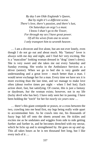*By day I am Olde Englande's Queen, But by night it's a different scene. There's love, there's passion, and there's lust, On Saturdays an orgy's a must. I know I shan't go to the Tower, For through my sex I have great power. Of all his wives from one to seven I only transport him to seventh heaven .*

… I am a divorcee and live alone, but am not ever lonely, even though I do not go out and about much. My "fantasy" lover is always with me day and night, and I find *her* very exciting. She is a "masculine" looking woman dressed in "drag" (men's dress). She is very sweet and she takes me out every Saturday and Sunday evening. She works in the Ambulance Services as a driver (senior). When we go to bed she is very gentle and understanding and a great lover – much better than a man. I would never exchange her for a man. Every time we have sex it is more exciting than the last time, and we manage to make love often (about twelve times per night – when I feel hot). Each action short, fast, but satisfying. Of course, this is just a fantasy or daydream, *but* the woman exists; however, not in *my* life (lucky devil who has her). I have only seen her in passing. I have been holding the "torch" for her for *nearly six years* now …

… there's this giant centipede or prawn, or a cross between the two, crawling into me head first, my legs being really wide apart to accommodate him. As he crawls into me, his thousands of fuzzy legs fall off onto the sheets around me. He tickles and excites me as he undulates and wiggles from side to side getting further and further in, and he becomes drenched with my nectar, which he licks up and is strengthened by. He goes on up and up. This all takes hours as he is ten thousand feet long, but I like every inch of it …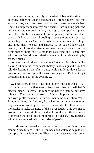The next morning, happily exhausted, I begin the ritual of carefully gathering up the thousands of orange fuzzy legs that surround me, and take them in a wicker basket to the kitchen. There I dump them into my blue enamel jam making pot, and add sugar, orange peel, lemon, nutmeg, banana peel scrapings, and a bit of hash when available (very optional). At the hard-ball, or so-called crack stage of cooling, I pour the orange mass into penis-shaped molds (can be bought in your nearest sex shop), and allow them to cool and harden. To be sucked later when desired, but I usually give mine away to my friends, as the penis-shaped mold itself is far more satisfying and I share him with no one. You'd be surprised how many of my friends drop by for their sucks.

As you can tell, these aren't things I really think about while fucking. They're not even masturbatory fantasies, just the kind of idle daydreams I have after a bath, while I'm lying down for an hour or so, half asleep, half awake, waiting until it's time to get dressed and go out for the evening …

… once every three or four months my husband trims off all my pubic hairs. He first uses scissors and then a small lady's electric razor. I always like him to be naked when he performs this task. Throughout the exercise I hold his penis in my hand, and with gentle movement insure he maintains an erection. When I know he is nearly finished, I can feel in my mind a mounting impression of wanting to turn his penis like the throttle of a motorbike to make the noise of the shaver louder. This gets me so aroused that I almost climax, and so I turn the throttle even more to increase the noise of the motorbike in order that my husband will not be overwhelmed by my cries of passion ...

… showering together, we occasionally have intercourse standing face to face. I like to lean back and watch as he puts just the tip of his penis into me. Then, as the water cascades down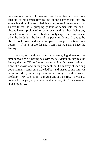between our bodies, I imagine that I can feel an enormous quantity of his semen flowing out of the shower and into my stomach and pubic area. It heightens my sensations so much that I actually feel he is pumping gallons of semen into me and I always have a prolonged orgasm, even without there being any mutual motion between our bodies. I only experience this fantasy when he holds just the head of his penis inside me. I have to be able to look down and see some part of his penis between our bodies … if he is in too far and I can't see it, I can't have the fantasy …

… having sex with two men who are going down on me simultaneously. Or having sex with the television on inspires the fantasy that the TV performers are watching. Or masturbating in front of a crowd and turning them all on. Or fantasy of reaching down a man's pants on a crowded bus and masturbating him. Or being raped by a strong, handsome stranger, with constant profanity: "My cock is in your cunt and it's on fire," "I want to come all over you, in your eyes and your ass, etc.," plus assorted "Fuck me's." …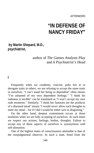# **"IN DEFENSE OF NANCY FRIDAY"**

# **by Martin Shepard, M.D., psychiatrist,**

# author of *The Games Analysts Play* and *A Psychiatrist's Head*

### **I**

Frequently when we condemn, criticize, poke fun at or derogate traits in others, we are refusing to accept the same traits in ourselves. "I can't stand her being so dependent" often means "I'm ashamed of my own dependent feelings." "I think his rudeness is terrible" can be translated as "I won't accept my own rude moments." Similarly. "I think her fantasies are the products of a diseased mind" means "I would *never* allow such thoughts to enter my mind – for if I did I would be either sick or disgusting."

On the other hand, deepest contentment occurs at those moments when we are fully accepting of ourselves. At such times we respect our actions, feelings, bodies, thoughts. Failure to accept any of these aspects of ourselves is synonymous with self-alienation.

One of the highest states of consciousness attainable is that of the nonjudgmental observer. In such a state, freed from the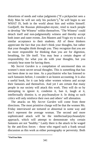distortions of needs and value judgments ("If a pickpocket sees a Holy Man he will see only his pockets"),<sup>\*</sup> he will begin to see WHAT IS, both in the world about him and within himself. Gurdjieff, the Russian philosopher-mystic, tried to teach people to develop "the Witness" within themselves. "The Witness" could detach itself and non-judgmentally witness and thereby accept both inner and outer events. Zen Masters and Yogis try to teach a similar acceptance to their students. All of these thinkers appreciate the fact that you don't think your thoughts, but rather that your thoughts think through you. They recognize that you are no more responsible for thinking than you are for digestion, breathing, for life itself. You may bear a certain degree of responsibility for what you do with your thoughts, but you certainly bear none for having them.

*My Secret Garden* is a compilation of uncensored data on women's most secret sexual thoughts. This is something that has not been done in our time. As a psychiatrist who has listened to such fantasies before, I consider it an honest accounting. It is also a useful book, for it can help other women witness and accept their fantasies and themselves. And yet I am certain that many people in our society will attack this work. They will do so by attempting to ignore it, condemn it, ban it, laugh at it, intellectually dismiss it, or psychoanalyze it. In doing so such critics will only reinforce their own and others' self alienation.

The attacks on My *Secret Garden* will come from three directions. The most primitive charge will be that the women Ms. Friday interviewed are tortured or abnormal in some way and don't represent the average woman. The second and more sophisticated attack will be the intellectual/psychoanalytic approach, which will attempt to demonstrate why certain fantasies are not "healthy." Lastly there is the attack to be waged by the anti-Eros forces – those who regard such a frank sexual discussion as this work as either pornography or perversity. Both

<sup>∗</sup> **Had Dass Baba**

 $\overline{a}$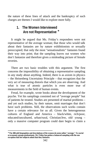the nature of these lines of attack and the bankruptcy of such charges are themes I would like to explore more fully.

# **1. The Women Interviewed Are not Representative** <sup>∗</sup>

It might be argued that Ms. Friday's respondees were not representative of the average woman; that those who would talk about their fantasies are by nature exhibitionists or sexually preoccupied; that only the most "sensationalistic" fantasies found their way into print; that the sampling leaves out women who don't fantasize and therefore gives a misleading picture of female reveries.

There are two basic troubles with this argument. The first concerns the impossibility of obtaining a representative sampling in any study about anything. Indeed, there is as axiom in physics – the Heisenberg Uncertainty Principle – that recognizes that the very act of measuring distorts that which you are observing. And what is true of atomic particles is even more true of measurements in the field of human events.

Freud, for example, wrote books about the development of the psyche. Yet his samplings consisted not of "average people" but of patients he treated. Studies are presented of marital problems – and yet such studies, by their nature, omit marriages that don't have such problems. Still, the observations such works contain have a certain relevance for us all. Given the heterogeneous cultures of England and America – black/white, rich/poor, educated/uncultured, urban/rural, Christian/Jew, old/ young – only a massive computer program could dare begin to claim a

 $\overline{a}$ 

<sup>∗</sup> **The 400-odd biographies and descriptions of the women do seem rather "average." No social or economic groups predominate. Ms. Friday has gotten a balanced sampling with the one exception that her subjects admit that they fantasize.**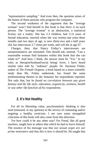"representative sampling." And even then, the question arises of the biases of those persons who program the computer.

The second weakness of the argument that the "average woman" won't find herself in this book is that *there is* no such person. The "average woman" is an abstraction, a statistical fiction, not a reality. She has 2.3 children, had 11.6 years of formal education, married when she was twenty-one years three months and two days of age, is now thirty-two and a half years old, has intercourse 2.7 times per week, and will die at age 67.

Charges, then, that Nancy Friday's interviewees are unrepresentative are misstated. One should ask, instead, "Can a reasonable woman find fantasies within this book that she can relate to?" And here, I think, the answer must be "Yes." In my roles as therapist/husband/social being/ lover, I have heard similar tales told by "ordinary" people. Dr. Seymour Fisher, author of *The Female Orgasm*, a book based on a more scientific study than Ms. Friday undertook, has found the same predominating themes in the fantasies his respondents reported. Not only that, but *he found no correlation between any given fantasy and the life style, education, orgasticity, sickness, health or any other life function of his respondents.*

## **2. It's Not Healthy**

For all its liberating value, psychoanalytic thinking is also used (misused, in my opinion) in the service of containing and/or negating a healthy eroticism. I am sure some misapplied criticisms of this book will also come from this direction.

Yet how could it be any other way? For Freud, like all great teachers, taught best to others *that which he had to learn himself.*  The essence of his message was that *our sexual urges are our prime motivaters* and that *this is how it should be.* He taught that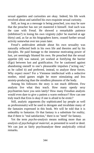sexual appetites and curiosities are okay. Indeed, his life work revolved about and satisfied his own exquisite sexual curiosity.

Still, as long as a message is being preached, you may be sure that the preacher has not yet mastered it himself. And such was the case with Freud. He showed a remarkable patience (inhibition?) in losing his own virginity *(after* he married at age thirty) and, as far as his biographers knew, ceased further sexual activity somewhat over ten years later.

Freud's ambivalent attitude about his own sexuality was naturally reflected both in his own life and theories and by his disciples. He paid homage to the immense motivating power of lust, yet seemingly blunted his own. He preached that the sexual appetite (Id) was natural, yet worked at fortifying the barrier (Ego) between lust and gratification. For he cautioned against abandoning oneself to one's pleasurable impulses ("acting out," as he called it) and preferred, instead, to analyze these forces. Why expect more? For a Viennese intellectual with a seductive mother, mind games might be more stimulating and less anxiety-producing than the mindless pleasures of the body.

Among his followers the story is not much different. Few analysts live what they teach. How many openly sexy psychiatrists have you seen lately? How many Freudian analysts would even dare to give a patient a warm embrace? How can one truly teach that Eros is okay if one is afraid to be erotic?

Still, analytic arguments (by sophisticated lay people as well as professionals) will be used to derogate and invalidate many of the fantasies expressed in this book. We will be told that it is unhealthy to fantasize. Or that fantasy is a substitute for reality; that if there is "real satisfaction," there is no "need" for fantasy.

Yet the term *psycho-analysis* means nothing more than an *analysis of psychological material,* as presented in word or deed. We can just as fairly psychoanalyze these analytically critical remarks.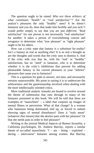The question ought to be raised: *Who are these arbiters of what constitutes "health"* or *"real satisfaction'"?* Are the analyst's pleasures the only "healthy" ones? It he doesn't fantasize and you do, does that make him *healthy* and you sick? I would prefer simply to say that you are just *different.* "Real satisfaction" for one person is not necessarily "real satisfaction" for another. It takes a person of overwhelming conceit and arrogance to determine what "true pleasure" or "right pleasure" ought to be for others.

How can a critic state that fantasy is a *substitute* for reality? Isn't a fantasy as real as anything else? It is as real a thought as are the thoughts and words that the critic uses to dismiss it. And if the critic tells you that he, with his "real" or "healthy" satisfactions, has no "need" to fantasize, who is to determine whether it is the critic's inhibitions that prevent his adding pleasurable fantasy to his current pleasures or your "inferior" pleasures that cause you to fantasize?

This is a question for gods to answer, not men, and necessarily remains unanswerable. My point in raising it is to underscore the arbitrariness and the gamesmanship involved when dealing with the more intellectually oriented critics.

More traditional analytic remarks are bound to revolve around the theme of submission that runs through so many of the fantasies presented in this book. We will be told that these are examples of "masochism" – a label that conjures up images of mental illness or perversion. What of that charge? Is a woman who fantasizes being dominated, tied up, or forced to submit showing signs of mental disturbance? Does it "truly mean" (whatever *that* means) that she desires pain with her pleasure? Or that she needs pain in order to feel pleasure?

Writing in the journal Medical *Aspects of Human Sexuality,* a California psychologist, Dr. Andrew Barclay, reports a similar theme of so-called masochistic  $T - am - being - exploited$ during – intercourse" fantasies among women. But Barclay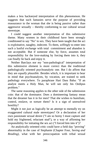makes a less hackneyed interpretation of this phenomenon. He suggests that such fantasies serve the purpose of providing reassurance to the woman that she is being passive rather than aggressive sexually – thereby conforming to our cultural sexual stereotype.

I could suggest another interpretation of this submissive theme. Many women in their childhood have been strongly conditioned to say "No" to sex. They have been taught that the act is exploitative, naughty, indecent. To them, *willingly* to enter into such a lustful exchange with total commitment and abandon is not acceptable. But if someone else, by force, assumes total responsibility for the love-making by forcing them into it, they can finally lie back and enjoy it.

Neither Barclays nor my "non-pathological" interpretation of this submissive element is more correct than the traditional pathologically oriented psychoanalytic one. But I do affirm that they are *equally plausible.* Besides which, it is important to bear in mind that psychoanalysts, by vocation, are trained to seek pathology everywhere. To paraphrase Hari Dass Baba: "If an analyst meets a Holy Man, he will see only his Oedipus problem."

The same reasoning applies to the other side of the submission coin: that of the dominator. Does a domineering fantasy mean that the dreamer has it in for men? That she wishes to humiliate, control, enslave, or torture them? Is it a sign of unresolved hostility?

Might it not *just* as logically be an attempt to mentally try on exaggerated cultural male stereotypes? Or a declaration of her own passionate sexual desire ("I am so horny I must capture and hold my frightened, reluctant stud"), or a way of affirming her responsibility for initiating the sex act ("I forced him into it")?

An analytically oriented critic could have a field day "proving" abnormality in the case of Stephanie (Chapter Four, *Seeing and Reading),* what with her preoccupation with tribal sexual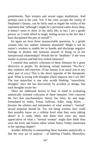punishments, Nazi tortures and sexual organ mutilations. And perhaps such is the case. Yet, if the critic accepts the *reality* of Stephanie's fantasy, can he fairly omit or negate the *reality* of her statement that "although I might be a perverted sadist down deep, it doesn't seem to show in my daily life; in fact I am a gentle person, so I could afford to laugh, feeling secure in the fact that I have disciplined this part of myself"?

So again we have these unanswerable questions. Is a gentle woman who has sadistic fantasies disturbed? Might it not be nature's wisdom to enable her to handle and discharge negative feelings in dreams and fantasies instead of doing so in her interpersonal relationships? Would she be "healthier" if she were nastier in person and had less violent fantasies?

I contend that analytic criticisms of these fantasies do a great disservice to people. By declaring certain fantasies "No-No's" they reinforce self-rejection. (Your fantasy is as much you as any other part of you.) This is the direct opposite of the therapeutic goal. What is wrong with thoughts which improve one's sex life? The true masochist is one who avoids thinking "masochistic thoughts" once she has discovered, by accident or design, that such thoughts excite her.

There are additional factors to bear in mind in evaluating analytically oriented criticisms of these fantasies. One concerns the fact that psychoanalytic theory has been, by and large, formulated by males. Freud, Sullivan, Adler, Jung, Reich … became the arbiters and interpreters of what woman's "normal" sexual response should be. Yet, not being women, how could they possibly know on a cellular level what they were talking about? Is it really likely that these men were any more appreciative of what a "normal woman" might dare think than were the lover and former editor whom Nancy Friday mentioned in her opening chapter?

Another difficulty in interpreting these fantasies analytically is that the very act of analysis – of *labeling* ("Sadist, Masochist,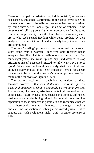Castrator, Oedipal, Self-destructive, Exhibitionistic") – creates a self-consciousness that is antithetical to the sexual mystique. One of the effects of sex is the self-transcendence that can be obtained by losing one's "self" – one's ego – in an act of embrace. To be conscious of self *(self-conscious) and* transcend self at the same time is an impossibility. Pity the bind that so many analysands are in who seek sexual freedom while being prodded by their analysts to be suspicious of and act analytically toward their erotic impulses.

The only "labeling" process that has impressed me in recent years came from a woman I met who only recently began enjoying her life. Painfully self-conscious during her first thirty-eight years, she woke up one day "and decided to stop criticizing myself. I resolved, instead, to *label everything I do as `good.'* Since then I've been doing exactly what I want to do and enjoying every minute of it." Self-conscious female fantasizers have more to learn from this woman's labeling process than from many of the followers of Sigmund Freud.

The greatest weakness in analytical evaluations of these fantasies, however, is that such *intellectual dissections represent a rational approach to what is essentially an irrational process.*  For fantasies, like dreams, arise from the twilight zone of ancient experiences, future expectations, social conditioning, unfinished business, and complex biological and biochemical processes. The separation of these elements is possible if one recognizes that we make these evaluations as an intellectual challenge – much as one can find satisfaction in solving a crossword puzzle. But to suggest that such evaluations yield "truth" is either pretense or folly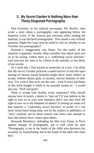# **3. My Secret Garden Is Nothing More than Thinly Disguised Pornography**

Paul Krassner, in his satirical newspaper *The Realist,* once wrote a story about a pornography case appearing before the Supreme Court. If the Justices got erections while reading the material, it was declared pornographic. This raised a very ticklish question. Might the Court next be asked to rule on whether or not Vaseline was pornographic?

Krassner's exaggeration was funny. Yet the reality of the situation is apparent. Society often considers that which turns you on to be wrong. Unless there is a "redeeming social function," such turn-ons are seen to be a threat to the morality or the fabric of our society.

As I write this I find myself in somewhat of a box. I do think that *My Secret Garden* performs a useful service in that this open sharing of various sexual fantasies might allow many readers to accept, without shame, guilt, or anxiety, various fantasies of their own. Yet, even if that were not the case – even if every purchaser of this book bought *it solely* to be sexually turned on – I would also say, "Well and good."

What is wrong with healthy erotic responses? Why should anyone have to justify a desire to "turn on"? If you believe in the right to turn on to your own fantasies, don't you also have the right to turn on to the fantasies of others? Is turning on some evil that requires a *"redeeming social function"* to justify it? I see more moral harm being done, *not* by the authors or publishers of "sexy" material, but by those censors and critics who attempt to foist and enforce *their* values upon others.

Bernardo Bertolucci, defending his film *Last Tango in Paris* against charges of pornography, put it well when he said, "Pornography is not in the hands of the child who discovers his sexuality by masturbating, but in the hands of the adult who slaps him."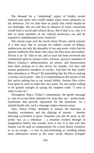The demand for a "redeeming" aspect of frankly sexual material puts those who would simply enjoy erotic pleasures on the defensive. For we then have to justify that which should be our birthright. We are told that an absence of erotic censorship would lead to social add cultural decay. But if that is so, why is it that so many members of our cultural aristocracy can and do respond to unadulterated erotic material?

The current craze over the movie *Deep Throat,* which consists of a thin story line to account for endless scenes of fellatio, underscores not only the absurdity of our anti-erotic critics but the absurd conditions that those who enjoy the film must also endure. *Throat* is an "in" film to see, and as such has been reviewed and commented upon by serious critics. Doctors, lawyers, members of Mayor Lindsay's administration, jet setters, and businessmen have been turning on to this movie for months. Yet they still remain productive members of society. And how do they justify their attendance at *Throat?* By pretending that the film is making a serious social point – that it is commenting on the morals of the day and/or poking fun at our sexual foibles. Serious film critics have gone to court to make this very point. No one seems willing to be quoted outright as saying the simplest truth: "I went in order to turn on."

Throughout Nancy Friday's commentary, the gentle message is: sent to *accept* these fantasies for what they are – poetic/erotic daydreams that provide enjoyment for the fantasizer. As a mental-health rule, such a message makes eminent sense.

Also, Nancy Friday attributes to fantasy the functions of foreplay, excitement, and the allaying of anxiety – thereby allowing excitement to grow. Fantasies can also be used, as she points out, as a rehearsal – a situation worked through in imagination before one actually lives it out. It is also true that fantasy can be used as compensation for a most dreary existence or as an escape – a way of procrastinating or avoiding taking more affirmative action in the outer world. Monica (Chapter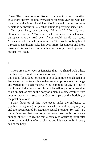Three, The Transformation Room) is a case in point. Described as a short, messy-looking overweight nineteen-year-old who has toyed with the idea of suicide, Monica would rather fantasize herself as her beautiful sister than attend to prettying herself up.

Yet, even here, one can say "Why not?" After all, what alternatives are left? You can't make someone else's fantasies disappear anyway. And even if you could, would that cause Monica to make herself more attractive? Or would robbing her of a precious daydream make her even more despondent and more unkempt? Rather than discouraging her fantasy, I world prefer to see her live it out.

# **II**

There are some types of fantasies that I've shared with others that have not found their way into print. This is no criticism of this book, for it does not claim to be a definitive encyclopedia of female sexual fantasies, but rather an attempt to show the range and variation of such material. One common fantasy left out is that in which the fantasizer thinks of herself as part of a machine, as an animal, as having the body of a man, as some creature from another world, as insect, or as God, or a part of the Buddha, or the petal on a lotus.

Many fantasies of this type occur under the influence of psychedelic agents (marijuana, hashish, mescaline, psylocybin) and are accompanied by exquisite sexual pleasure. So "real" are these fantasies that one truly *becomes* them – is not aware enough of "self" to realize that a fantasy is occurring until after the orgasm, which is often explosive and felt, seemingly, in every cell of the body.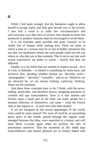While I feel quite strongly that the fantasizes ought to allow herself to accept, enjoy, and fully give herself over to her reverie, I also feel a word is in order lest *non-fantasizers* feel self-conscious over their lack of reverie. One should no more feel pressured to produce fantasies than be encouraged to avoid them.

It is, for example, quite possible and quite "normal" to be totally free of fantasy while making love. There are states in which a man or a woman may be so lost in bodily sensations that not only are daydreams absent but such people could not tell you where or who they are at that moment. This is not to say that such sexual experiences are better or worse – merely that they are different.

Finally, it is my belief that our interest in matters sexual – be it as critic or defender – is related to something far more basic and *inclusive* than deciding whether stimuli are "decently erotic," "pornographic," "perverse," "scientific," and so on. Whatever we are attracted by, we are always *looking, exploring, thinking.* These are the constants.

And these three constants have to do, I think, with the neverending, unsolvable, and therefore always intriguing questions of creation and ego transcendence. How is it that motion and friction upon a small part of the body can make people for a moment oblivious of themselves, can cause – what the French refer to the orgasm as – *le petit mort* (the little death)?

If we are intrigued by the sexual appendages of the world, what could be more natural? We were all sired by an ejaculating penis, grew in the womb, passed through the vaginal vault, emerged between the labia, were nourished at a breast, and will most likely re-create again when we perform the rites of procreation ourselves. That the mysteries of life, death (ego transcendence), and intense pleasure are so closely linked with